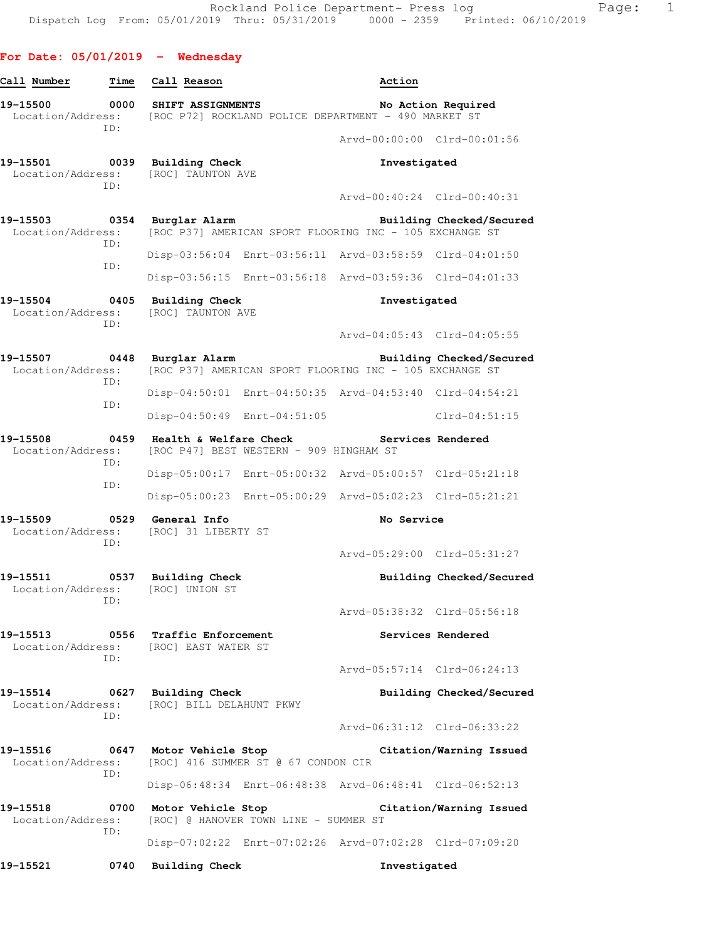## **For Date: 05/01/2019 - Wednesday**

| Call Number                        | Time        | Call Reason                                                                               |                                         | Action                                                  |                          |
|------------------------------------|-------------|-------------------------------------------------------------------------------------------|-----------------------------------------|---------------------------------------------------------|--------------------------|
| 19–15500<br>Location/Address:      | 0000<br>ID: | SHIFT ASSIGNMENTS                                                                         |                                         | [ROC P72] ROCKLAND POLICE DEPARTMENT - 490 MARKET ST    | No Action Required       |
|                                    |             |                                                                                           |                                         | Arvd-00:00:00 Clrd-00:01:56                             |                          |
| 19-15501 0039<br>Location/Address: | ID:         | <b>Building Check</b><br><b>[ROC] TAUNTON AVE</b>                                         |                                         | Investigated                                            |                          |
|                                    |             |                                                                                           |                                         | Arvd-00:40:24 Clrd-00:40:31                             |                          |
| 19-15503<br>Location/Address:      | 0354<br>ID: | Burglar Alarm                                                                             |                                         | [ROC P37] AMERICAN SPORT FLOORING INC - 105 EXCHANGE ST | Building Checked/Secured |
|                                    |             |                                                                                           |                                         | Disp-03:56:04 Enrt-03:56:11 Arvd-03:58:59 Clrd-04:01:50 |                          |
|                                    | ID:         |                                                                                           |                                         | Disp-03:56:15 Enrt-03:56:18 Arvd-03:59:36 Clrd-04:01:33 |                          |
| 19–15504<br>Location/Address:      | 0405<br>ID: | <b>Building Check</b><br>[ROC] TAUNTON AVE                                                |                                         | Investigated                                            |                          |
|                                    |             |                                                                                           |                                         | Arvd-04:05:43 Clrd-04:05:55                             |                          |
| 19-15507<br>Location/Address:      | 0448<br>ID: | Burglar Alarm                                                                             |                                         | [ROC P37] AMERICAN SPORT FLOORING INC - 105 EXCHANGE ST | Building Checked/Secured |
|                                    | TD:         |                                                                                           |                                         | Disp-04:50:01 Enrt-04:50:35 Arvd-04:53:40 Clrd-04:54:21 |                          |
|                                    |             | Disp-04:50:49 Enrt-04:51:05                                                               |                                         |                                                         | $Clrd-04:51:15$          |
| 19-15508<br>Location/Address:      | 0459<br>ID: | Health & Welfare Check                                                                    | [ROC P47] BEST WESTERN - 909 HINGHAM ST |                                                         | Services Rendered        |
|                                    |             |                                                                                           |                                         | Disp-05:00:17 Enrt-05:00:32 Arvd-05:00:57 Clrd-05:21:18 |                          |
|                                    | ID:         |                                                                                           |                                         | Disp-05:00:23 Enrt-05:00:29 Arvd-05:02:23 Clrd-05:21:21 |                          |
| 19–15509<br>Location/Address:      | 0529<br>ID: | General Info<br>[ROC] 31 LIBERTY ST                                                       |                                         | No Service                                              |                          |
|                                    |             |                                                                                           |                                         | Arvd-05:29:00 Clrd-05:31:27                             |                          |
| 19-15511<br>Location/Address:      | 0537<br>ID: | Building Check<br>[ROC] UNION ST                                                          |                                         |                                                         | Building Checked/Secured |
|                                    |             |                                                                                           |                                         | Arvd-05:38:32 Clrd-05:56:18                             |                          |
| 19–15513                           | ID:         | 0556 Traffic Enforcement<br>Location/Address: [ROC] EAST WATER ST                         |                                         |                                                         | Services Rendered        |
|                                    |             |                                                                                           |                                         | Arvd-05:57:14 Clrd-06:24:13                             |                          |
|                                    | ID:         | 19-15514 0627 Building Check<br>Location/Address: [ROC] BILL DELAHUNT PKWY                |                                         |                                                         | Building Checked/Secured |
|                                    |             |                                                                                           |                                         | Arvd-06:31:12 Clrd-06:33:22                             |                          |
|                                    | ID:         | 19-15516 0647 Motor Vehicle Stop<br>Location/Address: [ROC] 416 SUMMER ST @ 67 CONDON CIR |                                         |                                                         | Citation/Warning Issued  |
|                                    |             |                                                                                           |                                         | Disp-06:48:34 Enrt-06:48:38 Arvd-06:48:41 Clrd-06:52:13 |                          |
| 19-15518<br>Location/Address:      | 0700        | Motor Vehicle Stop<br>[ROC] @ HANOVER TOWN LINE - SUMMER ST                               |                                         |                                                         | Citation/Warning Issued  |
|                                    | ID:         |                                                                                           |                                         | Disp-07:02:22 Enrt-07:02:26 Arvd-07:02:28 Clrd-07:09:20 |                          |
| 19-15521                           | 0740        | <b>Building Check</b>                                                                     |                                         | Investigated                                            |                          |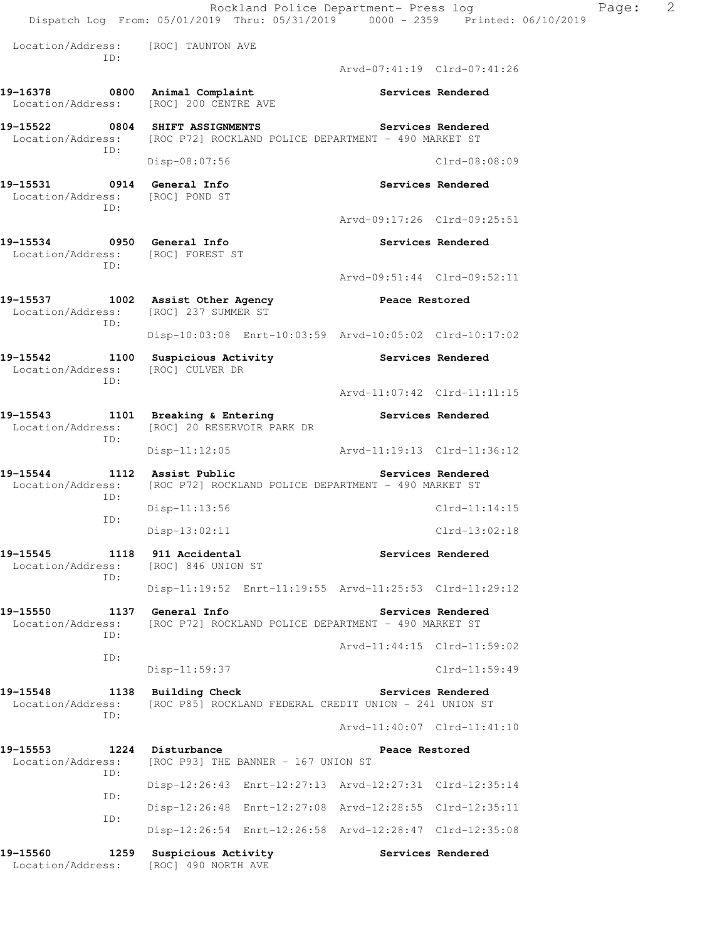|                                 |     | Rockland Police Department- Press log<br>Dispatch Log From: 05/01/2019 Thru: 05/31/2019 0000 - 2359 Printed: 06/10/2019 |                             |                   | Page: | 2 |
|---------------------------------|-----|-------------------------------------------------------------------------------------------------------------------------|-----------------------------|-------------------|-------|---|
|                                 | ID: | Location/Address: [ROC] TAUNTON AVE                                                                                     |                             |                   |       |   |
|                                 |     |                                                                                                                         | Arvd-07:41:19 Clrd-07:41:26 |                   |       |   |
|                                 |     | 19-16378 0800 Animal Complaint<br>Location/Address: [ROC] 200 CENTRE AVE                                                |                             | Services Rendered |       |   |
|                                 | ID: | 19-15522 0804 SHIFT ASSIGNMENTS<br>Location/Address: [ROC P72] ROCKLAND POLICE DEPARTMENT - 490 MARKET ST               |                             | Services Rendered |       |   |
|                                 |     | Disp-08:07:56                                                                                                           |                             | $Clrd-08:08:09$   |       |   |
| Location/Address: [ROC] POND ST | ID: |                                                                                                                         |                             | Services Rendered |       |   |
|                                 |     |                                                                                                                         | Arvd-09:17:26 Clrd-09:25:51 |                   |       |   |
|                                 | ID: | Location/Address: [ROC] FOREST ST                                                                                       |                             | Services Rendered |       |   |
|                                 |     |                                                                                                                         | Arvd-09:51:44 Clrd-09:52:11 |                   |       |   |
|                                 |     | 19-15537 1002 Assist Other Agency<br>Location/Address: [ROC] 237 SUMMER ST                                              | <b>Peace Restored</b>       |                   |       |   |
|                                 | ID: | Disp-10:03:08 Enrt-10:03:59 Arvd-10:05:02 Clrd-10:17:02                                                                 |                             |                   |       |   |
|                                 |     | 19-15542 1100 Suspicious Activity The Services Rendered<br>Location/Address: [ROC] CULVER DR                            |                             |                   |       |   |
|                                 | ID: |                                                                                                                         | Arvd-11:07:42 Clrd-11:11:15 |                   |       |   |
|                                 |     | 19-15543 1101 Breaking & Entering 19-15543 Services Rendered<br>Location/Address: [ROC] 20 RESERVOIR PARK DR            |                             |                   |       |   |
|                                 | ID: | Disp-11:12:05 Arvd-11:19:13 Clrd-11:36:12                                                                               |                             |                   |       |   |
| 19-15544<br>Location/Address:   |     | 1112 Assist Public<br>[ROC P72] ROCKLAND POLICE DEPARTMENT - 490 MARKET ST                                              |                             | Services Rendered |       |   |
|                                 | ID: | $Disp-11:13:56$                                                                                                         |                             | $Clrd-11:14:15$   |       |   |
|                                 | ID: | $Disp-13:02:11$                                                                                                         |                             | $Clrd-13:02:18$   |       |   |
| 19–15545<br>Location/Address:   |     | 1118 911 Accidental<br>[ROC] 846 UNION ST                                                                               |                             | Services Rendered |       |   |
|                                 | ID: | Disp-11:19:52 Enrt-11:19:55 Arvd-11:25:53 Clrd-11:29:12                                                                 |                             |                   |       |   |
| 19-15550<br>Location/Address:   |     | 1137 General Info<br>[ROC P72] ROCKLAND POLICE DEPARTMENT - 490 MARKET ST                                               |                             | Services Rendered |       |   |
|                                 | ID: |                                                                                                                         | Arvd-11:44:15 Clrd-11:59:02 |                   |       |   |
|                                 | ID: | $Disp-11:59:37$                                                                                                         |                             | Clrd-11:59:49     |       |   |
| 19–15548<br>Location/Address:   |     | 1138 Building Check<br>[ROC P85] ROCKLAND FEDERAL CREDIT UNION - 241 UNION ST                                           |                             | Services Rendered |       |   |
|                                 | ID: |                                                                                                                         | Arvd-11:40:07 Clrd-11:41:10 |                   |       |   |
| 19–15553<br>Location/Address:   |     | 1224 Disturbance<br>[ROC P93] THE BANNER - 167 UNION ST                                                                 | Peace Restored              |                   |       |   |
|                                 | ID: | Disp-12:26:43 Enrt-12:27:13 Arvd-12:27:31 Clrd-12:35:14                                                                 |                             |                   |       |   |
|                                 | ID: | Disp-12:26:48 Enrt-12:27:08 Arvd-12:28:55 Clrd-12:35:11                                                                 |                             |                   |       |   |
|                                 | ID: | Disp-12:26:54 Enrt-12:26:58 Arvd-12:28:47 Clrd-12:35:08                                                                 |                             |                   |       |   |
| 19–15560<br>Location/Address:   |     | 1259 Suspicious Activity<br>[ROC] 490 NORTH AVE                                                                         |                             | Services Rendered |       |   |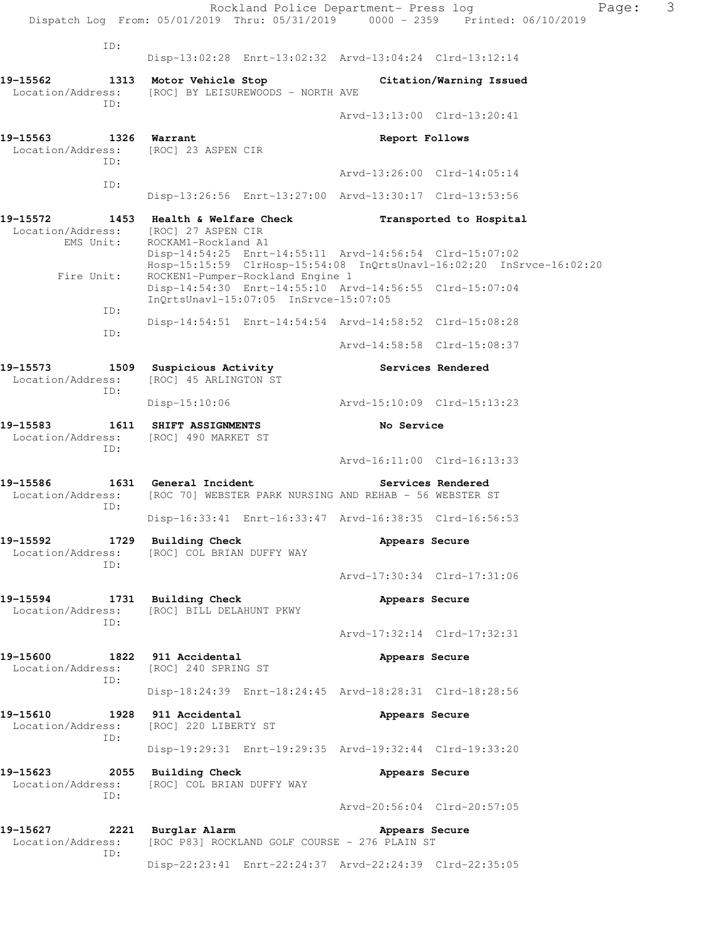|                                              | Rockland Police Department- Press log<br>Dispatch Log From: 05/01/2019 Thru: 05/31/2019 0000 - 2359 Printed: 06/10/2019                                             |                | Page:                       | 3 |
|----------------------------------------------|---------------------------------------------------------------------------------------------------------------------------------------------------------------------|----------------|-----------------------------|---|
| ID:                                          |                                                                                                                                                                     |                |                             |   |
|                                              | Disp-13:02:28 Enrt-13:02:32 Arvd-13:04:24 Clrd-13:12:14                                                                                                             |                |                             |   |
| 19-15562<br>Location/Address:<br>ID:         | 1313 Motor Vehicle Stop<br>[ROC] BY LEISUREWOODS - NORTH AVE                                                                                                        |                | Citation/Warning Issued     |   |
|                                              |                                                                                                                                                                     |                | Arvd-13:13:00 Clrd-13:20:41 |   |
| 19–15563<br>Location/Address:<br>ID:         | 1326 Warrant<br>[ROC] 23 ASPEN CIR                                                                                                                                  | Report Follows |                             |   |
| ID:                                          |                                                                                                                                                                     |                | Arvd-13:26:00 Clrd-14:05:14 |   |
|                                              | Disp-13:26:56 Enrt-13:27:00 Arvd-13:30:17 Clrd-13:53:56                                                                                                             |                |                             |   |
| 19–15572<br>Location/Address:<br>EMS Unit:   | 1453 Health & Welfare Check<br>[ROC] 27 ASPEN CIR<br>ROCKAM1-Rockland A1                                                                                            |                | Transported to Hospital     |   |
| Fire Unit:                                   | Disp-14:54:25 Enrt-14:55:11 Arvd-14:56:54 Clrd-15:07:02<br>Hosp-15:15:59 ClrHosp-15:54:08 InQrtsUnavl-16:02:20 InSrvce-16:02:20<br>ROCKEN1-Pumper-Rockland Engine 1 |                |                             |   |
| ID:                                          | Disp-14:54:30 Enrt-14:55:10 Arvd-14:56:55 Clrd-15:07:04<br>InOrtsUnavl-15:07:05 InSrvce-15:07:05                                                                    |                |                             |   |
| ID:                                          | Disp-14:54:51 Enrt-14:54:54 Arvd-14:58:52 Clrd-15:08:28                                                                                                             |                |                             |   |
|                                              |                                                                                                                                                                     |                | Arvd-14:58:58 Clrd-15:08:37 |   |
| 19–15573<br>1509<br>Location/Address:<br>ID: | Suspicious Activity<br>[ROC] 45 ARLINGTON ST                                                                                                                        |                | Services Rendered           |   |
|                                              | $Disp-15:10:06$                                                                                                                                                     |                |                             |   |
| 19-15583<br>Location/Address:<br>ID:         | 1611 SHIFT ASSIGNMENTS<br>[ROC] 490 MARKET ST                                                                                                                       | No Service     |                             |   |
|                                              |                                                                                                                                                                     |                | Arvd-16:11:00 Clrd-16:13:33 |   |
| 19-15586<br>Location/Address:<br>ID:         | 1631 General Incident<br>[ROC 70] WEBSTER PARK NURSING AND REHAB - 56 WEBSTER ST                                                                                    |                | Services Rendered           |   |
|                                              | Disp-16:33:41 Enrt-16:33:47 Arvd-16:38:35 Clrd-16:56:53                                                                                                             |                |                             |   |
| 19–15592<br>Location/Address:<br>ID:         | 1729 Building Check<br>[ROC] COL BRIAN DUFFY WAY                                                                                                                    | Appears Secure |                             |   |
|                                              |                                                                                                                                                                     |                | Arvd-17:30:34 Clrd-17:31:06 |   |
| 19-15594<br>Location/Address:<br>ID:         | 1731 Building Check<br>[ROC] BILL DELAHUNT PKWY                                                                                                                     | Appears Secure |                             |   |
|                                              |                                                                                                                                                                     |                | Arvd-17:32:14 Clrd-17:32:31 |   |
| 19-15600<br>Location/Address:<br>ID:         | 1822 911 Accidental<br>[ROC] 240 SPRING ST                                                                                                                          | Appears Secure |                             |   |
|                                              | Disp-18:24:39 Enrt-18:24:45 Arvd-18:28:31 Clrd-18:28:56                                                                                                             |                |                             |   |
| 19-15610<br>1928<br>Location/Address:<br>ID: | 911 Accidental<br>[ROC] 220 LIBERTY ST                                                                                                                              | Appears Secure |                             |   |
|                                              | Disp-19:29:31 Enrt-19:29:35 Arvd-19:32:44 Clrd-19:33:20                                                                                                             |                |                             |   |
| 19-15623<br>2055<br>Location/Address:<br>ID: | <b>Building Check</b><br>[ROC] COL BRIAN DUFFY WAY                                                                                                                  | Appears Secure |                             |   |
|                                              |                                                                                                                                                                     |                | Arvd-20:56:04 Clrd-20:57:05 |   |
| 19-15627<br>Location/Address:<br>ID:         | 2221 Burglar Alarm<br>[ROC P83] ROCKLAND GOLF COURSE - 276 PLAIN ST                                                                                                 | Appears Secure |                             |   |
|                                              | Disp-22:23:41 Enrt-22:24:37 Arvd-22:24:39 Clrd-22:35:05                                                                                                             |                |                             |   |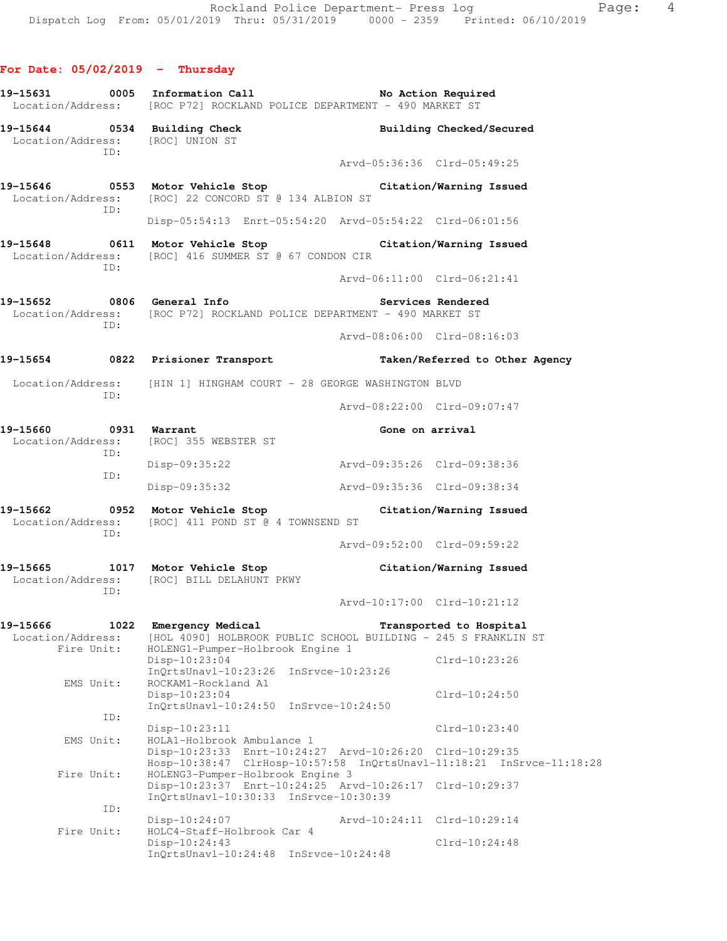|                                                     | Location/Address: [ROC P72] ROCKLAND POLICE DEPARTMENT - 490 MARKET ST                               |                                                                                                                                 |
|-----------------------------------------------------|------------------------------------------------------------------------------------------------------|---------------------------------------------------------------------------------------------------------------------------------|
| Location/Address: [ROC] UNION ST                    | 19-15644 0534 Building Check                                                                         | Building Checked/Secured                                                                                                        |
| ID:                                                 |                                                                                                      | Arvd-05:36:36 Clrd-05:49:25                                                                                                     |
| ID:                                                 | Location/Address: [ROC] 22 CONCORD ST @ 134 ALBION ST                                                | 19-15646 		 0553 Motor Vehicle Stop 		 Citation/Warning Issued                                                                  |
|                                                     |                                                                                                      | Disp-05:54:13 Enrt-05:54:20 Arvd-05:54:22 Clrd-06:01:56                                                                         |
| ID:                                                 | Location/Address: [ROC] 416 SUMMER ST @ 67 CONDON CIR                                                | 19-15648 0611 Motor Vehicle Stop Citation/Warning Issued                                                                        |
|                                                     |                                                                                                      | Arvd-06:11:00 Clrd-06:21:41                                                                                                     |
| ID:                                                 | 19-15652 0806 General Info<br>Location/Address: [ROC P72] ROCKLAND POLICE DEPARTMENT - 490 MARKET ST | Services Rendered                                                                                                               |
|                                                     |                                                                                                      | Arvd-08:06:00 Clrd-08:16:03                                                                                                     |
|                                                     |                                                                                                      | 19-15654      0822  Prisioner Transport          Taken/Referred to Other Agency                                                 |
|                                                     | Location/Address: [HIN 1] HINGHAM COURT - 28 GEORGE WASHINGTON BLVD                                  |                                                                                                                                 |
| ID:                                                 |                                                                                                      | Arvd-08:22:00 Clrd-09:07:47                                                                                                     |
| 19-15660 0931 Warrant<br>ID:                        | Location/Address: [ROC] 355 WEBSTER ST                                                               | Gone on arrival                                                                                                                 |
| ID:                                                 | Disp-09:35:22                                                                                        | Arvd-09:35:26 Clrd-09:38:36                                                                                                     |
|                                                     | Disp-09:35:32                                                                                        | Arvd-09:35:36 Clrd-09:38:34                                                                                                     |
| ID:                                                 | Location/Address: [ROC] 411 POND ST @ 4 TOWNSEND ST                                                  | 19-15662 0952 Motor Vehicle Stop Citation/Warning Issued                                                                        |
|                                                     |                                                                                                      | Arvd-09:52:00 Clrd-09:59:22                                                                                                     |
| ID:                                                 | Location/Address: [ROC] BILL DELAHUNT PKWY                                                           | 19-15665 1017 Motor Vehicle Stop Citation/Warning Issued                                                                        |
|                                                     |                                                                                                      | Arvd-10:17:00 Clrd-10:21:12                                                                                                     |
| 19–15666<br>1022<br>Location/Address:<br>Fire Unit: | Emergency Medical<br>HOLENG1-Pumper-Holbrook Engine 1                                                | Transported to Hospital<br>[HOL 4090] HOLBROOK PUBLIC SCHOOL BUILDING - 245 S FRANKLIN ST                                       |
| EMS Unit:                                           | $Disp-10:23:04$<br>$InOrtsUnav1-10:23:26$<br>ROCKAM1-Rockland A1                                     | $Clrd-10:23:26$<br>$InStvee-10:23:26$                                                                                           |
|                                                     | $Disp-10:23:04$<br>$InOrtsUnav1-10:24:50$                                                            | $Clrd-10:24:50$<br>$InStvee-10:24:50$                                                                                           |
| ID:                                                 | $Disp-10:23:11$                                                                                      | $Clrd-10:23:40$                                                                                                                 |
| EMS Unit:                                           | HOLA1-Holbrook Ambulance 1                                                                           | Disp-10:23:33 Enrt-10:24:27 Arvd-10:26:20 Clrd-10:29:35<br>Hosp-10:38:47 ClrHosp-10:57:58 InQrtsUnavl-11:18:21 InSrvce-11:18:28 |
| Fire Unit:                                          | HOLENG3-Pumper-Holbrook Engine 3<br>InQrtsUnavl-10:30:33 InSrvce-10:30:39                            | Disp-10:23:37 Enrt-10:24:25 Arvd-10:26:17 Clrd-10:29:37                                                                         |
| ID:                                                 | Disp-10:24:07                                                                                        | Arvd-10:24:11<br>$Clrd-10:29:14$                                                                                                |
| Fire Unit:                                          | HOLC4-Staff-Holbrook Car 4<br>$Disp-10:24:43$<br>InQrtsUnavl-10:24:48 InSrvce-10:24:48               | Clrd-10:24:48                                                                                                                   |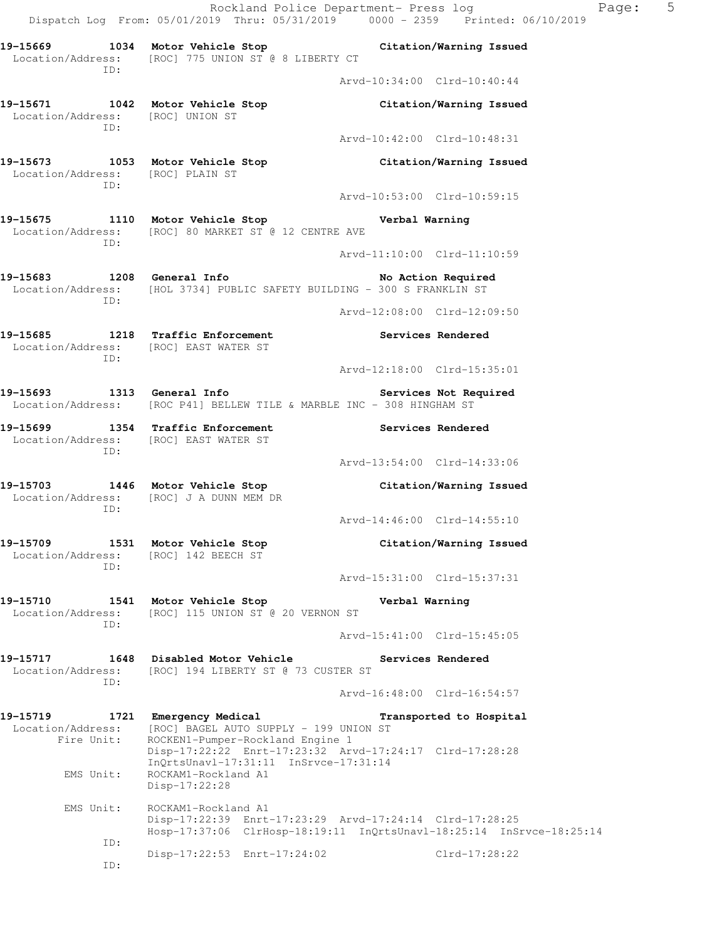Rockland Police Department- Press log Paqe: 5 Dispatch Log From: 05/01/2019 Thru: 05/31/2019 0000 - 2359 Printed: 06/10/2019 **19-15669 1034 Motor Vehicle Stop Citation/Warning Issued**  Location/Address: [ROC] 775 UNION ST @ 8 LIBERTY CT ID: Arvd-10:34:00 Clrd-10:40:44 **19-15671 1042 Motor Vehicle Stop Citation/Warning Issued**  Location/Address: [ROC] UNION ST ID: Arvd-10:42:00 Clrd-10:48:31 **19-15673 1053 Motor Vehicle Stop Citation/Warning Issued**  Location/Address: [ROC] PLAIN ST ID: Arvd-10:53:00 Clrd-10:59:15 **19-15675 1110 Motor Vehicle Stop Verbal Warning**  Location/Address: [ROC] 80 MARKET ST @ 12 CENTRE AVE ID: Arvd-11:10:00 Clrd-11:10:59 19-15683 1208 General Info **1999 1208** No Action Required Location/Address: [HOL 3734] PUBLIC SAFETY BUILDING - 300 S FRANKLIN ST ID: Arvd-12:08:00 Clrd-12:09:50 **19-15685 1218 Traffic Enforcement Services Rendered**  Location/Address: [ROC] EAST WATER ST ID: Arvd-12:18:00 Clrd-15:35:01 19-15693 1313 General Info **1999 Services Not Required**  Location/Address: [ROC P41] BELLEW TILE & MARBLE INC - 308 HINGHAM ST **19-15699 1354 Traffic Enforcement Services Rendered**  Location/Address: [ROC] EAST WATER ST ID: Arvd-13:54:00 Clrd-14:33:06 **19-15703 1446 Motor Vehicle Stop Citation/Warning Issued**  Location/Address: [ROC] J A DUNN MEM DR ID: Arvd-14:46:00 Clrd-14:55:10 **19-15709 1531 Motor Vehicle Stop Citation/Warning Issued**  Location/Address: [ROC] 142 BEECH ST ID: Arvd-15:31:00 Clrd-15:37:31 **19-15710 1541 Motor Vehicle Stop Verbal Warning**  Location/Address: [ROC] 115 UNION ST @ 20 VERNON ST ID: Arvd-15:41:00 Clrd-15:45:05 **19-15717 1648 Disabled Motor Vehicle Services Rendered**  Location/Address: [ROC] 194 LIBERTY ST @ 73 CUSTER ST ID: Arvd-16:48:00 Clrd-16:54:57 **19-15719 1721 Emergency Medical Transported to Hospital**  Location/Address: [ROC] BAGEL AUTO SUPPLY - 199 UNION ST<br>Fire Unit: ROCKEN1-Pumper-Rockland Engine 1 ROCKEN1-Pumper-Rockland Engine 1 Disp-17:22:22 Enrt-17:23:32 Arvd-17:24:17 Clrd-17:28:28 InQrtsUnavl-17:31:11 InSrvce-17:31:14 EMS Unit: ROCKAM1-Rockland A1 Disp-17:22:28 EMS Unit: ROCKAM1-Rockland A1 Disp-17:22:39 Enrt-17:23:29 Arvd-17:24:14 Clrd-17:28:25 Hosp-17:37:06 ClrHosp-18:19:11 InQrtsUnavl-18:25:14 InSrvce-18:25:14 ID: Disp-17:22:53 Enrt-17:24:02 Clrd-17:28:22

ID: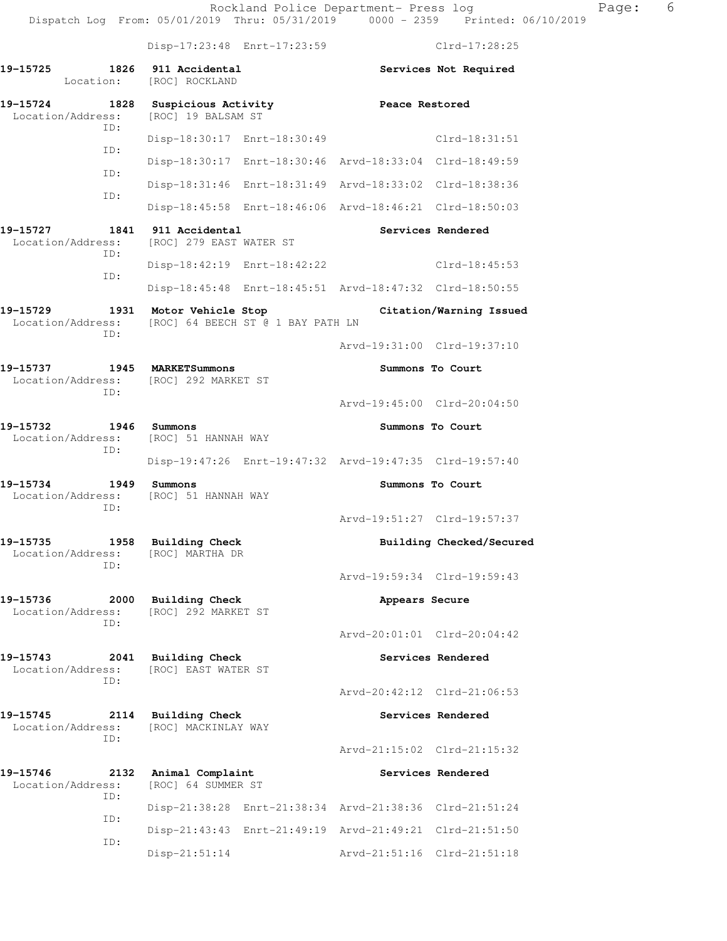Disp-17:23:48 Enrt-17:23:59 Clrd-17:28:25 **19-15725 1826 911 Accidental Services Not Required**  Location: [ROC] ROCKLAND **19-15724 1828 Suspicious Activity 1828 Peace Restored Peace Restored IPS** [ROC] 19 BALSAM ST ID: Disp-18:30:17 Enrt-18:30:49 Clrd-18:31:51 ID: Disp-18:30:17 Enrt-18:30:46 Arvd-18:33:04 Clrd-18:49:59 ID: Disp-18:31:46 Enrt-18:31:49 Arvd-18:33:02 Clrd-18:38:36 ID: Disp-18:45:58 Enrt-18:46:06 Arvd-18:46:21 Clrd-18:50:03 **19-15727 1841 911 Accidental Services Rendered**  Location/Address: [ROC] 279 EAST WATER ST ID: Disp-18:42:19 Enrt-18:42:22 Clrd-18:45:53 ID: Disp-18:45:48 Enrt-18:45:51 Arvd-18:47:32 Clrd-18:50:55 **19-15729 1931 Motor Vehicle Stop Citation/Warning Issued**  Location/Address: [ROC] 64 BEECH ST @ 1 BAY PATH LN ID: Arvd-19:31:00 Clrd-19:37:10 **19-15737 1945 MARKETSummons Summons To Court**  Location/Address: [ROC] 292 MARKET ST ID: Arvd-19:45:00 Clrd-20:04:50 **19-15732 1946 Summons Summons To Court**  Location/Address: [ROC] 51 HANNAH WAY ID: Disp-19:47:26 Enrt-19:47:32 Arvd-19:47:35 Clrd-19:57:40 **19-15734 1949 Summons Summons To Court**  Location/Address: [ROC] 51 HANNAH WAY ID: Arvd-19:51:27 Clrd-19:57:37 19-15735 1958 Building Check **Building Building Checked/Secured**  Location/Address: [ROC] MARTHA DR ID: Arvd-19:59:34 Clrd-19:59:43 **19-15736 2000 Building Check Appears Secure**  Location/Address: [ROC] 292 MARKET ST ID: Arvd-20:01:01 Clrd-20:04:42 19-15743 2041 Building Check **Services Rendered**  Location/Address: [ROC] EAST WATER ST ID: Arvd-20:42:12 Clrd-21:06:53 **19-15745 2114 Building Check Services Rendered**  Location/Address: [ROC] MACKINLAY WAY ID: Arvd-21:15:02 Clrd-21:15:32 **19-15746 2132 Animal Complaint Services Rendered**  Location/Address: [ROC] 64 SUMMER ST ID: Disp-21:38:28 Enrt-21:38:34 Arvd-21:38:36 Clrd-21:51:24 ID: Disp-21:43:43 Enrt-21:49:19 Arvd-21:49:21 Clrd-21:51:50 ID: Disp-21:51:14 Arvd-21:51:16 Clrd-21:51:18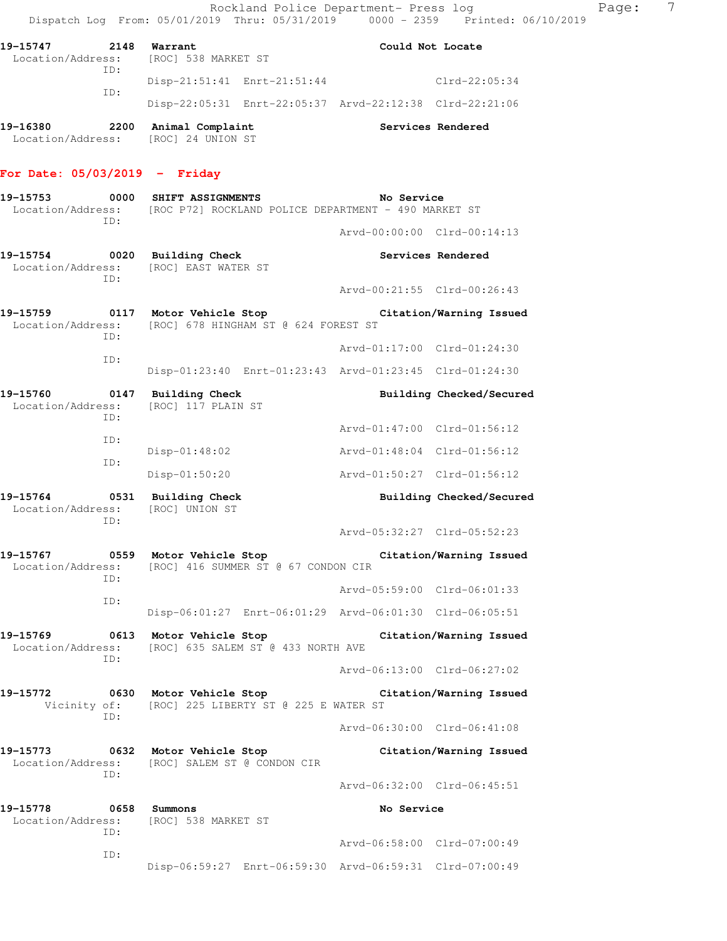| 19–15747 | 2148 | Warrant<br>Location/Address: [ROC] 538 MARKET ST |  |                                                         | Could Not Locate |
|----------|------|--------------------------------------------------|--|---------------------------------------------------------|------------------|
|          | TD:  |                                                  |  |                                                         |                  |
|          |      | Disp-21:51:41 Enrt-21:51:44                      |  |                                                         | $Clrd-22:05:34$  |
|          | TD:  |                                                  |  | Disp-22:05:31 Enrt-22:05:37 Arvd-22:12:38 Clrd-22:21:06 |                  |

**19-16380 2200 Animal Complaint Services Rendered**  Location/Address: [ROC] 24 UNION ST

## **For Date: 05/03/2019 - Friday**

| 19-15753<br>0000<br>ID:                      |             | SHIFT ASSIGNMENTS<br>Location/Address: [ROC P72] ROCKLAND POLICE DEPARTMENT - 490 MARKET ST | No Service                                              |  |  |
|----------------------------------------------|-------------|---------------------------------------------------------------------------------------------|---------------------------------------------------------|--|--|
|                                              |             |                                                                                             | Arvd-00:00:00 Clrd-00:14:13                             |  |  |
| 19-15754 0020<br>Location/Address:           |             | <b>Building Check</b><br>[ROC] EAST WATER ST                                                | Services Rendered                                       |  |  |
|                                              | TD:         |                                                                                             | Arvd-00:21:55 Clrd-00:26:43                             |  |  |
| 0117<br>19-15759<br>Location/Address:        | ID:         | Motor Vehicle Stop<br>[ROC] 678 HINGHAM ST @ 624 FOREST ST                                  | Citation/Warning Issued                                 |  |  |
|                                              | ID:         |                                                                                             | Arvd-01:17:00 Clrd-01:24:30                             |  |  |
|                                              |             |                                                                                             | Disp-01:23:40 Enrt-01:23:43 Arvd-01:23:45 Clrd-01:24:30 |  |  |
| 19-15760<br>Location/Address:                | ID:         | 0147 Building Check<br>[ROC] 117 PLAIN ST                                                   | Building Checked/Secured                                |  |  |
|                                              | ID:         |                                                                                             | Arvd-01:47:00 Clrd-01:56:12                             |  |  |
|                                              | ID:         | Disp-01:48:02                                                                               | Arvd-01:48:04 Clrd-01:56:12                             |  |  |
|                                              |             | Disp-01:50:20                                                                               | Arvd-01:50:27 Clrd-01:56:12                             |  |  |
| 19-15764<br>0531<br>Location/Address:<br>ID: |             | <b>Building Check</b><br>[ROC] UNION ST                                                     | Building Checked/Secured                                |  |  |
|                                              |             |                                                                                             | Arvd-05:32:27 Clrd-05:52:23                             |  |  |
| 19-15767<br>Location/Address:                | ID:         | 0559 Motor Vehicle Stop<br>[ROC] 416 SUMMER ST @ 67 CONDON CIR                              | Citation/Warning Issued                                 |  |  |
|                                              | ID:         |                                                                                             | Arvd-05:59:00 Clrd-06:01:33                             |  |  |
|                                              |             |                                                                                             | Disp-06:01:27 Enrt-06:01:29 Arvd-06:01:30 Clrd-06:05:51 |  |  |
| 19-15769                                     | ID:         | 0613 Motor Vehicle Stop<br>Location/Address: [ROC] 635 SALEM ST @ 433 NORTH AVE             | Citation/Warning Issued                                 |  |  |
|                                              |             |                                                                                             | Arvd-06:13:00 Clrd-06:27:02                             |  |  |
| 19–15772<br>Vicinity of:                     | ID:         | 0630 Motor Vehicle Stop<br>[ROC] 225 LIBERTY ST @ 225 E WATER ST                            | Citation/Warning Issued                                 |  |  |
|                                              |             |                                                                                             | Arvd-06:30:00 Clrd-06:41:08                             |  |  |
| 19–15773<br>Location/Address:                | 0632<br>ID: | Motor Vehicle Stop<br>[ROC] SALEM ST @ CONDON CIR                                           | Citation/Warning Issued                                 |  |  |
|                                              |             |                                                                                             | Arvd-06:32:00 Clrd-06:45:51                             |  |  |
| 19-15778<br>Location/Address:                | 0658<br>ID: | Summons<br>[ROC] 538 MARKET ST                                                              | No Service                                              |  |  |
|                                              | ID:         |                                                                                             | Arvd-06:58:00 Clrd-07:00:49                             |  |  |
|                                              |             |                                                                                             | Disp-06:59:27 Enrt-06:59:30 Arvd-06:59:31 Clrd-07:00:49 |  |  |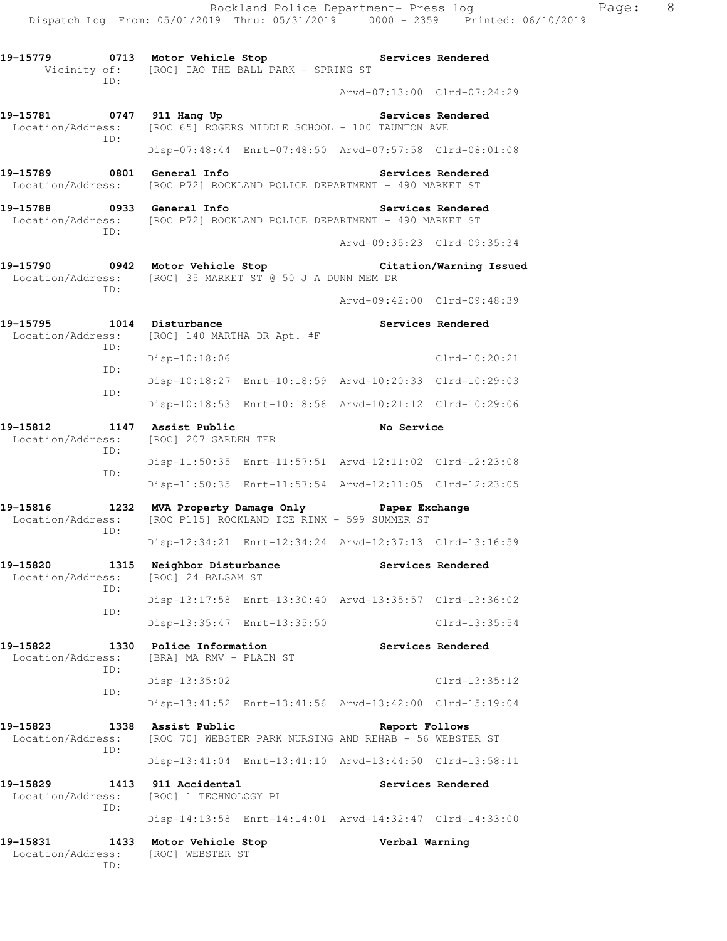Location/Address: [ROC 65] ROGERS MIDDLE SCHOOL - 100 TAUNTON AVE ID: Disp-07:48:44 Enrt-07:48:50 Arvd-07:57:58 Clrd-08:01:08

**19-15789 0801 General Info Services Rendered**  Location/Address: [ROC P72] ROCKLAND POLICE DEPARTMENT - 490 MARKET ST

19-15788 **0933** General Info **Services Rendered**  Location/Address: [ROC P72] ROCKLAND POLICE DEPARTMENT - 490 MARKET ST ID:

**19-15790 0942 Motor Vehicle Stop Citation/Warning Issued**  Location/Address: [ROC] 35 MARKET ST @ 50 J A DUNN MEM DR ID:

Arvd-09:42:00 Clrd-09:48:39

Arvd-09:35:23 Clrd-09:35:34

| 19–15795 | 1014 | Disturbance                                   |                                                         | Services Rendered |
|----------|------|-----------------------------------------------|---------------------------------------------------------|-------------------|
|          | TD:  | Location/Address: [ROC] 140 MARTHA DR Apt. #F |                                                         |                   |
|          | TD:  | Disp-10:18:06                                 |                                                         | Clrd-10:20:21     |
|          | TD:  |                                               | Disp-10:18:27 Enrt-10:18:59 Arvd-10:20:33 Clrd-10:29:03 |                   |
|          |      |                                               | Disp-10:18:53 Enrt-10:18:56 Arvd-10:21:12 Clrd-10:29:06 |                   |

**19-15812 1147 Assist Public No Service**  Location/Address: [ROC] 207 GARDEN TER ID: Disp-11:50:35 Enrt-11:57:51 Arvd-12:11:02 Clrd-12:23:08 ID: Disp-11:50:35 Enrt-11:57:54 Arvd-12:11:05 Clrd-12:23:05

**19-15816 1232 MVA Property Damage Only Paper Exchange**  Location/Address: [ROC P115] ROCKLAND ICE RINK - 599 SUMMER ST ID: Disp-12:34:21 Enrt-12:34:24 Arvd-12:37:13 Clrd-13:16:59

**19-15820 1315 Neighbor Disturbance Services Rendered**  Location/Address: [ROC] 24 BALSAM ST ID: Disp-13:17:58 Enrt-13:30:40 Arvd-13:35:57 Clrd-13:36:02 ID: Disp-13:35:47 Enrt-13:35:50 Clrd-13:35:54

**19-15822 1330 Police Information Services Rendered**  Location/Address: [BRA] MA RMV - PLAIN ST ID: Disp-13:35:02 Clrd-13:35:12 ID:

 Disp-13:41:52 Enrt-13:41:56 Arvd-13:42:00 Clrd-15:19:04 **19-15823 1338 Assist Public Report Follows**  Location/Address: [ROC 70] WEBSTER PARK NURSING AND REHAB - 56 WEBSTER ST ID:

 Disp-13:41:04 Enrt-13:41:10 Arvd-13:44:50 Clrd-13:58:11 **19-15829 1413 911 Accidental Services Rendered**  Location/Address: [ROC] 1 TECHNOLOGY PL ID:

Disp-14:13:58 Enrt-14:14:01 Arvd-14:32:47 Clrd-14:33:00

**19-15831 1433 Motor Vehicle Stop Verbal Warning**  Location/Address: [ROC] WEBSTER ST ID: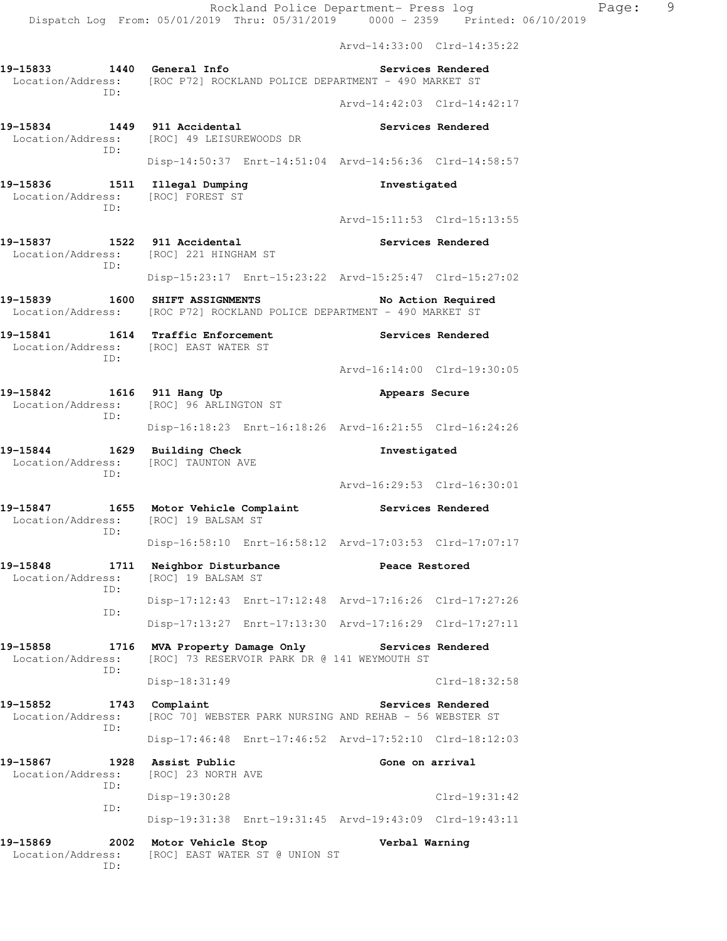|                                                                                                        |                                                                                       | Arvd-14:33:00 Clrd-14:35:22 |                    |
|--------------------------------------------------------------------------------------------------------|---------------------------------------------------------------------------------------|-----------------------------|--------------------|
| 19-15833 1440 General Info<br>Location/Address: [ROC P72] ROCKLAND POLICE DEPARTMENT - 490 MARKET ST   |                                                                                       |                             | Services Rendered  |
| ID:                                                                                                    |                                                                                       | Arvd-14:42:03 Clrd-14:42:17 |                    |
| 19-15834 1449 911 Accidental<br>Location/Address: [ROC] 49 LEISUREWOODS DR                             |                                                                                       |                             | Services Rendered  |
| ID:                                                                                                    | Disp-14:50:37 Enrt-14:51:04 Arvd-14:56:36 Clrd-14:58:57                               |                             |                    |
| 19-15836 1511 Illegal Dumping<br>Location/Address: [ROC] FOREST ST<br>TD:                              |                                                                                       | Investigated                |                    |
|                                                                                                        |                                                                                       | Arvd-15:11:53 Clrd-15:13:55 |                    |
| 19-15837 1522 911 Accidental<br>Location/Address: [ROC] 221 HINGHAM ST<br>ID:                          |                                                                                       |                             | Services Rendered  |
|                                                                                                        | Disp-15:23:17 Enrt-15:23:22 Arvd-15:25:47 Clrd-15:27:02                               |                             |                    |
| 19–15839<br>Location/Address:                                                                          | <b>1600 SHIFT ASSIGNMENTS</b><br>[ROC P72] ROCKLAND POLICE DEPARTMENT - 490 MARKET ST |                             | No Action Required |
| 19-15841<br>Location/Address: [ROC] EAST WATER ST<br>ID:                                               | 1614 Traffic Enforcement                                                              |                             | Services Rendered  |
|                                                                                                        |                                                                                       | Arvd-16:14:00 Clrd-19:30:05 |                    |
| 19-15842 1616 911 Hang Up<br>Location/Address:<br>ID:                                                  | [ROC] 96 ARLINGTON ST                                                                 | Appears Secure              |                    |
|                                                                                                        | Disp-16:18:23 Enrt-16:18:26 Arvd-16:21:55 Clrd-16:24:26                               |                             |                    |
| 19-15844 1629 Building Check<br>Location/Address:<br>ID:                                               | [ROC] TAUNTON AVE                                                                     | Investigated                |                    |
|                                                                                                        |                                                                                       | Arvd-16:29:53 Clrd-16:30:01 |                    |
| 19-15847 1655 Motor Vehicle Complaint Services Rendered<br>Location/Address: [ROC] 19 BALSAM ST<br>ID: |                                                                                       |                             |                    |
|                                                                                                        | Disp-16:58:10 Enrt-16:58:12 Arvd-17:03:53 Clrd-17:07:17                               |                             |                    |
| 19-15848<br>1711<br>Location/Address:<br>ID:                                                           | Neighbor Disturbance<br>[ROC] 19 BALSAM ST                                            | Peace Restored              |                    |
| ID:                                                                                                    | Disp-17:12:43 Enrt-17:12:48 Arvd-17:16:26 Clrd-17:27:26                               |                             |                    |
|                                                                                                        | Disp-17:13:27 Enrt-17:13:30 Arvd-17:16:29 Clrd-17:27:11                               |                             |                    |
| 19-15858<br>1716<br>Location/Address:<br>ID:                                                           | MVA Property Damage Only<br>[ROC] 73 RESERVOIR PARK DR @ 141 WEYMOUTH ST              | <b>Services Rendered</b>    |                    |
|                                                                                                        | Disp-18:31:49                                                                         |                             | Clrd-18:32:58      |
| 19–15852<br>1743<br>Location/Address:<br>ID:                                                           | Complaint<br>[ROC 70] WEBSTER PARK NURSING AND REHAB - 56 WEBSTER ST                  |                             | Services Rendered  |
|                                                                                                        | Disp-17:46:48 Enrt-17:46:52 Arvd-17:52:10 Clrd-18:12:03                               |                             |                    |
| 19-15867<br>1928<br>Location/Address:<br>ID:                                                           | Assist Public<br>[ROC] 23 NORTH AVE                                                   | Gone on arrival             |                    |
| ID:                                                                                                    | Disp-19:30:28                                                                         |                             | $Clrd-19:31:42$    |
|                                                                                                        | Disp-19:31:38 Enrt-19:31:45 Arvd-19:43:09 Clrd-19:43:11                               |                             |                    |
| 19-15869<br>2002<br>Location/Address:<br>ID:                                                           | Motor Vehicle Stop<br>[ROC] EAST WATER ST @ UNION ST                                  | Verbal Warning              |                    |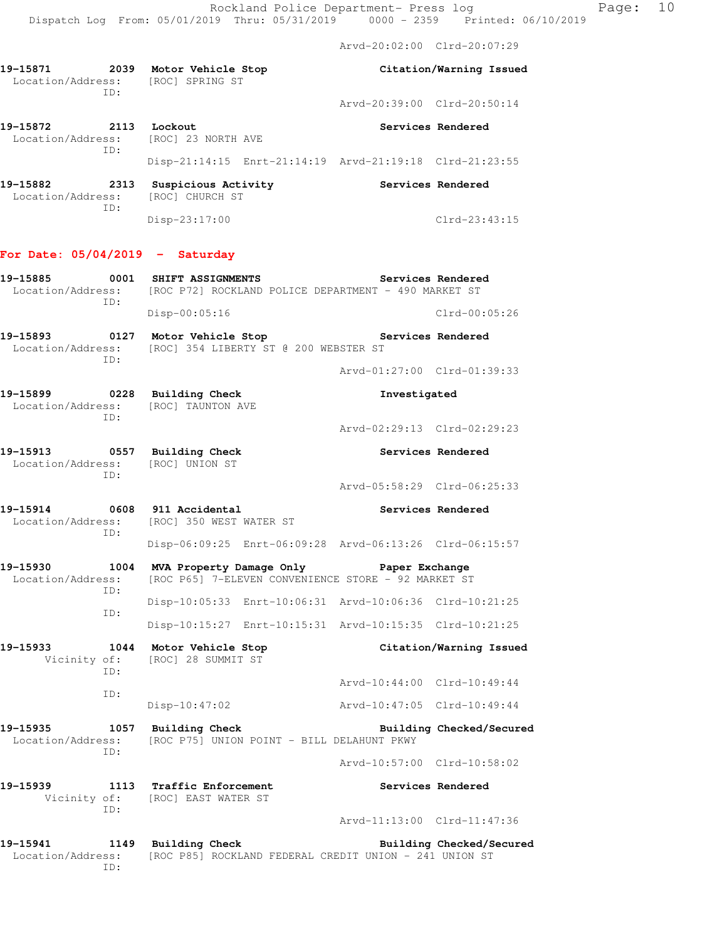Arvd-20:02:00 Clrd-20:07:29

**19-15871 2039 Motor Vehicle Stop Citation/Warning Issued**  Location/Address: [ROC] SPRING ST ID: Arvd-20:39:00 Clrd-20:50:14 **19-15872 2113 Lockout Services Rendered**  Location/Address: [ROC] 23 NORTH AVE ID: Disp-21:14:15 Enrt-21:14:19 Arvd-21:19:18 Clrd-21:23:55 **19-15882 2313 Suspicious Activity Services Rendered**  Location/Address: [ROC] CHURCH ST ID: Disp-23:17:00 Clrd-23:43:15 **For Date: 05/04/2019 - Saturday 19-15885 0001 SHIFT ASSIGNMENTS Services Rendered**  Location/Address: [ROC P72] ROCKLAND POLICE DEPARTMENT - 490 MARKET ST ID: Disp-00:05:16 Clrd-00:05:26 **19-15893 0127 Motor Vehicle Stop Services Rendered**  Location/Address: [ROC] 354 LIBERTY ST @ 200 WEBSTER ST ID: Arvd-01:27:00 Clrd-01:39:33 **19-15899 0228 Building Check Investigated**  Location/Address: [ROC] TAUNTON AVE ID: Arvd-02:29:13 Clrd-02:29:23 **19-15913 0557 Building Check Services Rendered**  Location/Address: [ROC] UNION ST ID: Arvd-05:58:29 Clrd-06:25:33 **19-15914 0608 911 Accidental Services Rendered**  Location/Address: [ROC] 350 WEST WATER ST ID: Disp-06:09:25 Enrt-06:09:28 Arvd-06:13:26 Clrd-06:15:57 **19-15930 1004 MVA Property Damage Only Paper Exchange**  Location/Address: [ROC P65] 7-ELEVEN CONVENIENCE STORE - 92 MARKET ST ID: Disp-10:05:33 Enrt-10:06:31 Arvd-10:06:36 Clrd-10:21:25 ID: Disp-10:15:27 Enrt-10:15:31 Arvd-10:15:35 Clrd-10:21:25 **19-15933 1044 Motor Vehicle Stop Citation/Warning Issued**  Vicinity of: [ROC] 28 SUMMIT ST ID: Arvd-10:44:00 Clrd-10:49:44 ID: Disp-10:47:02 Arvd-10:47:05 Clrd-10:49:44 **19-15935 1057 Building Check Building Checked/Secured**  Location/Address: [ROC P75] UNION POINT - BILL DELAHUNT PKWY ID: Arvd-10:57:00 Clrd-10:58:02 **19-15939 1113 Traffic Enforcement Services Rendered**  Vicinity of: [ROC] EAST WATER ST ID: Arvd-11:13:00 Clrd-11:47:36 **19-15941 1149 Building Check Building Checked/Secured**  Location/Address: [ROC P85] ROCKLAND FEDERAL CREDIT UNION - 241 UNION ST

ID: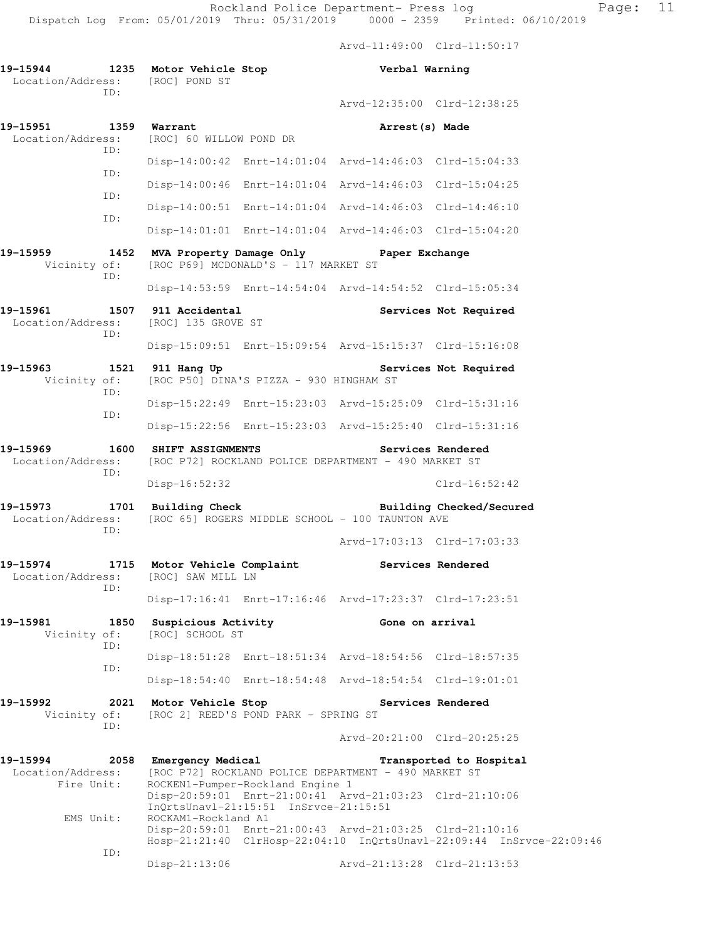Arvd-11:49:00 Clrd-11:50:17

**19-15944 1235 Motor Vehicle Stop Verbal Warning**  Location/Address: [ROC] POND ST ID: Arvd-12:35:00 Clrd-12:38:25 **19-15951 1359 Warrant Arrest(s) Made**  Location/Address: [ROC] 60 WILLOW POND DR ID: Disp-14:00:42 Enrt-14:01:04 Arvd-14:46:03 Clrd-15:04:33 ID: Disp-14:00:46 Enrt-14:01:04 Arvd-14:46:03 Clrd-15:04:25 ID: Disp-14:00:51 Enrt-14:01:04 Arvd-14:46:03 Clrd-14:46:10 ID: Disp-14:01:01 Enrt-14:01:04 Arvd-14:46:03 Clrd-15:04:20 **19-15959 1452 MVA Property Damage Only Paper Exchange**  Vicinity of: [ROC P69] MCDONALD'S - 117 MARKET ST ID: Disp-14:53:59 Enrt-14:54:04 Arvd-14:54:52 Clrd-15:05:34 19-15961 1507 911 Accidental **1507 Services Not Required** Location/Address: [ROC] 135 GROVE ST ID: Disp-15:09:51 Enrt-15:09:54 Arvd-15:15:37 Clrd-15:16:08 **19-15963 1521 911 Hang Up Services Not Required**  Vicinity of: [ROC P50] DINA'S PIZZA - 930 HINGHAM ST ID: Disp-15:22:49 Enrt-15:23:03 Arvd-15:25:09 Clrd-15:31:16 ID: Disp-15:22:56 Enrt-15:23:03 Arvd-15:25:40 Clrd-15:31:16 **19-15969 1600 SHIFT ASSIGNMENTS Services Rendered**  Location/Address: [ROC P72] ROCKLAND POLICE DEPARTMENT - 490 MARKET ST ID: Disp-16:52:32 Clrd-16:52:42 **19-15973 1701 Building Check Building Checked/Secured**  Location/Address: [ROC 65] ROGERS MIDDLE SCHOOL - 100 TAUNTON AVE ID: Arvd-17:03:13 Clrd-17:03:33 **19-15974 1715 Motor Vehicle Complaint Services Rendered**  Location/Address: [ROC] SAW MILL LN ID: Disp-17:16:41 Enrt-17:16:46 Arvd-17:23:37 Clrd-17:23:51 **19-15981 1850 Suspicious Activity Gone on arrival**  Vicinity of: [ROC] SCHOOL ST ID: Disp-18:51:28 Enrt-18:51:34 Arvd-18:54:56 Clrd-18:57:35 ID: Disp-18:54:40 Enrt-18:54:48 Arvd-18:54:54 Clrd-19:01:01 **19-15992 2021 Motor Vehicle Stop Services Rendered**  Vicinity of: [ROC 2] REED'S POND PARK - SPRING ST ID: Arvd-20:21:00 Clrd-20:25:25 **19-15994 2058 Emergency Medical Transported to Hospital**  Location/Address: [ROC P72] ROCKLAND POLICE DEPARTMENT - 490 MARKET ST Fire Unit: ROCKEN1-Pumper-Rockland Engine 1 Disp-20:59:01 Enrt-21:00:41 Arvd-21:03:23 Clrd-21:10:06 InQrtsUnavl-21:15:51 InSrvce-21:15:51 EMS Unit: ROCKAM1-Rockland A1 Disp-20:59:01 Enrt-21:00:43 Arvd-21:03:25 Clrd-21:10:16 Hosp-21:21:40 ClrHosp-22:04:10 InQrtsUnavl-22:09:44 InSrvce-22:09:46 ID: Disp-21:13:06 Arvd-21:13:28 Clrd-21:13:53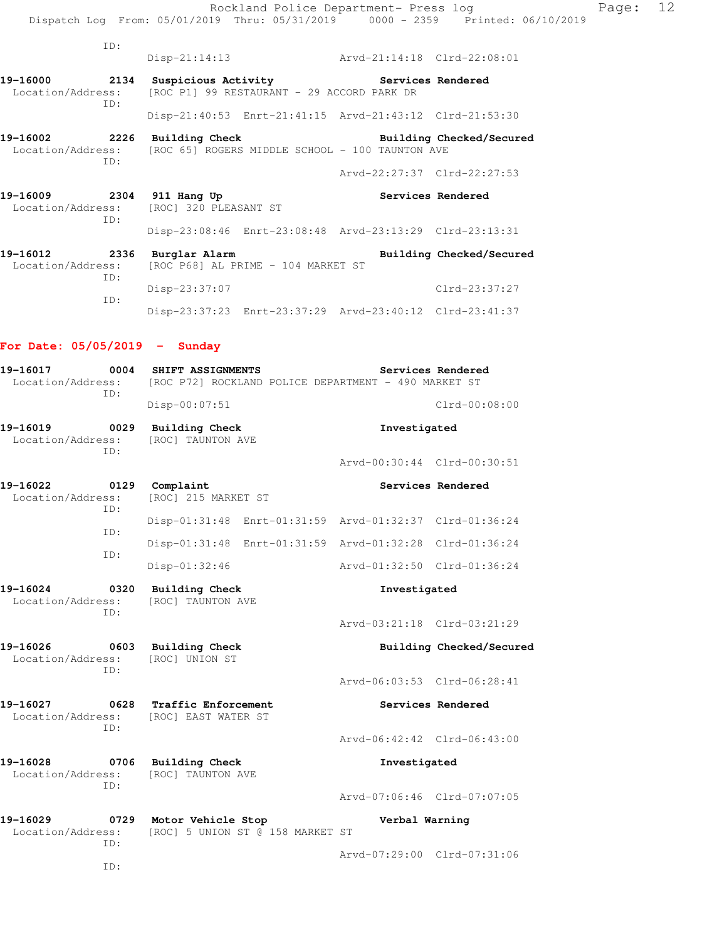| ID:                                                                                       |                                                                                              | Arvd-21:14:18 Clrd-22:08:01 |                          |
|-------------------------------------------------------------------------------------------|----------------------------------------------------------------------------------------------|-----------------------------|--------------------------|
|                                                                                           | $Disp-21:14:13$                                                                              |                             |                          |
| 19-16000<br>Location/Address:<br>ID:                                                      | 2134 Suspicious Activity The Services Rendered<br>[ROC P1] 99 RESTAURANT - 29 ACCORD PARK DR |                             |                          |
|                                                                                           | Disp-21:40:53 Enrt-21:41:15 Arvd-21:43:12 Clrd-21:53:30                                      |                             |                          |
| 19-16002 2226<br>Location/Address: [ROC 65] ROGERS MIDDLE SCHOOL - 100 TAUNTON AVE<br>TD: | <b>Building Check</b>                                                                        |                             | Building Checked/Secured |
|                                                                                           |                                                                                              | Arvd-22:27:37 Clrd-22:27:53 |                          |
| 19-16009 2304 911 Hang Up<br>Location/Address: [ROC] 320 PLEASANT ST<br>ID:               |                                                                                              |                             | Services Rendered        |
|                                                                                           | Disp-23:08:46 Enrt-23:08:48 Arvd-23:13:29 Clrd-23:13:31                                      |                             |                          |
| 19-16012<br>Location/Address:<br>ID:                                                      | 2336 Burglar Alarm<br>[ROC P68] AL PRIME - 104 MARKET ST                                     |                             | Building Checked/Secured |
| ID:                                                                                       | Disp-23:37:07                                                                                |                             | Clrd-23:37:27            |
|                                                                                           | Disp-23:37:23 Enrt-23:37:29 Arvd-23:40:12 Clrd-23:41:37                                      |                             |                          |

## **For Date: 05/05/2019 - Sunday**

| 19-16017<br>Location/Address:                | 0004<br>ID: | SHIFT ASSIGNMENTS<br>Disp-00:07:51         |                                                         | Services Rendered<br>[ROC P72] ROCKLAND POLICE DEPARTMENT - 490 MARKET ST<br>$Clrd-00:08:00$ |                          |  |
|----------------------------------------------|-------------|--------------------------------------------|---------------------------------------------------------|----------------------------------------------------------------------------------------------|--------------------------|--|
| 19-16019<br>0029<br>Location/Address:<br>TD: |             | <b>Building Check</b><br>[ROC] TAUNTON AVE |                                                         | Investigated                                                                                 |                          |  |
|                                              |             |                                            |                                                         | Arvd-00:30:44 Clrd-00:30:51                                                                  |                          |  |
| 19-16022<br>Location/Address:                | 0129<br>ID: | Complaint<br>[ROC] 215 MARKET ST           |                                                         |                                                                                              | Services Rendered        |  |
|                                              | ID:         |                                            | Disp-01:31:48 Enrt-01:31:59 Arvd-01:32:37 Clrd-01:36:24 |                                                                                              |                          |  |
|                                              |             |                                            | Disp-01:31:48 Enrt-01:31:59 Arvd-01:32:28 Clrd-01:36:24 |                                                                                              |                          |  |
|                                              | ID:         | Disp-01:32:46                              |                                                         | Arvd-01:32:50 Clrd-01:36:24                                                                  |                          |  |
| 19-16024<br>0320<br>Location/Address:<br>TD: |             | <b>Building Check</b><br>[ROC] TAUNTON AVE |                                                         | Investigated                                                                                 |                          |  |
|                                              |             |                                            |                                                         | Arvd-03:21:18 Clrd-03:21:29                                                                  |                          |  |
| 19-16026<br>Location/Address:                | 0603        | <b>Building Check</b><br>[ROC] UNION ST    |                                                         |                                                                                              | Building Checked/Secured |  |
|                                              | ID:         |                                            |                                                         | Arvd-06:03:53 Clrd-06:28:41                                                                  |                          |  |
| 19-16027<br>0628<br>Location/Address:        | ID:         | Traffic Enforcement<br>[ROC] EAST WATER ST |                                                         |                                                                                              | Services Rendered        |  |
|                                              |             |                                            |                                                         | Arvd-06:42:42 Clrd-06:43:00                                                                  |                          |  |
| 19-16028<br>Location/Address:                | 0706<br>ID: | <b>Building Check</b><br>[ROC] TAUNTON AVE |                                                         | Investigated                                                                                 |                          |  |
|                                              |             |                                            |                                                         | Arvd-07:06:46 Clrd-07:07:05                                                                  |                          |  |
| 19-16029<br>Location/Address:                | 0729<br>TD: | Motor Vehicle Stop                         | [ROC] 5 UNION ST @ 158 MARKET ST                        | Verbal Warning                                                                               |                          |  |
|                                              | ID:         |                                            |                                                         | Arvd-07:29:00 Clrd-07:31:06                                                                  |                          |  |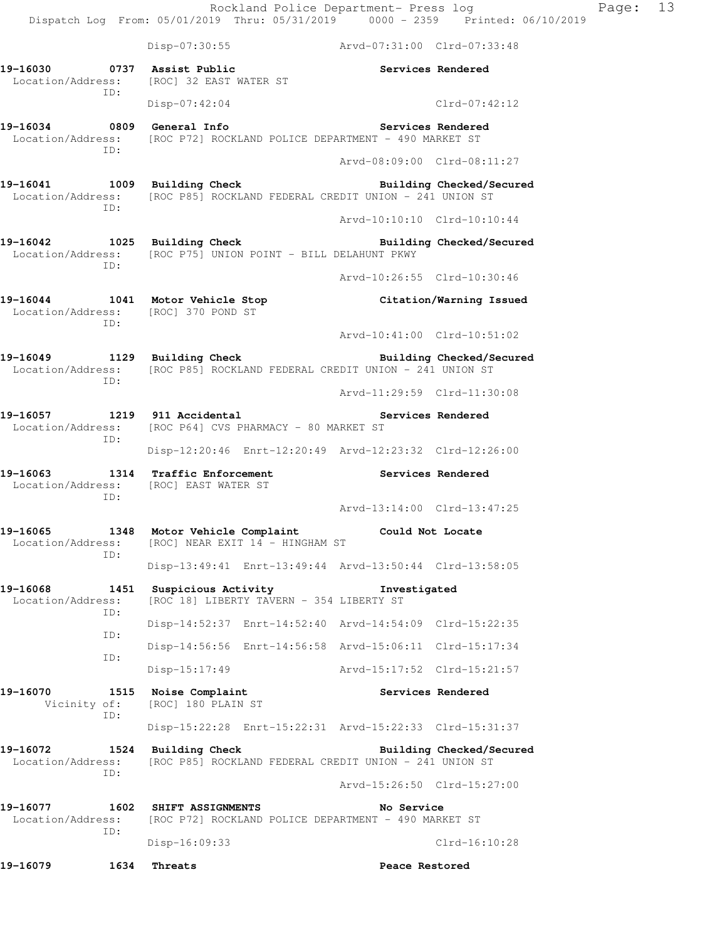|                                                                                                                                   |      |                                            |                                                                 | Rockland Police Department- Press log                   | Dispatch Log From: 05/01/2019 Thru: 05/31/2019 0000 - 2359 Printed: 06/10/2019 | Page: 13 |  |
|-----------------------------------------------------------------------------------------------------------------------------------|------|--------------------------------------------|-----------------------------------------------------------------|---------------------------------------------------------|--------------------------------------------------------------------------------|----------|--|
|                                                                                                                                   |      |                                            |                                                                 | Disp-07:30:55 Arvd-07:31:00 Clrd-07:33:48               |                                                                                |          |  |
| 19-16030 0737 Assist Public<br>Location/Address: [ROC] 32 EAST WATER ST                                                           | ID:  |                                            |                                                                 | Services Rendered                                       |                                                                                |          |  |
|                                                                                                                                   |      | $Disp-07:42:04$                            |                                                                 |                                                         | Clrd-07:42:12                                                                  |          |  |
| 19-16034 0809 General Info 2010 Services Rendered<br>Location/Address: [ROC P72] ROCKLAND POLICE DEPARTMENT - 490 MARKET ST       |      |                                            |                                                                 |                                                         |                                                                                |          |  |
|                                                                                                                                   | ID:  |                                            |                                                                 | Arvd-08:09:00 Clrd-08:11:27                             |                                                                                |          |  |
| 19-16041 1009 Building Check Building Checked/Secured<br>Location/Address: [ROC P85] ROCKLAND FEDERAL CREDIT UNION - 241 UNION ST | ID:  |                                            |                                                                 |                                                         |                                                                                |          |  |
|                                                                                                                                   |      |                                            |                                                                 | Arvd-10:10:10 Clrd-10:10:44                             |                                                                                |          |  |
| 19-16042 1025 Building Check Building Checked/Secured<br>Location/Address: [ROC P75] UNION POINT - BILL DELAHUNT PKWY             | ID:  |                                            |                                                                 |                                                         |                                                                                |          |  |
|                                                                                                                                   |      |                                            |                                                                 | Arvd-10:26:55 Clrd-10:30:46                             |                                                                                |          |  |
| 19-16044 1041 Motor Vehicle Stop Citation/Warning Issued<br>Location/Address: [ROC] 370 POND ST                                   | ID:  |                                            |                                                                 |                                                         |                                                                                |          |  |
|                                                                                                                                   |      |                                            |                                                                 | Arvd-10:41:00 Clrd-10:51:02                             |                                                                                |          |  |
| 19-16049 1129 Building Check Building Checked/Secured<br>Location/Address: [ROC P85] ROCKLAND FEDERAL CREDIT UNION - 241 UNION ST | ID:  |                                            |                                                                 |                                                         |                                                                                |          |  |
|                                                                                                                                   |      |                                            |                                                                 | Arvd-11:29:59 Clrd-11:30:08                             |                                                                                |          |  |
| 19-16057 1219 911 Accidental 2008 Services Rendered<br>Location/Address: [ROC P64] CVS PHARMACY - 80 MARKET ST<br>ID:             |      |                                            |                                                                 |                                                         |                                                                                |          |  |
|                                                                                                                                   |      |                                            |                                                                 | Disp-12:20:46 Enrt-12:20:49 Arvd-12:23:32 Clrd-12:26:00 |                                                                                |          |  |
| 19-16063 1314 Traffic Enforcement 2008 Services Rendered<br>Location/Address: [ROC] EAST WATER ST<br>ID:                          |      |                                            |                                                                 |                                                         |                                                                                |          |  |
|                                                                                                                                   |      |                                            |                                                                 | Arvd-13:14:00 Clrd-13:47:25                             |                                                                                |          |  |
| 19-16065<br>Location/Address:<br>TD:                                                                                              |      |                                            | 1348 Motor Vehicle Complaint<br>[ROC] NEAR EXIT 14 - HINGHAM ST | Could Not Locate                                        |                                                                                |          |  |
|                                                                                                                                   |      |                                            |                                                                 | Disp-13:49:41 Enrt-13:49:44 Arvd-13:50:44 Clrd-13:58:05 |                                                                                |          |  |
| 19-16068<br>Location/Address:<br>ID:                                                                                              | 1451 | Suspicious Activity                        | [ROC 18] LIBERTY TAVERN - 354 LIBERTY ST                        | Investigated                                            |                                                                                |          |  |
| ID:                                                                                                                               |      |                                            |                                                                 | Disp-14:52:37 Enrt-14:52:40 Arvd-14:54:09 Clrd-15:22:35 |                                                                                |          |  |
| ID:                                                                                                                               |      |                                            |                                                                 | Disp-14:56:56 Enrt-14:56:58 Arvd-15:06:11 Clrd-15:17:34 |                                                                                |          |  |
|                                                                                                                                   |      | $Disp-15:17:49$                            |                                                                 | Arvd-15:17:52 Clrd-15:21:57                             |                                                                                |          |  |
| 19-16070<br>Vicinity of:<br>ID:                                                                                                   |      | 1515 Noise Complaint<br>[ROC] 180 PLAIN ST |                                                                 |                                                         | Services Rendered                                                              |          |  |
|                                                                                                                                   |      |                                            |                                                                 | Disp-15:22:28 Enrt-15:22:31 Arvd-15:22:33 Clrd-15:31:37 |                                                                                |          |  |
| 19-16072<br>Location/Address:<br>ID:                                                                                              |      | 1524 Building Check                        |                                                                 | [ROC P85] ROCKLAND FEDERAL CREDIT UNION - 241 UNION ST  | Building Checked/Secured                                                       |          |  |
|                                                                                                                                   |      |                                            |                                                                 | Arvd-15:26:50 Clrd-15:27:00                             |                                                                                |          |  |
| 19-16077                                                                                                                          |      | 1602 SHIFT ASSIGNMENTS                     |                                                                 | No Service                                              |                                                                                |          |  |
| Location/Address:<br>ID:                                                                                                          |      | $Disp-16:09:33$                            |                                                                 | [ROC P72] ROCKLAND POLICE DEPARTMENT - 490 MARKET ST    | $Clrd-16:10:28$                                                                |          |  |
| 19-16079                                                                                                                          | 1634 | Threats                                    |                                                                 | Peace Restored                                          |                                                                                |          |  |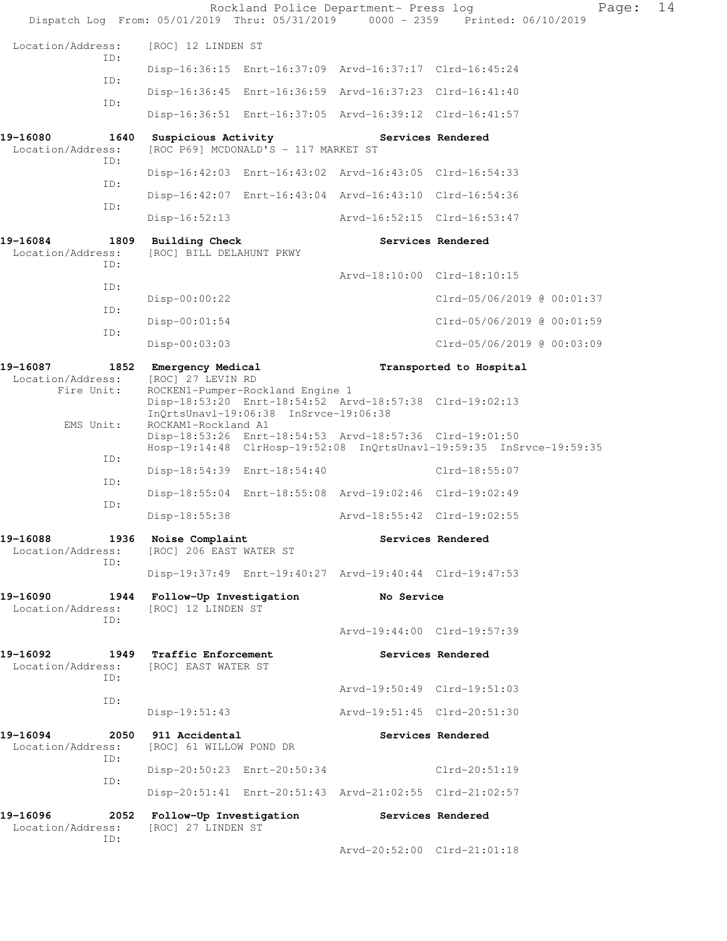|                                              |                                                                                                                          |                                      | Rockland Police Department- Press log                   | Dispatch Log From: 05/01/2019 Thru: 05/31/2019 0000 - 2359 Printed: 06/10/2019 | Page: | 14 |
|----------------------------------------------|--------------------------------------------------------------------------------------------------------------------------|--------------------------------------|---------------------------------------------------------|--------------------------------------------------------------------------------|-------|----|
| Location/Address:                            | [ROC] 12 LINDEN ST                                                                                                       |                                      |                                                         |                                                                                |       |    |
| ID:                                          |                                                                                                                          |                                      | Disp-16:36:15 Enrt-16:37:09 Arvd-16:37:17 Clrd-16:45:24 |                                                                                |       |    |
| ID:                                          |                                                                                                                          |                                      | Disp-16:36:45 Enrt-16:36:59 Arvd-16:37:23 Clrd-16:41:40 |                                                                                |       |    |
| ID:                                          |                                                                                                                          |                                      | Disp-16:36:51 Enrt-16:37:05 Arvd-16:39:12 Clrd-16:41:57 |                                                                                |       |    |
| 19-16080<br>1640<br>Location/Address:<br>ID: | Suspicious Activity                                                                                                      | [ROC P69] MCDONALD'S - 117 MARKET ST |                                                         | Services Rendered                                                              |       |    |
| ID:                                          |                                                                                                                          |                                      | Disp-16:42:03 Enrt-16:43:02 Arvd-16:43:05 Clrd-16:54:33 |                                                                                |       |    |
| ID:                                          |                                                                                                                          |                                      | Disp-16:42:07 Enrt-16:43:04 Arvd-16:43:10 Clrd-16:54:36 |                                                                                |       |    |
|                                              | $Disp-16:52:13$                                                                                                          |                                      | Arvd-16:52:15 Clrd-16:53:47                             |                                                                                |       |    |
| 19-16084<br>Location/Address:<br>ID:         | 1809 Building Check<br>[ROC] BILL DELAHUNT PKWY                                                                          |                                      |                                                         | Services Rendered                                                              |       |    |
| ID:                                          |                                                                                                                          |                                      | Arvd-18:10:00 Clrd-18:10:15                             |                                                                                |       |    |
| ID:                                          | Disp-00:00:22                                                                                                            |                                      |                                                         | Clrd-05/06/2019 @ 00:01:37                                                     |       |    |
| ID:                                          | $Disp-00:01:54$                                                                                                          |                                      |                                                         | Clrd-05/06/2019 @ 00:01:59                                                     |       |    |
|                                              | $Disp-00:03:03$                                                                                                          |                                      |                                                         | Clrd-05/06/2019 @ 00:03:09                                                     |       |    |
| 19-16087<br>Location/Address:<br>Fire Unit:  | 1852 Emergency Medical<br>[ROC] 27 LEVIN RD<br>ROCKEN1-Pumper-Rockland Engine 1<br>InQrtsUnavl-19:06:38 InSrvce-19:06:38 |                                      | Disp-18:53:20 Enrt-18:54:52 Arvd-18:57:38 Clrd-19:02:13 | Transported to Hospital                                                        |       |    |
| EMS Unit:                                    | ROCKAM1-Rockland A1                                                                                                      |                                      | Disp-18:53:26 Enrt-18:54:53 Arvd-18:57:36 Clrd-19:01:50 | Hosp-19:14:48 ClrHosp-19:52:08 InQrtsUnavl-19:59:35 InSrvce-19:59:35           |       |    |
| ID:                                          | Disp-18:54:39 Enrt-18:54:40                                                                                              |                                      |                                                         | Clrd-18:55:07                                                                  |       |    |
| ID:                                          |                                                                                                                          |                                      | Disp-18:55:04 Enrt-18:55:08 Arvd-19:02:46 Clrd-19:02:49 |                                                                                |       |    |
| ID:                                          | $Disp-18:55:38$                                                                                                          |                                      | Arvd-18:55:42 Clrd-19:02:55                             |                                                                                |       |    |
| 19-16088<br>1936<br>Location/Address:<br>ID: | Noise Complaint<br>[ROC] 206 EAST WATER ST                                                                               |                                      |                                                         | Services Rendered                                                              |       |    |
|                                              |                                                                                                                          |                                      | Disp-19:37:49 Enrt-19:40:27 Arvd-19:40:44 Clrd-19:47:53 |                                                                                |       |    |
| 19-16090<br>Location/Address:<br>ID:         | 1944 Follow-Up Investigation<br>[ROC] 12 LINDEN ST                                                                       |                                      | No Service                                              |                                                                                |       |    |
|                                              |                                                                                                                          |                                      | Arvd-19:44:00 Clrd-19:57:39                             |                                                                                |       |    |
| 19-16092<br>Location/Address:<br>ID:         | 1949 Traffic Enforcement<br>[ROC] EAST WATER ST                                                                          |                                      |                                                         | Services Rendered                                                              |       |    |
| ID:                                          |                                                                                                                          |                                      | Arvd-19:50:49 Clrd-19:51:03                             |                                                                                |       |    |
|                                              | $Disp-19:51:43$                                                                                                          |                                      | Arvd-19:51:45 Clrd-20:51:30                             |                                                                                |       |    |
| 19-16094<br>2050<br>Location/Address:<br>ID: | 911 Accidental<br>[ROC] 61 WILLOW POND DR                                                                                |                                      |                                                         | Services Rendered                                                              |       |    |
| ID:                                          | Disp-20:50:23 Enrt-20:50:34                                                                                              |                                      |                                                         | $Clrd-20:51:19$                                                                |       |    |
|                                              |                                                                                                                          |                                      | Disp-20:51:41 Enrt-20:51:43 Arvd-21:02:55 Clrd-21:02:57 |                                                                                |       |    |
| 19-16096<br>2052<br>Location/Address:<br>ID: | Follow-Up Investigation<br>[ROC] 27 LINDEN ST                                                                            |                                      |                                                         | Services Rendered                                                              |       |    |
|                                              |                                                                                                                          |                                      | Arvd-20:52:00 Clrd-21:01:18                             |                                                                                |       |    |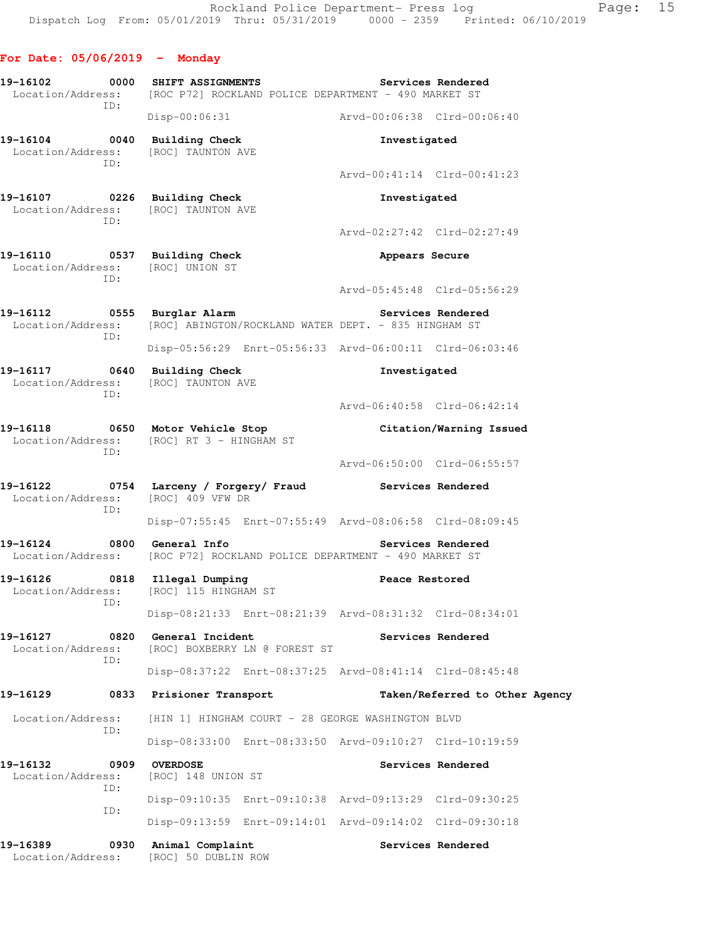**For Date: 05/06/2019 - Monday 19-16102 0000 SHIFT ASSIGNMENTS Services Rendered**  Location/Address: [ROC P72] ROCKLAND POLICE DEPARTMENT - 490 MARKET ST ID: Disp-00:06:31 Arvd-00:06:38 Clrd-00:06:40 **19-16104 0040 Building Check Investigated**  Location/Address: [ROC] TAUNTON AVE ID: Arvd-00:41:14 Clrd-00:41:23 **19-16107 0226 Building Check Investigated**  Location/Address: [ROC] TAUNTON AVE ID: Arvd-02:27:42 Clrd-02:27:49 **19-16110 0537 Building Check Appears Secure**  Location/Address: [ROC] UNION ST ID: Arvd-05:45:48 Clrd-05:56:29 19-16112 **19-16112** 0555 Burglar Alarm **19-16112** Services Rendered Location/Address: [ROC] ABINGTON/ROCKLAND WATER DEPT. - 835 HINGHAM ST ID: Disp-05:56:29 Enrt-05:56:33 Arvd-06:00:11 Clrd-06:03:46 **19-16117 0640 Building Check Investigated**  Location/Address: [ROC] TAUNTON AVE ID: Arvd-06:40:58 Clrd-06:42:14 **19-16118 0650 Motor Vehicle Stop Citation/Warning Issued**  Location/Address: [ROC] RT 3 - HINGHAM ST ID: Arvd-06:50:00 Clrd-06:55:57 **19-16122 0754 Larceny / Forgery/ Fraud Services Rendered**  Location/Address: [ROC] 409 VFW DR ID: Disp-07:55:45 Enrt-07:55:49 Arvd-08:06:58 Clrd-08:09:45 19-16124 0800 General Info **1999 Services Rendered**  Location/Address: [ROC P72] ROCKLAND POLICE DEPARTMENT - 490 MARKET ST **19-16126 0818 Illegal Dumping Peace Restored**  Location/Address: [ROC] 115 HINGHAM ST ID: Disp-08:21:33 Enrt-08:21:39 Arvd-08:31:32 Clrd-08:34:01 **19-16127 0820 General Incident Services Rendered**  Location/Address: [ROC] BOXBERRY LN @ FOREST ST ID: Disp-08:37:22 Enrt-08:37:25 Arvd-08:41:14 Clrd-08:45:48 **19-16129 0833 Prisioner Transport Taken/Referred to Other Agency**  Location/Address: [HIN 1] HINGHAM COURT - 28 GEORGE WASHINGTON BLVD ID: Disp-08:33:00 Enrt-08:33:50 Arvd-09:10:27 Clrd-10:19:59 **19-16132 0909 OVERDOSE Services Rendered**  Location/Address: [ROC] 148 UNION ST ID: Disp-09:10:35 Enrt-09:10:38 Arvd-09:13:29 Clrd-09:30:25 ID: Disp-09:13:59 Enrt-09:14:01 Arvd-09:14:02 Clrd-09:30:18 19-16389 **0930** Animal Complaint **Complaint** Services Rendered Location/Address: [ROC] 50 DUBLIN ROW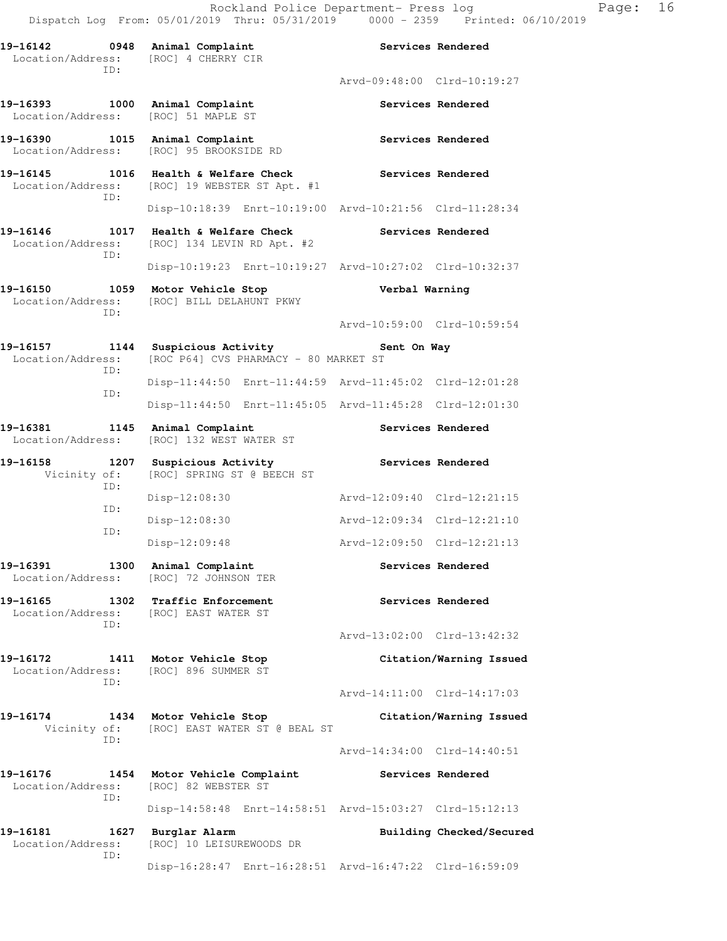**19-16142 0948 Animal Complaint Services Rendered**  Location/Address: [ROC] 4 CHERRY CIR ID: Arvd-09:48:00 Clrd-10:19:27 19-16393 1000 Animal Complaint **Services Rendered** Location/Address: [ROC] 51 MAPLE ST 19-16390 1015 Animal Complaint **19-16390** Services Rendered Location/Address: [ROC] 95 BROOKSIDE RD 19-16145 1016 Health & Welfare Check **Services Rendered**  Location/Address: [ROC] 19 WEBSTER ST Apt. #1 ID: Disp-10:18:39 Enrt-10:19:00 Arvd-10:21:56 Clrd-11:28:34 **19-16146 1017 Health & Welfare Check Services Rendered**  Location/Address: [ROC] 134 LEVIN RD Apt. #2 ID: Disp-10:19:23 Enrt-10:19:27 Arvd-10:27:02 Clrd-10:32:37 **19-16150 1059 Motor Vehicle Stop Verbal Warning**  Location/Address: [ROC] BILL DELAHUNT PKWY ID: Arvd-10:59:00 Clrd-10:59:54 **19-16157 1144 Suspicious Activity Sent On Way**  Location/Address: [ROC P64] CVS PHARMACY - 80 MARKET ST ID: Disp-11:44:50 Enrt-11:44:59 Arvd-11:45:02 Clrd-12:01:28 ID: Disp-11:44:50 Enrt-11:45:05 Arvd-11:45:28 Clrd-12:01:30 19-16381 1145 Animal Complaint **Services Rendered**  Location/Address: [ROC] 132 WEST WATER ST 19-16158 1207 Suspicious Activity **1207 Services Rendered**  Vicinity of: [ROC] SPRING ST @ BEECH ST ID: Disp-12:08:30 Arvd-12:09:40 Clrd-12:21:15 ID: Disp-12:08:30 Arvd-12:09:34 Clrd-12:21:10 ID: Disp-12:09:48 Arvd-12:09:50 Clrd-12:21:13 19-16391 1300 Animal Complaint **1200 18** Services Rendered Location/Address: [ROC] 72 JOHNSON TER 19-16165 1302 Traffic Enforcement **19-16165** Services Rendered Location/Address: [ROC] EAST WATER ST ID: Arvd-13:02:00 Clrd-13:42:32 **19-16172 1411 Motor Vehicle Stop Citation/Warning Issued**  Location/Address: [ROC] 896 SUMMER ST ID: Arvd-14:11:00 Clrd-14:17:03 **19-16174 1434 Motor Vehicle Stop Citation/Warning Issued**  Vicinity of: [ROC] EAST WATER ST @ BEAL ST ID: Arvd-14:34:00 Clrd-14:40:51 **19-16176 1454 Motor Vehicle Complaint Services Rendered**  Location/Address: [ROC] 82 WEBSTER ST ID: Disp-14:58:48 Enrt-14:58:51 Arvd-15:03:27 Clrd-15:12:13 **19-16181 1627 Burglar Alarm Building Checked/Secured**  Location/Address: [ROC] 10 LEISUREWOODS DR ID: Disp-16:28:47 Enrt-16:28:51 Arvd-16:47:22 Clrd-16:59:09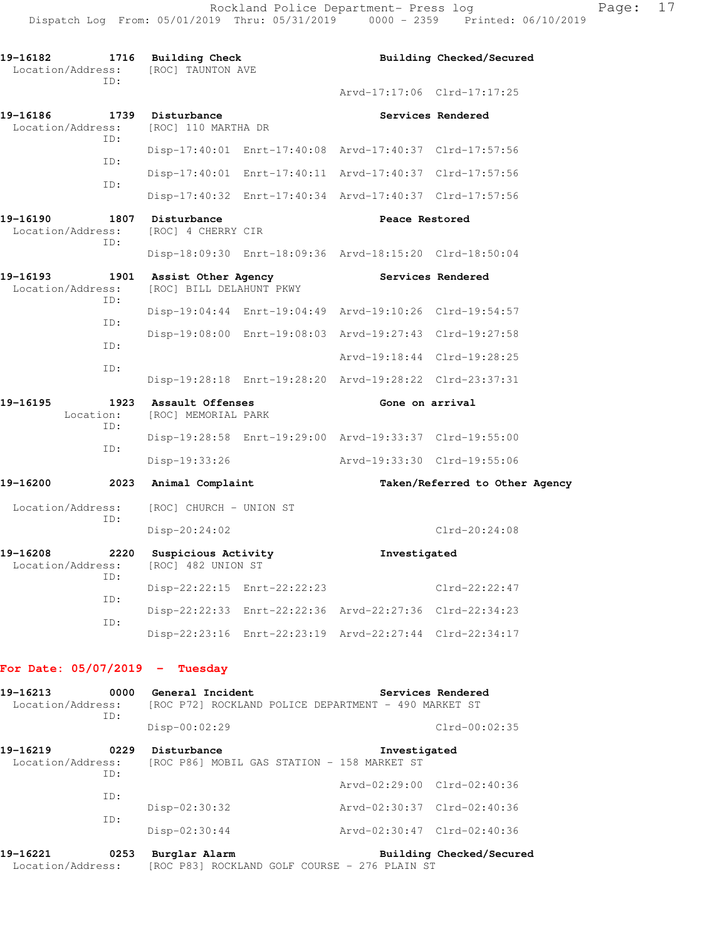| 19-16182<br>1716<br>Location/Address:<br>ID: |      | Building Check<br>[ROC] TAUNTON AVE             |  | Building Checked/Secured                                |                                |  |
|----------------------------------------------|------|-------------------------------------------------|--|---------------------------------------------------------|--------------------------------|--|
|                                              |      |                                                 |  | Arvd-17:17:06 Clrd-17:17:25                             |                                |  |
| 19-16186<br>Location/Address:<br>ID:         | 1739 | Disturbance<br>[ROC] 110 MARTHA DR              |  |                                                         | Services Rendered              |  |
| TD:                                          |      |                                                 |  | Disp-17:40:01 Enrt-17:40:08 Arvd-17:40:37 Clrd-17:57:56 |                                |  |
| ID:                                          |      |                                                 |  | Disp-17:40:01 Enrt-17:40:11 Arvd-17:40:37 Clrd-17:57:56 |                                |  |
|                                              |      |                                                 |  | Disp-17:40:32 Enrt-17:40:34 Arvd-17:40:37 Clrd-17:57:56 |                                |  |
| 19-16190<br>Location/Address:<br>TD:         | 1807 | Disturbance<br>[ROC] 4 CHERRY CIR               |  | Peace Restored                                          |                                |  |
|                                              |      |                                                 |  | Disp-18:09:30 Enrt-18:09:36 Arvd-18:15:20 Clrd-18:50:04 |                                |  |
| 19-16193<br>Location/Address:<br>TD:         | 1901 | Assist Other Agency<br>[ROC] BILL DELAHUNT PKWY |  | Services Rendered                                       |                                |  |
| TD:                                          |      |                                                 |  | Disp-19:04:44 Enrt-19:04:49 Arvd-19:10:26 Clrd-19:54:57 |                                |  |
| ID:                                          |      |                                                 |  | Disp-19:08:00 Enrt-19:08:03 Arvd-19:27:43 Clrd-19:27:58 |                                |  |
| ID:                                          |      |                                                 |  | Arvd-19:18:44 Clrd-19:28:25                             |                                |  |
|                                              |      |                                                 |  | Disp-19:28:18 Enrt-19:28:20 Arvd-19:28:22 Clrd-23:37:31 |                                |  |
| 19-16195<br>Location:<br>TD:                 | 1923 | Assault Offenses<br>[ROC] MEMORIAL PARK         |  | Gone on arrival                                         |                                |  |
| ID:                                          |      |                                                 |  | Disp-19:28:58 Enrt-19:29:00 Arvd-19:33:37 Clrd-19:55:00 |                                |  |
|                                              |      | Disp-19:33:26                                   |  | Arvd-19:33:30 Clrd-19:55:06                             |                                |  |
| 19-16200                                     | 2023 | Animal Complaint                                |  |                                                         | Taken/Referred to Other Agency |  |
| Location/Address:                            |      | [ROC] CHURCH - UNION ST                         |  |                                                         |                                |  |
| ID:                                          |      | Disp-20:24:02                                   |  |                                                         | $Clrd-20:24:08$                |  |
| 19-16208<br>2220<br>Location/Address:<br>ID: |      | Suspicious Activity<br>[ROC] 482 UNION ST       |  | Investigated                                            |                                |  |
|                                              |      | Disp-22:22:15 Enrt-22:22:23                     |  |                                                         | Clrd-22:22:47                  |  |
| ID:                                          |      |                                                 |  | Disp-22:22:33 Enrt-22:22:36 Arvd-22:27:36 Clrd-22:34:23 |                                |  |
| ID:                                          |      |                                                 |  | Disp-22:23:16 Enrt-22:23:19 Arvd-22:27:44 Clrd-22:34:17 |                                |  |

## **For Date: 05/07/2019 - Tuesday**

| 19-16213<br>Location/Address: | 0000<br>ID:     | General Incident                                           | Services Rendered<br>[ROC P72] ROCKLAND POLICE DEPARTMENT - 490 MARKET ST |
|-------------------------------|-----------------|------------------------------------------------------------|---------------------------------------------------------------------------|
|                               |                 | $Disp-00:02:29$                                            | $Clrd-00:02:35$                                                           |
| 19-16219<br>Location/Address: | 0229<br>ID:     | Disturbance<br>[ROC P86] MOBIL GAS STATION - 158 MARKET ST | Investigated                                                              |
|                               | ID:             |                                                            | Arvd-02:29:00 Clrd-02:40:36                                               |
| TD:                           | $Disp-02:30:32$ | Arvd-02:30:37 Clrd-02:40:36                                |                                                                           |
|                               |                 | $Disp-02:30:44$                                            | Arvd-02:30:47 Clrd-02:40:36                                               |
| 19-16221                      | 0253            | Burglar Alarm                                              | Building Checked/Secured                                                  |

Location/Address: [ROC P83] ROCKLAND GOLF COURSE - 276 PLAIN ST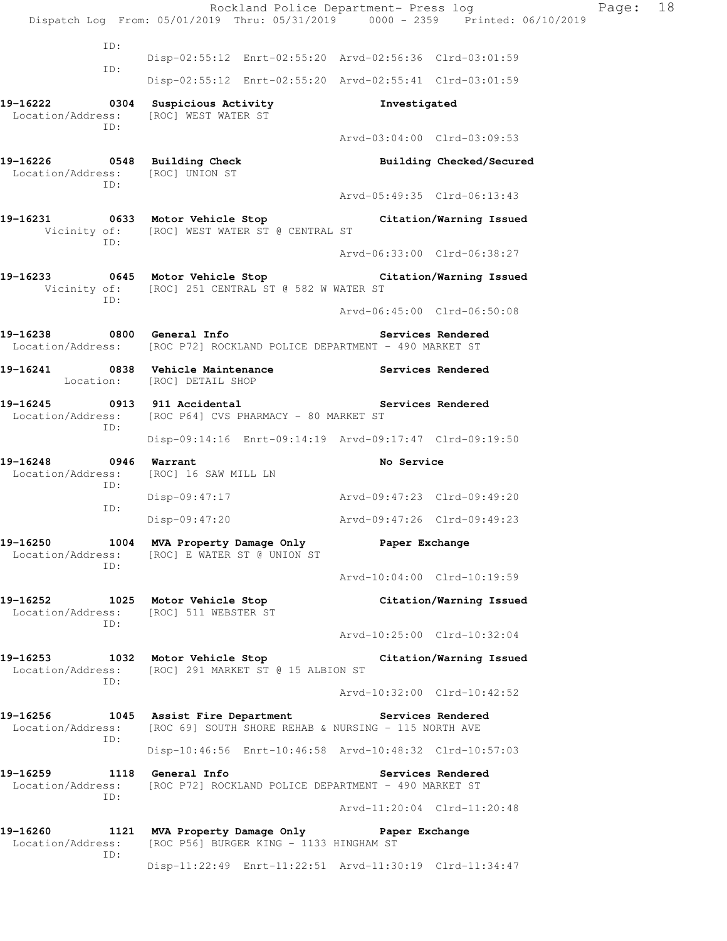Rockland Police Department- Press log Page: 18 Dispatch Log From: 05/01/2019 Thru: 05/31/2019 0000 - 2359 Printed: 06/10/2019 ID: Disp-02:55:12 Enrt-02:55:20 Arvd-02:56:36 Clrd-03:01:59 ID: Disp-02:55:12 Enrt-02:55:20 Arvd-02:55:41 Clrd-03:01:59 **19-16222 0304 Suspicious Activity Investigated**  Location/Address: [ROC] WEST WATER ST ID: Arvd-03:04:00 Clrd-03:09:53 **19-16226 0548 Building Check Building Checked/Secured**  Location/Address: [ROC] UNION ST ID: Arvd-05:49:35 Clrd-06:13:43 **19-16231 0633 Motor Vehicle Stop Citation/Warning Issued**  Vicinity of: [ROC] WEST WATER ST @ CENTRAL ST ID: Arvd-06:33:00 Clrd-06:38:27 **19-16233 0645 Motor Vehicle Stop Citation/Warning Issued**  Vicinity of: [ROC] 251 CENTRAL ST @ 582 W WATER ST ID: Arvd-06:45:00 Clrd-06:50:08 19-16238 **0800** General Info **Services Rendered**  Location/Address: [ROC P72] ROCKLAND POLICE DEPARTMENT - 490 MARKET ST **19-16241 0838 Vehicle Maintenance Services Rendered**  Location: [ROC] DETAIL SHOP **19-16245 0913 911 Accidental Services Rendered**  Location/Address: [ROC P64] CVS PHARMACY - 80 MARKET ST ID: Disp-09:14:16 Enrt-09:14:19 Arvd-09:17:47 Clrd-09:19:50 **19-16248 0946 Warrant No Service**  Location/Address: [ROC] 16 SAW MILL LN ID: Disp-09:47:17 Arvd-09:47:23 Clrd-09:49:20 ID: Disp-09:47:20 Arvd-09:47:26 Clrd-09:49:23 **19-16250 1004 MVA Property Damage Only Paper Exchange**  Location/Address: [ROC] E WATER ST @ UNION ST ID: Arvd-10:04:00 Clrd-10:19:59 **19-16252 1025 Motor Vehicle Stop Citation/Warning Issued**  Location/Address: [ROC] 511 WEBSTER ST ID: Arvd-10:25:00 Clrd-10:32:04 **19-16253 1032 Motor Vehicle Stop Citation/Warning Issued**  Location/Address: [ROC] 291 MARKET ST @ 15 ALBION ST ID: Arvd-10:32:00 Clrd-10:42:52 **19-16256 1045 Assist Fire Department Services Rendered**  Location/Address: [ROC 69] SOUTH SHORE REHAB & NURSING - 115 NORTH AVE ID: Disp-10:46:56 Enrt-10:46:58 Arvd-10:48:32 Clrd-10:57:03 **19-16259 1118 General Info Services Rendered**  Location/Address: [ROC P72] ROCKLAND POLICE DEPARTMENT - 490 MARKET ST ID: Arvd-11:20:04 Clrd-11:20:48 **19-16260 1121 MVA Property Damage Only Paper Exchange**  Location/Address: [ROC P56] BURGER KING - 1133 HINGHAM ST ID: Disp-11:22:49 Enrt-11:22:51 Arvd-11:30:19 Clrd-11:34:47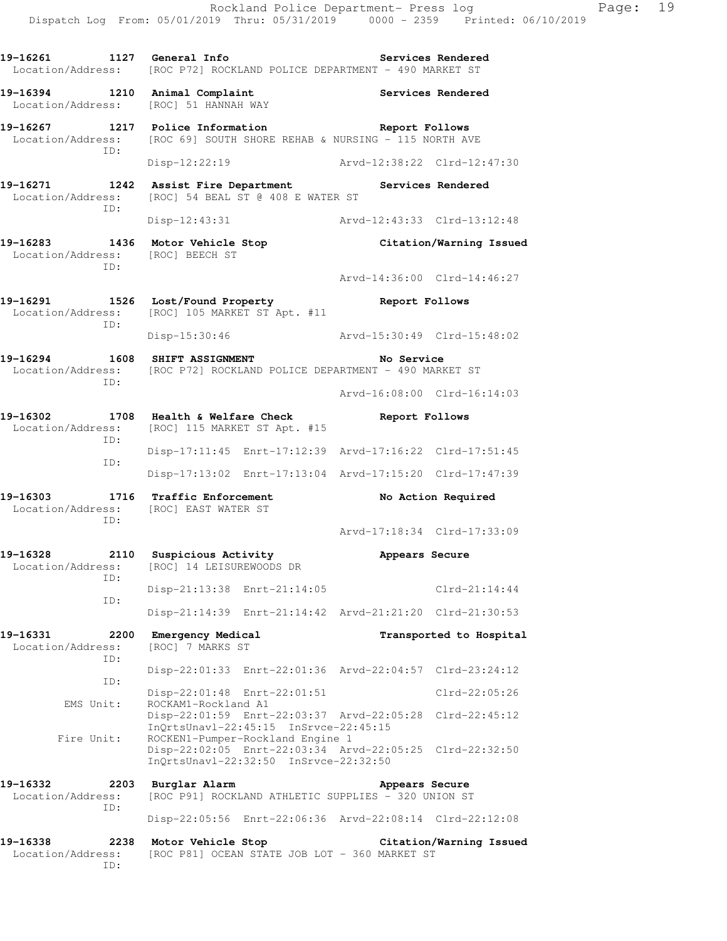Rockland Police Department- Press log Fage: 19 Dispatch Log From: 05/01/2019 Thru: 05/31/2019 0000 - 2359 Printed: 06/10/2019 **19-16261 1127 General Info Services Rendered**  Location/Address: [ROC P72] ROCKLAND POLICE DEPARTMENT - 490 MARKET ST **19-16394 1210 Animal Complaint Services Rendered**  Location/Address: [ROC] 51 HANNAH WAY **19-16267 1217 Police Information Report Follows**  Location/Address: [ROC 69] SOUTH SHORE REHAB & NURSING - 115 NORTH AVE ID: Disp-12:22:19 Arvd-12:38:22 Clrd-12:47:30 **19-16271 1242 Assist Fire Department Services Rendered**  Location/Address: [ROC] 54 BEAL ST @ 408 E WATER ST ID: Disp-12:43:31 Arvd-12:43:33 Clrd-13:12:48 **19-16283 1436 Motor Vehicle Stop Citation/Warning Issued**  Location/Address: [ROC] BEECH ST ID: Arvd-14:36:00 Clrd-14:46:27 **19-16291 1526 Lost/Found Property Report Follows**  Location/Address: [ROC] 105 MARKET ST Apt. #11 ID: Disp-15:30:46 Arvd-15:30:49 Clrd-15:48:02 19-16294 1608 SHIFT ASSIGNMENT **No Service** Location/Address: [ROC P72] ROCKLAND POLICE DEPARTMENT - 490 MARKET ST ID: Arvd-16:08:00 Clrd-16:14:03 **19-16302 1708 Health & Welfare Check Report Follows**  Location/Address: [ROC] 115 MARKET ST Apt. #15 ID: Disp-17:11:45 Enrt-17:12:39 Arvd-17:16:22 Clrd-17:51:45 ID: Disp-17:13:02 Enrt-17:13:04 Arvd-17:15:20 Clrd-17:47:39 **19-16303 1716 Traffic Enforcement No Action Required**  Location/Address: [ROC] EAST WATER ST ID: Arvd-17:18:34 Clrd-17:33:09 **19-16328 2110 Suspicious Activity Appears Secure**  Location/Address: [ROC] 14 LEISUREWOODS DR ID: Disp-21:13:38 Enrt-21:14:05 Clrd-21:14:44 ID: Disp-21:14:39 Enrt-21:14:42 Arvd-21:21:20 Clrd-21:30:53 **19-16331 2200 Emergency Medical Transported to Hospital**  Location/Address: [ROC] 7 MARKS ST ID: Disp-22:01:33 Enrt-22:01:36 Arvd-22:04:57 Clrd-23:24:12 ID: Disp-22:01:48 Enrt-22:01:51 Clrd-22:05:26<br>EMS Unit: ROCKAM1-Rockland A1 ROCKAM1-Rockland A1 Disp-22:01:59 Enrt-22:03:37 Arvd-22:05:28 Clrd-22:45:12 InQrtsUnavl-22:45:15 InSrvce-22:45:15<br>Fire Unit: ROCKEN1-Pumper-Rockland Engine 1 ROCKEN1-Pumper-Rockland Engine 1 Disp-22:02:05 Enrt-22:03:34 Arvd-22:05:25 Clrd-22:32:50 InQrtsUnavl-22:32:50 InSrvce-22:32:50 **19-16332 2203 Burglar Alarm Appears Secure**  Location/Address: [ROC P91] ROCKLAND ATHLETIC SUPPLIES - 320 UNION ST ID: Disp-22:05:56 Enrt-22:06:36 Arvd-22:08:14 Clrd-22:12:08 **19-16338 2238 Motor Vehicle Stop Citation/Warning Issued**  Location/Address: [ROC P81] OCEAN STATE JOB LOT - 360 MARKET ST

ID: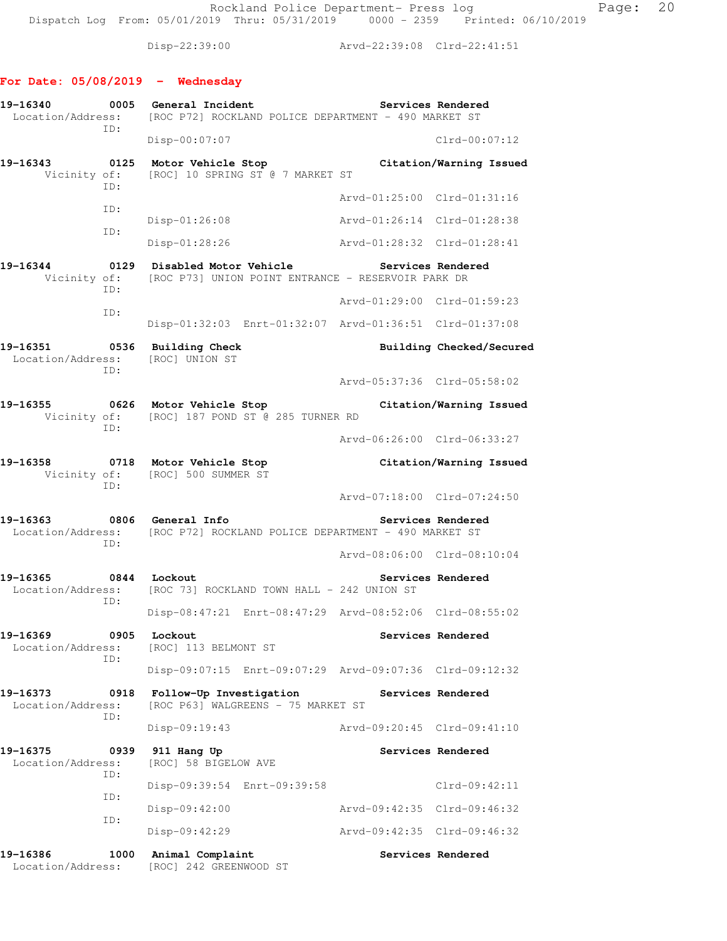Disp-22:39:00 Arvd-22:39:08 Clrd-22:41:51

# **For Date: 05/08/2019 - Wednesday**

| 19-16340<br>Location/Address:    | 0005        | General Incident<br>[ROC P72] ROCKLAND POLICE DEPARTMENT - 490 MARKET ST                    |                             | Services Rendered        |
|----------------------------------|-------------|---------------------------------------------------------------------------------------------|-----------------------------|--------------------------|
|                                  | ID:         | $Disp-00:07:07$                                                                             |                             | $Clrd-00:07:12$          |
| 19-16343<br>0125<br>Vicinity of: | ID:         | Motor Vehicle Stop<br>[ROC] 10 SPRING ST @ 7 MARKET ST                                      |                             | Citation/Warning Issued  |
|                                  | ID:         |                                                                                             | Arvd-01:25:00 Clrd-01:31:16 |                          |
|                                  | ID:         | $Disp-01:26:08$                                                                             | Arvd-01:26:14 Clrd-01:28:38 |                          |
|                                  |             | Disp-01:28:26                                                                               | Arvd-01:28:32 Clrd-01:28:41 |                          |
| 19-16344<br>Vicinity of:         | 0129<br>ID: | Disabled Motor Vehicle<br>[ROC P73] UNION POINT ENTRANCE - RESERVOIR PARK DR                | Services Rendered           |                          |
|                                  | ID:         |                                                                                             | Arvd-01:29:00 Clrd-01:59:23 |                          |
|                                  |             | Disp-01:32:03 Enrt-01:32:07 Arvd-01:36:51 Clrd-01:37:08                                     |                             |                          |
| 19-16351<br>Location/Address:    | ID:         | 0536 Building Check<br>[ROC] UNION ST                                                       |                             | Building Checked/Secured |
|                                  |             |                                                                                             | Arvd-05:37:36 Clrd-05:58:02 |                          |
| 19–16355                         | ID:         | 0626 Motor Vehicle Stop<br>Vicinity of: [ROC] 187 POND ST @ 285 TURNER RD                   |                             | Citation/Warning Issued  |
|                                  |             |                                                                                             | Arvd-06:26:00 Clrd-06:33:27 |                          |
| 19-16358                         | ID:         | 0718 Motor Vehicle Stop<br>Vicinity of: [ROC] 500 SUMMER ST                                 |                             | Citation/Warning Issued  |
|                                  |             |                                                                                             | Arvd-07:18:00 Clrd-07:24:50 |                          |
| 19–16363<br>ID:                  |             | 0806 General Info<br>Location/Address: [ROC P72] ROCKLAND POLICE DEPARTMENT - 490 MARKET ST |                             | Services Rendered        |
|                                  |             |                                                                                             | Arvd-08:06:00 Clrd-08:10:04 |                          |
| 19–16365                         | ID:         | 0844 Lockout<br>Location/Address: [ROC 73] ROCKLAND TOWN HALL - 242 UNION ST                |                             | Services Rendered        |
|                                  |             | Disp-08:47:21 Enrt-08:47:29 Arvd-08:52:06 Clrd-08:55:02                                     |                             |                          |
| 19–16369<br>Location/Address:    | 0905<br>ID: | Lockout<br>[ROC] 113 BELMONT ST                                                             |                             | Services Rendered        |
|                                  |             | Disp-09:07:15 Enrt-09:07:29 Arvd-09:07:36 Clrd-09:12:32                                     |                             |                          |
| 19–16373<br>Location/Address:    | 0918<br>ID: | Follow-Up Investigation<br>[ROC P63] WALGREENS - 75 MARKET ST                               | Services Rendered           |                          |
|                                  |             | $Disp-09:19:43$                                                                             | Arvd-09:20:45 Clrd-09:41:10 |                          |
| 19-16375<br>Location/Address:    | 0939<br>ID: | 911 Hang Up<br>[ROC] 58 BIGELOW AVE                                                         |                             | Services Rendered        |
|                                  | ID:         | Disp-09:39:54 Enrt-09:39:58                                                                 |                             | $Clrd-09:42:11$          |
|                                  | ID:         | $Disp-09:42:00$                                                                             | Arvd-09:42:35 Clrd-09:46:32 |                          |
|                                  |             | $Disp-09:42:29$                                                                             | Arvd-09:42:35 Clrd-09:46:32 |                          |
| 19-16386<br>Location/Address:    | 1000        | Animal Complaint<br>[ROC] 242 GREENWOOD ST                                                  |                             | Services Rendered        |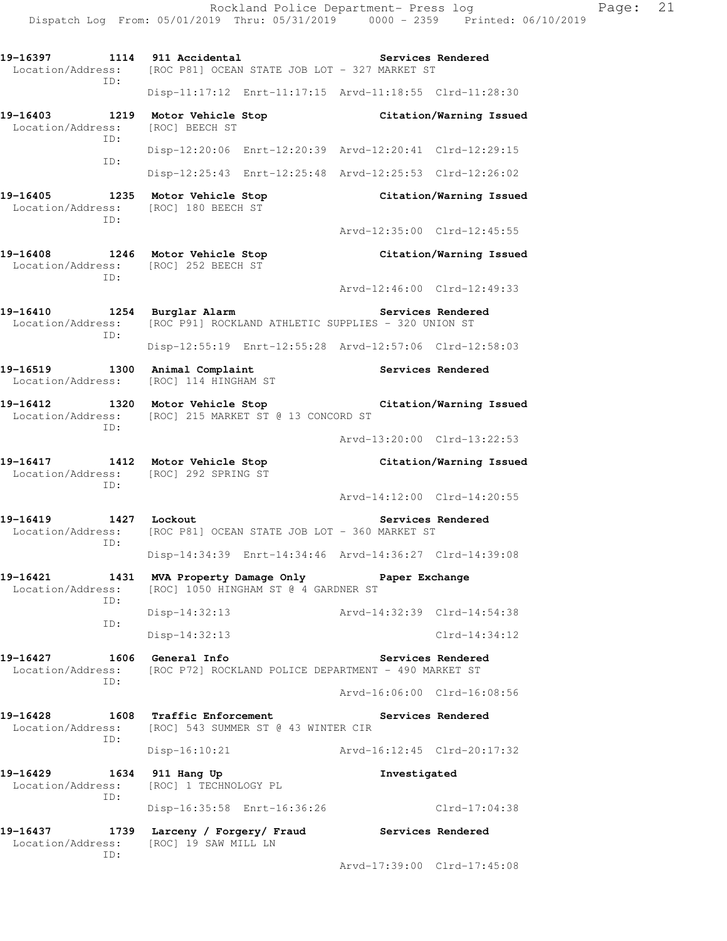19-16397 1114 911 Accidental **1918** Services Rendered Location/Address: [ROC P81] OCEAN STATE JOB LOT - 327 MARKET ST ID: Disp-11:17:12 Enrt-11:17:15 Arvd-11:18:55 Clrd-11:28:30 **19-16403 1219 Motor Vehicle Stop Citation/Warning Issued**  Location/Address: [ROC] BEECH ST ID: Disp-12:20:06 Enrt-12:20:39 Arvd-12:20:41 Clrd-12:29:15 ID: Disp-12:25:43 Enrt-12:25:48 Arvd-12:25:53 Clrd-12:26:02 **19-16405 1235 Motor Vehicle Stop Citation/Warning Issued**  Location/Address: [ROC] 180 BEECH ST ID: Arvd-12:35:00 Clrd-12:45:55 **19-16408 1246 Motor Vehicle Stop Citation/Warning Issued**  Location/Address: [ROC] 252 BEECH ST ID: Arvd-12:46:00 Clrd-12:49:33 **19-16410 1254 Burglar Alarm Services Rendered**  Location/Address: [ROC P91] ROCKLAND ATHLETIC SUPPLIES - 320 UNION ST ID: Disp-12:55:19 Enrt-12:55:28 Arvd-12:57:06 Clrd-12:58:03 19-16519 1300 Animal Complaint **19-16519** Services Rendered Location/Address: [ROC] 114 HINGHAM ST **19-16412 1320 Motor Vehicle Stop Citation/Warning Issued**  Location/Address: [ROC] 215 MARKET ST @ 13 CONCORD ST ID: Arvd-13:20:00 Clrd-13:22:53 **19-16417 1412 Motor Vehicle Stop Citation/Warning Issued**  Location/Address: [ROC] 292 SPRING ST ID: Arvd-14:12:00 Clrd-14:20:55 **19-16419 1427 Lockout Services Rendered**  Location/Address: [ROC P81] OCEAN STATE JOB LOT - 360 MARKET ST ID: Disp-14:34:39 Enrt-14:34:46 Arvd-14:36:27 Clrd-14:39:08 **19-16421 1431 MVA Property Damage Only Paper Exchange**  Location/Address: [ROC] 1050 HINGHAM ST @ 4 GARDNER ST ID: Disp-14:32:13 Arvd-14:32:39 Clrd-14:54:38 ID: Disp-14:32:13 Clrd-14:34:12 19-16427 1606 General Info **1999 Services Rendered**  Location/Address: [ROC P72] ROCKLAND POLICE DEPARTMENT - 490 MARKET ST ID: Arvd-16:06:00 Clrd-16:08:56 **19-16428 1608 Traffic Enforcement Services Rendered**  Location/Address: [ROC] 543 SUMMER ST @ 43 WINTER CIR ID: Disp-16:10:21 Arvd-16:12:45 Clrd-20:17:32 **19-16429 1634 911 Hang Up Investigated**  Location/Address: [ROC] 1 TECHNOLOGY PL ID: Disp-16:35:58 Enrt-16:36:26 Clrd-17:04:38 **19-16437 1739 Larceny / Forgery/ Fraud Services Rendered**  Location/Address: [ROC] 19 SAW MILL LN ID: Arvd-17:39:00 Clrd-17:45:08

Dispatch Log From: 05/01/2019 Thru: 05/31/2019 0000 - 2359 Printed: 06/10/2019

Rockland Police Department- Press log Page: 21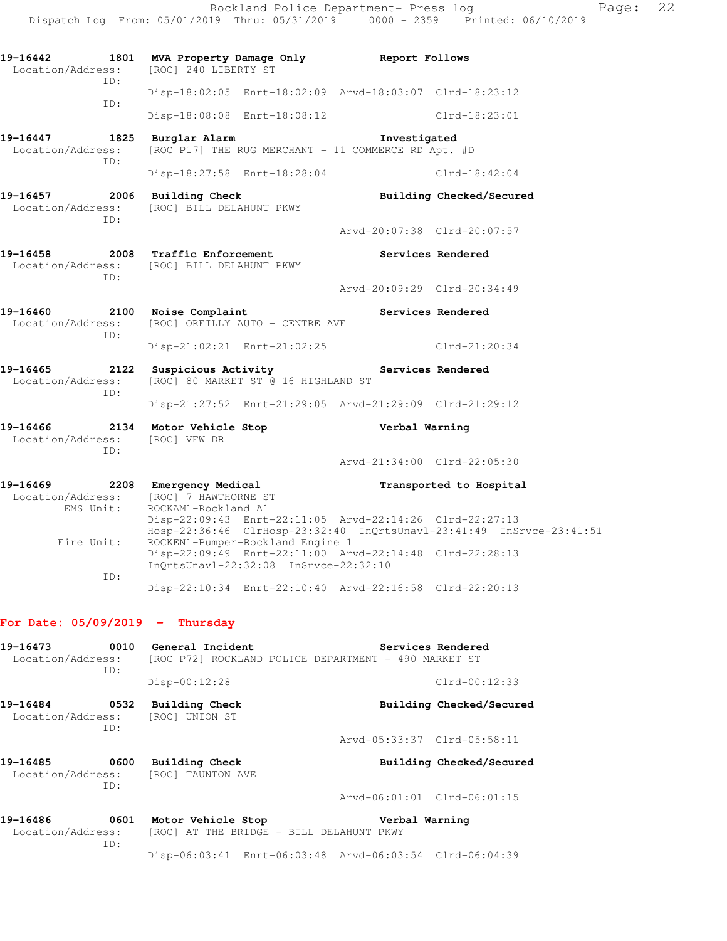Rockland Police Department- Press log Fage: 22 Dispatch Log From: 05/01/2019 Thru: 05/31/2019 0000 - 2359 Printed: 06/10/2019 **19-16442 1801 MVA Property Damage Only Report Follows**  Location/Address: [ROC] 240 LIBERTY ST ID: Disp-18:02:05 Enrt-18:02:09 Arvd-18:03:07 Clrd-18:23:12 ID: Disp-18:08:08 Enrt-18:08:12 Clrd-18:23:01 **19-16447 1825 Burglar Alarm Investigated**  Location/Address: [ROC P17] THE RUG MERCHANT - 11 COMMERCE RD Apt. #D ID: Disp-18:27:58 Enrt-18:28:04 Clrd-18:42:04 **19-16457 2006 Building Check Building Checked/Secured**  Location/Address: [ROC] BILL DELAHUNT PKWY ID: Arvd-20:07:38 Clrd-20:07:57

- **19-16458 2008 Traffic Enforcement Services Rendered**  Location/Address: [ROC] BILL DELAHUNT PKWY ID:
- **19-16460 2100 Noise Complaint Services Rendered**  Location/Address: [ROC] OREILLY AUTO - CENTRE AVE ID: Disp-21:02:21 Enrt-21:02:25 Clrd-21:20:34

**19-16465 2122 Suspicious Activity Services Rendered**  Location/Address: [ROC] 80 MARKET ST @ 16 HIGHLAND ST ID:

Disp-21:27:52 Enrt-21:29:05 Arvd-21:29:09 Clrd-21:29:12

**19-16466 2134 Motor Vehicle Stop Verbal Warning**  Location/Address: [ROC] VFW DR ID:

Arvd-21:34:00 Clrd-22:05:30

Arvd-20:09:29 Clrd-20:34:49

**19-16469 2208 Emergency Medical Transported to Hospital**  Location/Address: [ROC] 7 HAWTHORNE ST EMS Unit: ROCKAM1-Rockland A1 Disp-22:09:43 Enrt-22:11:05 Arvd-22:14:26 Clrd-22:27:13 Hosp-22:36:46 ClrHosp-23:32:40 InQrtsUnavl-23:41:49 InSrvce-23:41:51<br>Fire Unit: ROCKEN1-Pumper-Rockland Engine 1 ROCKEN1-Pumper-Rockland Engine 1 Disp-22:09:49 Enrt-22:11:00 Arvd-22:14:48 Clrd-22:28:13 InQrtsUnavl-22:32:08 InSrvce-22:32:10 ID: Disp-22:10:34 Enrt-22:10:40 Arvd-22:16:58 Clrd-22:20:13

#### **For Date: 05/09/2019 - Thursday**

ID:

**19-16473 0010 General Incident Services Rendered**  Location/Address: [ROC P72] ROCKLAND POLICE DEPARTMENT - 490 MARKET ST ID: Disp-00:12:28 Clrd-00:12:33 **19-16484 0532 Building Check Building Checked/Secured**  Location/Address: [ROC] UNION ST ID: Arvd-05:33:37 Clrd-05:58:11 **19-16485 0600 Building Check Building Checked/Secured**  Location/Address: [ROC] TAUNTON AVE ID: Arvd-06:01:01 Clrd-06:01:15 **19-16486 0601 Motor Vehicle Stop Verbal Warning**  Location/Address: [ROC] AT THE BRIDGE - BILL DELAHUNT PKWY

Disp-06:03:41 Enrt-06:03:48 Arvd-06:03:54 Clrd-06:04:39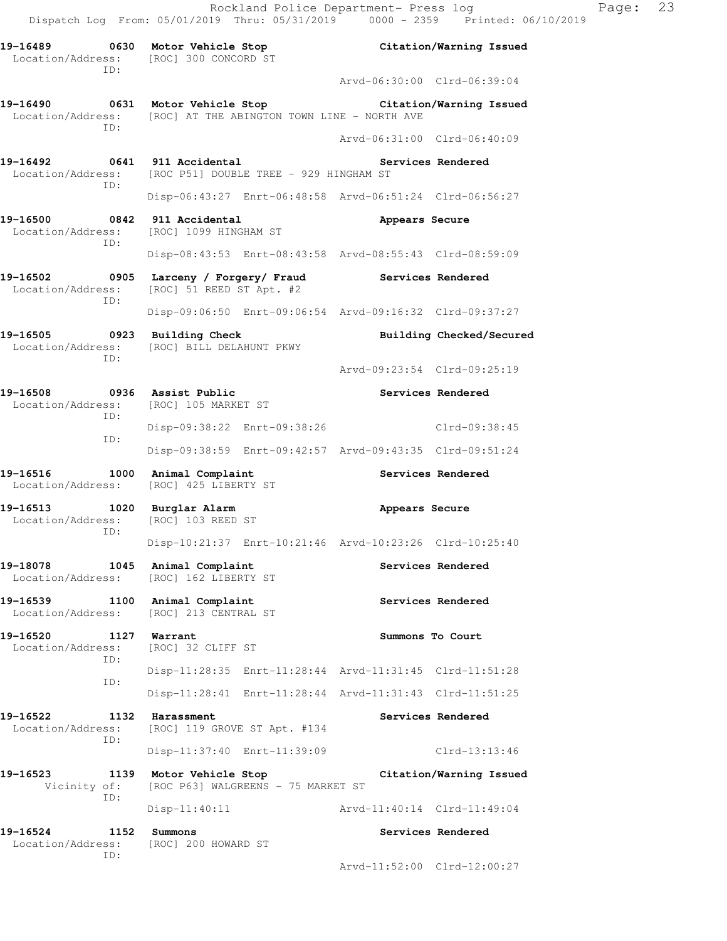**19-16489 0630 Motor Vehicle Stop Citation/Warning Issued** 

Location/Address: [ROC] 300 CONCORD ST

 ID: Arvd-06:30:00 Clrd-06:39:04 **19-16490 0631 Motor Vehicle Stop Citation/Warning Issued**  Location/Address: [ROC] AT THE ABINGTON TOWN LINE - NORTH AVE ID: Arvd-06:31:00 Clrd-06:40:09 **19-16492 0641 911 Accidental Services Rendered**  Location/Address: [ROC P51] DOUBLE TREE - 929 HINGHAM ST ID: Disp-06:43:27 Enrt-06:48:58 Arvd-06:51:24 Clrd-06:56:27 **19-16500 0842 911 Accidental Appears Secure**  Location/Address: [ROC] 1099 HINGHAM ST ID: Disp-08:43:53 Enrt-08:43:58 Arvd-08:55:43 Clrd-08:59:09 **19-16502 0905 Larceny / Forgery/ Fraud Services Rendered**  Location/Address: [ROC] 51 REED ST Apt. #2 ID: Disp-09:06:50 Enrt-09:06:54 Arvd-09:16:32 Clrd-09:37:27 **19-16505 0923 Building Check Building Checked/Secured**  Location/Address: [ROC] BILL DELAHUNT PKWY ID: Arvd-09:23:54 Clrd-09:25:19 19-16508 **0936** Assist Public **Communist Constructs Rendered**  Location/Address: [ROC] 105 MARKET ST ID: Disp-09:38:22 Enrt-09:38:26 Clrd-09:38:45 ID: Disp-09:38:59 Enrt-09:42:57 Arvd-09:43:35 Clrd-09:51:24 **19-16516 1000 Animal Complaint Services Rendered**  Location/Address: [ROC] 425 LIBERTY ST **19-16513 1020 Burglar Alarm Appears Secure**  Location/Address: [ROC] 103 REED ST ID: Disp-10:21:37 Enrt-10:21:46 Arvd-10:23:26 Clrd-10:25:40 19-18078 1045 Animal Complaint **10.12 Services Rendered**  Location/Address: [ROC] 162 LIBERTY ST 19-16539 1100 Animal Complaint **Services Rendered**  Location/Address: [ROC] 213 CENTRAL ST 19-16520 1127 Warrant **Summons To Court**  Location/Address: [ROC] 32 CLIFF ST ID: Disp-11:28:35 Enrt-11:28:44 Arvd-11:31:45 Clrd-11:51:28 ID: Disp-11:28:41 Enrt-11:28:44 Arvd-11:31:43 Clrd-11:51:25 19-16522 1132 Harassment Services Rendered Location/Address: [ROC] 119 GROVE ST Apt. #134 ID: Disp-11:37:40 Enrt-11:39:09 Clrd-13:13:46 **19-16523 1139 Motor Vehicle Stop Citation/Warning Issued**  Vicinity of: [ROC P63] WALGREENS - 75 MARKET ST ID: Disp-11:40:11 Arvd-11:40:14 Clrd-11:49:04 **19-16524 1152 Summons Services Rendered**  Location/Address: [ROC] 200 HOWARD ST ID: Arvd-11:52:00 Clrd-12:00:27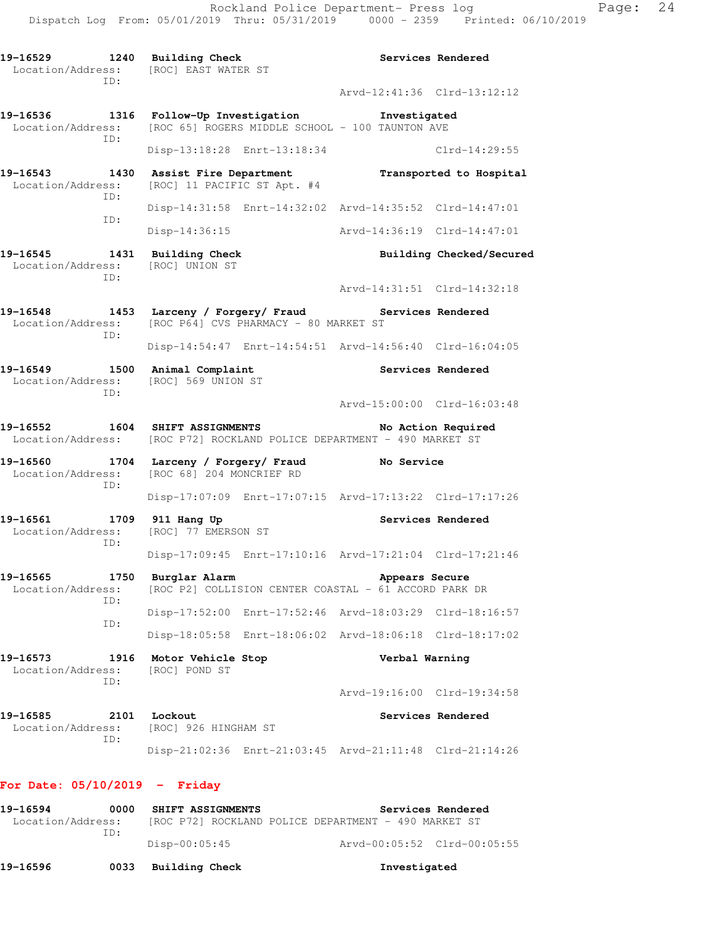19-16529 1240 Building Check **19 Services Rendered**  Location/Address: [ROC] EAST WATER ST ID: Arvd-12:41:36 Clrd-13:12:12 **19-16536 1316 Follow-Up Investigation Investigated**  Location/Address: [ROC 65] ROGERS MIDDLE SCHOOL - 100 TAUNTON AVE ID: Disp-13:18:28 Enrt-13:18:34 Clrd-14:29:55 **19-16543 1430 Assist Fire Department Transported to Hospital**  Location/Address: [ROC] 11 PACIFIC ST Apt. #4 ID: Disp-14:31:58 Enrt-14:32:02 Arvd-14:35:52 Clrd-14:47:01 ID: Disp-14:36:15 Arvd-14:36:19 Clrd-14:47:01 **19-16545 1431 Building Check Building Checked/Secured**  Location/Address: [ROC] UNION ST ID: Arvd-14:31:51 Clrd-14:32:18 **19-16548 1453 Larceny / Forgery/ Fraud Services Rendered**  Location/Address: [ROC P64] CVS PHARMACY - 80 MARKET ST ID: Disp-14:54:47 Enrt-14:54:51 Arvd-14:56:40 Clrd-16:04:05 19-16549 1500 Animal Complaint **19-16549** Services Rendered Location/Address: [ROC] 569 UNION ST ID: Arvd-15:00:00 Clrd-16:03:48 **19-16552 1604 SHIFT ASSIGNMENTS No Action Required**  Location/Address: [ROC P72] ROCKLAND POLICE DEPARTMENT - 490 MARKET ST **19-16560 1704 Larceny / Forgery/ Fraud No Service**  Location/Address: [ROC 68] 204 MONCRIEF RD ID: Disp-17:07:09 Enrt-17:07:15 Arvd-17:13:22 Clrd-17:17:26 **19-16561 1709 911 Hang Up Services Rendered**  Location/Address: [ROC] 77 EMERSON ST ID: Disp-17:09:45 Enrt-17:10:16 Arvd-17:21:04 Clrd-17:21:46 **19-16565 1750 Burglar Alarm Appears Secure**  Location/Address: [ROC P2] COLLISION CENTER COASTAL - 61 ACCORD PARK DR ID: Disp-17:52:00 Enrt-17:52:46 Arvd-18:03:29 Clrd-18:16:57 ID: Disp-18:05:58 Enrt-18:06:02 Arvd-18:06:18 Clrd-18:17:02 **19-16573 1916 Motor Vehicle Stop Verbal Warning**  Location/Address: [ROC] POND ST ID: Arvd-19:16:00 Clrd-19:34:58 19-16585 2101 Lockout **Services Rendered**  Location/Address: [ROC] 926 HINGHAM ST ID: Disp-21:02:36 Enrt-21:03:45 Arvd-21:11:48 Clrd-21:14:26

#### **For Date: 05/10/2019 - Friday**

| 19-16594          | 0000 | SHIFT ASSIGNMENTS                                    |  | Services Rendered           |
|-------------------|------|------------------------------------------------------|--|-----------------------------|
| Location/Address: | TD:  | [ROC P72] ROCKLAND POLICE DEPARTMENT - 490 MARKET ST |  |                             |
|                   |      | Disp-00:05:45                                        |  | Arvd-00:05:52 Clrd-00:05:55 |
| 19-16596          | 0033 | Building Check                                       |  | Investigated                |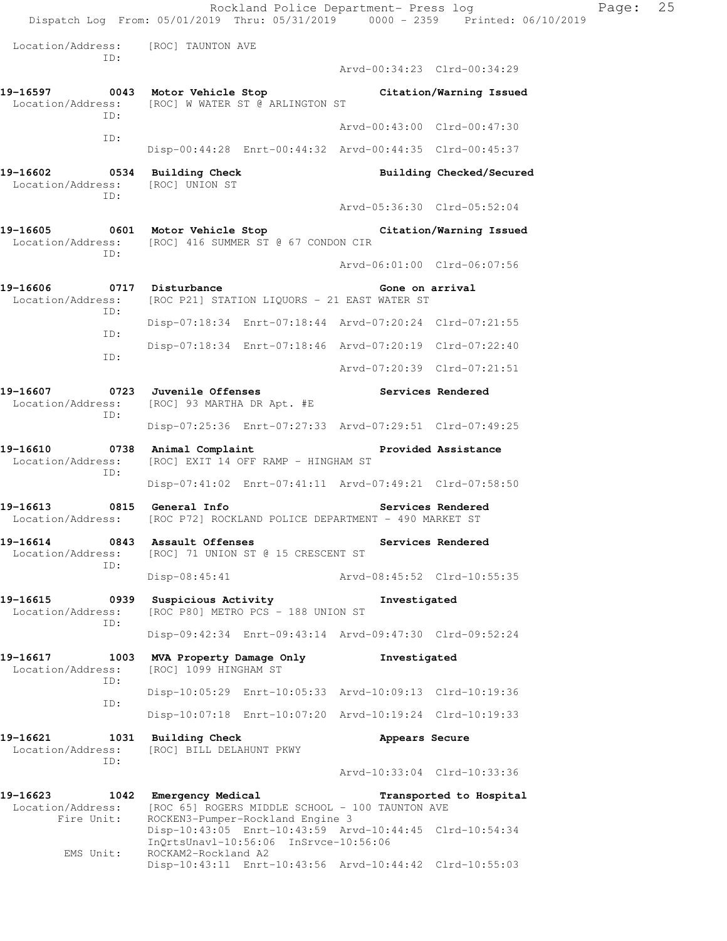Rockland Police Department- Press log Fage: 25 Dispatch Log From: 05/01/2019 Thru: 05/31/2019 0000 - 2359 Printed: 06/10/2019 Location/Address: [ROC] TAUNTON AVE ID: Arvd-00:34:23 Clrd-00:34:29 **19-16597 0043 Motor Vehicle Stop Citation/Warning Issued**  Location/Address: [ROC] W WATER ST @ ARLINGTON ST ID: Arvd-00:43:00 Clrd-00:47:30 ID: Disp-00:44:28 Enrt-00:44:32 Arvd-00:44:35 Clrd-00:45:37 **19-16602 0534 Building Check Building Checked/Secured**  Location/Address: [ROC] UNION ST ID: Arvd-05:36:30 Clrd-05:52:04 **19-16605 0601 Motor Vehicle Stop Citation/Warning Issued**  Location/Address: [ROC] 416 SUMMER ST @ 67 CONDON CIR ID: Arvd-06:01:00 Clrd-06:07:56 19-16606 0717 Disturbance **Cone on a Senate Cone on a rival** Location/Address: [ROC P21] STATION LIQUORS - 21 EAST WATER ST ID: Disp-07:18:34 Enrt-07:18:44 Arvd-07:20:24 Clrd-07:21:55 ID: Disp-07:18:34 Enrt-07:18:46 Arvd-07:20:19 Clrd-07:22:40 ID: Arvd-07:20:39 Clrd-07:21:51 19-16607 **0723** Juvenile Offenses **19-16607** Services Rendered Location/Address: [ROC] 93 MARTHA DR Apt. #E ID: Disp-07:25:36 Enrt-07:27:33 Arvd-07:29:51 Clrd-07:49:25 19-16610 **0738** Animal Complaint **19-16610** Provided Assistance Location/Address: [ROC] EXIT 14 OFF RAMP - HINGHAM ST ID: Disp-07:41:02 Enrt-07:41:11 Arvd-07:49:21 Clrd-07:58:50 **19-16613 0815 General Info Services Rendered**  Location/Address: [ROC P72] ROCKLAND POLICE DEPARTMENT - 490 MARKET ST **19-16614 0843 Assault Offenses Services Rendered**  Location/Address: [ROC] 71 UNION ST @ 15 CRESCENT ST ID: Disp-08:45:41 Arvd-08:45:52 Clrd-10:55:35 **19-16615 0939 Suspicious Activity Investigated**  Location/Address: [ROC P80] METRO PCS - 188 UNION ST ID: Disp-09:42:34 Enrt-09:43:14 Arvd-09:47:30 Clrd-09:52:24 **19-16617 1003 MVA Property Damage Only Investigated**  Location/Address: [ROC] 1099 HINGHAM ST ID: Disp-10:05:29 Enrt-10:05:33 Arvd-10:09:13 Clrd-10:19:36 ID: Disp-10:07:18 Enrt-10:07:20 Arvd-10:19:24 Clrd-10:19:33 19-16621 1031 Building Check **Appears Secure**  Location/Address: [ROC] BILL DELAHUNT PKWY ID: Arvd-10:33:04 Clrd-10:33:36 **19-16623 1042 Emergency Medical Transported to Hospital**  Location/Address: [ROC 65] ROGERS MIDDLE SCHOOL - 100 TAUNTON AVE Fire Unit: ROCKEN3-Pumper-Rockland Engine 3 Disp-10:43:05 Enrt-10:43:59 Arvd-10:44:45 Clrd-10:54:34 InQrtsUnavl-10:56:06 InSrvce-10:56:06<br>EMS Unit: ROCKAM2-Rockland A2 ROCKAM2-Rockland A2

Disp-10:43:11 Enrt-10:43:56 Arvd-10:44:42 Clrd-10:55:03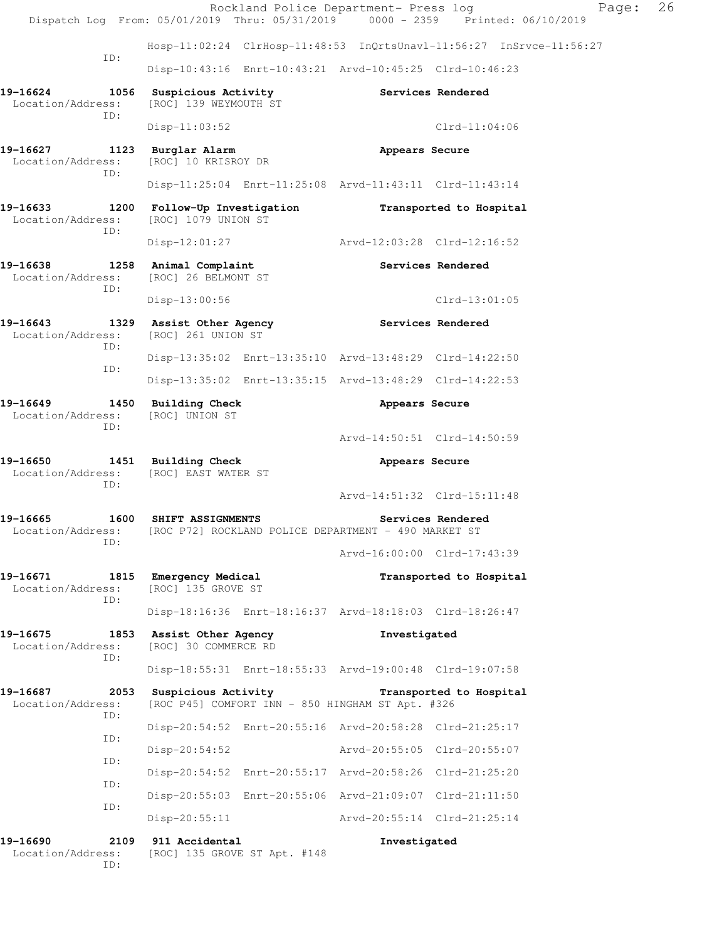|                                                         |                                                                                                  | Page:<br>Rockland Police Department- Press log<br>Dispatch Log From: 05/01/2019 Thru: 05/31/2019 0000 - 2359 Printed: 06/10/2019 | 26 |
|---------------------------------------------------------|--------------------------------------------------------------------------------------------------|----------------------------------------------------------------------------------------------------------------------------------|----|
|                                                         |                                                                                                  | Hosp-11:02:24 ClrHosp-11:48:53 InQrtsUnavl-11:56:27 InSrvce-11:56:27                                                             |    |
| ID:                                                     |                                                                                                  | Disp-10:43:16 Enrt-10:43:21 Arvd-10:45:25 Clrd-10:46:23                                                                          |    |
| 19-16624<br>Location/Address:                           | 1056 Suspicious Activity<br>[ROC] 139 WEYMOUTH ST                                                | Services Rendered                                                                                                                |    |
| ID:                                                     | $Disp-11:03:52$                                                                                  | $Clrd-11:04:06$                                                                                                                  |    |
| 19-16627 1123 Burglar Alarm<br>Location/Address:<br>ID: | [ROC] 10 KRISROY DR                                                                              | Appears Secure                                                                                                                   |    |
|                                                         |                                                                                                  | Disp-11:25:04 Enrt-11:25:08 Arvd-11:43:11 Clrd-11:43:14                                                                          |    |
| 19–16633<br>Location/Address:<br>ID:                    | 1200 Follow-Up Investigation<br>[ROC] 1079 UNION ST                                              | Transported to Hospital                                                                                                          |    |
|                                                         | $Disp-12:01:27$                                                                                  | Arvd-12:03:28 Clrd-12:16:52                                                                                                      |    |
| 19-16638<br>Location/Address:<br>ID:                    | 1258 Animal Complaint<br>[ROC] 26 BELMONT ST                                                     | Services Rendered                                                                                                                |    |
|                                                         | $Disp-13:00:56$                                                                                  | $Clrd-13:01:05$                                                                                                                  |    |
| 19-16643<br>Location/Address:                           | 1329 Assist Other Agency<br>[ROC] 261 UNION ST                                                   | Services Rendered                                                                                                                |    |
| ID:                                                     |                                                                                                  | Disp-13:35:02 Enrt-13:35:10 Arvd-13:48:29 Clrd-14:22:50                                                                          |    |
| ID:                                                     |                                                                                                  | Disp-13:35:02 Enrt-13:35:15 Arvd-13:48:29 Clrd-14:22:53                                                                          |    |
| 19-16649<br>Location/Address:<br>ID:                    | 1450 Building Check<br>[ROC] UNION ST                                                            | Appears Secure                                                                                                                   |    |
|                                                         |                                                                                                  | Arvd-14:50:51 Clrd-14:50:59                                                                                                      |    |
| 19-16650<br>Location/Address:<br>ID:                    | 1451 Building Check<br>[ROC] EAST WATER ST                                                       | Appears Secure                                                                                                                   |    |
|                                                         |                                                                                                  | Arvd-14:51:32 Clrd-15:11:48                                                                                                      |    |
| 19-16665<br>ID:                                         | 1600 SHIFT ASSIGNMENTS<br>Location/Address: [ROC P72] ROCKLAND POLICE DEPARTMENT - 490 MARKET ST | Services Rendered                                                                                                                |    |
|                                                         |                                                                                                  | Arvd-16:00:00 Clrd-17:43:39                                                                                                      |    |
| 19-16671<br>Location/Address:<br>ID:                    | 1815 Emergency Medical<br>[ROC] 135 GROVE ST                                                     | Transported to Hospital                                                                                                          |    |
|                                                         |                                                                                                  | Disp-18:16:36 Enrt-18:16:37 Arvd-18:18:03 Clrd-18:26:47                                                                          |    |
| 19-16675<br>1853<br>Location/Address:<br>ID:            | Assist Other Agency<br>[ROC] 30 COMMERCE RD                                                      | Investigated                                                                                                                     |    |
|                                                         |                                                                                                  | Disp-18:55:31 Enrt-18:55:33 Arvd-19:00:48 Clrd-19:07:58                                                                          |    |
| 19-16687<br>2053<br>Location/Address:<br>ID:            | Suspicious Activity<br>[ROC P45] COMFORT INN - 850 HINGHAM ST Apt. #326                          | Transported to Hospital                                                                                                          |    |
| ID:                                                     |                                                                                                  | Disp-20:54:52 Enrt-20:55:16 Arvd-20:58:28 Clrd-21:25:17                                                                          |    |
| ID:                                                     | $Disp-20:54:52$                                                                                  | Arvd-20:55:05 Clrd-20:55:07                                                                                                      |    |
| ID:                                                     |                                                                                                  | Disp-20:54:52 Enrt-20:55:17 Arvd-20:58:26 Clrd-21:25:20                                                                          |    |
| ID:                                                     |                                                                                                  | Disp-20:55:03 Enrt-20:55:06 Arvd-21:09:07 Clrd-21:11:50                                                                          |    |
|                                                         | $Disp-20:55:11$                                                                                  | Arvd-20:55:14 Clrd-21:25:14                                                                                                      |    |
| 19-16690<br>2109<br>Location/Address:<br>ID:            | 911 Accidental<br>[ROC] 135 GROVE ST Apt. #148                                                   | Investigated                                                                                                                     |    |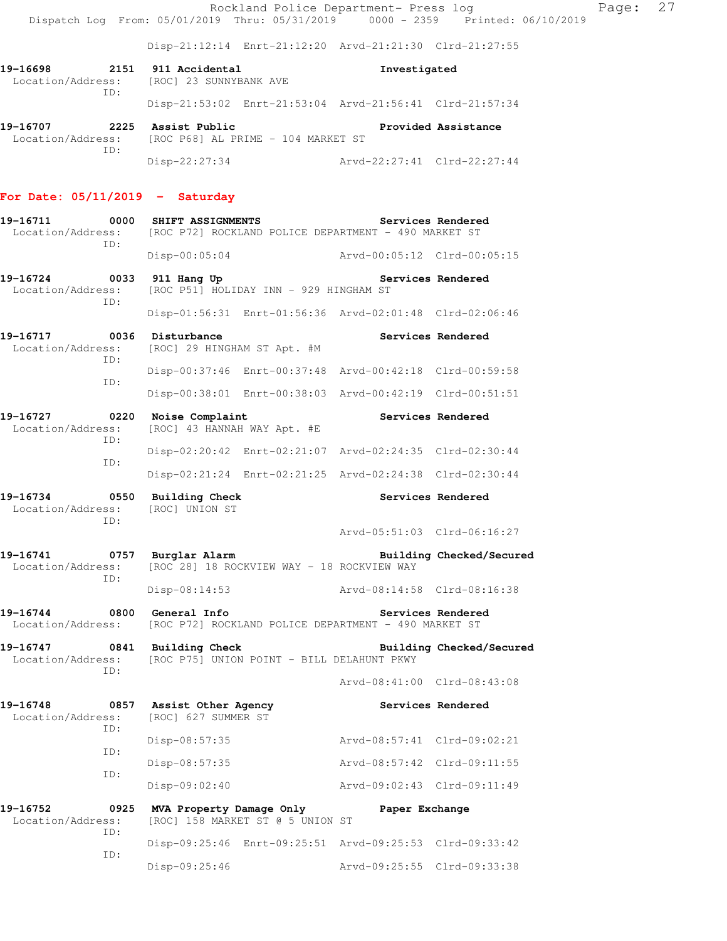Rockland Police Department- Press log Page: 27 Dispatch Log From: 05/01/2019 Thru: 05/31/2019 0000 - 2359 Printed: 06/10/2019

Disp-21:12:14 Enrt-21:12:20 Arvd-21:21:30 Clrd-21:27:55

| 19-16698<br>Location/Address:<br>TD: |      | 2151 911 Accidental<br>[ROC] 23 SUNNYBANK AVE | Investigated                                            |                     |  |
|--------------------------------------|------|-----------------------------------------------|---------------------------------------------------------|---------------------|--|
|                                      |      |                                               | Disp-21:53:02 Enrt-21:53:04 Arvd-21:56:41 Clrd-21:57:34 |                     |  |
| 19-16707                             | 2225 | Assist Public                                 |                                                         | Provided Assistance |  |

 Location/Address: [ROC P68] AL PRIME - 104 MARKET ST ID: daress: 1000 1000<br>
Disp-22:27:34 Arvd-22:27:41 Clrd-22:27:44

## **For Date: 05/11/2019 - Saturday**

| 19-16711<br>Location/Address:                                              | 0000        | SHIFT ASSIGNMENTS                                                          | [ROC P72] ROCKLAND POLICE DEPARTMENT - 490 MARKET ST    |                             | Services Rendered        |
|----------------------------------------------------------------------------|-------------|----------------------------------------------------------------------------|---------------------------------------------------------|-----------------------------|--------------------------|
|                                                                            | ID:         | $Disp-00:05:04$                                                            |                                                         | Arvd-00:05:12 Clrd-00:05:15 |                          |
| 19-16724 0033<br>Location/Address:                                         | ID:         | 911 Hang Up<br>Services Rendered<br>[ROC P51] HOLIDAY INN - 929 HINGHAM ST |                                                         |                             |                          |
|                                                                            |             |                                                                            | Disp-01:56:31 Enrt-01:56:36 Arvd-02:01:48 Clrd-02:06:46 |                             |                          |
| 19-16717<br>0036<br>Location/Address:                                      | ID:         | Disturbance                                                                | [ROC] 29 HINGHAM ST Apt. #M                             |                             | Services Rendered        |
|                                                                            | ID:         |                                                                            | Disp-00:37:46 Enrt-00:37:48 Arvd-00:42:18 Clrd-00:59:58 |                             |                          |
|                                                                            |             |                                                                            | Disp-00:38:01 Enrt-00:38:03 Arvd-00:42:19 Clrd-00:51:51 |                             |                          |
| 19-16727<br>$\overline{0220}$<br>Location/Address:                         | ID:         | Noise Complaint                                                            | [ROC] 43 HANNAH WAY Apt. #E                             |                             | Services Rendered        |
|                                                                            | ID:         |                                                                            | Disp-02:20:42 Enrt-02:21:07 Arvd-02:24:35 Clrd-02:30:44 |                             |                          |
|                                                                            |             |                                                                            | Disp-02:21:24 Enrt-02:21:25 Arvd-02:24:38 Clrd-02:30:44 |                             |                          |
| 0550<br>19-16734<br>Location/Address:                                      | ID:         | Building Check<br>[ROC] UNION ST                                           |                                                         | Services Rendered           |                          |
|                                                                            |             |                                                                            |                                                         | Arvd-05:51:03 Clrd-06:16:27 |                          |
| 19-16741<br>Location/Address:                                              |             | 0757 Burglar Alarm                                                         | [ROC 28] 18 ROCKVIEW WAY - 18 ROCKVIEW WAY              |                             | Building Checked/Secured |
|                                                                            | ID:         | $Disp-08:14:53$                                                            |                                                         | Arvd-08:14:58 Clrd-08:16:38 |                          |
| 19-16744<br>Location/Address:                                              |             | 0800 General Info                                                          | [ROC P72] ROCKLAND POLICE DEPARTMENT - 490 MARKET ST    |                             | Services Rendered        |
| 19-16747<br>Location/Address:                                              |             | 0841 Building Check                                                        | [ROC P75] UNION POINT - BILL DELAHUNT PKWY              |                             | Building Checked/Secured |
|                                                                            | ID:         |                                                                            |                                                         | Arvd-08:41:00 Clrd-08:43:08 |                          |
| 19-16748 0857 Assist Other Agency<br>Location/Address: [ROC] 627 SUMMER ST |             |                                                                            |                                                         | Services Rendered           |                          |
|                                                                            | ID:         | $Disp-08:57:35$                                                            |                                                         | Arvd-08:57:41 Clrd-09:02:21 |                          |
| ID:<br>ID:                                                                 |             | Disp-08:57:35                                                              |                                                         | Arvd-08:57:42 Clrd-09:11:55 |                          |
|                                                                            |             | $Disp-09:02:40$                                                            |                                                         | Arvd-09:02:43 Clrd-09:11:49 |                          |
| 19-16752<br>Location/Address:                                              | 0925<br>ID: | MVA Property Damage Only                                                   | [ROC] 158 MARKET ST @ 5 UNION ST                        | Paper Exchange              |                          |
|                                                                            | ID:         |                                                                            | Disp-09:25:46 Enrt-09:25:51 Arvd-09:25:53 Clrd-09:33:42 |                             |                          |

Disp-09:25:46 Arvd-09:25:55 Clrd-09:33:38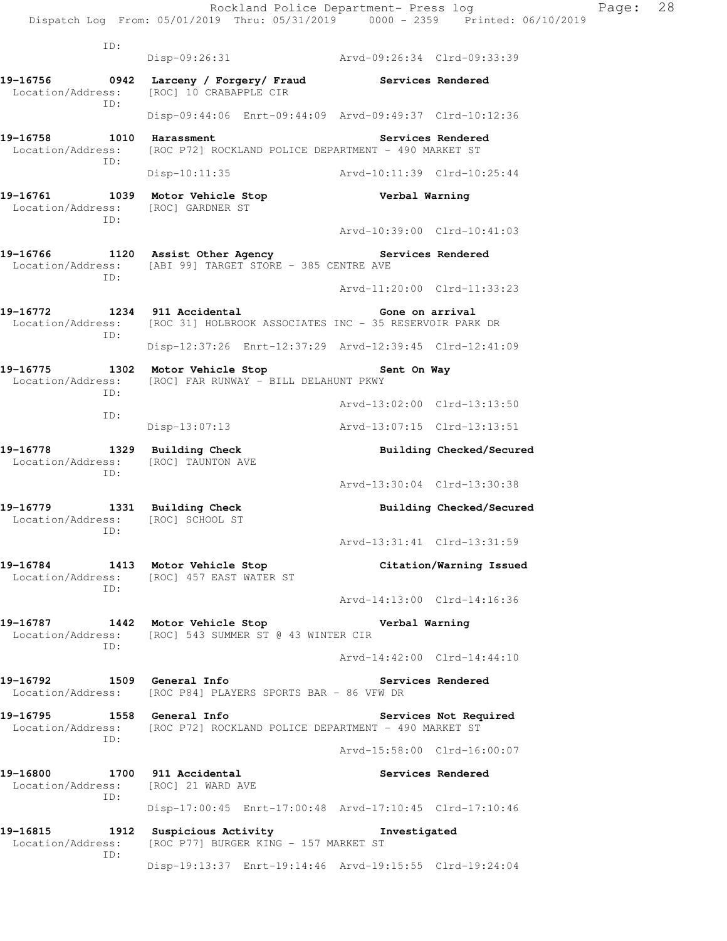ID: Disp-09:26:31 Arvd-09:26:34 Clrd-09:33:39 **19-16756 0942 Larceny / Forgery/ Fraud Services Rendered**  Location/Address: [ROC] 10 CRABAPPLE CIR ID: Disp-09:44:06 Enrt-09:44:09 Arvd-09:49:37 Clrd-10:12:36 19-16758 1010 Harassment **19-16758** Services Rendered Location/Address: [ROC P72] ROCKLAND POLICE DEPARTMENT - 490 MARKET ST ID: Disp-10:11:35 Arvd-10:11:39 Clrd-10:25:44 **19-16761 1039 Motor Vehicle Stop Verbal Warning**  Location/Address: [ROC] GARDNER ST ID: Arvd-10:39:00 Clrd-10:41:03 **19-16766 1120 Assist Other Agency Services Rendered**  Location/Address: [ABI 99] TARGET STORE - 385 CENTRE AVE ID: Arvd-11:20:00 Clrd-11:33:23 **19-16772 1234 911 Accidental Gone on arrival**  Location/Address: [ROC 31] HOLBROOK ASSOCIATES INC - 35 RESERVOIR PARK DR ID: Disp-12:37:26 Enrt-12:37:29 Arvd-12:39:45 Clrd-12:41:09 **19-16775 1302 Motor Vehicle Stop Sent On Way**  Location/Address: [ROC] FAR RUNWAY - BILL DELAHUNT PKWY ID: Arvd-13:02:00 Clrd-13:13:50 ID: Disp-13:07:13 Arvd-13:07:15 Clrd-13:13:51 19-16778 1329 Building Check **Building Checked/Secured**  Location/Address: [ROC] TAUNTON AVE ID: Arvd-13:30:04 Clrd-13:30:38 19-16779 1331 Building Check **Building Checked/Secured**  Location/Address: [ROC] SCHOOL ST ID: Arvd-13:31:41 Clrd-13:31:59 **19-16784 1413 Motor Vehicle Stop Citation/Warning Issued**  Location/Address: [ROC] 457 EAST WATER ST ID: Arvd-14:13:00 Clrd-14:16:36 **19-16787 1442 Motor Vehicle Stop Verbal Warning**  Location/Address: [ROC] 543 SUMMER ST @ 43 WINTER CIR ID: Arvd-14:42:00 Clrd-14:44:10 **19-16792 1509 General Info Services Rendered**  Location/Address: [ROC P84] PLAYERS SPORTS BAR - 86 VFW DR **19-16795 1558 General Info Services Not Required**  Location/Address: [ROC P72] ROCKLAND POLICE DEPARTMENT - 490 MARKET ST ID: Arvd-15:58:00 Clrd-16:00:07 **19-16800 1700 911 Accidental Services Rendered**  Location/Address: [ROC] 21 WARD AVE ID: Disp-17:00:45 Enrt-17:00:48 Arvd-17:10:45 Clrd-17:10:46 **19-16815 1912 Suspicious Activity Investigated**  Location/Address: [ROC P77] BURGER KING - 157 MARKET ST ID: Disp-19:13:37 Enrt-19:14:46 Arvd-19:15:55 Clrd-19:24:04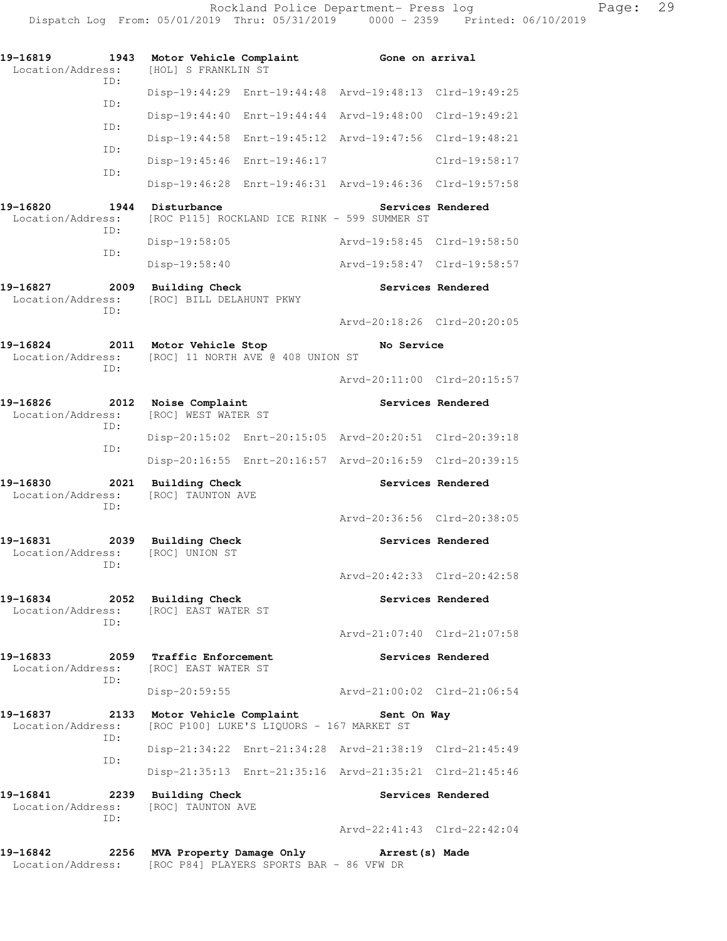| 19-16819<br>Location/Address:                     | 1943        |                                                              | [HOL] S FRANKLIN ST                        | Motor Vehicle Complaint                   | Gone on arrival                                         |                   |
|---------------------------------------------------|-------------|--------------------------------------------------------------|--------------------------------------------|-------------------------------------------|---------------------------------------------------------|-------------------|
|                                                   | ID:         |                                                              |                                            |                                           | Disp-19:44:29 Enrt-19:44:48 Arvd-19:48:13 Clrd-19:49:25 |                   |
|                                                   | ID:         |                                                              | Disp-19:44:40                              |                                           | Enrt-19:44:44 Arvd-19:48:00                             | Clrd-19:49:21     |
|                                                   | ID:         |                                                              |                                            | Disp-19:44:58 Enrt-19:45:12 Arvd-19:47:56 |                                                         | Clrd-19:48:21     |
|                                                   | ID:<br>ID:  |                                                              |                                            | Disp-19:45:46 Enrt-19:46:17               |                                                         | $Clrd-19:58:17$   |
|                                                   |             |                                                              |                                            |                                           | Disp-19:46:28 Enrt-19:46:31 Arvd-19:46:36 Clrd-19:57:58 |                   |
| 19-16820<br>Location/Address:                     | 1944<br>ID: | Disturbance                                                  |                                            |                                           | [ROC P115] ROCKLAND ICE RINK - 599 SUMMER ST            | Services Rendered |
|                                                   | ID:         |                                                              | Disp-19:58:05                              |                                           | Arvd-19:58:45 Clrd-19:58:50                             |                   |
|                                                   |             |                                                              | Disp-19:58:40                              |                                           | Arvd-19:58:47 Clrd-19:58:57                             |                   |
| 19-16827<br>Location/Address:                     | 2009<br>ID: |                                                              | <b>Building Check</b>                      | [ROC] BILL DELAHUNT PKWY                  |                                                         | Services Rendered |
|                                                   |             |                                                              |                                            |                                           | Arvd-20:18:26 Clrd-20:20:05                             |                   |
| 19-16824<br>Location/Address:                     | 2011<br>ID: |                                                              | Motor Vehicle Stop                         | [ROC] 11 NORTH AVE @ 408 UNION ST         | No Service                                              |                   |
|                                                   |             |                                                              |                                            |                                           | Arvd-20:11:00 Clrd-20:15:57                             |                   |
| 19-16826<br>Location/Address:                     | 2012<br>ID: |                                                              | Noise Complaint<br>[ROC] WEST WATER ST     |                                           |                                                         | Services Rendered |
|                                                   | ID:         |                                                              |                                            |                                           | Disp-20:15:02 Enrt-20:15:05 Arvd-20:20:51 Clrd-20:39:18 |                   |
|                                                   |             |                                                              |                                            |                                           | Disp-20:16:55 Enrt-20:16:57 Arvd-20:16:59 Clrd-20:39:15 |                   |
| 19-16830<br>2021<br>Location/Address:<br>ID:      |             |                                                              | <b>Building Check</b><br>[ROC] TAUNTON AVE |                                           |                                                         | Services Rendered |
|                                                   |             |                                                              |                                            |                                           | Arvd-20:36:56 Clrd-20:38:05                             |                   |
| 19-16831<br>Location/Address:                     | 2039<br>ID: |                                                              | <b>Building Check</b><br>[ROC] UNION ST    |                                           |                                                         | Services Rendered |
|                                                   |             |                                                              |                                            |                                           | Arvd-20:42:33 Clrd-20:42:58                             |                   |
| 19-16834                                          | ID:         | 2052 Building Check<br>Location/Address: [ROC] EAST WATER ST |                                            |                                           | Services Rendered                                       |                   |
|                                                   |             |                                                              |                                            |                                           | Arvd-21:07:40 Clrd-21:07:58                             |                   |
| 19-16833<br>Location/Address: [ROC] EAST WATER ST | ID:         |                                                              | 2059 Traffic Enforcement                   |                                           |                                                         | Services Rendered |
|                                                   |             |                                                              | $Disp-20:59:55$                            |                                           | Arvd-21:00:02 Clrd-21:06:54                             |                   |
| 19-16837<br>Location/Address:                     | ID:         |                                                              |                                            | [ROC P100] LUKE'S LIQUORS - 167 MARKET ST | 2133 Motor Vehicle Complaint Sent On Way                |                   |
|                                                   | ID:         |                                                              |                                            |                                           | Disp-21:34:22 Enrt-21:34:28 Arvd-21:38:19 Clrd-21:45:49 |                   |
|                                                   |             |                                                              |                                            |                                           | Disp-21:35:13 Enrt-21:35:16 Arvd-21:35:21 Clrd-21:45:46 |                   |
| 19-16841<br>2239<br>Location/Address:             | ID:         |                                                              | <b>Building Check</b><br>[ROC] TAUNTON AVE |                                           |                                                         | Services Rendered |
|                                                   |             |                                                              |                                            |                                           | Arvd-22:41:43 Clrd-22:42:04                             |                   |
| 19-16842<br>Location/Address:                     |             |                                                              |                                            | [ROC P84] PLAYERS SPORTS BAR - 86 VFW DR  | 2256 MVA Property Damage Only Marrest (s) Made          |                   |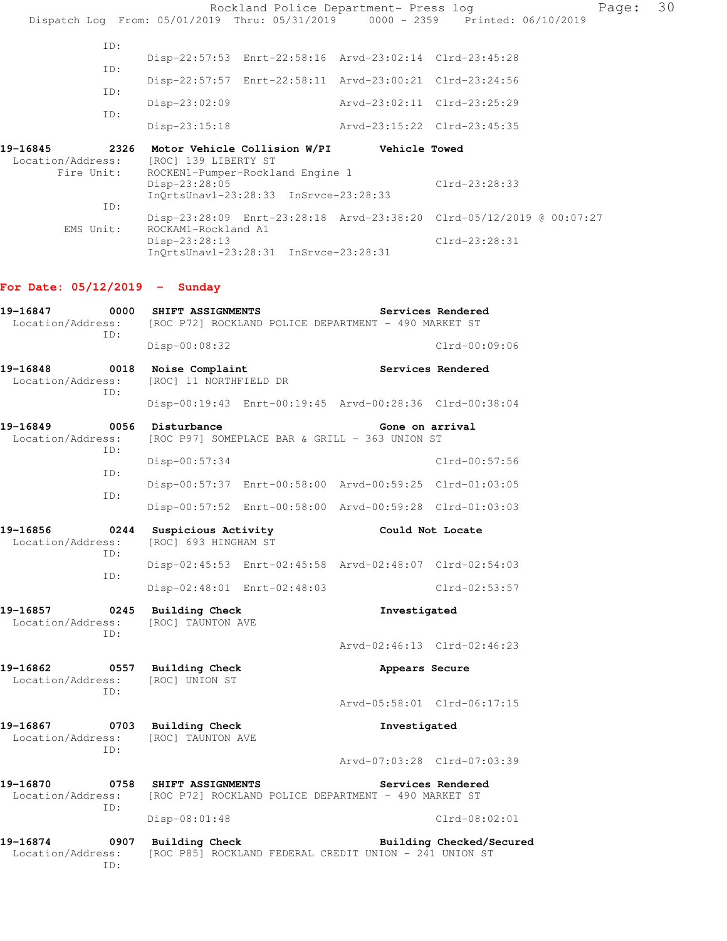Rockland Police Department- Press log Page: 30 Dispatch Log From: 05/01/2019 Thru: 05/31/2019 0000 - 2359 Printed: 06/10/2019 ID: Disp-22:57:53 Enrt-22:58:16 Arvd-23:02:14 Clrd-23:45:28 ID: Disp-22:57:57 Enrt-22:58:11 Arvd-23:00:21 Clrd-23:24:56 ID: Disp-23:02:09 Arvd-23:02:11 Clrd-23:25:29 ID: Disp-23:15:18 Arvd-23:15:22 Clrd-23:45:35 **19-16845 2326 Motor Vehicle Collision W/PI Vehicle Towed**  Location/Address: [ROC] 139 LIBERTY ST Fire Unit: ROCKEN1-Pumper-Rockland Engine 1 Disp-23:28:05 Clrd-23:28:33 InQrtsUnavl-23:28:33 InSrvce-23:28:33 ID: Disp-23:28:09 Enrt-23:28:18 Arvd-23:38:20 Clrd-05/12/2019 @ 00:07:27 EMS Unit: ROCKAM1-Rockland A1<br>Disp-23:28:13 Clrd-23:28:31 InQrtsUnavl-23:28:31 InSrvce-23:28:31

## **For Date: 05/12/2019 - Sunday**

| 19-16847<br>Location/Address:                | 0000<br>ID: | SHIFT ASSIGNMENTS<br>Services Rendered<br>[ROC P72] ROCKLAND POLICE DEPARTMENT - 490 MARKET ST |                             |                                                         |                             |
|----------------------------------------------|-------------|------------------------------------------------------------------------------------------------|-----------------------------|---------------------------------------------------------|-----------------------------|
|                                              |             | Disp-00:08:32                                                                                  |                             |                                                         | Clrd-00:09:06               |
| 19-16848<br>0018<br>Location/Address:        | ID:         | Noise Complaint<br>[ROC] 11 NORTHFIELD DR                                                      |                             |                                                         | Services Rendered           |
|                                              |             |                                                                                                |                             | Disp-00:19:43 Enrt-00:19:45 Arvd-00:28:36 Clrd-00:38:04 |                             |
| 19-16849<br>Location/Address:                | 0056<br>TD: | Disturbance<br>Gone on arrival<br>[ROC P97] SOMEPLACE BAR & GRILL - 363 UNION ST               |                             |                                                         |                             |
|                                              |             | $Disp-00:57:34$                                                                                |                             |                                                         | Clrd-00:57:56               |
|                                              | TD:         |                                                                                                |                             | Disp-00:57:37 Enrt-00:58:00 Arvd-00:59:25 Clrd-01:03:05 |                             |
|                                              | ID:         |                                                                                                |                             | Disp-00:57:52 Enrt-00:58:00 Arvd-00:59:28 Clrd-01:03:03 |                             |
| 19-16856<br>Location/Address:                | 0244<br>TD: | Suspicious Activity<br>[ROC] 693 HINGHAM ST                                                    |                             | Could Not Locate                                        |                             |
|                                              |             |                                                                                                |                             | Disp-02:45:53 Enrt-02:45:58 Arvd-02:48:07 Clrd-02:54:03 |                             |
|                                              | TD:         |                                                                                                | Disp-02:48:01 Enrt-02:48:03 |                                                         | $Clrd-02:53:57$             |
| 19-16857<br>Location/Address:                | 0245<br>ID: | Building Check<br>[ROC] TAUNTON AVE                                                            |                             | Investigated                                            |                             |
|                                              |             |                                                                                                |                             | Arvd-02:46:13 Clrd-02:46:23                             |                             |
| 19-16862<br>Location/Address:                | ID:         | 0557 Building Check<br>[ROC] UNION ST                                                          |                             | Appears Secure                                          |                             |
|                                              |             |                                                                                                |                             | Arvd-05:58:01 Clrd-06:17:15                             |                             |
| 19-16867<br>Location/Address:                |             | 0703 Building Check<br>[ROC] TAUNTON AVE                                                       |                             | Investigated                                            |                             |
|                                              | TD:         |                                                                                                |                             |                                                         | Arvd-07:03:28 Clrd-07:03:39 |
| 19-16870<br>Location/Address:                | TD:         | 0758 SHIFT ASSIGNMENTS                                                                         |                             | [ROC P72] ROCKLAND POLICE DEPARTMENT - 490 MARKET ST    | Services Rendered           |
|                                              |             | Disp-08:01:48                                                                                  |                             |                                                         | $Clrd-08:02:01$             |
| 0907<br>19-16874<br>Location/Address:<br>TD: |             | Building Check                                                                                 |                             | [ROC P85] ROCKLAND FEDERAL CREDIT UNION - 241 UNION ST  | Building Checked/Secured    |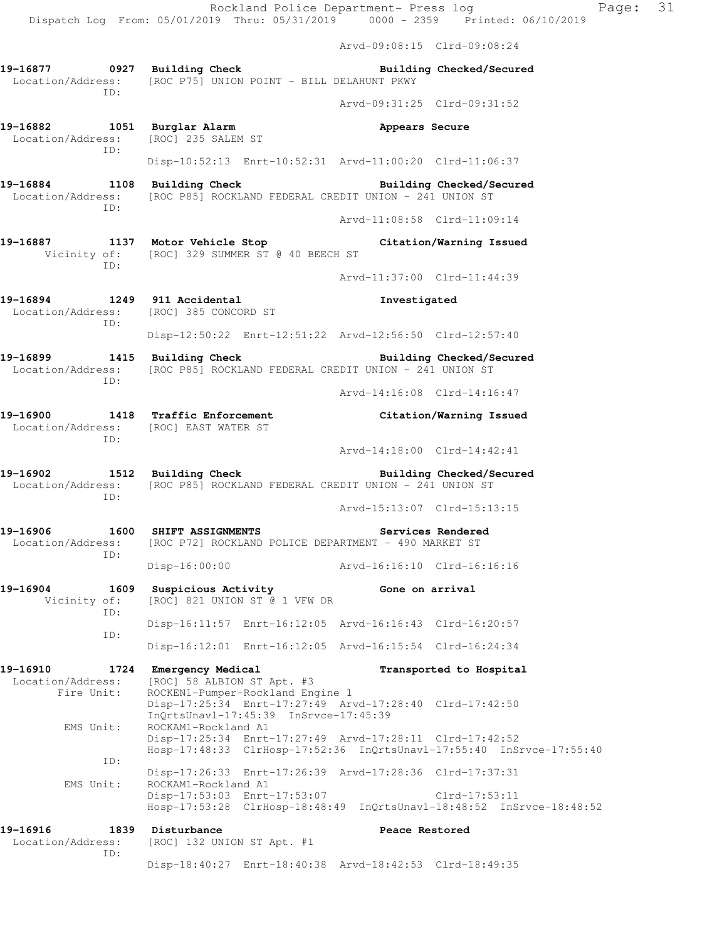Arvd-09:08:15 Clrd-09:08:24

**19-16877 0927 Building Check Building Checked/Secured**  Location/Address: [ROC P75] UNION POINT - BILL DELAHUNT PKWY ID: Arvd-09:31:25 Clrd-09:31:52 **19-16882 1051 Burglar Alarm Appears Secure**  Location/Address: [ROC] 235 SALEM ST ID: Disp-10:52:13 Enrt-10:52:31 Arvd-11:00:20 Clrd-11:06:37 **19-16884 1108 Building Check Building Checked/Secured**  Location/Address: [ROC P85] ROCKLAND FEDERAL CREDIT UNION - 241 UNION ST ID: Arvd-11:08:58 Clrd-11:09:14 **19-16887 1137 Motor Vehicle Stop Citation/Warning Issued**  Vicinity of: [ROC] 329 SUMMER ST @ 40 BEECH ST ID: Arvd-11:37:00 Clrd-11:44:39 **19-16894 1249 911 Accidental Investigated**  Location/Address: [ROC] 385 CONCORD ST ID: Disp-12:50:22 Enrt-12:51:22 Arvd-12:56:50 Clrd-12:57:40 **19-16899 1415 Building Check Building Checked/Secured**  Location/Address: [ROC P85] ROCKLAND FEDERAL CREDIT UNION - 241 UNION ST ID: Arvd-14:16:08 Clrd-14:16:47 **19-16900 1418 Traffic Enforcement Citation/Warning Issued**  Location/Address: [ROC] EAST WATER ST ID: Arvd-14:18:00 Clrd-14:42:41 **19-16902 1512 Building Check Building Checked/Secured**  Location/Address: [ROC P85] ROCKLAND FEDERAL CREDIT UNION - 241 UNION ST ID: Arvd-15:13:07 Clrd-15:13:15 **19-16906 1600 SHIFT ASSIGNMENTS Services Rendered**  Location/Address: [ROC P72] ROCKLAND POLICE DEPARTMENT - 490 MARKET ST ID: Disp-16:00:00 Arvd-16:16:10 Clrd-16:16:16 **19-16904 1609 Suspicious Activity Gone on arrival**  Vicinity of: [ROC] 821 UNION ST @ 1 VFW DR ID: Disp-16:11:57 Enrt-16:12:05 Arvd-16:16:43 Clrd-16:20:57 ID: Disp-16:12:01 Enrt-16:12:05 Arvd-16:15:54 Clrd-16:24:34 **19-16910 1724 Emergency Medical Transported to Hospital**  Location/Address: [ROC] 58 ALBION ST Apt. #3 Fire Unit: ROCKEN1-Pumper-Rockland Engine 1 Disp-17:25:34 Enrt-17:27:49 Arvd-17:28:40 Clrd-17:42:50 InQrtsUnavl-17:45:39 InSrvce-17:45:39 EMS Unit: ROCKAM1-Rockland A1 Disp-17:25:34 Enrt-17:27:49 Arvd-17:28:11 Clrd-17:42:52 Hosp-17:48:33 ClrHosp-17:52:36 InQrtsUnavl-17:55:40 InSrvce-17:55:40 ID: Disp-17:26:33 Enrt-17:26:39 Arvd-17:28:36 Clrd-17:37:31 EMS Unit: ROCKAM1-Rockland A1 Disp-17:53:03 Enrt-17:53:07 Clrd-17:53:11 Hosp-17:53:28 ClrHosp-18:48:49 InQrtsUnavl-18:48:52 InSrvce-18:48:52 **19-16916 1839 Disturbance Peace Restored**  Location/Address: [ROC] 132 UNION ST Apt. #1 ID: Disp-18:40:27 Enrt-18:40:38 Arvd-18:42:53 Clrd-18:49:35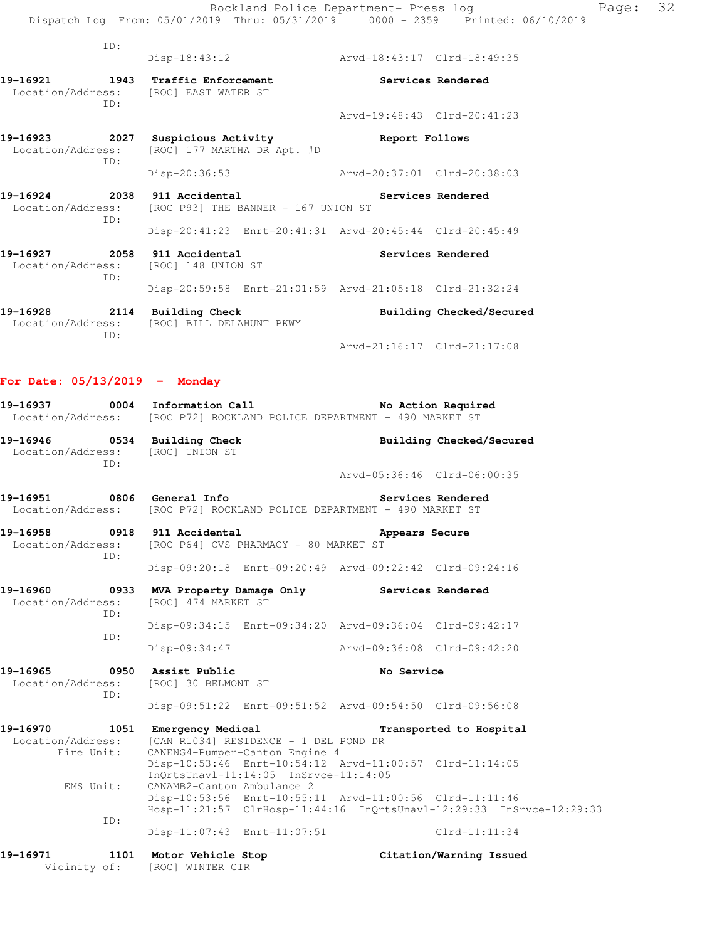| TD:                                                                               |                                                                            |                             |                          |  |
|-----------------------------------------------------------------------------------|----------------------------------------------------------------------------|-----------------------------|--------------------------|--|
|                                                                                   | $Disp-18:43:12$                                                            | Arvd-18:43:17 Clrd-18:49:35 |                          |  |
| 19-16921 1943 Traffic Enforcement<br>Location/Address: [ROC] EAST WATER ST<br>TD: |                                                                            |                             | Services Rendered        |  |
|                                                                                   |                                                                            | Arvd-19:48:43 Clrd-20:41:23 |                          |  |
| 19-16923 2027 Suspicious Activity<br>ID:                                          | Location/Address: [ROC] 177 MARTHA DR Apt. #D                              | Report Follows              |                          |  |
|                                                                                   | Disp-20:36:53                                                              | Arvd-20:37:01 Clrd-20:38:03 |                          |  |
| 19-16924 2038 911 Accidental<br>TD:                                               | Services Rendered<br>Location/Address: [ROC P93] THE BANNER - 167 UNION ST |                             |                          |  |
|                                                                                   | Disp-20:41:23 Enrt-20:41:31 Arvd-20:45:44 Clrd-20:45:49                    |                             |                          |  |
| 19-16927 2058 911 Accidental<br>Location/Address: [ROC] 148 UNION ST<br>ID:       |                                                                            |                             | Services Rendered        |  |
|                                                                                   | Disp-20:59:58 Enrt-21:01:59 Arvd-21:05:18 Clrd-21:32:24                    |                             |                          |  |
| 19-16928 2114 Building Check<br>ID:                                               | Location/Address: [ROC] BILL DELAHUNT PKWY                                 |                             | Building Checked/Secured |  |
|                                                                                   |                                                                            | Arvd-21:16:17 Clrd-21:17:08 |                          |  |

## **For Date: 05/13/2019 - Monday**

|                                           |     |                                                                                         | 19-16937 0004 Information Call <b>No Action Required</b><br>Location/Address: [ROC P72] ROCKLAND POLICE DEPARTMENT - 490 MARKET ST |                          |
|-------------------------------------------|-----|-----------------------------------------------------------------------------------------|------------------------------------------------------------------------------------------------------------------------------------|--------------------------|
|                                           | TD: | 19-16946 0534 Building Check<br>Location/Address: [ROC] UNION ST                        |                                                                                                                                    | Building Checked/Secured |
|                                           |     |                                                                                         | Arvd-05:36:46 Clrd-06:00:35                                                                                                        |                          |
|                                           |     | 19-16951 0806 General Info                                                              | Services Rendered<br>Location/Address: [ROC P72] ROCKLAND POLICE DEPARTMENT - 490 MARKET ST                                        |                          |
|                                           | ID: | 19-16958 0918 911 Accidental<br>Location/Address: [ROC P64] CVS PHARMACY - 80 MARKET ST | Appears Secure                                                                                                                     |                          |
|                                           |     |                                                                                         | Disp-09:20:18 Enrt-09:20:49 Arvd-09:22:42 Clrd-09:24:16                                                                            |                          |
| 19-16960 0933<br>Location/Address:<br>ID: |     | MVA Property Damage Only<br>[ROC] 474 MARKET ST                                         | <b>Services Rendered</b>                                                                                                           |                          |
|                                           | TD: |                                                                                         | Disp-09:34:15 Enrt-09:34:20 Arvd-09:36:04 Clrd-09:42:17                                                                            |                          |
|                                           |     | Disp-09:34:47                                                                           | Arvd-09:36:08 Clrd-09:42:20                                                                                                        |                          |
|                                           | TD: | 19-16965 0950 Assist Public<br>Location/Address: [ROC] 30 BELMONT ST                    | No Service                                                                                                                         |                          |

|                   | Disp-09:51:22 Enrt-09:51:52 Arvd-09:54:50 Clrd-09:56:08              |                         |  |
|-------------------|----------------------------------------------------------------------|-------------------------|--|
| 19-16970<br>1051  | Emergency Medical                                                    | Transported to Hospital |  |
| Location/Address: | [CAN R1034] RESIDENCE - 1 DEL POND DR                                |                         |  |
|                   | Fire Unit: CANENG4-Pumper-Canton Engine 4                            |                         |  |
|                   | Disp-10:53:46 Enrt-10:54:12 Arvd-11:00:57 Clrd-11:14:05              |                         |  |
|                   | $InOrtsUnav1-11:14:05$ $InStvce-11:14:05$                            |                         |  |
| EMS Unit:         | CANAMB2-Canton Ambulance 2                                           |                         |  |
|                   | Disp-10:53:56 Enrt-10:55:11 Arvd-11:00:56 Clrd-11:11:46              |                         |  |
|                   | Hosp-11:21:57 ClrHosp-11:44:16 InOrtsUnavl-12:29:33 InSrvce-12:29:33 |                         |  |
| ID:               |                                                                      |                         |  |

Disp-11:07:43 Enrt-11:07:51 Clrd-11:11:34

| 19-16971     | 1101 | Motor Vehicle Stop | Citation/Warning Issued |
|--------------|------|--------------------|-------------------------|
| Vicinity of: |      | [ROC] WINTER CIR   |                         |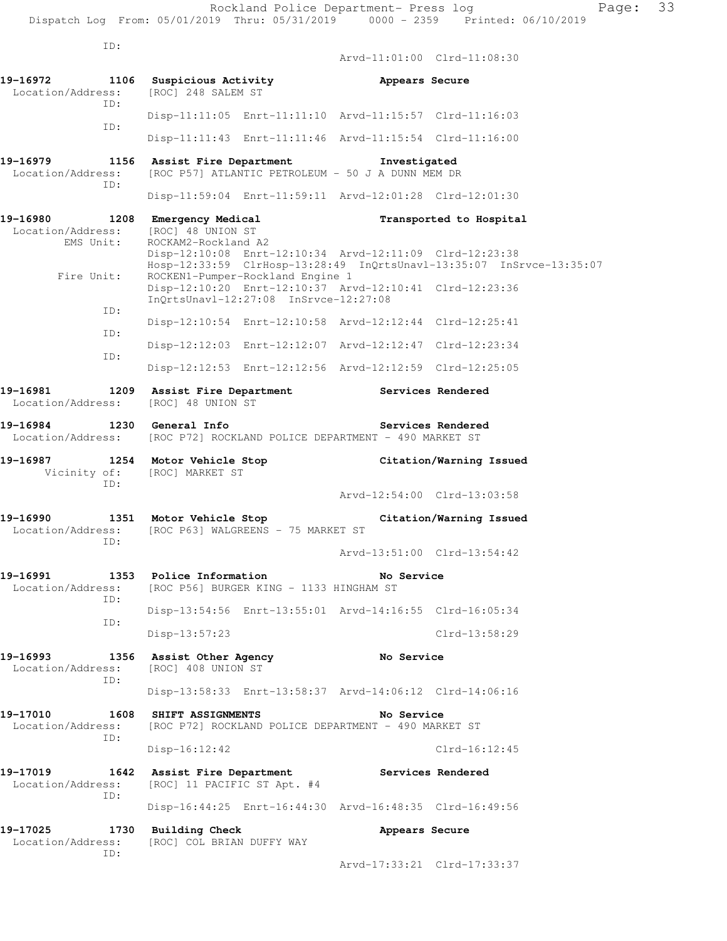ID:

 Arvd-11:01:00 Clrd-11:08:30 **19-16972 1106 Suspicious Activity Appears Secure**  Location/Address: [ROC] 248 SALEM ST ID: Disp-11:11:05 Enrt-11:11:10 Arvd-11:15:57 Clrd-11:16:03 ID: Disp-11:11:43 Enrt-11:11:46 Arvd-11:15:54 Clrd-11:16:00 **19-16979 1156 Assist Fire Department Investigated**  Location/Address: [ROC P57] ATLANTIC PETROLEUM - 50 J A DUNN MEM DR ID: Disp-11:59:04 Enrt-11:59:11 Arvd-12:01:28 Clrd-12:01:30 **19-16980 1208 Emergency Medical Transported to Hospital**  Location/Address: [ROC] 48 UNION ST<br>EMS Unit: ROCKAM2-Rockland. ROCKAM2-Rockland A2 Disp-12:10:08 Enrt-12:10:34 Arvd-12:11:09 Clrd-12:23:38 Hosp-12:33:59 ClrHosp-13:28:49 InQrtsUnavl-13:35:07 InSrvce-13:35:07 Fire Unit: ROCKEN1-Pumper-Rockland Engine 1 Disp-12:10:20 Enrt-12:10:37 Arvd-12:10:41 Clrd-12:23:36 InQrtsUnavl-12:27:08 InSrvce-12:27:08 ID: Disp-12:10:54 Enrt-12:10:58 Arvd-12:12:44 Clrd-12:25:41 ID: Disp-12:12:03 Enrt-12:12:07 Arvd-12:12:47 Clrd-12:23:34 ID: Disp-12:12:53 Enrt-12:12:56 Arvd-12:12:59 Clrd-12:25:05 **19-16981 1209 Assist Fire Department Services Rendered**  Location/Address: [ROC] 48 UNION ST **19-16984 1230 General Info Services Rendered**  Location/Address: [ROC P72] ROCKLAND POLICE DEPARTMENT - 490 MARKET ST **19-16987 1254 Motor Vehicle Stop Citation/Warning Issued** Vicinity of: [ROC] MARKET ST Vicinity of: [ROC] MARKET ST ID: Arvd-12:54:00 Clrd-13:03:58 **19-16990 1351 Motor Vehicle Stop Citation/Warning Issued**  Location/Address: [ROC P63] WALGREENS - 75 MARKET ST ID: Arvd-13:51:00 Clrd-13:54:42 **19-16991 1353 Police Information No Service**  Location/Address: [ROC P56] BURGER KING - 1133 HINGHAM ST ID: Disp-13:54:56 Enrt-13:55:01 Arvd-14:16:55 Clrd-16:05:34 ID: Disp-13:57:23 Clrd-13:58:29 19-16993 1356 Assist Other Agency **No Service** Location/Address: [ROC] 408 UNION ST ID: Disp-13:58:33 Enrt-13:58:37 Arvd-14:06:12 Clrd-14:06:16 **19-17010 1608 SHIFT ASSIGNMENTS No Service**  Location/Address: [ROC P72] ROCKLAND POLICE DEPARTMENT - 490 MARKET ST ID: Disp-16:12:42 Clrd-16:12:45 19-17019 **1642** Assist Fire Department Services Rendered Location/Address: [ROC] 11 PACIFIC ST Apt. #4 ID: Disp-16:44:25 Enrt-16:44:30 Arvd-16:48:35 Clrd-16:49:56 **19-17025 1730 Building Check Appears Secure**  Location/Address: [ROC] COL BRIAN DUFFY WAY ID:

Arvd-17:33:21 Clrd-17:33:37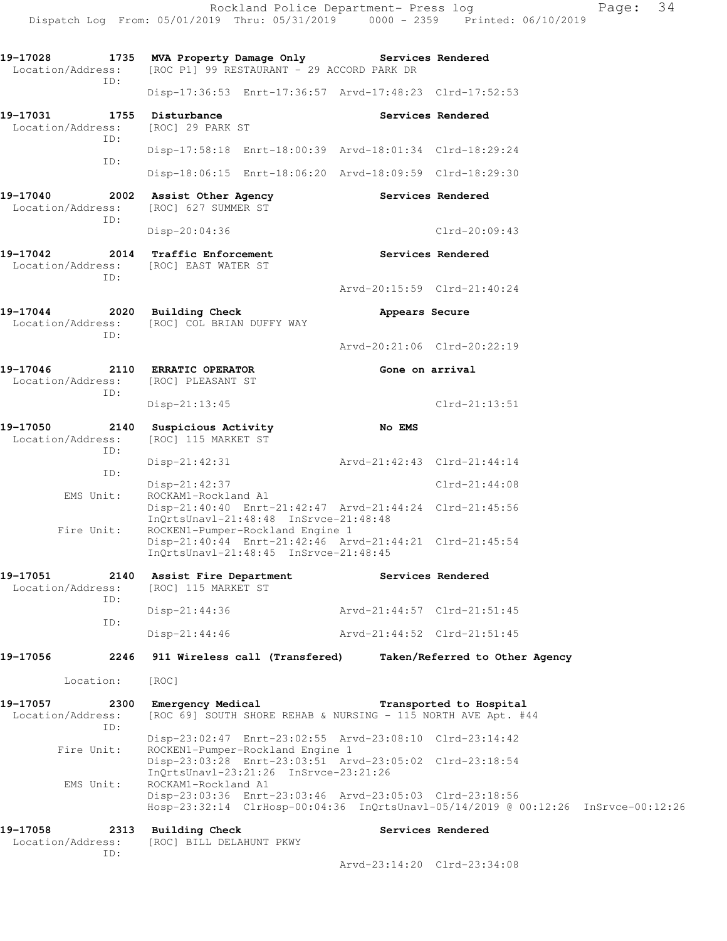**19-17028 1735 MVA Property Damage Only Services Rendered**  Location/Address: [ROC P1] 99 RESTAURANT - 29 ACCORD PARK DR ID: Disp-17:36:53 Enrt-17:36:57 Arvd-17:48:23 Clrd-17:52:53 19-17031 1755 Disturbance **1756** Services Rendered Location/Address: [ROC] 29 PARK ST ID: Disp-17:58:18 Enrt-18:00:39 Arvd-18:01:34 Clrd-18:29:24 ID: Disp-18:06:15 Enrt-18:06:20 Arvd-18:09:59 Clrd-18:29:30 **19-17040 2002 Assist Other Agency Services Rendered**  Location/Address: [ROC] 627 SUMMER ST ID: Disp-20:04:36 Clrd-20:09:43 **19-17042 2014 Traffic Enforcement Services Rendered**  Location/Address: [ROC] EAST WATER ST ID: Arvd-20:15:59 Clrd-21:40:24 **19-17044 2020 Building Check Appears Secure**  Location/Address: [ROC] COL BRIAN DUFFY WAY ID: Arvd-20:21:06 Clrd-20:22:19 **19-17046 2110 ERRATIC OPERATOR Gone on arrival**  Location/Address: [ROC] PLEASANT ST ID: Disp-21:13:45 Clrd-21:13:51 **19-17050 2140 Suspicious Activity No EMS**  Location/Address: [ROC] 115 MARKET ST ID: Disp-21:42:31 Arvd-21:42:43 Clrd-21:44:14 ID: Disp-21:42:37 Clrd-21:44:08<br>EMS Unit: ROCKAM1-Rockland A1 ROCKAM1-Rockland A1 Disp-21:40:40 Enrt-21:42:47 Arvd-21:44:24 Clrd-21:45:56 InQrtsUnavl-21:48:48 InSrvce-21:48:48 Fire Unit: ROCKEN1-Pumper-Rockland Engine 1 Disp-21:40:44 Enrt-21:42:46 Arvd-21:44:21 Clrd-21:45:54 InQrtsUnavl-21:48:45 InSrvce-21:48:45 **19-17051 2140 Assist Fire Department Services Rendered**  Location/Address: [ROC] 115 MARKET ST ID: Disp-21:44:36 Arvd-21:44:57 Clrd-21:51:45 ID: Disp-21:44:46 Arvd-21:44:52 Clrd-21:51:45 **19-17056 2246 911 Wireless call (Transfered) Taken/Referred to Other Agency**  Location: [ROC] **19-17057 2300 Emergency Medical Transported to Hospital**  Location/Address: [ROC 69] SOUTH SHORE REHAB & NURSING - 115 NORTH AVE Apt. #44 ID: Disp-23:02:47 Enrt-23:02:55 Arvd-23:08:10 Clrd-23:14:42 Fire Unit: ROCKEN1-Pumper-Rockland Engine 1 Disp-23:03:28 Enrt-23:03:51 Arvd-23:05:02 Clrd-23:18:54 InQrtsUnavl-23:21:26 InSrvce-23:21:26 EMS Unit: ROCKAM1-Rockland A1 Disp-23:03:36 Enrt-23:03:46 Arvd-23:05:03 Clrd-23:18:56 Hosp-23:32:14 ClrHosp-00:04:36 InQrtsUnavl-05/14/2019 @ 00:12:26 InSrvce-00:12:26 **19-17058 2313 Building Check Services Rendered**  Location/Address: [ROC] BILL DELAHUNT PKWY

Dispatch Log From: 05/01/2019 Thru: 05/31/2019 0000 - 2359 Printed: 06/10/2019

ID:

Arvd-23:14:20 Clrd-23:34:08

Rockland Police Department- Press log Fage: 34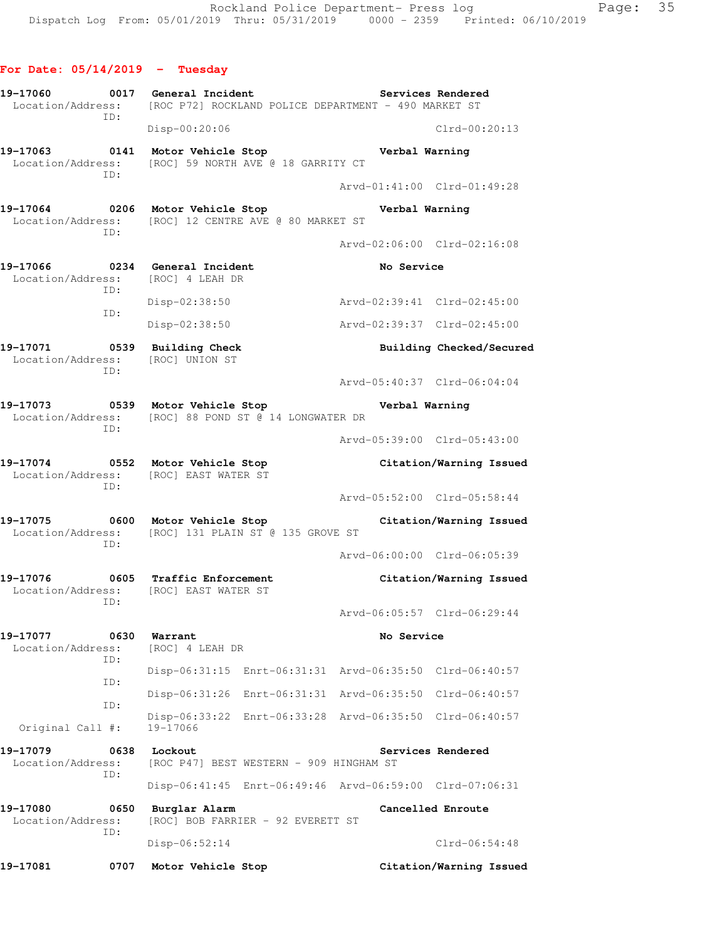- **For Date: 05/14/2019 Tuesday 19-17060 0017 General Incident Services Rendered**  Location/Address: [ROC P72] ROCKLAND POLICE DEPARTMENT - 490 MARKET ST ID: Disp-00:20:06 Clrd-00:20:13 **19-17063 0141 Motor Vehicle Stop Verbal Warning**  Location/Address: [ROC] 59 NORTH AVE @ 18 GARRITY CT ID: Arvd-01:41:00 Clrd-01:49:28 **19-17064 0206 Motor Vehicle Stop Verbal Warning**  Location/Address: [ROC] 12 CENTRE AVE @ 80 MARKET ST ID: Arvd-02:06:00 Clrd-02:16:08 **19-17066 0234 General Incident No Service**  Location/Address: [ROC] 4 LEAH DR ID: Disp-02:38:50 Arvd-02:39:41 Clrd-02:45:00 ID: Disp-02:38:50 Arvd-02:39:37 Clrd-02:45:00 **19-17071 0539 Building Check Building Checked/Secured**  Location/Address: [ROC] UNION ST ID: Arvd-05:40:37 Clrd-06:04:04 **19-17073 0539 Motor Vehicle Stop Verbal Warning**  Location/Address: [ROC] 88 POND ST @ 14 LONGWATER DR ID: Arvd-05:39:00 Clrd-05:43:00 **19-17074 0552 Motor Vehicle Stop Citation/Warning Issued**  Location/Address: [ROC] EAST WATER ST ID: Arvd-05:52:00 Clrd-05:58:44 **19-17075 0600 Motor Vehicle Stop Citation/Warning Issued**  Location/Address: [ROC] 131 PLAIN ST @ 135 GROVE ST ID: Arvd-06:00:00 Clrd-06:05:39
- **19-17076 0605 Traffic Enforcement Citation/Warning Issued**  Location/Address: [ROC] EAST WATER ST ID: Arvd-06:05:57 Clrd-06:29:44 **19-17077 0630 Warrant No Service**  Location/Address: [ROC] 4 LEAH DR ID:
- Disp-06:31:15 Enrt-06:31:31 Arvd-06:35:50 Clrd-06:40:57 ID: Disp-06:31:26 Enrt-06:31:31 Arvd-06:35:50 Clrd-06:40:57 ID: Disp-06:33:22 Enrt-06:33:28 Arvd-06:35:50 Clrd-06:40:57 Original Call #: 19-17066
- 19-17079 0638 Lockout **Services Rendered**  Location/Address: [ROC P47] BEST WESTERN - 909 HINGHAM ST ID:
- Disp-06:41:45 Enrt-06:49:46 Arvd-06:59:00 Clrd-07:06:31 **19-17080 0650 Burglar Alarm Cancelled Enroute**  Location/Address: [ROC] BOB FARRIER - 92 EVERETT ST ID:

Disp-06:52:14 Clrd-06:54:48

**19-17081 0707 Motor Vehicle Stop Citation/Warning Issued**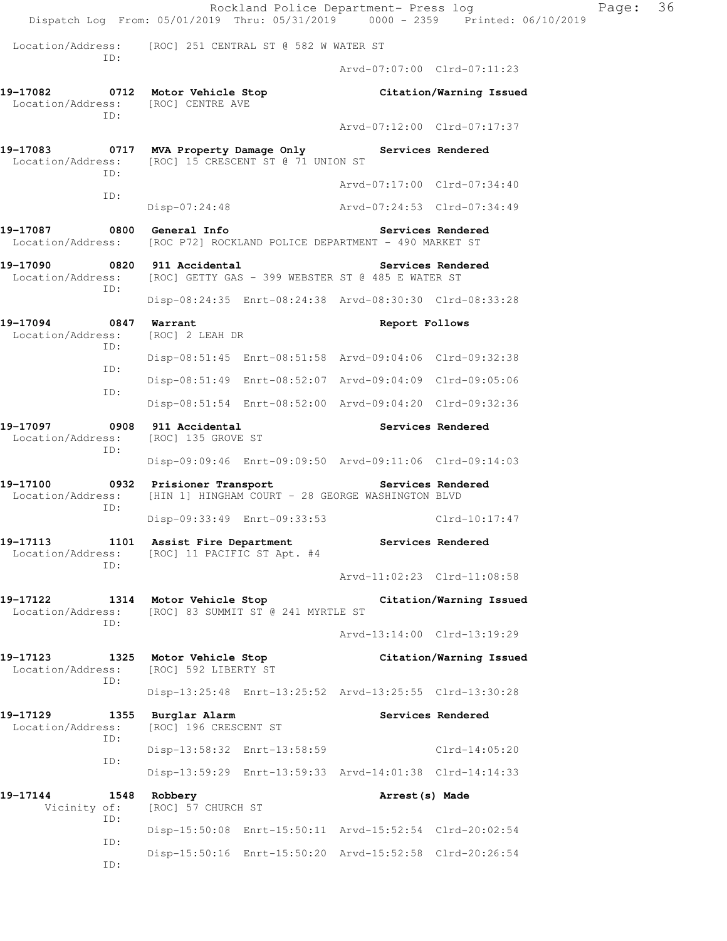|                                                                                |             |                                                            |                                    | Rockland Police Department- Press log                                  | Dispatch Log From: 05/01/2019 Thru: 05/31/2019 0000 - 2359 Printed: 06/10/2019 | Page: 36 |  |
|--------------------------------------------------------------------------------|-------------|------------------------------------------------------------|------------------------------------|------------------------------------------------------------------------|--------------------------------------------------------------------------------|----------|--|
| Location/Address:                                                              |             | [ROC] 251 CENTRAL ST @ 582 W WATER ST                      |                                    |                                                                        |                                                                                |          |  |
| ID:                                                                            |             |                                                            |                                    | Arvd-07:07:00 Clrd-07:11:23                                            |                                                                                |          |  |
| Location/Address: [ROC] CENTRE AVE<br>ID:                                      |             | 19-17082 0712 Motor Vehicle Stop                           |                                    |                                                                        | Citation/Warning Issued                                                        |          |  |
|                                                                                |             |                                                            |                                    | Arvd-07:12:00 Clrd-07:17:37                                            |                                                                                |          |  |
| 19-17083<br>Location/Address: [ROC] 15 CRESCENT ST @ 71 UNION ST<br>ID:<br>ID: |             |                                                            |                                    | 0717 MVA Property Damage Only Services Rendered                        |                                                                                |          |  |
|                                                                                |             |                                                            |                                    | Arvd-07:17:00 Clrd-07:34:40                                            |                                                                                |          |  |
|                                                                                |             | Disp-07:24:48                                              |                                    | Arvd-07:24:53 Clrd-07:34:49                                            |                                                                                |          |  |
| 19-17087 0800 General Info                                                     |             |                                                            |                                    | Location/Address: [ROC P72] ROCKLAND POLICE DEPARTMENT - 490 MARKET ST | Services Rendered                                                              |          |  |
| 19-17090 0820 911 Accidental                                                   | ID:         |                                                            |                                    | Location/Address: [ROC] GETTY GAS - 399 WEBSTER ST @ 485 E WATER ST    | Services Rendered                                                              |          |  |
|                                                                                |             |                                                            |                                    | Disp-08:24:35 Enrt-08:24:38 Arvd-08:30:30 Clrd-08:33:28                |                                                                                |          |  |
| 19-17094<br>Location/Address:<br>ID:                                           |             | 0847 Warrant<br>[ROC] 2 LEAH DR                            |                                    | Report Follows                                                         |                                                                                |          |  |
|                                                                                | ID:         |                                                            |                                    | Disp-08:51:45 Enrt-08:51:58 Arvd-09:04:06 Clrd-09:32:38                |                                                                                |          |  |
|                                                                                | ID:         |                                                            |                                    | Disp-08:51:49 Enrt-08:52:07 Arvd-09:04:09 Clrd-09:05:06                |                                                                                |          |  |
|                                                                                |             |                                                            |                                    | Disp-08:51:54 Enrt-08:52:00 Arvd-09:04:20 Clrd-09:32:36                |                                                                                |          |  |
| 19-17097<br>Location/Address: [ROC] 135 GROVE ST<br>ID:                        |             | 0908 911 Accidental                                        |                                    |                                                                        | Services Rendered                                                              |          |  |
|                                                                                |             |                                                            |                                    | Disp-09:09:46 Enrt-09:09:50 Arvd-09:11:06 Clrd-09:14:03                |                                                                                |          |  |
| 19-17100 0932 Prisioner Transport Services Rendered<br>Location/Address:       | ID:         |                                                            |                                    | [HIN 1] HINGHAM COURT - 28 GEORGE WASHINGTON BLVD                      |                                                                                |          |  |
|                                                                                |             |                                                            | Disp-09:33:49 Enrt-09:33:53        |                                                                        | Clrd-10:17:47                                                                  |          |  |
| 19-17113<br>Location/Address:<br>ID:                                           |             | 1101 Assist Fire Department<br>[ROC] 11 PACIFIC ST Apt. #4 |                                    |                                                                        | Services Rendered                                                              |          |  |
|                                                                                |             |                                                            |                                    | Arvd-11:02:23 Clrd-11:08:58                                            |                                                                                |          |  |
| 19-17122<br>Location/Address:                                                  | ID:         | 1314 Motor Vehicle Stop                                    | [ROC] 83 SUMMIT ST @ 241 MYRTLE ST |                                                                        | Citation/Warning Issued                                                        |          |  |
|                                                                                |             |                                                            |                                    | Arvd-13:14:00 Clrd-13:19:29                                            |                                                                                |          |  |
| 19–17123<br>Location/Address:<br>ID:                                           |             | 1325 Motor Vehicle Stop<br>[ROC] 592 LIBERTY ST            |                                    |                                                                        | Citation/Warning Issued                                                        |          |  |
|                                                                                |             |                                                            |                                    | Disp-13:25:48 Enrt-13:25:52 Arvd-13:25:55 Clrd-13:30:28                |                                                                                |          |  |
| 19-17129<br>Location/Address:                                                  | 1355<br>ID: | Burglar Alarm<br>[ROC] 196 CRESCENT ST                     |                                    |                                                                        | Services Rendered                                                              |          |  |
|                                                                                | ID:         |                                                            | Disp-13:58:32 Enrt-13:58:59        |                                                                        | Clrd-14:05:20                                                                  |          |  |
|                                                                                |             |                                                            |                                    | Disp-13:59:29 Enrt-13:59:33 Arvd-14:01:38 Clrd-14:14:33                |                                                                                |          |  |
| 19-17144<br>Vicinity of:                                                       | ID:         | 1548 Robbery<br>[ROC] 57 CHURCH ST                         |                                    | Arrest (s) Made                                                        |                                                                                |          |  |
|                                                                                | ID:         |                                                            |                                    | Disp-15:50:08 Enrt-15:50:11 Arvd-15:52:54 Clrd-20:02:54                |                                                                                |          |  |
|                                                                                | ID:         |                                                            |                                    | Disp-15:50:16 Enrt-15:50:20 Arvd-15:52:58 Clrd-20:26:54                |                                                                                |          |  |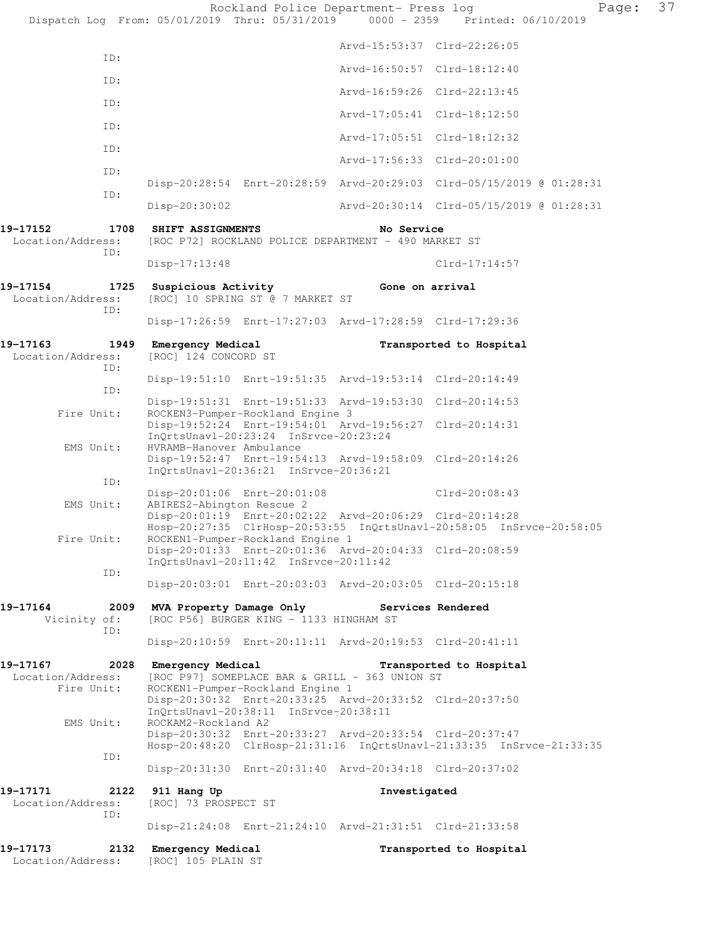Rockland Police Department- Press log Fage: 37 Dispatch Log From: 05/01/2019 Thru: 05/31/2019 0000 - 2359 Printed: 06/10/2019 Arvd-15:53:37 Clrd-22:26:05 ID: Arvd-16:50:57 Clrd-18:12:40 ID: Arvd-16:59:26 Clrd-22:13:45 ID: Arvd-17:05:41 Clrd-18:12:50 ID: Arvd-17:05:51 Clrd-18:12:32 ID: Arvd-17:56:33 Clrd-20:01:00 ID: Disp-20:28:54 Enrt-20:28:59 Arvd-20:29:03 Clrd-05/15/2019 @ 01:28:31 ID: Disp-20:30:02 Arvd-20:30:14 Clrd-05/15/2019 @ 01:28:31 **19-17152 1708 SHIFT ASSIGNMENTS No Service**  Location/Address: [ROC P72] ROCKLAND POLICE DEPARTMENT - 490 MARKET ST ID: Disp-17:13:48 Clrd-17:14:57 **19-17154 1725 Suspicious Activity Gone on arrival**  Location/Address: [ROC] 10 SPRING ST @ 7 MARKET ST ID: Disp-17:26:59 Enrt-17:27:03 Arvd-17:28:59 Clrd-17:29:36 **19-17163 1949 Emergency Medical Transported to Hospital**  Location/Address: [ROC] 124 CONCORD ST ID: Disp-19:51:10 Enrt-19:51:35 Arvd-19:53:14 Clrd-20:14:49 ID: Disp-19:51:31 Enrt-19:51:33 Arvd-19:53:30 Clrd-20:14:53 Fire Unit: ROCKEN3-Pumper-Rockland Engine 3 Disp-19:52:24 Enrt-19:54:01 Arvd-19:56:27 Clrd-20:14:31 InQrtsUnavl-20:23:24 InSrvce-20:23:24 EMS Unit: HVRAMB-Hanover Ambulance Disp-19:52:47 Enrt-19:54:13 Arvd-19:58:09 Clrd-20:14:26 InQrtsUnavl-20:36:21 InSrvce-20:36:21 ID: Disp-20:01:06 Enrt-20:01:08 Clrd-20:08:43 EMS Unit: ABIRES2-Abington Rescue 2 Disp-20:01:19 Enrt-20:02:22 Arvd-20:06:29 Clrd-20:14:28 Hosp-20:27:35 ClrHosp-20:53:55 InQrtsUnavl-20:58:05 InSrvce-20:58:05 Fire Unit: ROCKEN1-Pumper-Rockland Engine 1 Disp-20:01:33 Enrt-20:01:36 Arvd-20:04:33 Clrd-20:08:59 InQrtsUnavl-20:11:42 InSrvce-20:11:42 ID: Disp-20:03:01 Enrt-20:03:03 Arvd-20:03:05 Clrd-20:15:18 **19-17164 2009 MVA Property Damage Only Services Rendered**  Vicinity of: [ROC P56] BURGER KING - 1133 HINGHAM ST ID: Disp-20:10:59 Enrt-20:11:11 Arvd-20:19:53 Clrd-20:41:11 **19-17167 2028 Emergency Medical Transported to Hospital**  Location/Address: [ROC P97] SOMEPLACE BAR & GRILL - 363 UNION ST Fire Unit: ROCKEN1-Pumper-Rockland Engine 1 Disp-20:30:32 Enrt-20:33:25 Arvd-20:33:52 Clrd-20:37:50 InQrtsUnavl-20:38:11 InSrvce-20:38:11 EMS Unit: ROCKAM2-Rockland A2 Disp-20:30:32 Enrt-20:33:27 Arvd-20:33:54 Clrd-20:37:47 Hosp-20:48:20 ClrHosp-21:31:16 InQrtsUnavl-21:33:35 InSrvce-21:33:35 ID: Disp-20:31:30 Enrt-20:31:40 Arvd-20:34:18 Clrd-20:37:02 **19-17171 2122 911 Hang Up Investigated**  Location/Address: [ROC] 73 PROSPECT ST ID: Disp-21:24:08 Enrt-21:24:10 Arvd-21:31:51 Clrd-21:33:58 **19-17173 2132 Emergency Medical Transported to Hospital**  Location/Address: [ROC] 105 PLAIN ST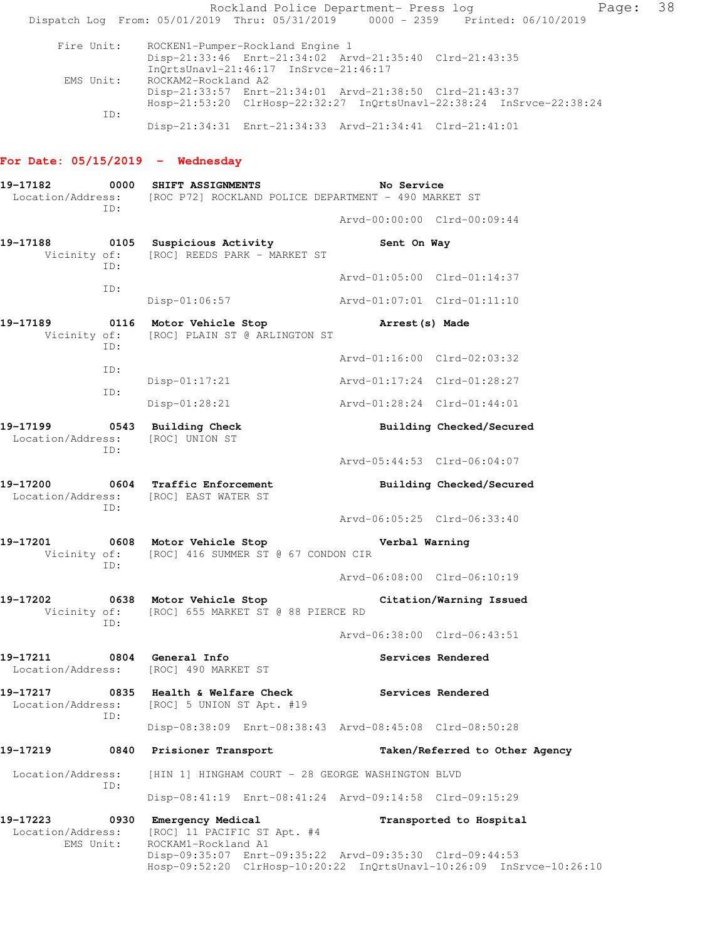Rockland Police Department- Press log Fage: 38 Dispatch Log From: 05/01/2019 Thru: 05/31/2019 0000 - 2359 Printed: 06/10/2019 Fire Unit: ROCKEN1-Pumper-Rockland Engine 1 Disp-21:33:46 Enrt-21:34:02 Arvd-21:35:40 Clrd-21:43:35 InQrtsUnavl-21:46:17 InSrvce-21:46:17 EMS Unit: ROCKAM2-Rockland A2 Disp-21:33:57 Enrt-21:34:01 Arvd-21:38:50 Clrd-21:43:37 Hosp-21:53:20 ClrHosp-22:32:27 InQrtsUnavl-22:38:24 InSrvce-22:38:24 ID: Disp-21:34:31 Enrt-21:34:33 Arvd-21:34:41 Clrd-21:41:01

### **For Date: 05/15/2019 - Wednesday**

| 19-17182                                   |      | 0000 SHIFT ASSIGNMENTS<br>No Service<br>Location/Address: [ROC P72] ROCKLAND POLICE DEPARTMENT - 490 MARKET ST                     |                             |                                |  |  |
|--------------------------------------------|------|------------------------------------------------------------------------------------------------------------------------------------|-----------------------------|--------------------------------|--|--|
|                                            | ID:  |                                                                                                                                    | Arvd-00:00:00 Clrd-00:09:44 |                                |  |  |
|                                            |      | 19-17188 0105 Suspicious Activity<br>Vicinity of: [ROC] REEDS PARK - MARKET ST                                                     | Sent On Way                 |                                |  |  |
|                                            | ID:  |                                                                                                                                    | Arvd-01:05:00 Clrd-01:14:37 |                                |  |  |
|                                            | ID:  | $Disp-01:06:57$                                                                                                                    | Arvd-01:07:01 Clrd-01:11:10 |                                |  |  |
| 19-17189                                   |      | 0116 Motor Vehicle Stop<br>Vicinity of: [ROC] PLAIN ST @ ARLINGTON ST                                                              | Arrest(s) Made              |                                |  |  |
|                                            | ID:  |                                                                                                                                    | Arvd-01:16:00 Clrd-02:03:32 |                                |  |  |
|                                            | ID:  | $Disp-01:17:21$                                                                                                                    | Arvd-01:17:24 Clrd-01:28:27 |                                |  |  |
|                                            | ID:  | Disp-01:28:21                                                                                                                      | Arvd-01:28:24 Clrd-01:44:01 |                                |  |  |
|                                            |      | 19-17199 0543 Building Check<br>Location/Address: [ROC] UNION ST                                                                   |                             | Building Checked/Secured       |  |  |
|                                            | ID:  |                                                                                                                                    | Arvd-05:44:53 Clrd-06:04:07 |                                |  |  |
| 19-17200                                   | ID:  | 0604 Traffic Enforcement<br>Location/Address: [ROC] EAST WATER ST                                                                  |                             | Building Checked/Secured       |  |  |
|                                            |      |                                                                                                                                    | Arvd-06:05:25 Clrd-06:33:40 |                                |  |  |
| 19-17201 0608 Motor Vehicle Stop           |      | Vicinity of: [ROC] 416 SUMMER ST @ 67 CONDON CIR                                                                                   | Verbal Warning              |                                |  |  |
|                                            | ID:  |                                                                                                                                    | Arvd-06:08:00 Clrd-06:10:19 |                                |  |  |
| 19-17202                                   | ID:  | 0638 Motor Vehicle Stop<br>Citation/Warning Issued<br>Vicinity of: [ROC] 655 MARKET ST @ 88 PIERCE RD                              |                             |                                |  |  |
|                                            |      |                                                                                                                                    | Arvd-06:38:00 Clrd-06:43:51 |                                |  |  |
| 19-17211 0804 General Info                 |      | Location/Address: [ROC] 490 MARKET ST                                                                                              |                             | Services Rendered              |  |  |
|                                            |      | 19-17217 0835 Health & Welfare Check<br>Location/Address: [ROC] 5 UNION ST Apt. #19                                                |                             | Services Rendered              |  |  |
|                                            | ID:  | Disp-08:38:09 Enrt-08:38:43 Arvd-08:45:08 Clrd-08:50:28                                                                            |                             |                                |  |  |
| 19-17219                                   |      | 0840 Prisioner Transport                                                                                                           |                             | Taken/Referred to Other Agency |  |  |
| Location/Address:                          |      | [HIN 1] HINGHAM COURT - 28 GEORGE WASHINGTON BLVD                                                                                  |                             |                                |  |  |
|                                            | ID:  | Disp-08:41:19 Enrt-08:41:24 Arvd-09:14:58 Clrd-09:15:29                                                                            |                             |                                |  |  |
| 19-17223<br>Location/Address:<br>EMS Unit: | 0930 | Emergency Medical<br>[ROC] 11 PACIFIC ST Apt. #4<br>ROCKAM1-Rockland A1<br>Disp-09:35:07 Enrt-09:35:22 Arvd-09:35:30 Clrd-09:44:53 |                             | Transported to Hospital        |  |  |
|                                            |      | Hosp-09:52:20 ClrHosp-10:20:22 InQrtsUnavl-10:26:09 InSrvce-10:26:10                                                               |                             |                                |  |  |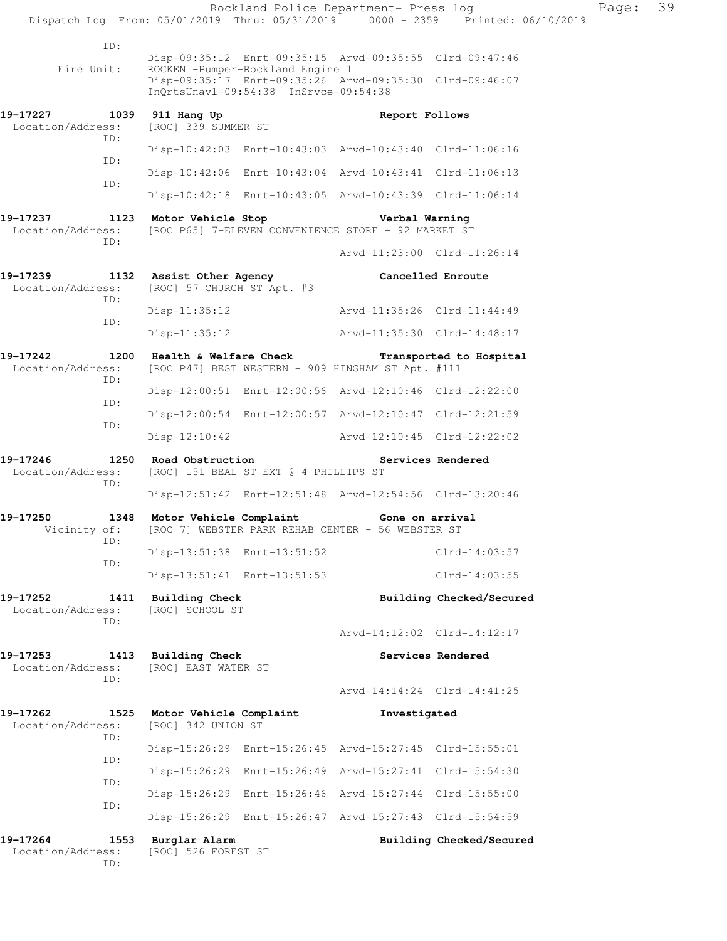|                                      |             |                                                        |                                       | Rockland Police Department- Press log                                                                              |                                                                                | Page: | 39 |
|--------------------------------------|-------------|--------------------------------------------------------|---------------------------------------|--------------------------------------------------------------------------------------------------------------------|--------------------------------------------------------------------------------|-------|----|
|                                      |             |                                                        |                                       |                                                                                                                    | Dispatch Log From: 05/01/2019 Thru: 05/31/2019 0000 - 2359 Printed: 06/10/2019 |       |    |
| Fire Unit:                           | ID:         |                                                        | ROCKEN1-Pumper-Rockland Engine 1      | Disp-09:35:12 Enrt-09:35:15 Arvd-09:35:55 Clrd-09:47:46<br>Disp-09:35:17 Enrt-09:35:26 Arvd-09:35:30 Clrd-09:46:07 |                                                                                |       |    |
|                                      |             |                                                        | InQrtsUnavl-09:54:38 InSrvce-09:54:38 |                                                                                                                    |                                                                                |       |    |
| 19–17227<br>Location/Address:        | ID:         | 1039 911 Hang Up<br>[ROC] 339 SUMMER ST                |                                       | Report Follows                                                                                                     |                                                                                |       |    |
|                                      | ID:         |                                                        |                                       | Disp-10:42:03 Enrt-10:43:03 Arvd-10:43:40 Clrd-11:06:16                                                            |                                                                                |       |    |
|                                      | ID:         |                                                        |                                       | Disp-10:42:06 Enrt-10:43:04 Arvd-10:43:41 Clrd-11:06:13                                                            |                                                                                |       |    |
|                                      |             |                                                        |                                       | Disp-10:42:18 Enrt-10:43:05 Arvd-10:43:39 Clrd-11:06:14                                                            |                                                                                |       |    |
| 19-17237<br>Location/Address:        | ID:         |                                                        | 1123 Motor Vehicle Stop               | Verbal Warning<br>[ROC P65] 7-ELEVEN CONVENIENCE STORE - 92 MARKET ST                                              |                                                                                |       |    |
|                                      |             |                                                        |                                       | Arvd-11:23:00 Clrd-11:26:14                                                                                        |                                                                                |       |    |
| 19-17239<br>Location/Address:        | ID:         | 1132 Assist Other Agency<br>[ROC] 57 CHURCH ST Apt. #3 |                                       |                                                                                                                    | Cancelled Enroute                                                              |       |    |
|                                      | ID:         | $Disp-11:35:12$                                        |                                       | Arvd-11:35:26 Clrd-11:44:49                                                                                        |                                                                                |       |    |
|                                      |             | $Disp-11:35:12$                                        |                                       | Arvd-11:35:30 Clrd-14:48:17                                                                                        |                                                                                |       |    |
| 19-17242<br>Location/Address:        | ID:         |                                                        |                                       | 1200 Health & Welfare Check Transported to Hospital<br>[ROC P47] BEST WESTERN - 909 HINGHAM ST Apt. #111           |                                                                                |       |    |
|                                      | ID:         |                                                        |                                       | Disp-12:00:51 Enrt-12:00:56 Arvd-12:10:46 Clrd-12:22:00                                                            |                                                                                |       |    |
|                                      | ID:         |                                                        |                                       | Disp-12:00:54 Enrt-12:00:57 Arvd-12:10:47 Clrd-12:21:59                                                            |                                                                                |       |    |
|                                      |             | $Disp-12:10:42$                                        |                                       | Arvd-12:10:45 Clrd-12:22:02                                                                                        |                                                                                |       |    |
| 19-17246<br>Location/Address:<br>ID: |             | 1250 Road Obstruction                                  | [ROC] 151 BEAL ST EXT @ 4 PHILLIPS ST |                                                                                                                    | Services Rendered                                                              |       |    |
|                                      |             |                                                        |                                       | Disp-12:51:42 Enrt-12:51:48 Arvd-12:54:56 Clrd-13:20:46                                                            |                                                                                |       |    |
| 19-17250<br>Vicinity of:             | ID:         | 1348 Motor Vehicle Complaint                           |                                       | Gone on arrival<br>[ROC 7] WEBSTER PARK REHAB CENTER - 56 WEBSTER ST                                               |                                                                                |       |    |
|                                      | ID:         | Disp-13:51:38 Enrt-13:51:52                            |                                       |                                                                                                                    | $Clrd-14:03:57$                                                                |       |    |
|                                      |             | Disp-13:51:41 Enrt-13:51:53                            |                                       |                                                                                                                    | $Clrd-14:03:55$                                                                |       |    |
| 19–17252<br>Location/Address:        | 1411<br>ID: | <b>Building Check</b><br>[ROC] SCHOOL ST               |                                       |                                                                                                                    | Building Checked/Secured                                                       |       |    |
|                                      |             |                                                        |                                       | Arvd-14:12:02 Clrd-14:12:17                                                                                        |                                                                                |       |    |
| 19–17253<br>Location/Address:        | 1413<br>ID: | Building Check<br>[ROC] EAST WATER ST                  |                                       |                                                                                                                    | Services Rendered                                                              |       |    |
|                                      |             |                                                        |                                       | Arvd-14:14:24 Clrd-14:41:25                                                                                        |                                                                                |       |    |
| 19-17262<br>Location/Address:        | 1525<br>ID: | Motor Vehicle Complaint<br>[ROC] 342 UNION ST          |                                       | Investigated                                                                                                       |                                                                                |       |    |
|                                      | ID:         |                                                        |                                       | Disp-15:26:29 Enrt-15:26:45 Arvd-15:27:45 Clrd-15:55:01                                                            |                                                                                |       |    |
|                                      | ID:         |                                                        |                                       | Disp-15:26:29 Enrt-15:26:49 Arvd-15:27:41 Clrd-15:54:30                                                            |                                                                                |       |    |
|                                      | ID:         |                                                        |                                       | Disp-15:26:29 Enrt-15:26:46 Arvd-15:27:44 Clrd-15:55:00                                                            |                                                                                |       |    |
|                                      |             |                                                        |                                       | Disp-15:26:29 Enrt-15:26:47 Arvd-15:27:43 Clrd-15:54:59                                                            |                                                                                |       |    |
| 19-17264<br>Location/Address:        | 1553<br>ID: | Burglar Alarm<br>[ROC] 526 FOREST ST                   |                                       |                                                                                                                    | Building Checked/Secured                                                       |       |    |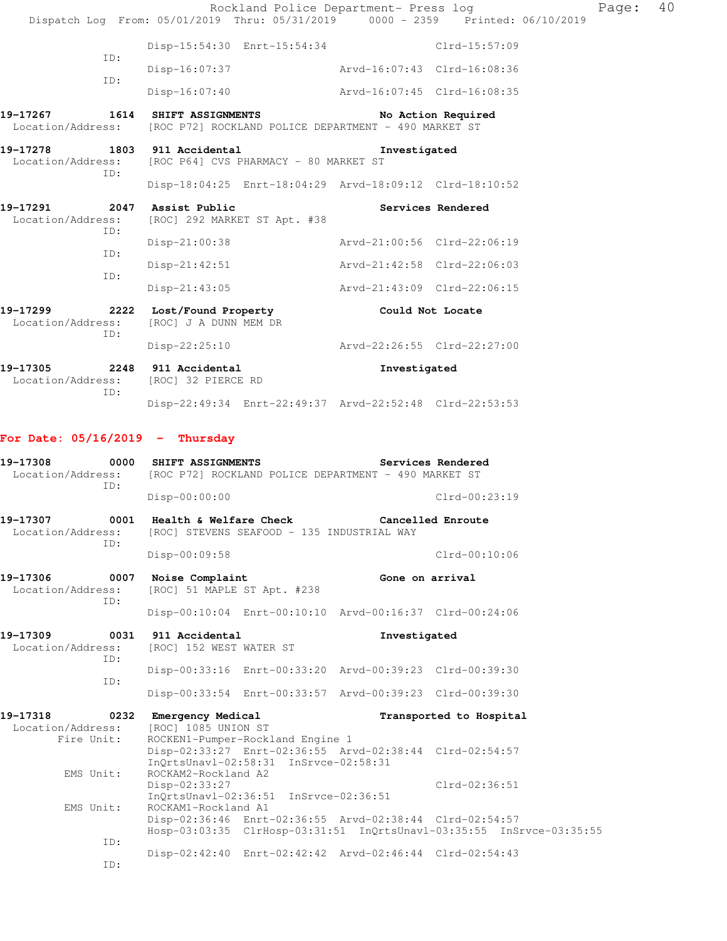| Dispatch Log From: 05/01/2019 Thru: 05/31/2019 0000 - 2359 Printed: 06/10/2019                 |                                                                        |                                       |                                                         | Rockland Police Department- Press log                                | Page: | 40 |
|------------------------------------------------------------------------------------------------|------------------------------------------------------------------------|---------------------------------------|---------------------------------------------------------|----------------------------------------------------------------------|-------|----|
|                                                                                                |                                                                        |                                       | Disp-15:54:30 Enrt-15:54:34 Clrd-15:57:09               |                                                                      |       |    |
| ID:                                                                                            |                                                                        |                                       | Disp-16:07:37 Arvd-16:07:43 Clrd-16:08:36               |                                                                      |       |    |
| ID:                                                                                            | $Disp-16:07:40$                                                        |                                       | Arvd-16:07:45 Clrd-16:08:35                             |                                                                      |       |    |
| 19-17267<br>Location/Address: [ROC P72] ROCKLAND POLICE DEPARTMENT - 490 MARKET ST             | 1614 SHIFT ASSIGNMENTS                                                 |                                       |                                                         | No Action Required                                                   |       |    |
| 19-17278 1803 911 Accidental<br>Location/Address: [ROC P64] CVS PHARMACY - 80 MARKET ST<br>ID: |                                                                        |                                       | Investigated                                            |                                                                      |       |    |
|                                                                                                |                                                                        |                                       | Disp-18:04:25 Enrt-18:04:29 Arvd-18:09:12 Clrd-18:10:52 |                                                                      |       |    |
| 19-17291<br>Location/Address:<br>ID:                                                           | 2047 Assist Public                                                     | [ROC] 292 MARKET ST Apt. #38          |                                                         | Services Rendered                                                    |       |    |
| ID:                                                                                            | Disp-21:00:38                                                          |                                       |                                                         | Arvd-21:00:56 Clrd-22:06:19                                          |       |    |
|                                                                                                | Disp-21:42:51                                                          |                                       |                                                         | Arvd-21:42:58 Clrd-22:06:03                                          |       |    |
| ID:                                                                                            | $Disp-21:43:05$                                                        |                                       |                                                         | Arvd-21:43:09 Clrd-22:06:15                                          |       |    |
| 19-17299<br>Location/Address:<br>ID:                                                           | 2222 Lost/Found Property The Could Not Locate<br>[ROC] J A DUNN MEM DR |                                       |                                                         |                                                                      |       |    |
|                                                                                                |                                                                        |                                       | Disp-22:25:10 Arvd-22:26:55 Clrd-22:27:00               |                                                                      |       |    |
| 19-17305<br>Location/Address:                                                                  | 2248 911 Accidental<br>[ROC] 32 PIERCE RD                              |                                       | Investigated                                            |                                                                      |       |    |
| ID:                                                                                            |                                                                        |                                       | Disp-22:49:34 Enrt-22:49:37 Arvd-22:52:48 Clrd-22:53:53 |                                                                      |       |    |
| For Date: $05/16/2019$ - Thursday                                                              |                                                                        |                                       |                                                         |                                                                      |       |    |
| 19-17308<br>Location/Address: [ROC P72] ROCKLAND POLICE DEPARTMENT - 490 MARKET ST<br>ID:      | 0000 SHIFT ASSIGNMENTS                                                 |                                       |                                                         | Services Rendered                                                    |       |    |
|                                                                                                | Disp-00:00:00                                                          |                                       |                                                         | Clrd-00:23:19                                                        |       |    |
| 19-17307<br>Location/Address: [ROC] STEVENS SEAFOOD - 135 INDUSTRIAL WAY<br>ID:                | 0001 Health & Welfare Check                                            |                                       |                                                         | Cancelled Enroute                                                    |       |    |
|                                                                                                | Disp-00:09:58                                                          |                                       |                                                         | $Clrd-00:10:06$                                                      |       |    |
| 19-17306<br>0007<br>Location/Address:<br>TD:                                                   | Noise Complaint<br>[ROC] 51 MAPLE ST Apt. #238                         |                                       |                                                         | Gone on arrival                                                      |       |    |
|                                                                                                |                                                                        |                                       | Disp-00:10:04 Enrt-00:10:10 Arvd-00:16:37 Clrd-00:24:06 |                                                                      |       |    |
| 19-17309<br>0031<br>Location/Address:<br>ID:                                                   | 911 Accidental<br>[ROC] 152 WEST WATER ST                              |                                       | Investigated                                            |                                                                      |       |    |
| ID:                                                                                            |                                                                        |                                       | Disp-00:33:16 Enrt-00:33:20 Arvd-00:39:23 Clrd-00:39:30 |                                                                      |       |    |
|                                                                                                |                                                                        |                                       | Disp-00:33:54 Enrt-00:33:57 Arvd-00:39:23 Clrd-00:39:30 |                                                                      |       |    |
| 19-17318<br>0232<br>Location/Address:<br>Fire Unit:                                            | Emergency Medical<br>[ROC] 1085 UNION ST                               | ROCKEN1-Pumper-Rockland Engine 1      |                                                         | Transported to Hospital                                              |       |    |
| EMS Unit:                                                                                      | ROCKAM2-Rockland A2                                                    | InQrtsUnavl-02:58:31 InSrvce-02:58:31 | Disp-02:33:27 Enrt-02:36:55 Arvd-02:38:44 Clrd-02:54:57 |                                                                      |       |    |
| EMS Unit:                                                                                      | Disp-02:33:27<br>ROCKAM1-Rockland A1                                   | InQrtsUnavl-02:36:51 InSrvce-02:36:51 |                                                         | $Clrd-02:36:51$                                                      |       |    |
| ID:                                                                                            |                                                                        |                                       | Disp-02:36:46 Enrt-02:36:55 Arvd-02:38:44 Clrd-02:54:57 | Hosp-03:03:35 ClrHosp-03:31:51 InQrtsUnavl-03:35:55 InSrvce-03:35:55 |       |    |
| ID:                                                                                            |                                                                        |                                       | Disp-02:42:40 Enrt-02:42:42 Arvd-02:46:44 Clrd-02:54:43 |                                                                      |       |    |
|                                                                                                |                                                                        |                                       |                                                         |                                                                      |       |    |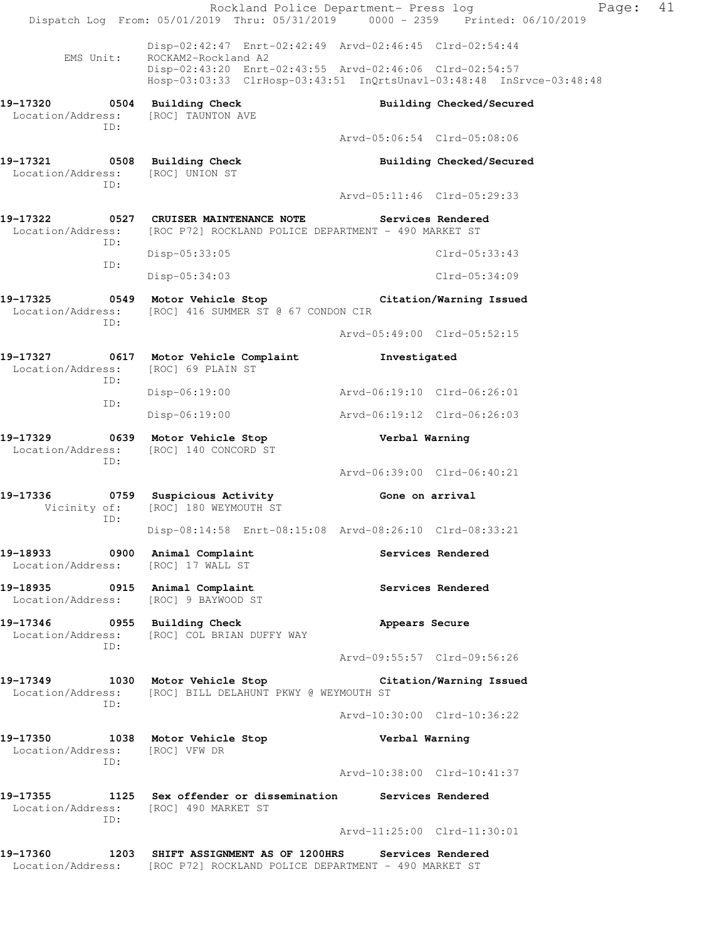|                                                                            | Rockland Police Department- Press log<br>Dispatch Log From: 05/01/2019 Thru: 05/31/2019 0000 - 2359 Printed: 06/10/2019                  |                             | Page:                    | 41 |
|----------------------------------------------------------------------------|------------------------------------------------------------------------------------------------------------------------------------------|-----------------------------|--------------------------|----|
| EMS Unit:                                                                  | Disp-02:42:47 Enrt-02:42:49 Arvd-02:46:45 Clrd-02:54:44<br>ROCKAM2-Rockland A2                                                           |                             |                          |    |
|                                                                            | Disp-02:43:20 Enrt-02:43:55 Arvd-02:46:06 Clrd-02:54:57<br>Hosp-03:03:33 ClrHosp-03:43:51 InQrtsUnavl-03:48:48 InSrvce-03:48:48          |                             |                          |    |
| 19-17320 0504 Building Check<br>Location/Address: [ROC] TAUNTON AVE<br>ID: |                                                                                                                                          |                             | Building Checked/Secured |    |
|                                                                            |                                                                                                                                          | Arvd-05:06:54 Clrd-05:08:06 |                          |    |
| 19-17321 0508 Building Check<br>Location/Address: [ROC] UNION ST<br>ID:    |                                                                                                                                          |                             | Building Checked/Secured |    |
|                                                                            |                                                                                                                                          | Arvd-05:11:46 Clrd-05:29:33 |                          |    |
| ID:                                                                        | 19-17322 0527 CRUISER MAINTENANCE NOTE<br>Location/Address: [ROC P72] ROCKLAND POLICE DEPARTMENT - 490 MARKET ST                         |                             | Services Rendered        |    |
| ID:                                                                        | $Disp-05:33:05$                                                                                                                          |                             | $Clrd-05:33:43$          |    |
|                                                                            | Disp-05:34:03                                                                                                                            |                             | $Clrd-05:34:09$          |    |
| ID:                                                                        | 19-17325 0549 Motor Vehicle Stop Citation/Warning Issued<br>Location/Address: [ROC] 416 SUMMER ST @ 67 CONDON CIR                        |                             |                          |    |
|                                                                            |                                                                                                                                          | Arvd-05:49:00 Clrd-05:52:15 |                          |    |
| Location/Address: [ROC] 69 PLAIN ST<br>ID:                                 | 19-17327 0617 Motor Vehicle Complaint                                                                                                    | Investigated                |                          |    |
| ID:                                                                        | Disp-06:19:00                                                                                                                            | Arvd-06:19:10 Clrd-06:26:01 |                          |    |
|                                                                            | $Disp-06:19:00$                                                                                                                          | Arvd-06:19:12 Clrd-06:26:03 |                          |    |
| 19-17329<br>Location/Address:<br>ID:                                       | 0639 Motor Vehicle Stop<br>[ROC] 140 CONCORD ST                                                                                          | Verbal Warning              |                          |    |
|                                                                            |                                                                                                                                          | Arvd-06:39:00 Clrd-06:40:21 |                          |    |
| 19-17336<br>Vicinity of:<br>ID:                                            | 0759 Suspicious Activity Cone on arrival<br>[ROC] 180 WEYMOUTH ST                                                                        |                             |                          |    |
|                                                                            | Disp-08:14:58 Enrt-08:15:08 Arvd-08:26:10 Clrd-08:33:21                                                                                  |                             |                          |    |
| 19-18933 0900 Animal Complaint<br>Location/Address: [ROC] 17 WALL ST       |                                                                                                                                          |                             | Services Rendered        |    |
| 19-18935 0915 Animal Complaint<br>Location/Address: [ROC] 9 BAYWOOD ST     |                                                                                                                                          |                             | Services Rendered        |    |
| 19-17346 0955 Building Check<br>ID:                                        | Location/Address: [ROC] COL BRIAN DUFFY WAY                                                                                              | Appears Secure              |                          |    |
|                                                                            |                                                                                                                                          | Arvd-09:55:57 Clrd-09:56:26 |                          |    |
| ID:                                                                        | 19-17349 1030 Motor Vehicle Stop Citation/Warning Issued<br>Location/Address: [ROC] BILL DELAHUNT PKWY @ WEYMOUTH ST                     |                             |                          |    |
|                                                                            |                                                                                                                                          | Arvd-10:30:00 Clrd-10:36:22 |                          |    |
| Location/Address: [ROC] VFW DR<br>ID:                                      | 19-17350 1038 Motor Vehicle Stop                                                                                                         | Verbal Warning              |                          |    |
|                                                                            |                                                                                                                                          | Arvd-10:38:00 Clrd-10:41:37 |                          |    |
| Location/Address: [ROC] 490 MARKET ST<br>ID:                               | 19-17355 1125 Sex offender or dissemination Services Rendered                                                                            |                             |                          |    |
|                                                                            |                                                                                                                                          | Arvd-11:25:00 Clrd-11:30:01 |                          |    |
|                                                                            | 19-17360 1203 SHIFT ASSIGNMENT AS OF 1200HRS Services Rendered<br>Location/Address: [ROC P72] ROCKLAND POLICE DEPARTMENT - 490 MARKET ST |                             |                          |    |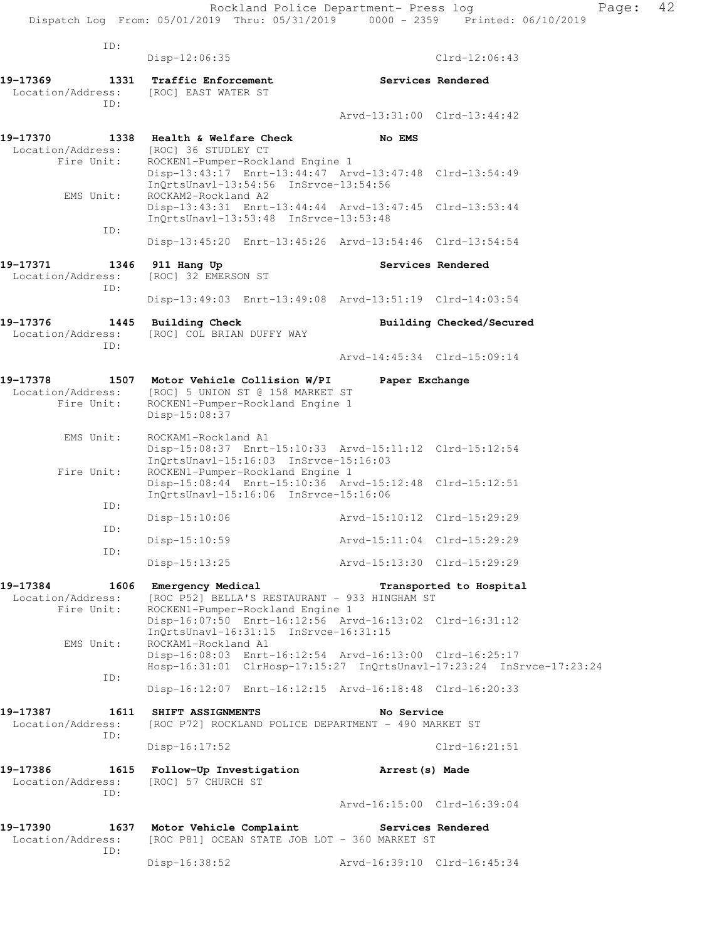| ID:                                          | $Disp-12:06:35$                                                                                                                                                               |                             | $Clrd-12:06:43$          |
|----------------------------------------------|-------------------------------------------------------------------------------------------------------------------------------------------------------------------------------|-----------------------------|--------------------------|
| 19-17369<br>1331                             | Traffic Enforcement                                                                                                                                                           |                             | Services Rendered        |
| Location/Address: [ROC] EAST WATER ST        |                                                                                                                                                                               |                             |                          |
| ID:                                          |                                                                                                                                                                               | Arvd-13:31:00 Clrd-13:44:42 |                          |
| 19-17370<br>Location/Address:                | 1338 Health & Welfare Check<br>[ROC] 36 STUDLEY CT                                                                                                                            | No EMS                      |                          |
| Fire Unit:                                   | ROCKEN1-Pumper-Rockland Engine 1<br>Disp-13:43:17 Enrt-13:44:47 Arvd-13:47:48 Clrd-13:54:49<br>InQrtsUnavl-13:54:56 InSrvce-13:54:56                                          |                             |                          |
| EMS Unit:                                    | ROCKAM2-Rockland A2<br>Disp-13:43:31 Enrt-13:44:44 Arvd-13:47:45 Clrd-13:53:44<br>InQrtsUnavl-13:53:48 InSrvce-13:53:48                                                       |                             |                          |
| ID:                                          | Disp-13:45:20 Enrt-13:45:26 Arvd-13:54:46 Clrd-13:54:54                                                                                                                       |                             |                          |
| 19-17371<br>1346<br>Location/Address:<br>ID: | 911 Hang Up<br>[ROC] 32 EMERSON ST                                                                                                                                            |                             | Services Rendered        |
|                                              | Disp-13:49:03 Enrt-13:49:08 Arvd-13:51:19 Clrd-14:03:54                                                                                                                       |                             |                          |
| 19-17376<br>1445<br>Location/Address:        | <b>Building Check</b><br>[ROC] COL BRIAN DUFFY WAY                                                                                                                            |                             | Building Checked/Secured |
| TD:                                          |                                                                                                                                                                               | Arvd-14:45:34 Clrd-15:09:14 |                          |
| 19-17378<br>Location/Address:<br>Fire Unit:  | 1507 Motor Vehicle Collision W/PI<br>[ROC] 5 UNION ST @ 158 MARKET ST<br>ROCKEN1-Pumper-Rockland Engine 1<br>Disp-15:08:37                                                    | Paper Exchange              |                          |
| EMS Unit:                                    | ROCKAM1-Rockland A1<br>Disp-15:08:37 Enrt-15:10:33 Arvd-15:11:12 Clrd-15:12:54                                                                                                |                             |                          |
| Fire Unit:                                   | InOrtsUnav1-15:16:03 InSrvce-15:16:03<br>ROCKEN1-Pumper-Rockland Engine 1<br>Disp-15:08:44 Enrt-15:10:36 Arvd-15:12:48 Clrd-15:12:51<br>InQrtsUnavl-15:16:06 InSrvce-15:16:06 |                             |                          |
| ID:                                          | $Disp-15:10:06$                                                                                                                                                               | Arvd-15:10:12 Clrd-15:29:29 |                          |
| ID:                                          |                                                                                                                                                                               | Arvd-15:11:04 Clrd-15:29:29 |                          |
| ID:                                          | $Disp-15:10:59$                                                                                                                                                               |                             |                          |
|                                              | $Disp-15:13:25$                                                                                                                                                               | Arvd-15:13:30 Clrd-15:29:29 |                          |
| 19-17384<br>Location/Address:<br>Fire Unit:  | 1606 Emergency Medical<br>[ROC P52] BELLA'S RESTAURANT - 933 HINGHAM ST<br>ROCKEN1-Pumper-Rockland Engine 1                                                                   |                             | Transported to Hospital  |
| EMS Unit:                                    | Disp-16:07:50 Enrt-16:12:56 Arvd-16:13:02 Clrd-16:31:12<br>InQrtsUnavl-16:31:15 InSrvce-16:31:15<br>ROCKAM1-Rockland A1                                                       |                             |                          |
|                                              | Disp-16:08:03 Enrt-16:12:54 Arvd-16:13:00 Clrd-16:25:17<br>Hosp-16:31:01 ClrHosp-17:15:27 InQrtsUnavl-17:23:24 InSrvce-17:23:24                                               |                             |                          |
| ID:                                          | Disp-16:12:07 Enrt-16:12:15 Arvd-16:18:48 Clrd-16:20:33                                                                                                                       |                             |                          |
| 19-17387<br>1611<br>Location/Address:<br>ID: | SHIFT ASSIGNMENTS<br>[ROC P72] ROCKLAND POLICE DEPARTMENT - 490 MARKET ST                                                                                                     | No Service                  |                          |
|                                              | $Disp-16:17:52$                                                                                                                                                               |                             | $Clrd-16:21:51$          |
| 19-17386<br>1615<br>Location/Address:<br>TD: | Follow-Up Investigation<br>[ROC] 57 CHURCH ST                                                                                                                                 | Arrest(s) Made              |                          |
|                                              |                                                                                                                                                                               | Arvd-16:15:00 Clrd-16:39:04 |                          |
| 19-17390<br>1637<br>Location/Address:<br>ID: | Motor Vehicle Complaint<br>[ROC P81] OCEAN STATE JOB LOT - 360 MARKET ST                                                                                                      | Services Rendered           |                          |
|                                              | Disp-16:38:52                                                                                                                                                                 | Arvd-16:39:10 Clrd-16:45:34 |                          |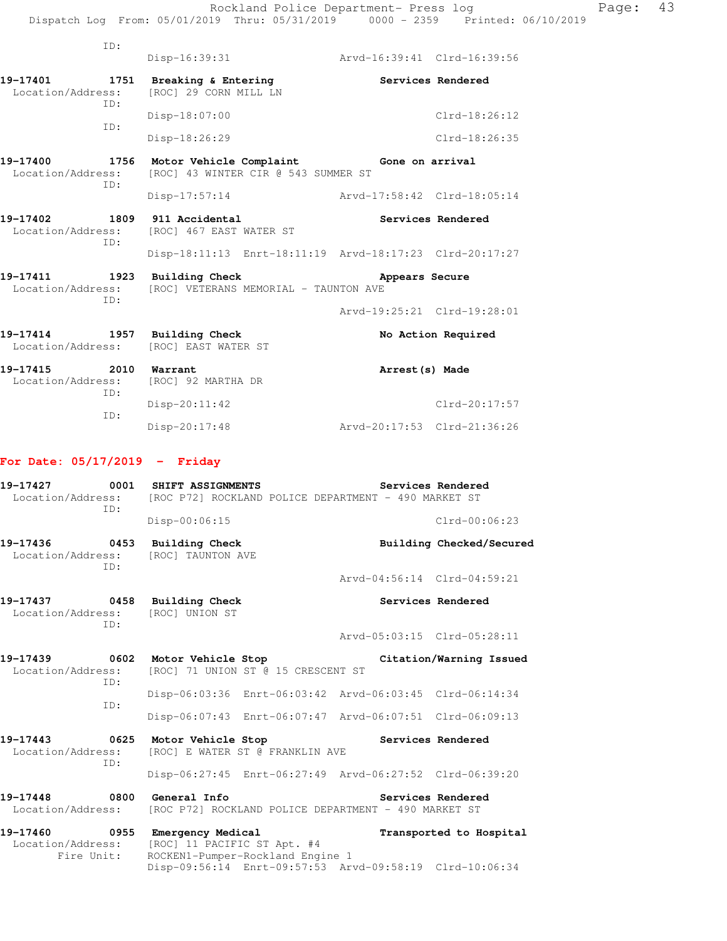|                                       | ID:         |                                                                                |                             |                          |
|---------------------------------------|-------------|--------------------------------------------------------------------------------|-----------------------------|--------------------------|
|                                       |             | Disp-16:39:31                                                                  | Arvd-16:39:41 Clrd-16:39:56 |                          |
| 19-17401<br>Location/Address:         | 1751<br>TD: | Breaking & Entering<br>[ROC] 29 CORN MILL LN                                   |                             | Services Rendered        |
|                                       | ID:         | Disp-18:07:00                                                                  |                             | $Clrd-18:26:12$          |
|                                       |             | Disp-18:26:29                                                                  |                             | $Clrd-18:26:35$          |
| 19-17400<br>1756<br>Location/Address: | ID:         | Motor Vehicle Complaint Gone on arrival<br>[ROC] 43 WINTER CIR @ 543 SUMMER ST |                             |                          |
|                                       |             | $Disp-17:57:14$                                                                | Arvd-17:58:42 Clrd-18:05:14 |                          |
| 19-17402<br>Location/Address:         | 1809<br>ID: | 911 Accidental<br>[ROC] 467 EAST WATER ST                                      |                             | Services Rendered        |
|                                       |             | Disp-18:11:13 Enrt-18:11:19 Arvd-18:17:23 Clrd-20:17:27                        |                             |                          |
| 19-17411<br>Location/Address:         | 1923<br>ID: | <b>Building Check</b><br>[ROC] VETERANS MEMORIAL - TAUNTON AVE                 | Appears Secure              |                          |
|                                       |             |                                                                                | Arvd-19:25:21 Clrd-19:28:01 |                          |
| $19 - 17414$<br>Location/Address:     | 1957        | <b>Building Check</b><br>[ROC] EAST WATER ST                                   |                             | No Action Required       |
| 19-17415<br>Location/Address:         | 2010<br>ID: | Warrant<br>[ROC] 92 MARTHA DR                                                  | Arrest (s) Made             |                          |
|                                       | ID:         | Disp-20:11:42                                                                  |                             | $Clrd-20:17:57$          |
|                                       |             | Disp-20:17:48                                                                  | Arvd-20:17:53 Clrd-21:36:26 |                          |
| For Date: $05/17/2019$ - Friday       |             |                                                                                |                             |                          |
| 19-17427<br>Location/Address:         | 0001<br>ID: | SHIFT ASSIGNMENTS<br>[ROC P72] ROCKLAND POLICE DEPARTMENT - 490 MARKET ST      |                             | Services Rendered        |
|                                       |             | Disp-00:06:15                                                                  |                             | $Clrd-00:06:23$          |
| 19-17436<br>Location/Address:         | 0453<br>ID: | <b>Building Check</b><br>[ROC] TAUNTON AVE                                     |                             | Building Checked/Secured |
|                                       |             |                                                                                | Arvd-04:56:14 Clrd-04:59:21 |                          |
| 19-17437<br>Location/Address:         | 0458<br>ID: | <b>Building Check</b><br>[ROC] UNION ST                                        |                             | Services Rendered        |
|                                       |             |                                                                                | Arvd-05:03:15 Clrd-05:28:11 |                          |
| 19-17439<br>Location/Address:         | 0602<br>ID: | Motor Vehicle Stop<br>[ROC] 71 UNION ST @ 15 CRESCENT ST                       |                             | Citation/Warning Issued  |
|                                       | ID:         | Disp-06:03:36 Enrt-06:03:42 Arvd-06:03:45 Clrd-06:14:34                        |                             |                          |

Disp-06:07:43 Enrt-06:07:47 Arvd-06:07:51 Clrd-06:09:13

**19-17443 0625 Motor Vehicle Stop Services Rendered**  Location/Address: [ROC] E WATER ST @ FRANKLIN AVE ID: Disp-06:27:45 Enrt-06:27:49 Arvd-06:27:52 Clrd-06:39:20

19-17448 **0800** General Info **Services Rendered** Location/Address: [ROC P72] ROCKLAND POLICE DEPARTMENT - 490 MARKET ST

**19-17460 0955 Emergency Medical Transported to Hospital**  Location/Address: [ROC] 11 PACIFIC ST Apt. #4 Fire Unit: ROCKEN1-Pumper-Rockland Engine 1 Disp-09:56:14 Enrt-09:57:53 Arvd-09:58:19 Clrd-10:06:34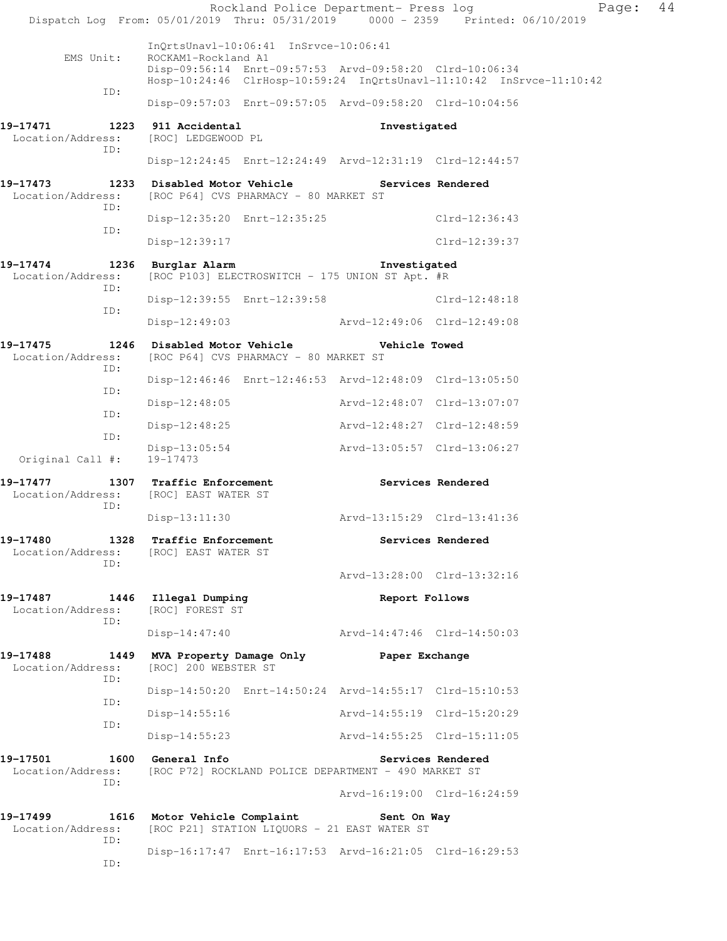|                                      | Rockland Police Department- Press log<br>Dispatch Log From: 05/01/2019 Thru: 05/31/2019 0000 - 2359 Printed: 06/10/2019                                                                         |                             | Page:             | 44 |
|--------------------------------------|-------------------------------------------------------------------------------------------------------------------------------------------------------------------------------------------------|-----------------------------|-------------------|----|
| EMS Unit:                            | InQrtsUnavl-10:06:41 InSrvce-10:06:41<br>ROCKAM1-Rockland A1<br>Disp-09:56:14 Enrt-09:57:53 Arvd-09:58:20 Clrd-10:06:34<br>Hosp-10:24:46 ClrHosp-10:59:24 InQrtsUnavl-11:10:42 InSrvce-11:10:42 |                             |                   |    |
| ID:                                  | Disp-09:57:03 Enrt-09:57:05 Arvd-09:58:20 Clrd-10:04:56                                                                                                                                         |                             |                   |    |
| 19-17471<br>Location/Address:<br>ID: | 1223 911 Accidental<br>[ROC] LEDGEWOOD PL                                                                                                                                                       | Investigated                |                   |    |
|                                      | Disp-12:24:45 Enrt-12:24:49 Arvd-12:31:19 Clrd-12:44:57                                                                                                                                         |                             |                   |    |
| Location/Address:<br>ID:             | 19-17473 1233 Disabled Motor Vehicle<br>[ROC P64] CVS PHARMACY - 80 MARKET ST                                                                                                                   |                             | Services Rendered |    |
| ID:                                  | Disp-12:35:20 Enrt-12:35:25                                                                                                                                                                     |                             | Clrd-12:36:43     |    |
|                                      | Disp-12:39:17                                                                                                                                                                                   |                             | $Clrd-12:39:37$   |    |
| 19-17474<br>Location/Address:<br>ID: | 1236 Burglar Alarm<br>[ROC P103] ELECTROSWITCH - 175 UNION ST Apt. #R                                                                                                                           | Investigated                |                   |    |
| ID:                                  | Disp-12:39:55 Enrt-12:39:58                                                                                                                                                                     |                             | Clrd-12:48:18     |    |
|                                      | Disp-12:49:03 Arvd-12:49:06 Clrd-12:49:08                                                                                                                                                       |                             |                   |    |
| 19-17475<br>Location/Address:<br>ID: | [ROC P64] CVS PHARMACY - 80 MARKET ST                                                                                                                                                           |                             |                   |    |
| ID:                                  | Disp-12:46:46 Enrt-12:46:53 Arvd-12:48:09 Clrd-13:05:50                                                                                                                                         |                             |                   |    |
| ID:                                  | Disp-12:48:05                                                                                                                                                                                   | Arvd-12:48:07 Clrd-13:07:07 |                   |    |
| ID:                                  | Disp-12:48:25                                                                                                                                                                                   | Arvd-12:48:27 Clrd-12:48:59 |                   |    |
| Original Call #:                     | Disp-13:05:54<br>19-17473                                                                                                                                                                       | Arvd-13:05:57 Clrd-13:06:27 |                   |    |
| 19-17477                             | 1307 Traffic Enforcement<br>Location/Address: [ROC] EAST WATER ST                                                                                                                               | Services Rendered           |                   |    |
| ID:                                  | Disp-13:11:30 Arvd-13:15:29 Clrd-13:41:36                                                                                                                                                       |                             |                   |    |
| 19-17480                             | 1328 Traffic Enforcement<br>Location/Address: [ROC] EAST WATER ST                                                                                                                               |                             | Services Rendered |    |
| ID:                                  |                                                                                                                                                                                                 | Arvd-13:28:00 Clrd-13:32:16 |                   |    |
| 19-17487<br>Location/Address:<br>ID: | 1446 Illegal Dumping<br>[ROC] FOREST ST                                                                                                                                                         | Report Follows              |                   |    |
|                                      | Disp-14:47:40                                                                                                                                                                                   | Arvd-14:47:46 Clrd-14:50:03 |                   |    |
| 19-17488<br>Location/Address:<br>ID: | 1449 MVA Property Damage Only<br>[ROC] 200 WEBSTER ST                                                                                                                                           | Paper Exchange              |                   |    |
| ID:                                  | Disp-14:50:20 Enrt-14:50:24 Arvd-14:55:17 Clrd-15:10:53                                                                                                                                         |                             |                   |    |
| ID:                                  | $Disp-14:55:16$                                                                                                                                                                                 | Arvd-14:55:19 Clrd-15:20:29 |                   |    |
|                                      | Disp-14:55:23                                                                                                                                                                                   | Arvd-14:55:25 Clrd-15:11:05 |                   |    |
| 19-17501<br>Location/Address:<br>ID: | 1600 General Info<br>[ROC P72] ROCKLAND POLICE DEPARTMENT - 490 MARKET ST                                                                                                                       |                             | Services Rendered |    |
|                                      |                                                                                                                                                                                                 | Arvd-16:19:00 Clrd-16:24:59 |                   |    |
| 19-17499<br>Location/Address:<br>ID: | 1616 Motor Vehicle Complaint<br>[ROC P21] STATION LIQUORS - 21 EAST WATER ST                                                                                                                    | Sent On Way                 |                   |    |
| ID:                                  | Disp-16:17:47 Enrt-16:17:53 Arvd-16:21:05 Clrd-16:29:53                                                                                                                                         |                             |                   |    |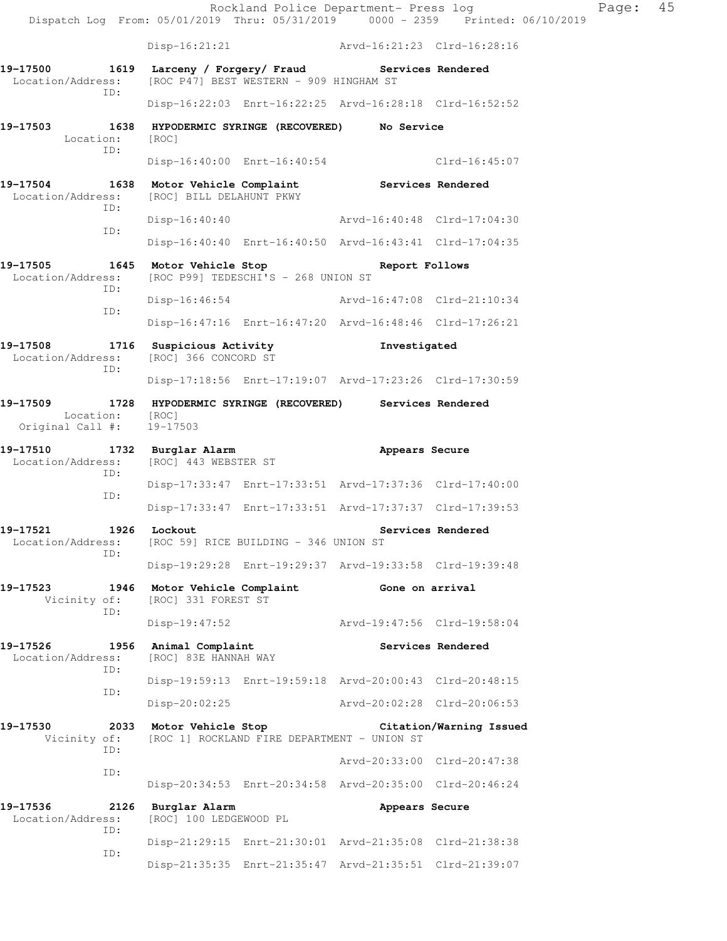Rockland Police Department- Press log Fage: 45 Dispatch Log From: 05/01/2019 Thru: 05/31/2019 0000 - 2359 Printed: 06/10/2019 Disp-16:21:21 Arvd-16:21:23 Clrd-16:28:16 **19-17500 1619 Larceny / Forgery/ Fraud Services Rendered**  Location/Address: [ROC P47] BEST WESTERN - 909 HINGHAM ST ID: Disp-16:22:03 Enrt-16:22:25 Arvd-16:28:18 Clrd-16:52:52 **19-17503 1638 HYPODERMIC SYRINGE (RECOVERED) No Service**  Location: [ROC] ID: Disp-16:40:00 Enrt-16:40:54 Clrd-16:45:07 **19-17504 1638 Motor Vehicle Complaint Services Rendered**  Location/Address: [ROC] BILL DELAHUNT PKWY ID: Disp-16:40:40 Arvd-16:40:48 Clrd-17:04:30 ID: Disp-16:40:40 Enrt-16:40:50 Arvd-16:43:41 Clrd-17:04:35 **19-17505 1645 Motor Vehicle Stop Report Follows**  Location/Address: [ROC P99] TEDESCHI'S - 268 UNION ST ID: Disp-16:46:54 Arvd-16:47:08 Clrd-21:10:34 ID: Disp-16:47:16 Enrt-16:47:20 Arvd-16:48:46 Clrd-17:26:21 **19-17508 1716 Suspicious Activity Investigated**  Location/Address: [ROC] 366 CONCORD ST ID: Disp-17:18:56 Enrt-17:19:07 Arvd-17:23:26 Clrd-17:30:59 **19-17509 1728 HYPODERMIC SYRINGE (RECOVERED) Services Rendered**  Location: [ROC] Original Call #: 19-17503 **19-17510 1732 Burglar Alarm Appears Secure**  Location/Address: [ROC] 443 WEBSTER ST ID: Disp-17:33:47 Enrt-17:33:51 Arvd-17:37:36 Clrd-17:40:00 ID: Disp-17:33:47 Enrt-17:33:51 Arvd-17:37:37 Clrd-17:39:53 19-17521 1926 Lockout **Services Rendered**  Location/Address: [ROC 59] RICE BUILDING - 346 UNION ST ID: Disp-19:29:28 Enrt-19:29:37 Arvd-19:33:58 Clrd-19:39:48 **19-17523 1946 Motor Vehicle Complaint Gone on arrival**  Vicinity of: [ROC] 331 FOREST ST ID: Disp-19:47:52 Arvd-19:47:56 Clrd-19:58:04 19-17526 1956 Animal Complaint **Services Rendered**  Location/Address: [ROC] 83E HANNAH WAY ID: Disp-19:59:13 Enrt-19:59:18 Arvd-20:00:43 Clrd-20:48:15 ID: Disp-20:02:25 Arvd-20:02:28 Clrd-20:06:53 **19-17530 2033 Motor Vehicle Stop Citation/Warning Issued**  Vicinity of: [ROC 1] ROCKLAND FIRE DEPARTMENT - UNION ST ID: Arvd-20:33:00 Clrd-20:47:38 ID: Disp-20:34:53 Enrt-20:34:58 Arvd-20:35:00 Clrd-20:46:24 19-17536 2126 Burglar Alarm **Appears Secure Appears Secure** Location/Address: [ROC] 100 LEDGEWOOD PL [ROC] 100 LEDGEWOOD PL ID: Disp-21:29:15 Enrt-21:30:01 Arvd-21:35:08 Clrd-21:38:38 ID: Disp-21:35:35 Enrt-21:35:47 Arvd-21:35:51 Clrd-21:39:07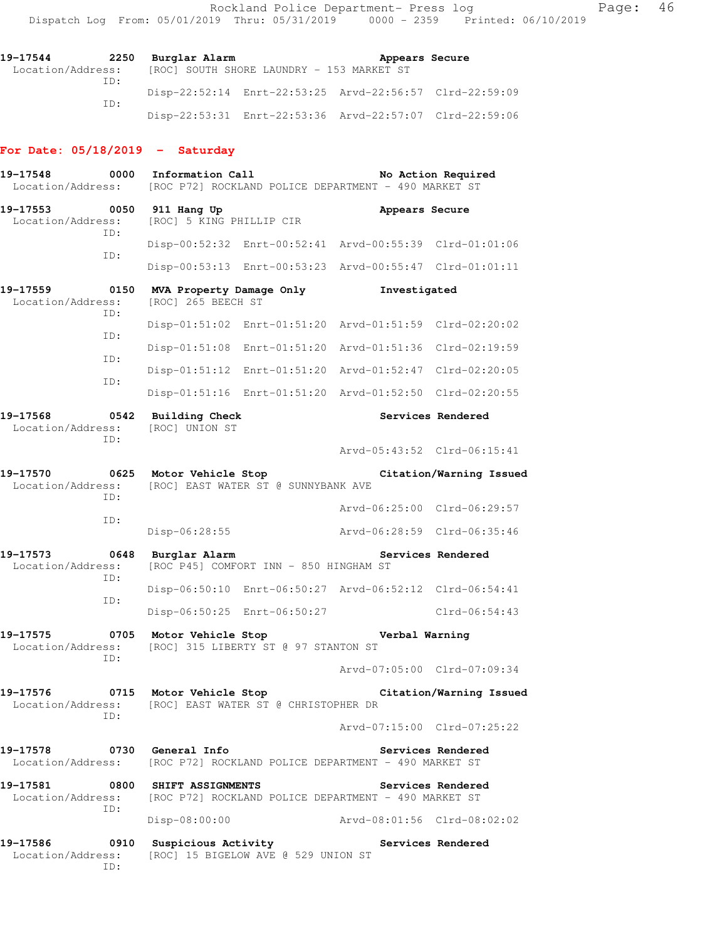### **For Date: 05/18/2019 - Saturday**

| 19-17548<br>Location/Address: | 0000        | Information Call                                                                      | [ROC P72] ROCKLAND POLICE DEPARTMENT - 490 MARKET ST    |                             | No Action Required          |  |
|-------------------------------|-------------|---------------------------------------------------------------------------------------|---------------------------------------------------------|-----------------------------|-----------------------------|--|
| 19-17553<br>Location/Address: | 0050        | 911 Hang Up<br>[ROC] 5 KING PHILLIP CIR                                               |                                                         | Appears Secure              |                             |  |
|                               | ID:         |                                                                                       | Disp-00:52:32 Enrt-00:52:41 Arvd-00:55:39 Clrd-01:01:06 |                             |                             |  |
|                               | ID:         |                                                                                       | Disp-00:53:13 Enrt-00:53:23 Arvd-00:55:47 Clrd-01:01:11 |                             |                             |  |
| 19-17559<br>Location/Address: | 0150<br>ID: | MVA Property Damage Only<br>[ROC] 265 BEECH ST                                        |                                                         | Investigated                |                             |  |
|                               |             |                                                                                       | Disp-01:51:02 Enrt-01:51:20 Arvd-01:51:59 Clrd-02:20:02 |                             |                             |  |
|                               | ID:         |                                                                                       | Disp-01:51:08 Enrt-01:51:20 Arvd-01:51:36 Clrd-02:19:59 |                             |                             |  |
|                               | ID:         |                                                                                       | Disp-01:51:12 Enrt-01:51:20 Arvd-01:52:47 Clrd-02:20:05 |                             |                             |  |
|                               | ID:         |                                                                                       | Disp-01:51:16 Enrt-01:51:20 Arvd-01:52:50 Clrd-02:20:55 |                             |                             |  |
| 19-17568<br>Location/Address: | 0542<br>ID: | Building Check<br>[ROC] UNION ST                                                      |                                                         |                             | Services Rendered           |  |
|                               |             |                                                                                       |                                                         | Arvd-05:43:52 Clrd-06:15:41 |                             |  |
| 19-17570<br>Location/Address: | ID:         | 0625 Motor Vehicle Stop                                                               | [ROC] EAST WATER ST @ SUNNYBANK AVE                     |                             | Citation/Warning Issued     |  |
|                               | ID:         |                                                                                       |                                                         | Arvd-06:25:00 Clrd-06:29:57 |                             |  |
|                               |             | Disp-06:28:55                                                                         |                                                         | Arvd-06:28:59 Clrd-06:35:46 |                             |  |
| 19-17573<br>Location/Address: | 0648<br>ID: | Burglar Alarm                                                                         | [ROC P45] COMFORT INN - 850 HINGHAM ST                  |                             | Services Rendered           |  |
|                               | ID:         |                                                                                       | Disp-06:50:10 Enrt-06:50:27 Arvd-06:52:12 Clrd-06:54:41 |                             |                             |  |
|                               |             |                                                                                       | Disp-06:50:25 Enrt-06:50:27                             |                             | $Clrd-06:54:43$             |  |
| 19-17575<br>Location/Address: | 0705<br>ID: | Motor Vehicle Stop                                                                    | [ROC] 315 LIBERTY ST @ 97 STANTON ST                    | Verbal Warning              |                             |  |
|                               |             |                                                                                       |                                                         | Arvd-07:05:00 Clrd-07:09:34 |                             |  |
| 19-17576<br>Location/Address: | 0715<br>ID: | Motor Vehicle Stop<br>Citation/Warning Issued<br>[ROC] EAST WATER ST @ CHRISTOPHER DR |                                                         |                             |                             |  |
|                               |             |                                                                                       |                                                         |                             | Arvd-07:15:00 Clrd-07:25:22 |  |
| 19-17578<br>Location/Address: |             | 0730 General Info                                                                     | [ROC P72] ROCKLAND POLICE DEPARTMENT - 490 MARKET ST    |                             | Services Rendered           |  |
| 19-17581<br>Location/Address: | 0800<br>ID: | <b>SHIFT ASSIGNMENTS</b>                                                              | [ROC P72] ROCKLAND POLICE DEPARTMENT - 490 MARKET ST    |                             | Services Rendered           |  |
|                               |             | Disp-08:00:00                                                                         |                                                         | Arvd-08:01:56 Clrd-08:02:02 |                             |  |
| 19-17586<br>Location/Address: | 0910<br>ID: | Suspicious Activity                                                                   | [ROC] 15 BIGELOW AVE @ 529 UNION ST                     |                             | Services Rendered           |  |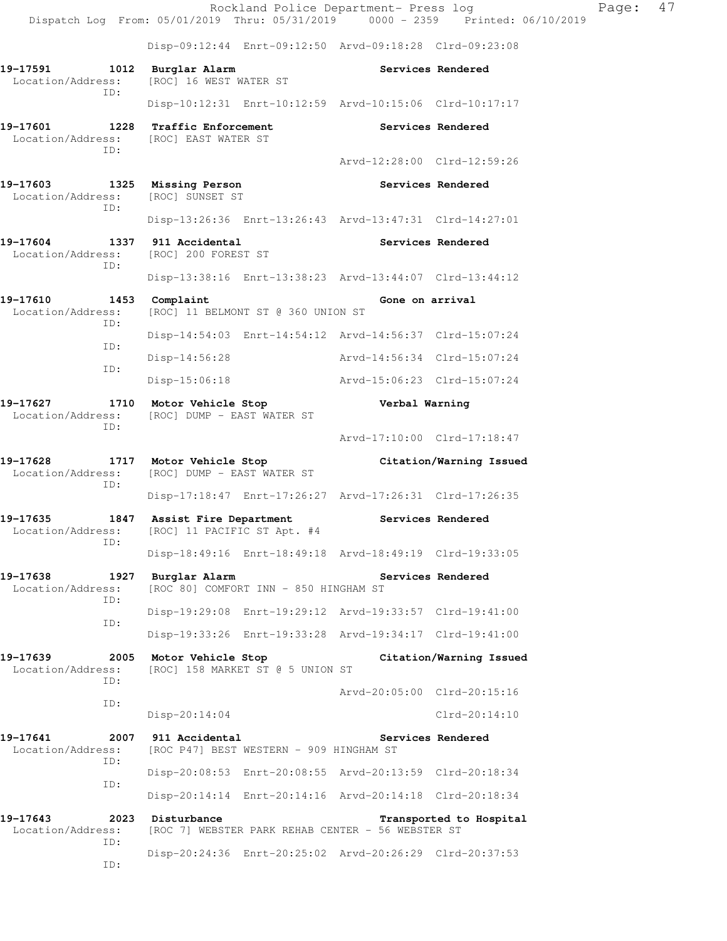Rockland Police Department- Press log Fage: 47 Dispatch Log From: 05/01/2019 Thru: 05/31/2019 0000 - 2359 Printed: 06/10/2019 Disp-09:12:44 Enrt-09:12:50 Arvd-09:18:28 Clrd-09:23:08 **19-17591 1012 Burglar Alarm Services Rendered**  Location/Address: [ROC] 16 WEST WATER ST ID: Disp-10:12:31 Enrt-10:12:59 Arvd-10:15:06 Clrd-10:17:17 **19-17601 1228 Traffic Enforcement Services Rendered**  Location/Address: [ROC] EAST WATER ST ID: Arvd-12:28:00 Clrd-12:59:26 **19-17603 1325 Missing Person Services Rendered**  Location/Address: [ROC] SUNSET ST ID: Disp-13:26:36 Enrt-13:26:43 Arvd-13:47:31 Clrd-14:27:01 19-17604 1337 911 Accidental **19-17604** Services Rendered Location/Address: [ROC] 200 FOREST ST ID: Disp-13:38:16 Enrt-13:38:23 Arvd-13:44:07 Clrd-13:44:12 **19-17610 1453 Complaint Gone on arrival**  Location/Address: [ROC] 11 BELMONT ST @ 360 UNION ST ID: Disp-14:54:03 Enrt-14:54:12 Arvd-14:56:37 Clrd-15:07:24 ID: Disp-14:56:28 Arvd-14:56:34 Clrd-15:07:24 ID: Disp-15:06:18 Arvd-15:06:23 Clrd-15:07:24 **19-17627 1710 Motor Vehicle Stop Verbal Warning**  Location/Address: [ROC] DUMP - EAST WATER ST ID: Arvd-17:10:00 Clrd-17:18:47 **19-17628 1717 Motor Vehicle Stop Citation/Warning Issued**  Location/Address: [ROC] DUMP - EAST WATER ST ID: Disp-17:18:47 Enrt-17:26:27 Arvd-17:26:31 Clrd-17:26:35 **19-17635 1847 Assist Fire Department Services Rendered**  Location/Address: [ROC] 11 PACIFIC ST Apt. #4 ID: Disp-18:49:16 Enrt-18:49:18 Arvd-18:49:19 Clrd-19:33:05 19-17638 1927 Burglar Alarm **1988 Services Rendered** Location/Address: [ROC 80] COMFORT INN - 850 HINGHAM ST ID: Disp-19:29:08 Enrt-19:29:12 Arvd-19:33:57 Clrd-19:41:00 ID: Disp-19:33:26 Enrt-19:33:28 Arvd-19:34:17 Clrd-19:41:00 **19-17639 2005 Motor Vehicle Stop Citation/Warning Issued**  Location/Address: [ROC] 158 MARKET ST @ 5 UNION ST ID: Arvd-20:05:00 Clrd-20:15:16 ID: Disp-20:14:04 Clrd-20:14:10 19-17641 2007 911 Accidental **19-17641** Services Rendered Location/Address: [ROC P47] BEST WESTERN - 909 HINGHAM ST ID: Disp-20:08:53 Enrt-20:08:55 Arvd-20:13:59 Clrd-20:18:34 ID: Disp-20:14:14 Enrt-20:14:16 Arvd-20:14:18 Clrd-20:18:34 **19-17643 2023 Disturbance Transported to Hospital**  Location/Address: [ROC 7] WEBSTER PARK REHAB CENTER - 56 WEBSTER ST ID: Disp-20:24:36 Enrt-20:25:02 Arvd-20:26:29 Clrd-20:37:53 ID: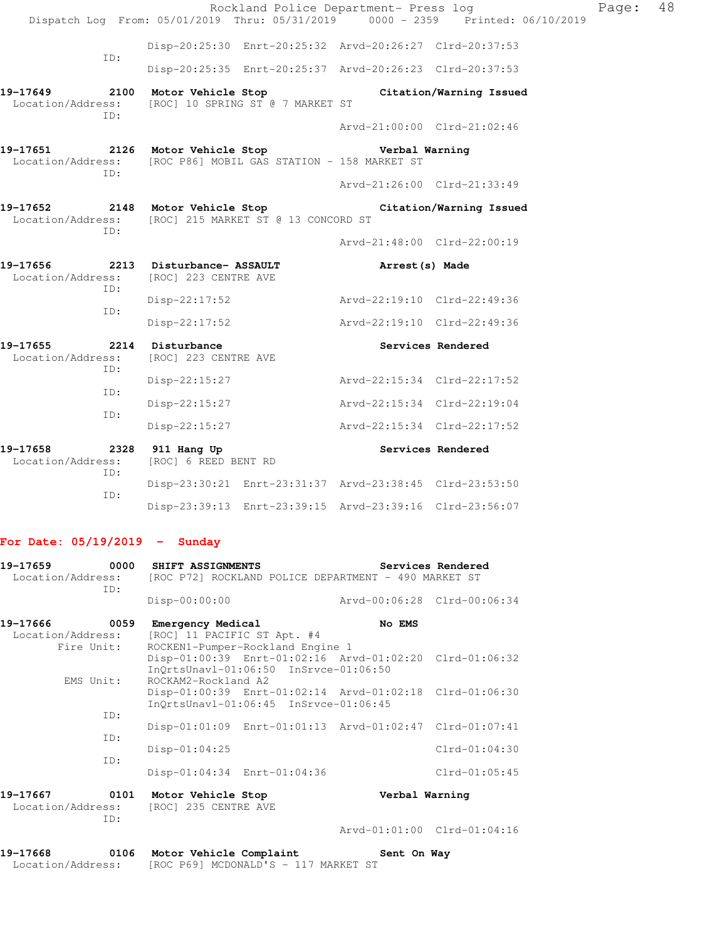|                          | Rockland Police Department- Press log<br>Dispatch Log From: 05/01/2019 Thru: 05/31/2019 0000 - 2359 Printed: 06/10/2019 |                             |                             | Page: | 48 |
|--------------------------|-------------------------------------------------------------------------------------------------------------------------|-----------------------------|-----------------------------|-------|----|
|                          | Disp-20:25:30 Enrt-20:25:32 Arvd-20:26:27 Clrd-20:37:53                                                                 |                             |                             |       |    |
| TD:                      |                                                                                                                         |                             |                             |       |    |
|                          | Disp-20:25:35 Enrt-20:25:37 Arvd-20:26:23 Clrd-20:37:53                                                                 |                             |                             |       |    |
| TD:                      | 19-17649 2100 Motor Vehicle Stop Citation/Warning Issued<br>Location/Address: [ROC] 10 SPRING ST @ 7 MARKET ST          |                             |                             |       |    |
|                          |                                                                                                                         | Arvd-21:00:00 Clrd-21:02:46 |                             |       |    |
| ID:                      | 19-17651 2126 Motor Vehicle Stop Store Verbal Warning<br>Location/Address: [ROC P86] MOBIL GAS STATION - 158 MARKET ST  |                             |                             |       |    |
|                          |                                                                                                                         |                             | Arvd-21:26:00 Clrd-21:33:49 |       |    |
| TD:                      | 19-17652 2148 Motor Vehicle Stop Citation/Warning Issued<br>Location/Address: [ROC] 215 MARKET ST @ 13 CONCORD ST       |                             |                             |       |    |
|                          |                                                                                                                         |                             | Arvd-21:48:00 Clrd-22:00:19 |       |    |
| ID:                      | 19-17656 2213 Disturbance- ASSAULT<br>Location/Address: [ROC] 223 CENTRE AVE                                            | Arrest(s) Made              |                             |       |    |
| ID:                      | $Disp-22:17:52$                                                                                                         | Arvd-22:19:10 Clrd-22:49:36 |                             |       |    |
|                          | $Disp-22:17:52$                                                                                                         | Arvd-22:19:10 Clrd-22:49:36 |                             |       |    |
| 19-17655<br>TD:          | 2214 Disturbance<br>Location/Address: [ROC] 223 CENTRE AVE                                                              |                             | Services Rendered           |       |    |
| ID:                      | Disp-22:15:27                                                                                                           | Arvd-22:15:34 Clrd-22:17:52 |                             |       |    |
|                          | Disp-22:15:27                                                                                                           | Arvd-22:15:34 Clrd-22:19:04 |                             |       |    |
| ID:                      | Disp-22:15:27                                                                                                           | Arvd-22:15:34 Clrd-22:17:52 |                             |       |    |
| Location/Address:<br>ID: | 19-17658 2328 911 Hang Up<br>[ROC] 6 REED BENT RD                                                                       |                             | Services Rendered           |       |    |
| ID:                      | Disp-23:30:21 Enrt-23:31:37 Arvd-23:38:45 Clrd-23:53:50                                                                 |                             |                             |       |    |
|                          | Disp-23:39:13 Enrt-23:39:15 Arvd-23:39:16 Clrd-23:56:07                                                                 |                             |                             |       |    |

# **For Date: 05/19/2019 - Sunday**

| 19-17659 0000                 |            | <b>SHIFT ASSIGNMENTS</b>                                                  |                                                         | Services Rendered           |
|-------------------------------|------------|---------------------------------------------------------------------------|---------------------------------------------------------|-----------------------------|
| Location/Address:             | ID:        |                                                                           | [ROC P72] ROCKLAND POLICE DEPARTMENT - 490 MARKET ST    |                             |
|                               |            | Disp-00:00:00                                                             | Arvd-00:06:28 Clrd-00:06:34                             |                             |
| 19-17666                      | 0059       | Emergency Medical                                                         | No EMS                                                  |                             |
| Location/Address:             |            | [ROC] 11 PACIFIC ST Apt. #4                                               |                                                         |                             |
|                               | Fire Unit: | ROCKEN1-Pumper-Rockland Engine 1<br>InOrtsUnav1-01:06:50 InSrvce-01:06:50 | Disp-01:00:39 Enrt-01:02:16 Arvd-01:02:20 Clrd-01:06:32 |                             |
|                               |            | EMS Unit: ROCKAM2-Rockland A2                                             |                                                         |                             |
|                               |            |                                                                           | Disp-01:00:39 Enrt-01:02:14 Arvd-01:02:18 Clrd-01:06:30 |                             |
|                               | ID:        | InOrtsUnavl-01:06:45 InSrvce-01:06:45                                     |                                                         |                             |
|                               |            |                                                                           | Disp-01:01:09 Enrt-01:01:13 Arvd-01:02:47 Clrd-01:07:41 |                             |
|                               | ID:        | $Disp-01:04:25$                                                           |                                                         | $Clrd-01:04:30$             |
|                               | ID:        |                                                                           |                                                         |                             |
|                               |            | Disp-01:04:34 Enrt-01:04:36                                               |                                                         | $Clrd-01:05:45$             |
| 19-17667<br>Location/Address: | TD:        | 0101 Motor Vehicle Stop<br>[ROC] 235 CENTRE AVE                           | Verbal Warning                                          |                             |
|                               |            |                                                                           |                                                         | Arvd-01:01:00 Clrd-01:04:16 |
| 19-17668                      | 0106       | Motor Vehicle Complaint                                                   | Sent On Way                                             |                             |

Location/Address: [ROC P69] MCDONALD'S - 117 MARKET ST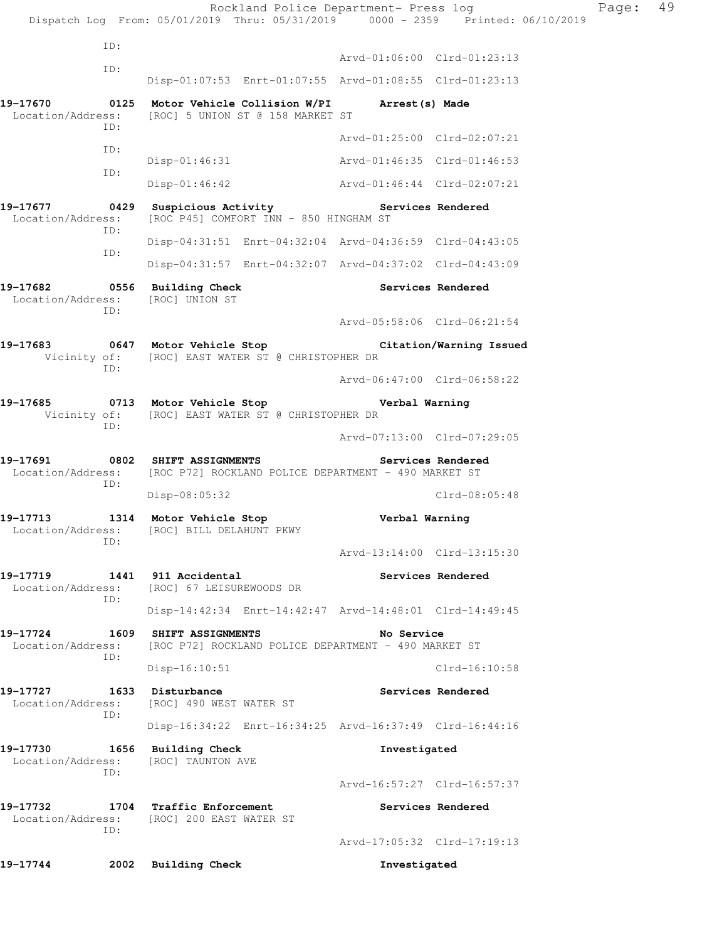Rockland Police Department- Press log Page: 49 Dispatch Log From: 05/01/2019 Thru: 05/31/2019 0000 - 2359 Printed: 06/10/2019 ID: Arvd-01:06:00 Clrd-01:23:13 ID: Disp-01:07:53 Enrt-01:07:55 Arvd-01:08:55 Clrd-01:23:13 **19-17670 0125 Motor Vehicle Collision W/PI Arrest(s) Made**  Location/Address: [ROC] 5 UNION ST @ 158 MARKET ST ID: Arvd-01:25:00 Clrd-02:07:21 ID: Disp-01:46:31 Arvd-01:46:35 Clrd-01:46:53 ID: Disp-01:46:42 Arvd-01:46:44 Clrd-02:07:21 19-17677 **19-17677** 0429 Suspicious Activity **Services Rendered**  Location/Address: [ROC P45] COMFORT INN - 850 HINGHAM ST ID: Disp-04:31:51 Enrt-04:32:04 Arvd-04:36:59 Clrd-04:43:05 ID: Disp-04:31:57 Enrt-04:32:07 Arvd-04:37:02 Clrd-04:43:09 19-17682 **0556** Building Check **Services Rendered**  Location/Address: [ROC] UNION ST ID: Arvd-05:58:06 Clrd-06:21:54 **19-17683 0647 Motor Vehicle Stop Citation/Warning Issued**  Vicinity of: [ROC] EAST WATER ST @ CHRISTOPHER DR ID: Arvd-06:47:00 Clrd-06:58:22 **19-17685 0713 Motor Vehicle Stop Verbal Warning**  Vicinity of: [ROC] EAST WATER ST @ CHRISTOPHER DR ID: Arvd-07:13:00 Clrd-07:29:05 **19-17691 0802 SHIFT ASSIGNMENTS Services Rendered**  Location/Address: [ROC P72] ROCKLAND POLICE DEPARTMENT - 490 MARKET ST ID: Disp-08:05:32 Clrd-08:05:48 **19-17713 1314 Motor Vehicle Stop Verbal Warning**  Location/Address: [ROC] BILL DELAHUNT PKWY ID: Arvd-13:14:00 Clrd-13:15:30 **19-17719 1441 911 Accidental Services Rendered**  Location/Address: [ROC] 67 LEISUREWOODS DR ID: Disp-14:42:34 Enrt-14:42:47 Arvd-14:48:01 Clrd-14:49:45 **19-17724 1609 SHIFT ASSIGNMENTS No Service**  Location/Address: [ROC P72] ROCKLAND POLICE DEPARTMENT - 490 MARKET ST ID: Disp-16:10:51 Clrd-16:10:58 19-17727 1633 Disturbance **Services Rendered**  Location/Address: [ROC] 490 WEST WATER ST ID: Disp-16:34:22 Enrt-16:34:25 Arvd-16:37:49 Clrd-16:44:16 **19-17730 1656 Building Check Investigated**  Location/Address: [ROC] TAUNTON AVE ID: Arvd-16:57:27 Clrd-16:57:37 **19-17732 1704 Traffic Enforcement Services Rendered**  Location/Address: [ROC] 200 EAST WATER ST ID: Arvd-17:05:32 Clrd-17:19:13 **19-17744 2002 Building Check Investigated**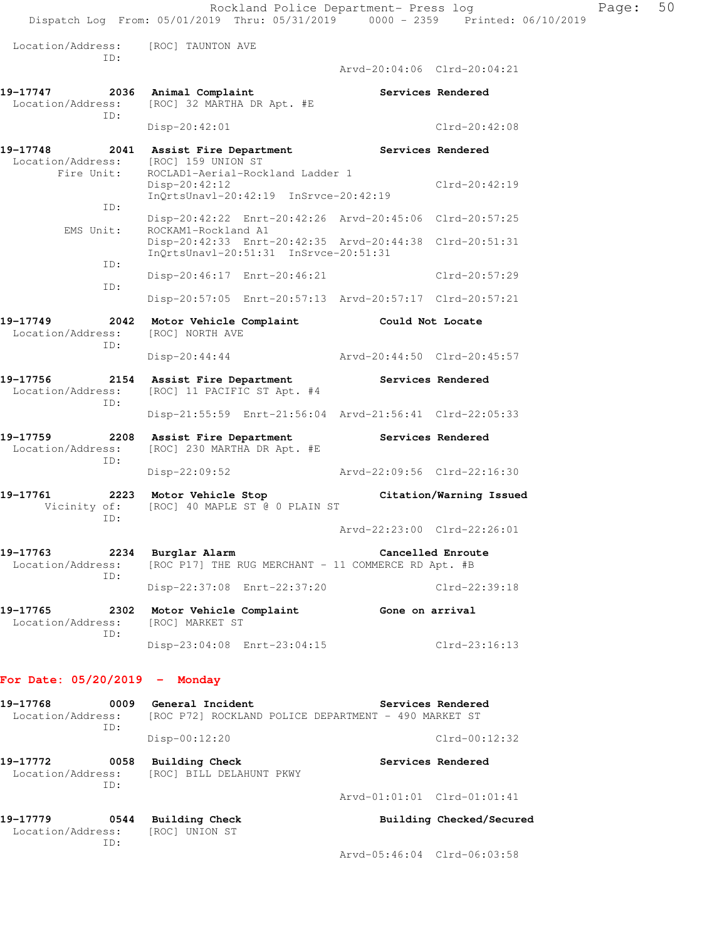Location/Address: [ROC] TAUNTON AVE ID: Arvd-20:04:06 Clrd-20:04:21 **19-17747 2036 Animal Complaint Services Rendered**  Location/Address: [ROC] 32 MARTHA DR Apt. #E ID: Disp-20:42:01 Clrd-20:42:08 **19-17748 2041 Assist Fire Department Services Rendered**  Location/Address: [ROC] 159 UNION ST Fire Unit: ROCLAD1-Aerial-Rockland Ladder 1 Disp-20:42:12 Clrd-20:42:19 InQrtsUnavl-20:42:19 InSrvce-20:42:19 ID: Disp-20:42:22 Enrt-20:42:26 Arvd-20:45:06 Clrd-20:57:25 EMS Unit: ROCKAM1-Rockland A1 Disp-20:42:33 Enrt-20:42:35 Arvd-20:44:38 Clrd-20:51:31 InQrtsUnavl-20:51:31 InSrvce-20:51:31 ID: Disp-20:46:17 Enrt-20:46:21 Clrd-20:57:29 ID: Disp-20:57:05 Enrt-20:57:13 Arvd-20:57:17 Clrd-20:57:21 **19-17749 2042 Motor Vehicle Complaint Could Not Locate**  Location/Address: [ROC] NORTH AVE ID: Disp-20:44:44 Arvd-20:44:50 Clrd-20:45:57 **19-17756 2154 Assist Fire Department Services Rendered**  Location/Address: [ROC] 11 PACIFIC ST Apt. #4 ID: Disp-21:55:59 Enrt-21:56:04 Arvd-21:56:41 Clrd-22:05:33 **19-17759 2208 Assist Fire Department Services Rendered**  Location/Address: [ROC] 230 MARTHA DR Apt. #E ID: Disp-22:09:52 Arvd-22:09:56 Clrd-22:16:30 **19-17761 2223 Motor Vehicle Stop Citation/Warning Issued**  Vicinity of: [ROC] 40 MAPLE ST @ 0 PLAIN ST ID: Arvd-22:23:00 Clrd-22:26:01 **19-17763 2234 Burglar Alarm Cancelled Enroute**  Location/Address: [ROC P17] THE RUG MERCHANT - 11 COMMERCE RD Apt. #B ID: Disp-22:37:08 Enrt-22:37:20 Clrd-22:39:18 **19-17765 2302 Motor Vehicle Complaint Gone on arrival**  Location/Address: [ROC] MARKET ST ID: Disp-23:04:08 Enrt-23:04:15 Clrd-23:16:13 **For Date: 05/20/2019 - Monday** 19-17768 **0009** General Incident **Services Rendered**  Location/Address: [ROC P72] ROCKLAND POLICE DEPARTMENT - 490 MARKET ST ID:

Disp-00:12:20 Clrd-00:12:32

**19-17772 0058 Building Check Services Rendered**  Location/Address: [ROC] BILL DELAHUNT PKWY ID: Arvd-01:01:01 Clrd-01:01:41

| 19-17779          | 0544 | Building Check |                             | Building Checked/Secured |
|-------------------|------|----------------|-----------------------------|--------------------------|
| Location/Address: |      | [ROC] UNION ST |                             |                          |
|                   | TD:  |                |                             |                          |
|                   |      |                | Arvd-05:46:04 Clrd-06:03:58 |                          |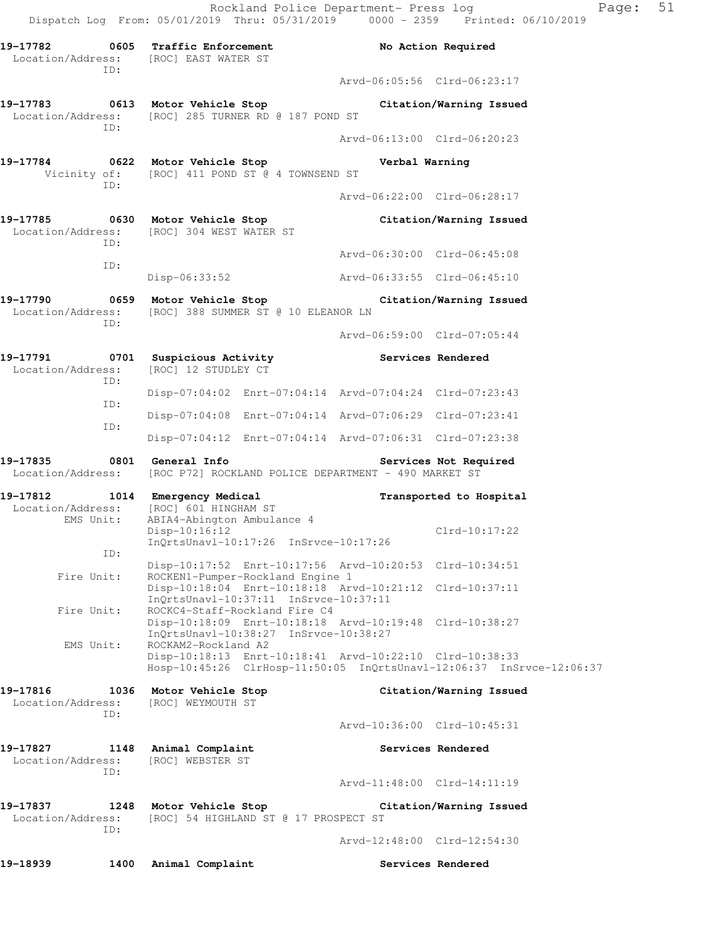**19-17783 0613 Motor Vehicle Stop Citation/Warning Issued**  Location/Address: [ROC] 285 TURNER RD @ 187 POND ST ID: Arvd-06:13:00 Clrd-06:20:23

ID:

**19-17784 0622 Motor Vehicle Stop Verbal Warning**  Vicinity of: [ROC] 411 POND ST @ 4 TOWNSEND ST ID:

Arvd-06:22:00 Clrd-06:28:17

**19-17785 0630 Motor Vehicle Stop Citation/Warning Issued**  Location/Address: [ROC] 304 WEST WATER ST ID: Arvd-06:30:00 Clrd-06:45:08 ID: Disp-06:33:52 Arvd-06:33:55 Clrd-06:45:10

**19-17790 0659 Motor Vehicle Stop Citation/Warning Issued**  Location/Address: [ROC] 388 SUMMER ST @ 10 ELEANOR LN ID:

Arvd-06:59:00 Clrd-07:05:44

19-17791 **19-17791** 0701 Suspicious Activity **19-17791** Services Rendered Location/Address: [ROC] 12 STUDLEY CT ID: Disp-07:04:02 Enrt-07:04:14 Arvd-07:04:24 Clrd-07:23:43 ID: Disp-07:04:08 Enrt-07:04:14 Arvd-07:06:29 Clrd-07:23:41 ID:

 Disp-07:04:12 Enrt-07:04:14 Arvd-07:06:31 Clrd-07:23:38 **19-17835 0801 General Info Services Not Required** 

Location/Address: [ROC P72] ROCKLAND POLICE DEPARTMENT - 490 MARKET ST

**19-17812 1014 Emergency Medical Transported to Hospital**  Location/Address: [ROC] 601 HINGHAM ST EMS Unit: ABIA4-Abington Ambulance 4 Disp-10:16:12 Clrd-10:17:22 InQrtsUnavl-10:17:26 InSrvce-10:17:26 ID: Disp-10:17:52 Enrt-10:17:56 Arvd-10:20:53 Clrd-10:34:51<br>Fire Unit: ROCKEN1-Pumper-Rockland Engine 1 ROCKEN1-Pumper-Rockland Engine 1 Disp-10:18:04 Enrt-10:18:18 Arvd-10:21:12 Clrd-10:37:11 InQrtsUnavl-10:37:11 InSrvce-10:37:11 Fire Unit: ROCKC4-Staff-Rockland Fire C4 Disp-10:18:09 Enrt-10:18:18 Arvd-10:19:48 Clrd-10:38:27 InQrtsUnavl-10:38:27 InSrvce-10:38:27 EMS Unit: ROCKAM2-Rockland A2 Disp-10:18:13 Enrt-10:18:41 Arvd-10:22:10 Clrd-10:38:33 Hosp-10:45:26 ClrHosp-11:50:05 InQrtsUnavl-12:06:37 InSrvce-12:06:37

**19-17816 1036 Motor Vehicle Stop Citation/Warning Issued**  Location/Address: [ROC] WEYMOUTH ST ID: Arvd-10:36:00 Clrd-10:45:31

**19-17827 1148 Animal Complaint Services Rendered**  Location/Address: [ROC] WEBSTER ST ID: Arvd-11:48:00 Clrd-14:11:19 **19-17837 1248 Motor Vehicle Stop Citation/Warning Issued**  Location/Address: [ROC] 54 HIGHLAND ST @ 17 PROSPECT ST ID:

Arvd-12:48:00 Clrd-12:54:30

19-18939 1400 Animal Complaint **19-1893** Services Rendered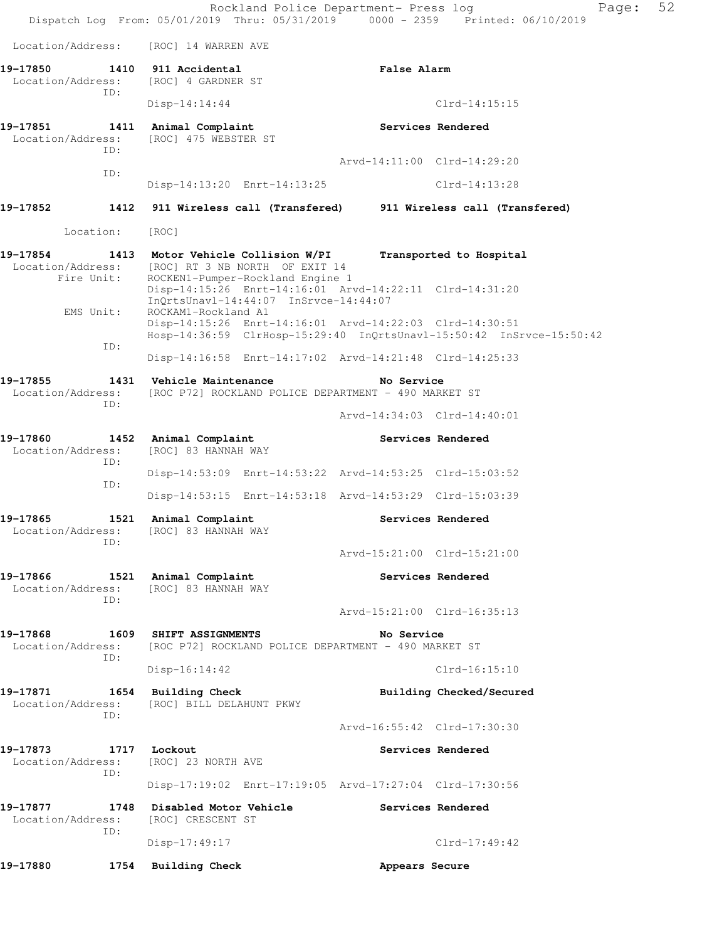Rockland Police Department- Press log Page: 52 Dispatch Log From: 05/01/2019 Thru: 05/31/2019 0000 - 2359 Printed: 06/10/2019 Location/Address: [ROC] 14 WARREN AVE **19-17850 1410 911 Accidental False Alarm**  Location/Address: [ROC] 4 GARDNER ST ID: Disp-14:14:44 Clrd-14:15:15 **19-17851 1411 Animal Complaint Services Rendered**  Location/Address: [ROC] 475 WEBSTER ST ID: Arvd-14:11:00 Clrd-14:29:20 ID: Disp-14:13:20 Enrt-14:13:25 Clrd-14:13:28 **19-17852 1412 911 Wireless call (Transfered) 911 Wireless call (Transfered)**  Location: [ROC] **19-17854 1413 Motor Vehicle Collision W/PI Transported to Hospital**  Location/Address: [ROC] RT 3 NB NORTH OF EXIT 14 Fire Unit: ROCKEN1-Pumper-Rockland Engine 1 Disp-14:15:26 Enrt-14:16:01 Arvd-14:22:11 Clrd-14:31:20 InQrtsUnavl-14:44:07 InSrvce-14:44:07 EMS Unit: ROCKAM1-Rockland A1 Disp-14:15:26 Enrt-14:16:01 Arvd-14:22:03 Clrd-14:30:51 Hosp-14:36:59 ClrHosp-15:29:40 InQrtsUnavl-15:50:42 InSrvce-15:50:42 ID: Disp-14:16:58 Enrt-14:17:02 Arvd-14:21:48 Clrd-14:25:33 **19-17855 1431 Vehicle Maintenance No Service**  Location/Address: [ROC P72] ROCKLAND POLICE DEPARTMENT - 490 MARKET ST ID: Arvd-14:34:03 Clrd-14:40:01 **19-17860 1452 Animal Complaint Services Rendered**  Location/Address: [ROC] 83 HANNAH WAY ID: Disp-14:53:09 Enrt-14:53:22 Arvd-14:53:25 Clrd-15:03:52 ID: Disp-14:53:15 Enrt-14:53:18 Arvd-14:53:29 Clrd-15:03:39 **19-17865 1521 Animal Complaint Services Rendered**  Location/Address: [ROC] 83 HANNAH WAY ID: Arvd-15:21:00 Clrd-15:21:00 **19-17866 1521 Animal Complaint Services Rendered**  Location/Address: [ROC] 83 HANNAH WAY ID: Arvd-15:21:00 Clrd-16:35:13 **19-17868 1609 SHIFT ASSIGNMENTS No Service**  Location/Address: [ROC P72] ROCKLAND POLICE DEPARTMENT - 490 MARKET ST ID: Disp-16:14:42 Clrd-16:15:10 19-17871 1654 Building Check **Building Building Checked/Secured**  Location/Address: [ROC] BILL DELAHUNT PKWY ID: Arvd-16:55:42 Clrd-17:30:30 **19-17873 1717 Lockout Services Rendered**  Location/Address: [ROC] 23 NORTH AVE ID: Disp-17:19:02 Enrt-17:19:05 Arvd-17:27:04 Clrd-17:30:56 **19-17877 1748 Disabled Motor Vehicle Services Rendered**  Location/Address: [ROC] CRESCENT ST ID: Disp-17:49:17 Clrd-17:49:42 **19-17880 1754 Building Check Appears Secure**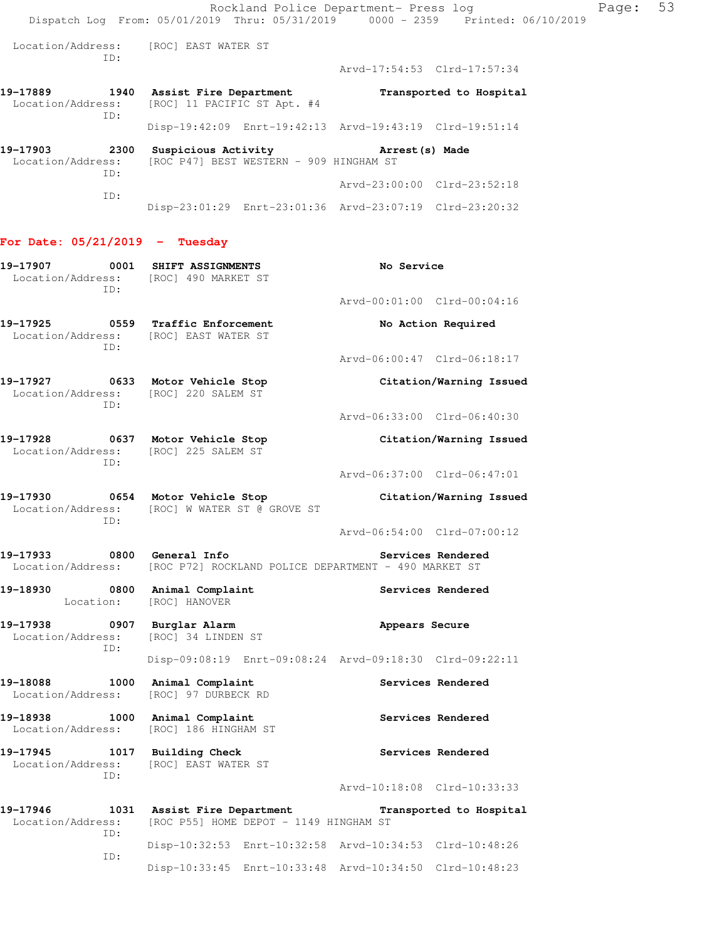Location/Address: [ROC] EAST WATER ST ID:

Arvd-17:54:53 Clrd-17:57:34

| 19-17889<br>1940<br>Location/Address:                                         |            | Assist Fire Department<br>[ROC] 11 PACIFIC ST Apt. #4 | Transported to Hospital                                 |  |  |
|-------------------------------------------------------------------------------|------------|-------------------------------------------------------|---------------------------------------------------------|--|--|
|                                                                               | TD:        |                                                       | Disp-19:42:09 Enrt-19:42:13 Arvd-19:43:19 Clrd-19:51:14 |  |  |
| 19-17903<br>2300<br>Location/Address: [ROC P47] BEST WESTERN - 909 HINGHAM ST |            | Suspicious Activity                                   | Arrest (s) Made                                         |  |  |
|                                                                               | TD:<br>TD: |                                                       | Arvd-23:00:00 Clrd-23:52:18                             |  |  |

# Disp-23:01:29 Enrt-23:01:36 Arvd-23:07:19 Clrd-23:20:32

### **For Date: 05/21/2019 - Tuesday**

| 19-17907<br>0001<br>ID:                                  | SHIFT ASSIGNMENTS<br>Location/Address: [ROC] 490 MARKET ST                        | No Service                                              |
|----------------------------------------------------------|-----------------------------------------------------------------------------------|---------------------------------------------------------|
|                                                          |                                                                                   | Arvd-00:01:00 Clrd-00:04:16                             |
| 19-17925<br>ID:                                          | 0559 Traffic Enforcement<br>Location/Address: [ROC] EAST WATER ST                 | No Action Required                                      |
|                                                          |                                                                                   | Arvd-06:00:47 Clrd-06:18:17                             |
| 19-17927 0633<br>TD:                                     | Motor Vehicle Stop<br>Location/Address: [ROC] 220 SALEM ST                        | Citation/Warning Issued                                 |
|                                                          |                                                                                   | Arvd-06:33:00 Clrd-06:40:30                             |
| ID:                                                      | 19-17928 0637 Motor Vehicle Stop<br>Location/Address: [ROC] 225 SALEM ST          | Citation/Warning Issued                                 |
|                                                          |                                                                                   | Arvd-06:37:00 Clrd-06:47:01                             |
| TD:                                                      | 19-17930 0654 Motor Vehicle Stop<br>Location/Address: [ROC] W WATER ST @ GROVE ST | Citation/Warning Issued                                 |
|                                                          |                                                                                   | Arvd-06:54:00 Clrd-07:00:12                             |
| 19-17933<br>Location/Address:                            | 0800 General Info<br>[ROC P72] ROCKLAND POLICE DEPARTMENT - 490 MARKET ST         | Services Rendered                                       |
| 19-18930 0800 Animal Complaint<br>Location:              | [ROC] HANOVER                                                                     | Services Rendered                                       |
| 19-17938 0907 Burglar Alarm<br>Location/Address:<br>ID:  | [ROC] 34 LINDEN ST                                                                | Appears Secure                                          |
|                                                          |                                                                                   | Disp-09:08:19 Enrt-09:08:24 Arvd-09:18:30 Clrd-09:22:11 |
| 19-18088<br>1000<br>Location/Address:                    | Animal Complaint<br>[ROC] 97 DURBECK RD                                           | Services Rendered                                       |
| 19-18938 1000<br>Location/Address:                       | Animal Complaint<br>[ROC] 186 HINGHAM ST                                          | Services Rendered                                       |
| 19-17945 1017 Building Check<br>Location/Address:<br>ID: | [ROC] EAST WATER ST                                                               | Services Rendered                                       |
|                                                          |                                                                                   | Arvd-10:18:08 Clrd-10:33:33                             |
| 19-17946<br>Location/Address:<br>TD:                     | 1031 Assist Fire Department<br>[ROC P55] HOME DEPOT - 1149 HINGHAM ST             | Transported to Hospital                                 |
| ID:                                                      |                                                                                   | Disp-10:32:53 Enrt-10:32:58 Arvd-10:34:53 Clrd-10:48:26 |
|                                                          | $Disp-10:33:45$<br>Enrt-10:33:48                                                  | Arvd-10:34:50 Clrd-10:48:23                             |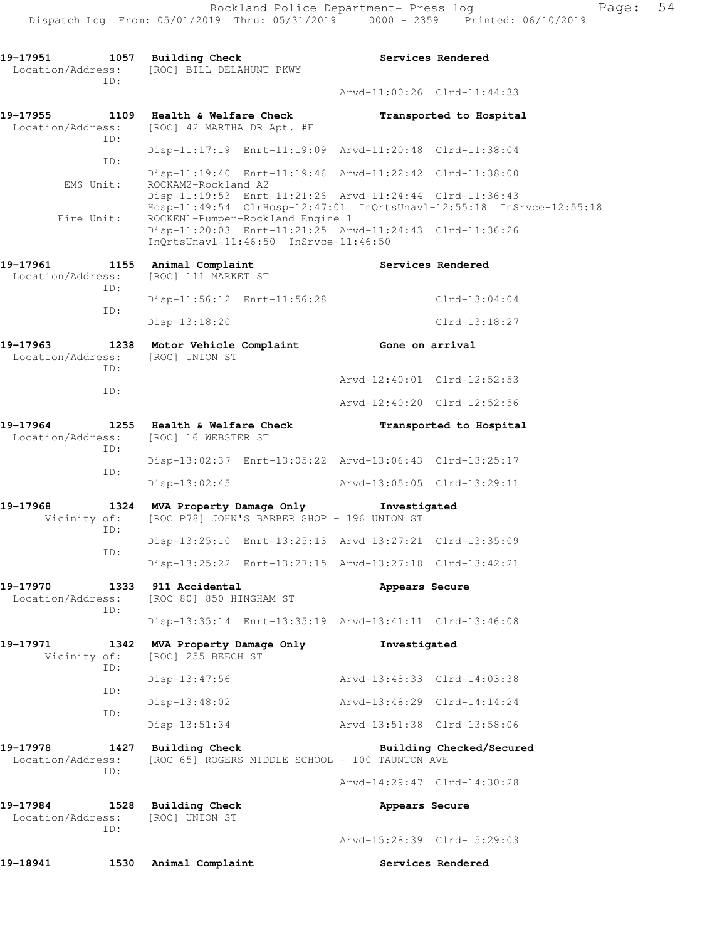19-17951 1057 Building Check **Services Rendered**  Location/Address: [ROC] BILL DELAHUNT PKWY ID: Arvd-11:00:26 Clrd-11:44:33 **19-17955 1109 Health & Welfare Check Transported to Hospital**  Location/Address: [ROC] 42 MARTHA DR Apt. #F ID: Disp-11:17:19 Enrt-11:19:09 Arvd-11:20:48 Clrd-11:38:04 ID: Disp-11:19:40 Enrt-11:19:46 Arvd-11:22:42 Clrd-11:38:00<br>EMS Unit: ROCKAM2-Rockland A2 ROCKAM2-Rockland A2 Disp-11:19:53 Enrt-11:21:26 Arvd-11:24:44 Clrd-11:36:43 Hosp-11:49:54 ClrHosp-12:47:01 InQrtsUnavl-12:55:18 InSrvce-12:55:18 Fire Unit: ROCKEN1-Pumper-Rockland Engine 1 Disp-11:20:03 Enrt-11:21:25 Arvd-11:24:43 Clrd-11:36:26 InQrtsUnavl-11:46:50 InSrvce-11:46:50 19-17961 1155 Animal Complaint **1155 Complaint** Services Rendered Location/Address: [ROC] 111 MARKET ST ID: Disp-11:56:12 Enrt-11:56:28 Clrd-13:04:04 ID: Disp-13:18:20 Clrd-13:18:27 **19-17963 1238 Motor Vehicle Complaint Gone on arrival**  Location/Address: [ROC] UNION ST ID: Arvd-12:40:01 Clrd-12:52:53 ID: Arvd-12:40:20 Clrd-12:52:56 **19-17964 1255 Health & Welfare Check Transported to Hospital**  Location/Address: [ROC] 16 WEBSTER ST ID: Disp-13:02:37 Enrt-13:05:22 Arvd-13:06:43 Clrd-13:25:17 ID: Disp-13:02:45 Arvd-13:05:05 Clrd-13:29:11 **19-17968 1324 MVA Property Damage Only Investigated**  Vicinity of: [ROC P78] JOHN'S BARBER SHOP - 196 UNION ST ID: Disp-13:25:10 Enrt-13:25:13 Arvd-13:27:21 Clrd-13:35:09 ID: Disp-13:25:22 Enrt-13:27:15 Arvd-13:27:18 Clrd-13:42:21 **19-17970 1333 911 Accidental Appears Secure**  Location/Address: [ROC 80] 850 HINGHAM ST ID: Disp-13:35:14 Enrt-13:35:19 Arvd-13:41:11 Clrd-13:46:08 **19-17971 1342 MVA Property Damage Only Investigated**  Vicinity of: [ROC] 255 BEECH ST ID: Disp-13:47:56 Arvd-13:48:33 Clrd-14:03:38 ID: Disp-13:48:02 Arvd-13:48:29 Clrd-14:14:24 ID: Disp-13:51:34 Arvd-13:51:38 Clrd-13:58:06 **19-17978 1427 Building Check Building Checked/Secured**  Location/Address: [ROC 65] ROGERS MIDDLE SCHOOL - 100 TAUNTON AVE ID: Arvd-14:29:47 Clrd-14:30:28 **19-17984 1528 Building Check Appears Secure**  Location/Address: [ROC] UNION ST ID: Arvd-15:28:39 Clrd-15:29:03 19-18941 1530 Animal Complaint **1530 Services Rendered**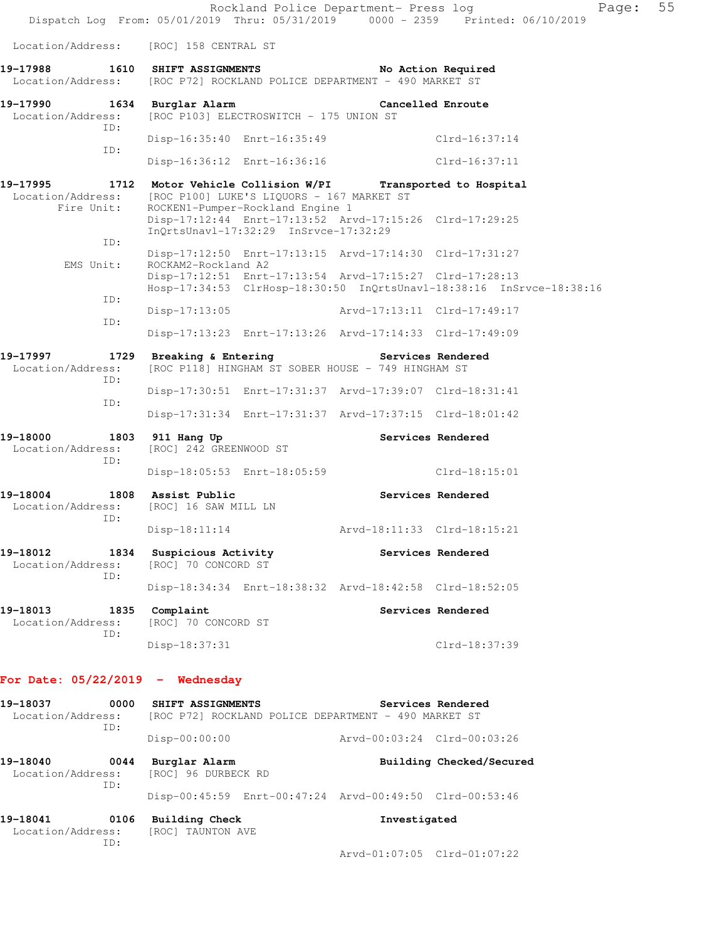|                                                                                    |                                                                                                                                            | Rockland Police Department- Press log | Page:<br>Dispatch Log From: 05/01/2019 Thru: 05/31/2019 0000 - 2359 Printed: 06/10/2019 | 55 |
|------------------------------------------------------------------------------------|--------------------------------------------------------------------------------------------------------------------------------------------|---------------------------------------|-----------------------------------------------------------------------------------------|----|
| Location/Address:                                                                  | [ROC] 158 CENTRAL ST                                                                                                                       |                                       |                                                                                         |    |
| 19-17988<br>Location/Address: [ROC P72] ROCKLAND POLICE DEPARTMENT - 490 MARKET ST | 1610 SHIFT ASSIGNMENTS                                                                                                                     |                                       | No Action Required                                                                      |    |
| 19-17990<br>Location/Address:<br>ID:                                               | 1634 Burglar Alarm<br>[ROC P103] ELECTROSWITCH - 175 UNION ST                                                                              |                                       | Cancelled Enroute                                                                       |    |
| ID:                                                                                | Disp-16:35:40 Enrt-16:35:49                                                                                                                |                                       | $Clrd-16:37:14$                                                                         |    |
|                                                                                    | Disp-16:36:12 Enrt-16:36:16                                                                                                                |                                       | Clrd-16:37:11                                                                           |    |
| 19–17995<br>Location/Address:<br>Fire Unit:                                        | 1712 Motor Vehicle Collision W/PI Transported to Hospital<br>[ROC P100] LUKE'S LIQUORS - 167 MARKET ST<br>ROCKEN1-Pumper-Rockland Engine 1 |                                       |                                                                                         |    |
| ID:                                                                                | Disp-17:12:44 Enrt-17:13:52 Arvd-17:15:26 Clrd-17:29:25<br>InQrtsUnavl-17:32:29 InSrvce-17:32:29                                           |                                       |                                                                                         |    |
| EMS Unit:                                                                          | Disp-17:12:50 Enrt-17:13:15 Arvd-17:14:30 Clrd-17:31:27<br>ROCKAM2-Rockland A2                                                             |                                       |                                                                                         |    |
|                                                                                    | Disp-17:12:51 Enrt-17:13:54 Arvd-17:15:27 Clrd-17:28:13                                                                                    |                                       | Hosp-17:34:53 ClrHosp-18:30:50 InQrtsUnavl-18:38:16 InSrvce-18:38:16                    |    |
| ID:                                                                                | Disp-17:13:05                                                                                                                              | Arvd-17:13:11 Clrd-17:49:17           |                                                                                         |    |
| ID:                                                                                | Disp-17:13:23 Enrt-17:13:26 Arvd-17:14:33 Clrd-17:49:09                                                                                    |                                       |                                                                                         |    |
| 19–17997<br>Location/Address:                                                      | 1729 Breaking & Entering The Services Rendered<br>[ROC P118] HINGHAM ST SOBER HOUSE - 749 HINGHAM ST                                       |                                       |                                                                                         |    |
| ID:                                                                                | Disp-17:30:51 Enrt-17:31:37 Arvd-17:39:07 Clrd-18:31:41                                                                                    |                                       |                                                                                         |    |
| ID:                                                                                | Disp-17:31:34 Enrt-17:31:37 Arvd-17:37:15 Clrd-18:01:42                                                                                    |                                       |                                                                                         |    |
| 19-18000<br>1803<br>Location/Address:<br>ID:                                       | 911 Hang Up<br>[ROC] 242 GREENWOOD ST                                                                                                      |                                       | Services Rendered                                                                       |    |
|                                                                                    | Disp-18:05:53 Enrt-18:05:59                                                                                                                |                                       | Clrd-18:15:01                                                                           |    |
| 19-18004<br>Location/Address:<br>ID:                                               | 1808 Assist Public<br>[ROC] 16 SAW MILL LN                                                                                                 |                                       | Services Rendered                                                                       |    |
|                                                                                    | $Disp-18:11:14$                                                                                                                            | Arvd-18:11:33 Clrd-18:15:21           |                                                                                         |    |
| 19-18012<br>Location/Address:<br>ID:                                               | 1834 Suspicious Activity<br>[ROC] 70 CONCORD ST                                                                                            |                                       | Services Rendered                                                                       |    |
|                                                                                    | Disp-18:34:34 Enrt-18:38:32 Arvd-18:42:58 Clrd-18:52:05                                                                                    |                                       |                                                                                         |    |
| 19-18013<br>Location/Address:<br>ID:                                               | 1835 Complaint<br>[ROC] 70 CONCORD ST                                                                                                      |                                       | Services Rendered                                                                       |    |
|                                                                                    | $Disp-18:37:31$                                                                                                                            |                                       | Clrd-18:37:39                                                                           |    |
| For Date: $05/22/2019$ - Wednesday                                                 |                                                                                                                                            |                                       |                                                                                         |    |
| 19-18037<br>Location/Address:                                                      | 0000 SHIFT ASSIGNMENTS<br>[ROC P72] ROCKLAND POLICE DEPARTMENT - 490 MARKET ST                                                             |                                       | Services Rendered                                                                       |    |
| ID:                                                                                | $Disp-00:00:00$                                                                                                                            | Arvd-00:03:24 Clrd-00:03:26           |                                                                                         |    |
| 19-18040<br>Location/Address:                                                      | 0044 Burglar Alarm<br>[ROC] 96 DURBECK RD                                                                                                  |                                       | Building Checked/Secured                                                                |    |
| ID:                                                                                | Disp-00:45:59 Enrt-00:47:24 Arvd-00:49:50 Clrd-00:53:46                                                                                    |                                       |                                                                                         |    |
| 19-18041<br>0106<br>Location/Address:<br>ID:                                       | <b>Building Check</b><br>[ROC] TAUNTON AVE                                                                                                 | Investigated                          |                                                                                         |    |

Arvd-01:07:05 Clrd-01:07:22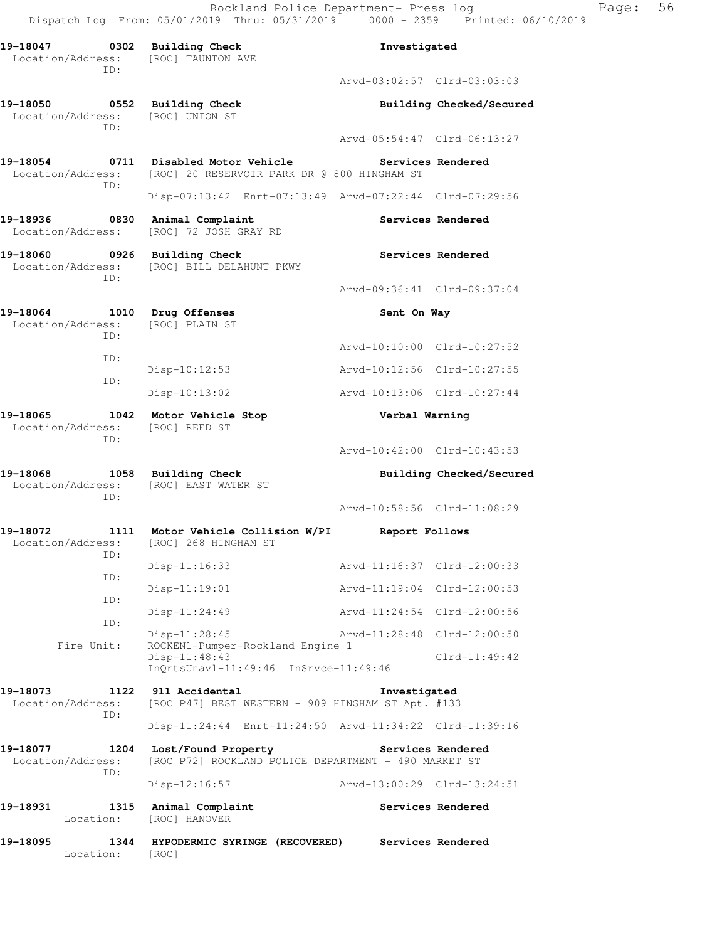Rockland Police Department- Press log Page: 56 Dispatch Log From: 05/01/2019 Thru: 05/31/2019 0000 - 2359 Printed: 06/10/2019

**19-18047 0302 Building Check Investigated**  Location/Address: [ROC] TAUNTON AVE ID: Arvd-03:02:57 Clrd-03:03:03 **19-18050 0552 Building Check Building Checked/Secured**  Location/Address: [ROC] UNION ST ID: Arvd-05:54:47 Clrd-06:13:27 **19-18054 0711 Disabled Motor Vehicle Services Rendered**  Location/Address: [ROC] 20 RESERVOIR PARK DR @ 800 HINGHAM ST ID: Disp-07:13:42 Enrt-07:13:49 Arvd-07:22:44 Clrd-07:29:56 19-18936 **0830** Animal Complaint **Complaint** Services Rendered Location/Address: [ROC] 72 JOSH GRAY RD **19-18060 0926 Building Check Services Rendered**  Location/Address: [ROC] BILL DELAHUNT PKWY ID: Arvd-09:36:41 Clrd-09:37:04 **19-18064** 1010 Drug Offenses **19-18064** Sent On Way Location/Address: [ROC] PLAIN ST ID: Arvd-10:10:00 Clrd-10:27:52 ID: Disp-10:12:53 Arvd-10:12:56 Clrd-10:27:55 ID: Disp-10:13:02 Arvd-10:13:06 Clrd-10:27:44 **19-18065 1042 Motor Vehicle Stop Verbal Warning**  Location/Address: [ROC] REED ST ID: Arvd-10:42:00 Clrd-10:43:53 **19-18068 1058 Building Check Building Checked/Secured**  Location/Address: [ROC] EAST WATER ST ID: Arvd-10:58:56 Clrd-11:08:29 **19-18072 1111 Motor Vehicle Collision W/PI Report Follows**  Location/Address: [ROC] 268 HINGHAM ST ID: Disp-11:16:33 Arvd-11:16:37 Clrd-12:00:33 ID: Disp-11:19:01 Arvd-11:19:04 Clrd-12:00:53 ID: Disp-11:24:49 Arvd-11:24:54 Clrd-12:00:56 ID: Disp-11:28:45 Arvd-11:28:48 Clrd-12:00:50<br>Fire Unit: ROCKEN1-Pumper-Rockland Engine 1 ROCKEN1-Pumper-Rockland Engine 1 Disp-11:48:43 Clrd-11:49:42 InQrtsUnavl-11:49:46 InSrvce-11:49:46 **19-18073 1122 911 Accidental Investigated**  Location/Address: [ROC P47] BEST WESTERN - 909 HINGHAM ST Apt. #133 ID: Disp-11:24:44 Enrt-11:24:50 Arvd-11:34:22 Clrd-11:39:16 **19-18077 1204 Lost/Found Property Services Rendered**  Location/Address: [ROC P72] ROCKLAND POLICE DEPARTMENT - 490 MARKET ST ID: Disp-12:16:57 Arvd-13:00:29 Clrd-13:24:51 **19-18931 1315 Animal Complaint Services Rendered**  Location: [ROC] HANOVER **19-18095 1344 HYPODERMIC SYRINGE (RECOVERED) Services Rendered**  Location: [ROC]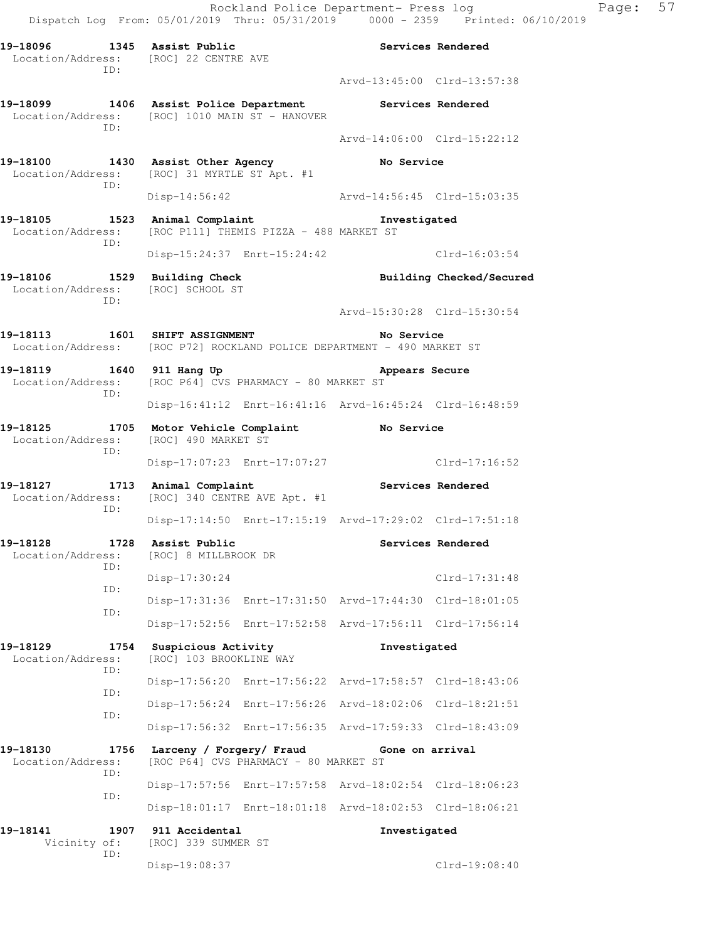| 19-18096 1345 Assist Public                                              | Location/Address: [ROC] 22 CENTRE AVE                                                                    |                             | Services Rendered        |
|--------------------------------------------------------------------------|----------------------------------------------------------------------------------------------------------|-----------------------------|--------------------------|
| ID:                                                                      |                                                                                                          | Arvd-13:45:00 Clrd-13:57:38 |                          |
| ID:                                                                      | 19-18099 1406 Assist Police Department<br>Location/Address: [ROC] 1010 MAIN ST - HANOVER                 | Services Rendered           |                          |
|                                                                          |                                                                                                          | Arvd-14:06:00 Clrd-15:22:12 |                          |
| ID:                                                                      | 19-18100 1430 Assist Other Agency<br>Location/Address: [ROC] 31 MYRTLE ST Apt. #1                        | No Service                  |                          |
|                                                                          | Disp-14:56:42                                                                                            | Arvd-14:56:45 Clrd-15:03:35 |                          |
| ID:                                                                      | 19-18105 1523 Animal Complaint<br>Location/Address: [ROC P111] THEMIS PIZZA - 488 MARKET ST              | Investigated                |                          |
|                                                                          | Disp-15:24:37 Enrt-15:24:42                                                                              |                             | $Clrd-16:03:54$          |
| 19-18106 1529 Building Check<br>Location/Address: [ROC] SCHOOL ST<br>TD: |                                                                                                          |                             | Building Checked/Secured |
|                                                                          |                                                                                                          | Arvd-15:30:28 Clrd-15:30:54 |                          |
|                                                                          | 19-18113 1601 SHIFT ASSIGNMENT<br>Location/Address: [ROC P72] ROCKLAND POLICE DEPARTMENT - 490 MARKET ST | No Service                  |                          |
| 19–18119<br>TD:                                                          | 1640 911 Hang Up<br>Location/Address: [ROC P64] CVS PHARMACY - 80 MARKET ST                              | Appears Secure              |                          |
|                                                                          | Disp-16:41:12 Enrt-16:41:16 Arvd-16:45:24 Clrd-16:48:59                                                  |                             |                          |
| 19-18125<br>1705                                                         | Motor Vehicle Complaint<br>Location/Address: [ROC] 490 MARKET ST                                         | <b>Example 2</b> No Service |                          |
| TD:                                                                      | Disp-17:07:23 Enrt-17:07:27                                                                              |                             | Clrd-17:16:52            |
| 19-18127 1713 Animal Complaint<br>Location/Address:<br>TD:               | [ROC] 340 CENTRE AVE Apt. #1                                                                             | <b>Services Rendered</b>    |                          |
|                                                                          | Disp-17:14:50 Enrt-17:15:19 Arvd-17:29:02 Clrd-17:51:18                                                  |                             |                          |
| 19-18128 1728 Assist Public<br>ID:                                       | Location/Address: [ROC] 8 MILLBROOK DR                                                                   |                             | Services Rendered        |
| ID:                                                                      | Disp-17:30:24                                                                                            |                             | $Clrd-17:31:48$          |
| ID:                                                                      | Disp-17:31:36 Enrt-17:31:50 Arvd-17:44:30 Clrd-18:01:05                                                  |                             |                          |
|                                                                          | Disp-17:52:56 Enrt-17:52:58 Arvd-17:56:11 Clrd-17:56:14                                                  |                             |                          |
| 19-18129<br>1754<br>Location/Address:<br>ID:                             | Suspicious Activity<br>[ROC] 103 BROOKLINE WAY                                                           | Investigated                |                          |
| ID:                                                                      | Disp-17:56:20 Enrt-17:56:22 Arvd-17:58:57 Clrd-18:43:06                                                  |                             |                          |
| ID:                                                                      | Disp-17:56:24 Enrt-17:56:26 Arvd-18:02:06 Clrd-18:21:51                                                  |                             |                          |
|                                                                          | Disp-17:56:32 Enrt-17:56:35 Arvd-17:59:33 Clrd-18:43:09                                                  |                             |                          |
| 19-18130<br>1756<br>Location/Address:<br>ID:                             | Larceny / Forgery/ Fraud<br>[ROC P64] CVS PHARMACY - 80 MARKET ST                                        | Gone on arrival             |                          |
| ID:                                                                      | Disp-17:57:56 Enrt-17:57:58 Arvd-18:02:54 Clrd-18:06:23                                                  |                             |                          |
|                                                                          | Disp-18:01:17 Enrt-18:01:18 Arvd-18:02:53 Clrd-18:06:21                                                  |                             |                          |
| 19-18141<br>1907<br>Vicinity of:                                         | 911 Accidental<br>[ROC] 339 SUMMER ST                                                                    | Investigated                |                          |
| ID:                                                                      | Disp-19:08:37                                                                                            |                             | Clrd-19:08:40            |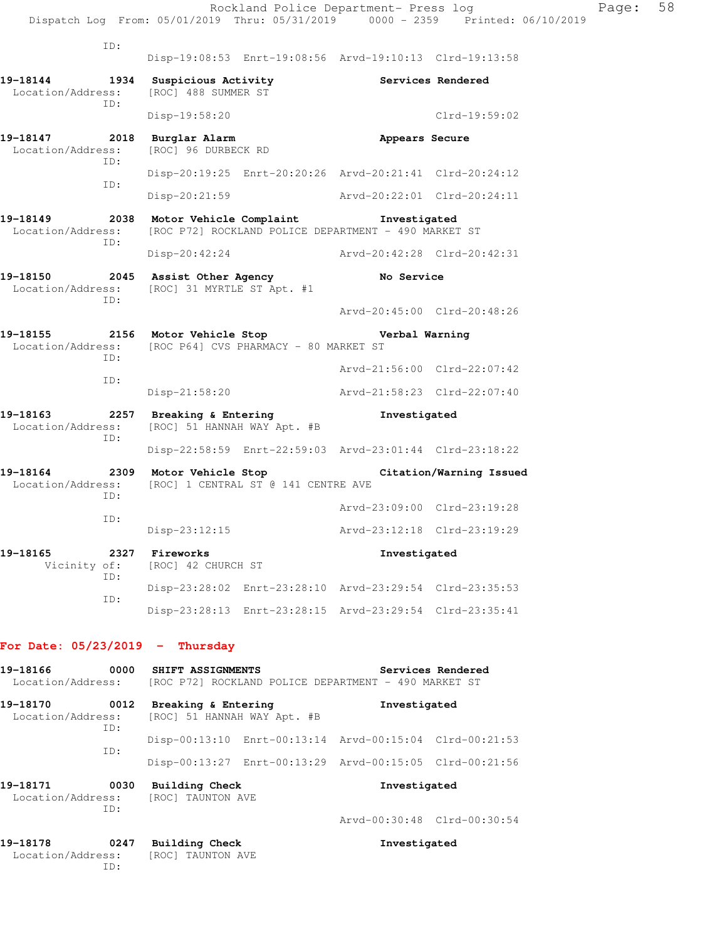Disp-19:08:53 Enrt-19:08:56 Arvd-19:10:13 Clrd-19:13:58

**19-18144 1934 Suspicious Activity Services Rendered**  Location/Address: [ROC] 488 SUMMER ST ID: Disp-19:58:20 Clrd-19:59:02 **19-18147 2018 Burglar Alarm Appears Secure**  Location/Address: [ROC] 96 DURBECK RD ID: Disp-20:19:25 Enrt-20:20:26 Arvd-20:21:41 Clrd-20:24:12 ID: Disp-20:21:59 Arvd-20:22:01 Clrd-20:24:11

**19-18149 2038 Motor Vehicle Complaint Investigated**  Location/Address: [ROC P72] ROCKLAND POLICE DEPARTMENT - 490 MARKET ST ID: Disp-20:42:24 Arvd-20:42:28 Clrd-20:42:31

**19-18150 2045 Assist Other Agency No Service**  Location/Address: [ROC] 31 MYRTLE ST Apt. #1 ID:

 Arvd-20:45:00 Clrd-20:48:26 **19-18155 2156 Motor Vehicle Stop Verbal Warning** 

Location/Address: [ROC P64] CVS PHARMACY - 80 MARKET ST ID: Arvd-21:56:00 Clrd-22:07:42 ID: Disp-21:58:20 Arvd-21:58:23 Clrd-22:07:40

**19-18163 2257 Breaking & Entering Investigated**  Location/Address: [ROC] 51 HANNAH WAY Apt. #B ID: Disp-22:58:59 Enrt-22:59:03 Arvd-23:01:44 Clrd-23:18:22

**19-18164 2309 Motor Vehicle Stop Citation/Warning Issued**  Location/Address: [ROC] 1 CENTRAL ST @ 141 CENTRE AVE ID: Arvd-23:09:00 Clrd-23:19:28 ID: Disp-23:12:15 Arvd-23:12:18 Clrd-23:19:29 **19-18165 2327 Fireworks Investigated**  Vicinity of: [ROC] 42 CHURCH ST

 ID: Disp-23:28:02 Enrt-23:28:10 Arvd-23:29:54 Clrd-23:35:53 ID: Disp-23:28:13 Enrt-23:28:15 Arvd-23:29:54 Clrd-23:35:41

#### **For Date: 05/23/2019 - Thursday**

| 19-18166<br>0000                                               | SHIFT ASSIGNMENTS<br>Location/Address: [ROC P72] ROCKLAND POLICE DEPARTMENT - 490 MARKET ST | Services Rendered                                       |
|----------------------------------------------------------------|---------------------------------------------------------------------------------------------|---------------------------------------------------------|
| 19-18170<br>0012<br>ID:                                        | Breaking & Entering<br>Location/Address: [ROC] 51 HANNAH WAY Apt. #B                        | Investigated                                            |
|                                                                |                                                                                             | Disp-00:13:10 Enrt-00:13:14 Arvd-00:15:04 Clrd-00:21:53 |
| TD:                                                            |                                                                                             | Disp-00:13:27 Enrt-00:13:29 Arvd-00:15:05 Clrd-00:21:56 |
| 19-18171<br>0030<br>Location/Address: [ROC] TAUNTON AVE<br>TD: | Building Check                                                                              | Investigated                                            |
|                                                                |                                                                                             | Arvd-00:30:48 Clrd-00:30:54                             |

| 19-18178<br>0247  | Building Check    | Investigated |
|-------------------|-------------------|--------------|
| Location/Address: | [ROC] TAUNTON AVE |              |
| TD:               |                   |              |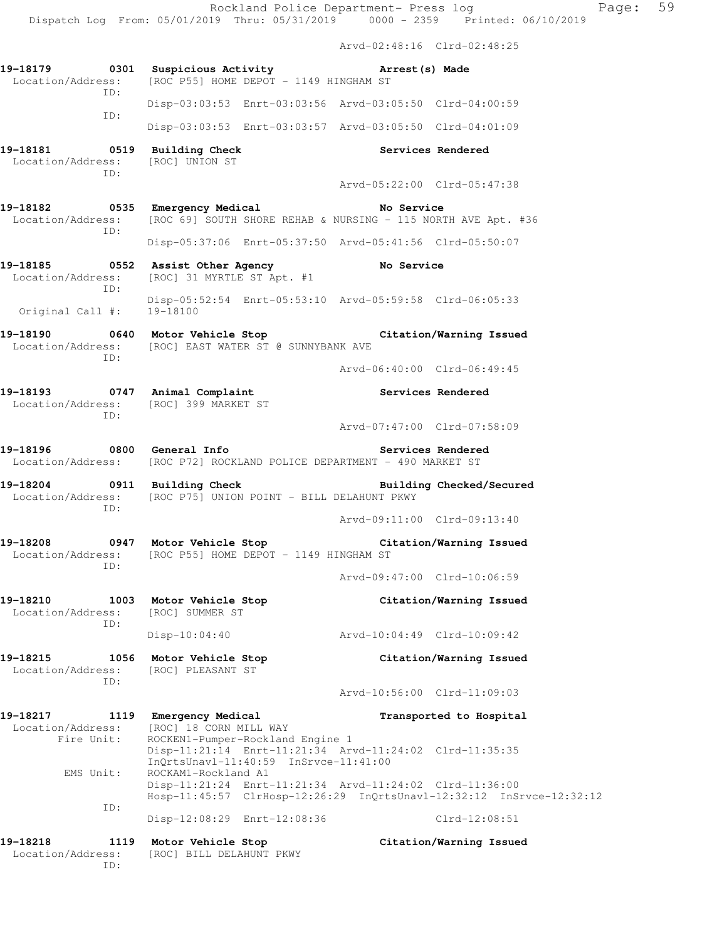Rockland Police Department- Press log Page: 59 Dispatch Log From: 05/01/2019 Thru: 05/31/2019 0000 - 2359 Printed: 06/10/2019 Arvd-02:48:16 Clrd-02:48:25 **19-18179 0301 Suspicious Activity Arrest(s) Made**  Location/Address: [ROC P55] HOME DEPOT - 1149 HINGHAM ST ID: Disp-03:03:53 Enrt-03:03:56 Arvd-03:05:50 Clrd-04:00:59 ID: Disp-03:03:53 Enrt-03:03:57 Arvd-03:05:50 Clrd-04:01:09 **19-18181 0519 Building Check Services Rendered**  Location/Address: [ROC] UNION ST ID: Arvd-05:22:00 Clrd-05:47:38 **19-18182 0535 Emergency Medical No Service**  Location/Address: [ROC 69] SOUTH SHORE REHAB & NURSING - 115 NORTH AVE Apt. #36 ID: Disp-05:37:06 Enrt-05:37:50 Arvd-05:41:56 Clrd-05:50:07 **19-18185 0552 Assist Other Agency No Service**  Location/Address: [ROC] 31 MYRTLE ST Apt. #1 ID: Disp-05:52:54 Enrt-05:53:10 Arvd-05:59:58 Clrd-06:05:33 Original Call #: 19-18100 **19-18190 0640 Motor Vehicle Stop Citation/Warning Issued**  Location/Address: [ROC] EAST WATER ST @ SUNNYBANK AVE ID: Arvd-06:40:00 Clrd-06:49:45 **19-18193 0747 Animal Complaint Services Rendered**  Location/Address: [ROC] 399 MARKET ST ID: Arvd-07:47:00 Clrd-07:58:09 **19-18196 0800 General Info Services Rendered**  Location/Address: [ROC P72] ROCKLAND POLICE DEPARTMENT - 490 MARKET ST **19-18204 0911 Building Check Building Checked/Secured**  Location/Address: [ROC P75] UNION POINT - BILL DELAHUNT PKWY ID: Arvd-09:11:00 Clrd-09:13:40 **19-18208 0947 Motor Vehicle Stop Citation/Warning Issued**  Location/Address: [ROC P55] HOME DEPOT - 1149 HINGHAM ST ID: Arvd-09:47:00 Clrd-10:06:59 **19-18210 1003 Motor Vehicle Stop Citation/Warning Issued**  Location/Address: [ROC] SUMMER ST ID: Disp-10:04:40 Arvd-10:04:49 Clrd-10:09:42 **19-18215 1056 Motor Vehicle Stop Citation/Warning Issued**  Location/Address: [ROC] PLEASANT ST ID: Arvd-10:56:00 Clrd-11:09:03 **19-18217 1119 Emergency Medical Transported to Hospital**  Location/Address: [ROC] 18 CORN MILL WAY Fire Unit: ROCKEN1-Pumper-Rockland Engine 1 Disp-11:21:14 Enrt-11:21:34 Arvd-11:24:02 Clrd-11:35:35 InQrtsUnavl-11:40:59 InSrvce-11:41:00 EMS Unit: ROCKAM1-Rockland A1 Disp-11:21:24 Enrt-11:21:34 Arvd-11:24:02 Clrd-11:36:00 Hosp-11:45:57 ClrHosp-12:26:29 InQrtsUnavl-12:32:12 InSrvce-12:32:12 ID: Disp-12:08:29 Enrt-12:08:36 Clrd-12:08:51 **19-18218 1119 Motor Vehicle Stop Citation/Warning Issued**  Location/Address: [ROC] BILL DELAHUNT PKWY

ID: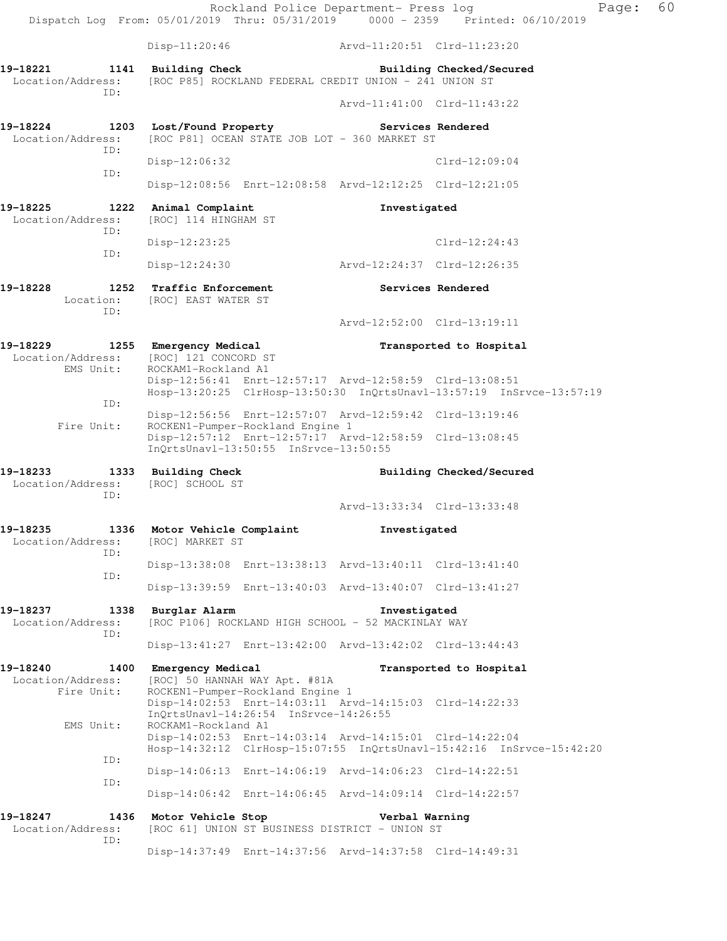|                                                     |                                                                                                                                                        | Rockland Police Department- Press log | Ρā<br>Dispatch Log From: 05/01/2019 Thru: 05/31/2019 0000 - 2359 Printed: 06/10/2019 |
|-----------------------------------------------------|--------------------------------------------------------------------------------------------------------------------------------------------------------|---------------------------------------|--------------------------------------------------------------------------------------|
|                                                     | $Disp-11:20:46$                                                                                                                                        |                                       |                                                                                      |
| 19-18221<br>1141<br>Location/Address:               | Building Check<br>[ROC P85] ROCKLAND FEDERAL CREDIT UNION - 241 UNION ST                                                                               |                                       | Building Checked/Secured                                                             |
| ID:                                                 |                                                                                                                                                        | Arvd-11:41:00 Clrd-11:43:22           |                                                                                      |
| 19-18224<br>Location/Address:<br>ID:                | 1203 Lost/Found Property<br>[ROC P81] OCEAN STATE JOB LOT - 360 MARKET ST                                                                              | <b>Services Rendered</b>              |                                                                                      |
|                                                     | $Disp-12:06:32$                                                                                                                                        |                                       | $Clrd-12:09:04$                                                                      |
| ID:                                                 | Disp-12:08:56 Enrt-12:08:58 Arvd-12:12:25 Clrd-12:21:05                                                                                                |                                       |                                                                                      |
| 19-18225<br>1222<br>Location/Address:<br>ID:        | Animal Complaint<br>[ROC] 114 HINGHAM ST                                                                                                               | Investigated                          |                                                                                      |
| ID:                                                 | $Disp-12:23:25$                                                                                                                                        |                                       | $Clrd-12:24:43$                                                                      |
|                                                     | $Disp-12:24:30$                                                                                                                                        | Arvd-12:24:37 Clrd-12:26:35           |                                                                                      |
| 19-18228<br>1252<br>Location:<br>TD:                | <b>Traffic Enforcement</b><br>[ROC] EAST WATER ST                                                                                                      | <b>Services Rendered</b>              |                                                                                      |
|                                                     |                                                                                                                                                        | Arvd-12:52:00 Clrd-13:19:11           |                                                                                      |
| 19-18229<br>Location/Address:<br>EMS Unit:          | 1255 Emergency Medical<br>[ROC] 121 CONCORD ST<br>ROCKAM1-Rockland A1                                                                                  |                                       | Transported to Hospital                                                              |
| ID:                                                 | Disp-12:56:41 Enrt-12:57:17 Arvd-12:58:59 Clrd-13:08:51                                                                                                |                                       | Hosp-13:20:25 ClrHosp-13:50:30 InQrtsUnavl-13:57:19 InSrvce-13:57:19                 |
| Fire Unit:                                          | Disp-12:56:56 Enrt-12:57:07 Arvd-12:59:42 Clrd-13:19:46<br>ROCKEN1-Pumper-Rockland Engine 1<br>Disp-12:57:12 Enrt-12:57:17 Arvd-12:58:59 Clrd-13:08:45 |                                       |                                                                                      |
|                                                     | InQrtsUnavl-13:50:55 InSrvce-13:50:55                                                                                                                  |                                       |                                                                                      |
| 19-18233<br>Location/Address:<br>TD:                | 1333 Building Check<br>[ROC] SCHOOL ST                                                                                                                 |                                       | Building Checked/Secured                                                             |
|                                                     |                                                                                                                                                        | Arvd-13:33:34 Clrd-13:33:48           |                                                                                      |
| 19-18235<br>Location/Address:<br>ID:                | 1336 Motor Vehicle Complaint<br>[ROC] MARKET ST                                                                                                        | Investigated                          |                                                                                      |
| ID:                                                 | Disp-13:38:08 Enrt-13:38:13 Arvd-13:40:11 Clrd-13:41:40                                                                                                |                                       |                                                                                      |
|                                                     | Disp-13:39:59 Enrt-13:40:03 Arvd-13:40:07 Clrd-13:41:27                                                                                                |                                       |                                                                                      |
| 19-18237<br>1338<br>Location/Address:<br>ID:        | Burglar Alarm<br>[ROC P106] ROCKLAND HIGH SCHOOL - 52 MACKINLAY WAY                                                                                    | Investigated                          |                                                                                      |
|                                                     | Disp-13:41:27 Enrt-13:42:00 Arvd-13:42:02 Clrd-13:44:43                                                                                                |                                       |                                                                                      |
| 19-18240<br>1400<br>Location/Address:<br>Fire Unit: | Emergency Medical<br>[ROC] 50 HANNAH WAY Apt. #81A<br>ROCKEN1-Pumper-Rockland Engine 1                                                                 |                                       | Transported to Hospital                                                              |
| EMS Unit:                                           | Disp-14:02:53 Enrt-14:03:11 Arvd-14:15:03 Clrd-14:22:33<br>InQrtsUnavl-14:26:54 InSrvce-14:26:55<br>ROCKAM1-Rockland A1                                |                                       |                                                                                      |
|                                                     | Disp-14:02:53 Enrt-14:03:14 Arvd-14:15:01 Clrd-14:22:04                                                                                                |                                       | Hosp-14:32:12 ClrHosp-15:07:55 InQrtsUnavl-15:42:16 InSrvce-15:42:20                 |
| ID:                                                 | Disp-14:06:13 Enrt-14:06:19 Arvd-14:06:23 Clrd-14:22:51                                                                                                |                                       |                                                                                      |
| ID:                                                 | Disp-14:06:42 Enrt-14:06:45 Arvd-14:09:14 Clrd-14:22:57                                                                                                |                                       |                                                                                      |
| 19-18247<br>1436<br>Location/Address:<br>ID:        | Motor Vehicle Stop<br>[ROC 61] UNION ST BUSINESS DISTRICT - UNION ST                                                                                   | Verbal Warning                        |                                                                                      |
|                                                     | Disp-14:37:49 Enrt-14:37:56 Arvd-14:37:58 Clrd-14:49:31                                                                                                |                                       |                                                                                      |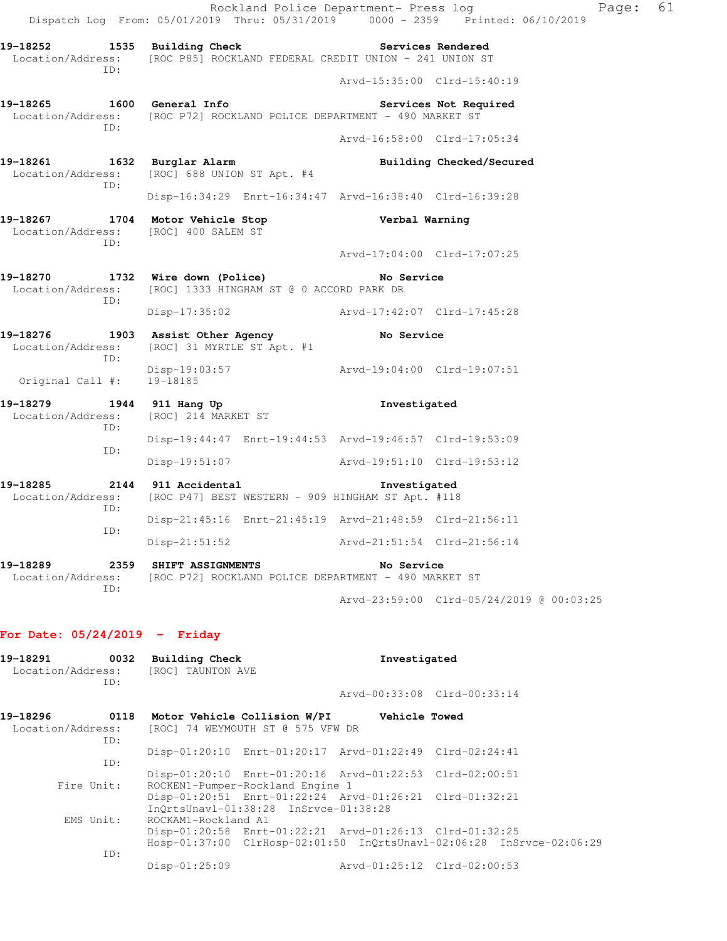|                                             | Dispatch Log From: 05/01/2019 Thru: 05/31/2019 0000 - 2359 Printed: 06/10/2019                           |                             | Rockland Police Department- Press log | Page: 61 |  |
|---------------------------------------------|----------------------------------------------------------------------------------------------------------|-----------------------------|---------------------------------------|----------|--|
| ID:                                         | 19-18252 1535 Building Check<br>Location/Address: [ROC P85] ROCKLAND FEDERAL CREDIT UNION - 241 UNION ST | <b>Services Rendered</b>    |                                       |          |  |
|                                             |                                                                                                          | Arvd-15:35:00 Clrd-15:40:19 |                                       |          |  |
| ID:                                         | 19-18265 1600 General Info<br>Location/Address: [ROC P72] ROCKLAND POLICE DEPARTMENT - 490 MARKET ST     |                             | Services Not Required                 |          |  |
|                                             |                                                                                                          | Arvd-16:58:00 Clrd-17:05:34 |                                       |          |  |
| ID:                                         | 19-18261 1632 Burglar Alarm<br>Location/Address: [ROC] 688 UNION ST Apt. #4                              |                             | Building Checked/Secured              |          |  |
|                                             | Disp-16:34:29 Enrt-16:34:47 Arvd-16:38:40 Clrd-16:39:28                                                  |                             |                                       |          |  |
| Location/Address: [ROC] 400 SALEM ST<br>ID: | 19-18267 1704 Motor Vehicle Stop Nerbal Warning                                                          |                             |                                       |          |  |
|                                             |                                                                                                          | Arvd-17:04:00 Clrd-17:07:25 |                                       |          |  |
| TD:                                         | 19-18270 1732 Wire down (Police)<br>Location/Address: [ROC] 1333 HINGHAM ST @ 0 ACCORD PARK DR           | No Service                  |                                       |          |  |
|                                             | Disp-17:35:02 Arvd-17:42:07 Clrd-17:45:28                                                                |                             |                                       |          |  |
| ID:                                         | 19-18276 1903 Assist Other Agency<br>Location/Address: [ROC] 31 MYRTLE ST Apt. #1                        | <b>No Service</b>           |                                       |          |  |
| Original Call #: 19-18185                   | Disp-19:03:57 Arvd-19:04:00 Clrd-19:07:51                                                                |                             |                                       |          |  |
| ID:                                         | 19-18279 1944 911 Hang Up<br>Location/Address: [ROC] 214 MARKET ST                                       | Investigated                |                                       |          |  |
|                                             | Disp-19:44:47 Enrt-19:44:53 Arvd-19:46:57 Clrd-19:53:09                                                  |                             |                                       |          |  |
| ID:                                         | Disp-19:51:07 Arvd-19:51:10 Clrd-19:53:12                                                                |                             |                                       |          |  |
|                                             | 19-18285 2144 911 Accidental<br>Location/Address: [ROC P47] BEST WESTERN - 909 HINGHAM ST Apt. #118      | Investigated                |                                       |          |  |
| ID:                                         | Disp-21:45:16 Enrt-21:45:19 Arvd-21:48:59 Clrd-21:56:11                                                  |                             |                                       |          |  |
| ID:                                         | Disp-21:51:52 Arvd-21:51:54 Clrd-21:56:14                                                                |                             |                                       |          |  |
| Location/Address:                           | 19-18289  2359 SHIFT ASSIGNMENTS<br>[ROC P72] ROCKLAND POLICE DEPARTMENT - 490 MARKET ST                 | No Service                  |                                       |          |  |

Arvd-23:59:00 Clrd-05/24/2019 @ 00:03:25

## **For Date: 05/24/2019 - Friday**

ID:

| 19-18291<br>Location/Address: [ROC] TAUNTON AVE<br>ID: |            | 0032 Building Check                                 |                                       |                                                         | Investigated                                                         |  |  |
|--------------------------------------------------------|------------|-----------------------------------------------------|---------------------------------------|---------------------------------------------------------|----------------------------------------------------------------------|--|--|
|                                                        |            |                                                     |                                       | Arvd-00:33:08 Clrd-00:33:14                             |                                                                      |  |  |
| 19-18296                                               |            | 0118 Motor Vehicle Collision W/PI                   |                                       | <b>Vehicle Towed</b>                                    |                                                                      |  |  |
|                                                        | ID:        | Location/Address: [ROC] 74 WEYMOUTH ST @ 575 VFW DR |                                       |                                                         |                                                                      |  |  |
|                                                        | ID:        |                                                     |                                       | Disp-01:20:10 Enrt-01:20:17 Arvd-01:22:49 Clrd-02:24:41 |                                                                      |  |  |
|                                                        |            |                                                     |                                       | Disp-01:20:10 Enrt-01:20:16 Arvd-01:22:53 Clrd-02:00:51 |                                                                      |  |  |
|                                                        | Fire Unit: | ROCKEN1-Pumper-Rockland Engine 1                    |                                       |                                                         |                                                                      |  |  |
|                                                        |            |                                                     | InOrtsUnavl-01:38:28 InSrvce-01:38:28 | Disp-01:20:51 Enrt-01:22:24 Arvd-01:26:21 Clrd-01:32:21 |                                                                      |  |  |
|                                                        | EMS Unit:  | ROCKAM1-Rockland A1                                 |                                       |                                                         |                                                                      |  |  |
|                                                        |            |                                                     |                                       | Disp-01:20:58 Enrt-01:22:21 Arvd-01:26:13 Clrd-01:32:25 |                                                                      |  |  |
|                                                        |            |                                                     |                                       |                                                         | Hosp-01:37:00 ClrHosp-02:01:50 InQrtsUnavl-02:06:28 InSrvce-02:06:29 |  |  |
|                                                        | ID:        |                                                     |                                       |                                                         |                                                                      |  |  |
|                                                        |            | $Disp-01:25:09$                                     |                                       | Arvd-01:25:12 Clrd-02:00:53                             |                                                                      |  |  |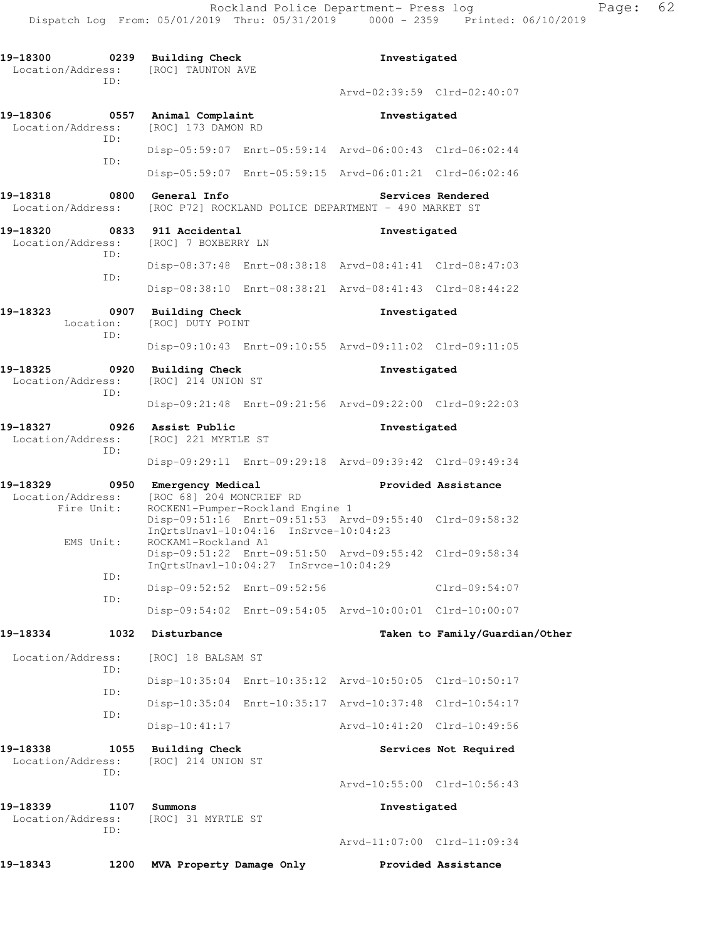| 19-18300<br>0239<br>Location/Address:<br>TD: |             | <b>Building Check</b><br>[ROC] TAUNTON AVE                                                       |                                                         | Investigated                                            |                                |  |
|----------------------------------------------|-------------|--------------------------------------------------------------------------------------------------|---------------------------------------------------------|---------------------------------------------------------|--------------------------------|--|
|                                              |             |                                                                                                  |                                                         | Arvd-02:39:59 Clrd-02:40:07                             |                                |  |
| 19-18306<br>Location/Address:                | 0557        | Animal Complaint<br>[ROC] 173 DAMON RD                                                           |                                                         | Investigated                                            |                                |  |
|                                              | TD:         |                                                                                                  |                                                         | Disp-05:59:07 Enrt-05:59:14 Arvd-06:00:43 Clrd-06:02:44 |                                |  |
|                                              | ID:         |                                                                                                  |                                                         | Disp-05:59:07 Enrt-05:59:15 Arvd-06:01:21 Clrd-06:02:46 |                                |  |
| 19-18318<br>Location/Address:                | 0800        | General Info                                                                                     |                                                         | [ROC P72] ROCKLAND POLICE DEPARTMENT - 490 MARKET ST    | Services Rendered              |  |
| 19-18320<br>Location/Address:                | 0833<br>ID: | 911 Accidental<br>[ROC] 7 BOXBERRY LN                                                            |                                                         | Investigated                                            |                                |  |
|                                              | ID:         |                                                                                                  |                                                         | Disp-08:37:48 Enrt-08:38:18 Arvd-08:41:41 Clrd-08:47:03 |                                |  |
|                                              |             |                                                                                                  |                                                         | Disp-08:38:10 Enrt-08:38:21 Arvd-08:41:43 Clrd-08:44:22 |                                |  |
| 19-18323<br>Location:                        | 0907<br>ID: | <b>Building Check</b><br>[ROC] DUTY POINT                                                        |                                                         | Investigated                                            |                                |  |
|                                              |             |                                                                                                  |                                                         | Disp-09:10:43 Enrt-09:10:55 Arvd-09:11:02 Clrd-09:11:05 |                                |  |
| 19-18325<br>Location/Address:                | 0920<br>ID: | <b>Building Check</b><br>[ROC] 214 UNION ST                                                      |                                                         | Investigated                                            |                                |  |
|                                              |             |                                                                                                  | Disp-09:21:48 Enrt-09:21:56 Arvd-09:22:00 Clrd-09:22:03 |                                                         |                                |  |
| 19-18327<br>0926<br>Location/Address:<br>ID: |             | Assist Public<br>[ROC] 221 MYRTLE ST                                                             |                                                         | Investigated                                            |                                |  |
|                                              |             |                                                                                                  | Disp-09:29:11 Enrt-09:29:18 Arvd-09:39:42 Clrd-09:49:34 |                                                         |                                |  |
| 19-18329<br>Location/Address:<br>Fire Unit:  | 0950        | Emergency Medical<br>[ROC 68] 204 MONCRIEF RD                                                    | ROCKEN1-Pumper-Rockland Engine 1                        |                                                         | Provided Assistance            |  |
| EMS Unit:                                    |             | ROCKAM1-Rockland A1                                                                              | InQrtsUnavl-10:04:16 InSrvce-10:04:23                   | Disp-09:51:16 Enrt-09:51:53 Arvd-09:55:40 Clrd-09:58:32 |                                |  |
|                                              | ID:         | Disp-09:51:22 Enrt-09:51:50 Arvd-09:55:42 Clrd-09:58:34<br>InQrtsUnavl-10:04:27 InSrvce-10:04:29 |                                                         |                                                         |                                |  |
|                                              | ID:         | $Disp-09:52:52$                                                                                  | Enrt-09:52:56                                           |                                                         | Clrd-09:54:07                  |  |
|                                              |             |                                                                                                  |                                                         | Disp-09:54:02 Enrt-09:54:05 Arvd-10:00:01 Clrd-10:00:07 |                                |  |
| 19-18334                                     | 1032        | Disturbance                                                                                      |                                                         |                                                         | Taken to Family/Guardian/Other |  |
| Location/Address:                            | ID:         | [ROC] 18 BALSAM ST                                                                               |                                                         |                                                         |                                |  |
|                                              | ID:         |                                                                                                  |                                                         | Disp-10:35:04 Enrt-10:35:12 Arvd-10:50:05 Clrd-10:50:17 |                                |  |
|                                              | ID:         |                                                                                                  |                                                         | Disp-10:35:04 Enrt-10:35:17 Arvd-10:37:48 Clrd-10:54:17 |                                |  |
|                                              |             | Disp-10:41:17                                                                                    |                                                         | Arvd-10:41:20 Clrd-10:49:56                             |                                |  |
| 19-18338<br>Location/Address:                | 1055<br>ID: | Building Check<br>[ROC] 214 UNION ST                                                             |                                                         |                                                         | Services Not Required          |  |
|                                              |             |                                                                                                  |                                                         | Arvd-10:55:00 Clrd-10:56:43                             |                                |  |
| 19-18339<br>Location/Address:                | 1107<br>ID: | Summons<br>[ROC] 31 MYRTLE ST                                                                    |                                                         | Investigated                                            |                                |  |
|                                              |             |                                                                                                  |                                                         | Arvd-11:07:00 Clrd-11:09:34                             |                                |  |
| 19-18343                                     | 1200        | MVA Property Damage Only                                                                         |                                                         |                                                         | Provided Assistance            |  |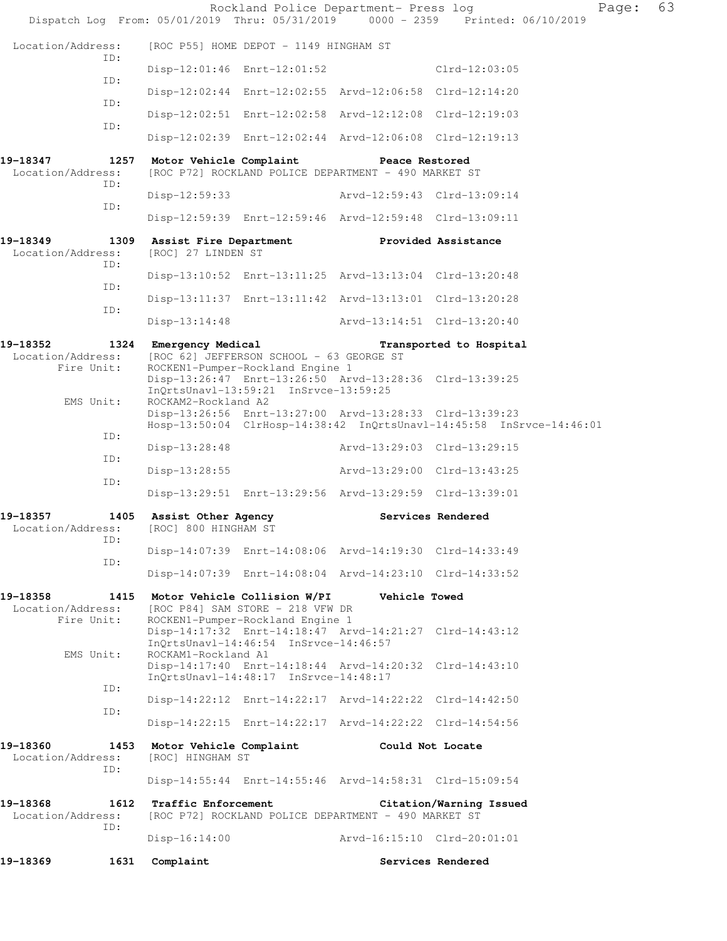| Dispatch Log From: 05/01/2019 Thru: 05/31/2019 0000 - 2359 Printed: 06/10/2019 |                                                   |                                                                                                                       | Rockland Police Department- Press log                                                                                           |                         | 63<br>Page: |  |
|--------------------------------------------------------------------------------|---------------------------------------------------|-----------------------------------------------------------------------------------------------------------------------|---------------------------------------------------------------------------------------------------------------------------------|-------------------------|-------------|--|
| Location/Address:                                                              |                                                   | [ROC P55] HOME DEPOT - 1149 HINGHAM ST                                                                                |                                                                                                                                 |                         |             |  |
| ID:                                                                            |                                                   | Disp-12:01:46 Enrt-12:01:52                                                                                           |                                                                                                                                 | $Clrd-12:03:05$         |             |  |
| ID:                                                                            |                                                   |                                                                                                                       | Disp-12:02:44 Enrt-12:02:55 Arvd-12:06:58 Clrd-12:14:20                                                                         |                         |             |  |
| ID:                                                                            |                                                   |                                                                                                                       | Disp-12:02:51 Enrt-12:02:58 Arvd-12:12:08 Clrd-12:19:03                                                                         |                         |             |  |
| ID:                                                                            |                                                   |                                                                                                                       | Disp-12:02:39 Enrt-12:02:44 Arvd-12:06:08 Clrd-12:19:13                                                                         |                         |             |  |
| 19-18347<br>Location/Address:<br>ID:                                           | 1257 Motor Vehicle Complaint                      |                                                                                                                       | Peace Restored<br>[ROC P72] ROCKLAND POLICE DEPARTMENT - 490 MARKET ST                                                          |                         |             |  |
| ID:                                                                            | Disp-12:59:33                                     |                                                                                                                       | Arvd-12:59:43 Clrd-13:09:14                                                                                                     |                         |             |  |
|                                                                                |                                                   |                                                                                                                       | Disp-12:59:39 Enrt-12:59:46 Arvd-12:59:48 Clrd-13:09:11                                                                         |                         |             |  |
| 19-18349<br>Location/Address:<br>ID:                                           | 1309 Assist Fire Department<br>[ROC] 27 LINDEN ST |                                                                                                                       | Provided Assistance                                                                                                             |                         |             |  |
| ID:                                                                            |                                                   |                                                                                                                       | Disp-13:10:52 Enrt-13:11:25 Arvd-13:13:04 Clrd-13:20:48                                                                         |                         |             |  |
| ID:                                                                            |                                                   |                                                                                                                       | Disp-13:11:37 Enrt-13:11:42 Arvd-13:13:01 Clrd-13:20:28                                                                         |                         |             |  |
|                                                                                | $Disp-13:14:48$                                   |                                                                                                                       | Arvd-13:14:51 Clrd-13:20:40                                                                                                     |                         |             |  |
| 19-18352<br>Location/Address:<br>Fire Unit:                                    | 1324 Emergency Medical                            | [ROC 62] JEFFERSON SCHOOL - 63 GEORGE ST<br>ROCKEN1-Pumper-Rockland Engine 1<br>InQrtsUnavl-13:59:21 InSrvce-13:59:25 | Disp-13:26:47 Enrt-13:26:50 Arvd-13:28:36 Clrd-13:39:25                                                                         | Transported to Hospital |             |  |
| EMS Unit:                                                                      | ROCKAM2-Rockland A2                               |                                                                                                                       | Disp-13:26:56 Enrt-13:27:00 Arvd-13:28:33 Clrd-13:39:23<br>Hosp-13:50:04 ClrHosp-14:38:42 InQrtsUnavl-14:45:58 InSrvce-14:46:01 |                         |             |  |
| ID:                                                                            | Disp-13:28:48                                     |                                                                                                                       | Arvd-13:29:03 Clrd-13:29:15                                                                                                     |                         |             |  |
| ID:                                                                            | Disp-13:28:55                                     |                                                                                                                       | Arvd-13:29:00 Clrd-13:43:25                                                                                                     |                         |             |  |
| ID:                                                                            |                                                   |                                                                                                                       | Disp-13:29:51 Enrt-13:29:56 Arvd-13:29:59 Clrd-13:39:01                                                                         |                         |             |  |
| 19-18357<br>1405<br>Location/Address:                                          | Assist Other Agency<br>[ROC] 800 HINGHAM ST       |                                                                                                                       |                                                                                                                                 | Services Rendered       |             |  |
| ID:                                                                            |                                                   |                                                                                                                       | Disp-14:07:39 Enrt-14:08:06 Arvd-14:19:30 Clrd-14:33:49                                                                         |                         |             |  |
| ID:                                                                            |                                                   |                                                                                                                       | Disp-14:07:39 Enrt-14:08:04 Arvd-14:23:10 Clrd-14:33:52                                                                         |                         |             |  |
| 19-18358<br>Location/Address:<br>Fire Unit:                                    | 1415 Motor Vehicle Collision W/PI                 | [ROC P84] SAM STORE - 218 VFW DR<br>ROCKEN1-Pumper-Rockland Engine 1                                                  | Vehicle Towed<br>Disp-14:17:32 Enrt-14:18:47 Arvd-14:21:27 Clrd-14:43:12                                                        |                         |             |  |
| EMS Unit:                                                                      | ROCKAM1-Rockland A1                               | InOrtsUnavl-14:46:54 InSrvce-14:46:57                                                                                 | Disp-14:17:40 Enrt-14:18:44 Arvd-14:20:32 Clrd-14:43:10                                                                         |                         |             |  |
| ID:                                                                            |                                                   | InQrtsUnavl-14:48:17 InSrvce-14:48:17                                                                                 |                                                                                                                                 |                         |             |  |
| ID:                                                                            |                                                   |                                                                                                                       | Disp-14:22:12 Enrt-14:22:17 Arvd-14:22:22 Clrd-14:42:50                                                                         |                         |             |  |
|                                                                                |                                                   |                                                                                                                       | Disp-14:22:15 Enrt-14:22:17 Arvd-14:22:22 Clrd-14:54:56                                                                         |                         |             |  |
| 19-18360<br>1453<br>Location/Address:<br>ID:                                   | Motor Vehicle Complaint<br>[ROC] HINGHAM ST       |                                                                                                                       | Could Not Locate                                                                                                                |                         |             |  |
|                                                                                |                                                   |                                                                                                                       | Disp-14:55:44 Enrt-14:55:46 Arvd-14:58:31 Clrd-15:09:54                                                                         |                         |             |  |
| 19-18368<br>1612<br>Location/Address:<br>ID:                                   | Traffic Enforcement                               |                                                                                                                       | [ROC P72] ROCKLAND POLICE DEPARTMENT - 490 MARKET ST                                                                            | Citation/Warning Issued |             |  |
|                                                                                | $Disp-16:14:00$                                   |                                                                                                                       | Arvd-16:15:10 Clrd-20:01:01                                                                                                     |                         |             |  |
| 19-18369<br>1631                                                               | Complaint                                         |                                                                                                                       |                                                                                                                                 | Services Rendered       |             |  |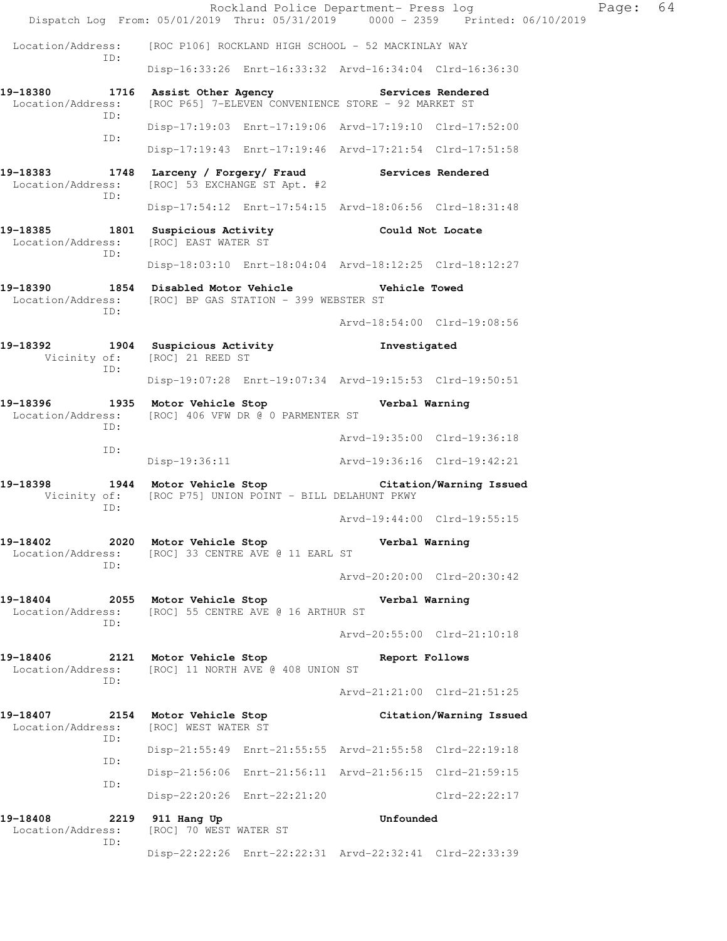Rockland Police Department- Press log Faqe: 64 Dispatch Log From: 05/01/2019 Thru: 05/31/2019 0000 - 2359 Printed: 06/10/2019 Location/Address: [ROC P106] ROCKLAND HIGH SCHOOL - 52 MACKINLAY WAY ID: Disp-16:33:26 Enrt-16:33:32 Arvd-16:34:04 Clrd-16:36:30 19-18380 1716 Assist Other Agency **18 Services Rendered**  Location/Address: [ROC P65] 7-ELEVEN CONVENIENCE STORE - 92 MARKET ST ID: Disp-17:19:03 Enrt-17:19:06 Arvd-17:19:10 Clrd-17:52:00 ID: Disp-17:19:43 Enrt-17:19:46 Arvd-17:21:54 Clrd-17:51:58 **19-18383 1748 Larceny / Forgery/ Fraud Services Rendered**  Location/Address: [ROC] 53 EXCHANGE ST Apt. #2 ID: Disp-17:54:12 Enrt-17:54:15 Arvd-18:06:56 Clrd-18:31:48 **19-18385 1801 Suspicious Activity Could Not Locate**  Location/Address: [ROC] EAST WATER ST ID: Disp-18:03:10 Enrt-18:04:04 Arvd-18:12:25 Clrd-18:12:27 **19-18390 1854 Disabled Motor Vehicle Vehicle Towed**  Location/Address: [ROC] BP GAS STATION - 399 WEBSTER ST ID: Arvd-18:54:00 Clrd-19:08:56 **19-18392 1904 Suspicious Activity Investigated**  Vicinity of: [ROC] 21 REED ST ID: Disp-19:07:28 Enrt-19:07:34 Arvd-19:15:53 Clrd-19:50:51 **19-18396 1935 Motor Vehicle Stop Verbal Warning**  Location/Address: [ROC] 406 VFW DR @ 0 PARMENTER ST ID: Arvd-19:35:00 Clrd-19:36:18 ID: Disp-19:36:11 Arvd-19:36:16 Clrd-19:42:21 **19-18398 1944 Motor Vehicle Stop Citation/Warning Issued**  Vicinity of: [ROC P75] UNION POINT - BILL DELAHUNT PKWY ID: Arvd-19:44:00 Clrd-19:55:15 **19-18402 2020 Motor Vehicle Stop Verbal Warning**  Location/Address: [ROC] 33 CENTRE AVE @ 11 EARL ST ID: Arvd-20:20:00 Clrd-20:30:42 **19-18404 2055 Motor Vehicle Stop Verbal Warning**  Location/Address: [ROC] 55 CENTRE AVE @ 16 ARTHUR ST ID: Arvd-20:55:00 Clrd-21:10:18 **19-18406 2121 Motor Vehicle Stop Report Follows**  Location/Address: [ROC] 11 NORTH AVE @ 408 UNION ST ID: Arvd-21:21:00 Clrd-21:51:25 **19-18407 2154 Motor Vehicle Stop Citation/Warning Issued**  Location/Address: [ROC] WEST WATER ST ID: Disp-21:55:49 Enrt-21:55:55 Arvd-21:55:58 Clrd-22:19:18 ID: Disp-21:56:06 Enrt-21:56:11 Arvd-21:56:15 Clrd-21:59:15 ID: Disp-22:20:26 Enrt-22:21:20 Clrd-22:22:17 **19-18408 2219 911 Hang Up Unfounded**  Location/Address: [ROC] 70 WEST WATER ST ID: Disp-22:22:26 Enrt-22:22:31 Arvd-22:32:41 Clrd-22:33:39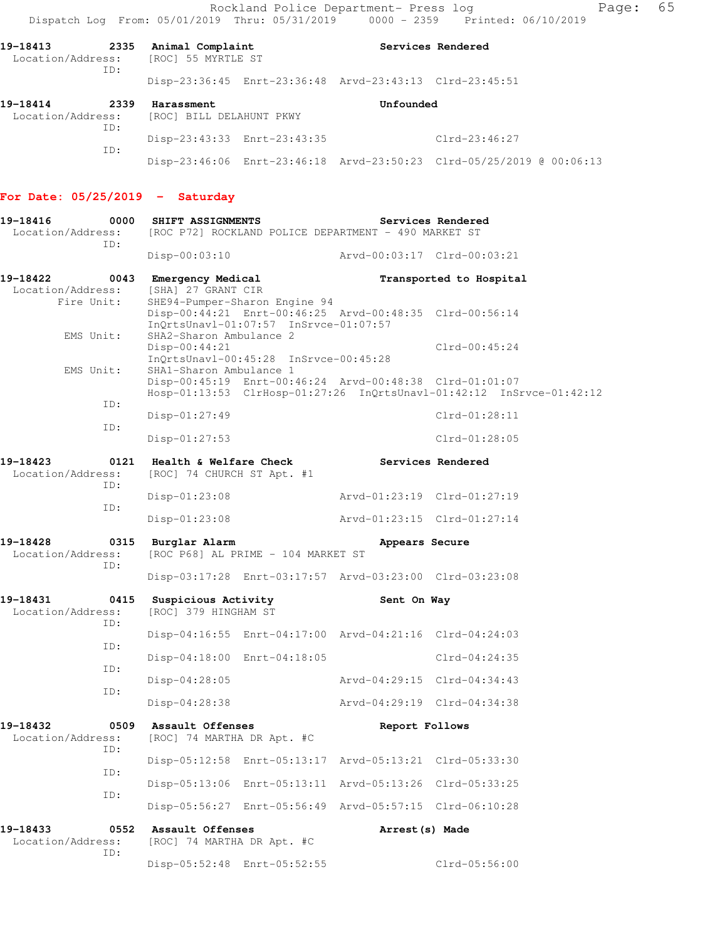Rockland Police Department- Press log entitled Page: 65 Dispatch Log From: 05/01/2019 Thru: 05/31/2019 0000 - 2359 Printed: 06/10/2019

Disp-23:46:06 Enrt-23:46:18 Arvd-23:50:23 Clrd-05/25/2019 @ 00:06:13

19-18413 **2335** Animal Complaint **19-18413** Services Rendered Location/Address: [ROC] 55 MYRTLE ST ID: Disp-23:36:45 Enrt-23:36:48 Arvd-23:43:13 Clrd-23:45:51 **19-18414 2339 Harassment Unfounded**  Location/Address: [ROC] BILL DELAHUNT PKWY ID: Disp-23:43:33 Enrt-23:43:35 Clrd-23:46:27

#### **For Date: 05/25/2019 - Saturday**

ID:

| 19-18416<br>0000<br>Location/Address: [ROC P72] ROCKLAND POLICE DEPARTMENT - 490 MARKET ST<br>ID: | SHIFT ASSIGNMENTS                                                                                                                 |                             | Services Rendered                                                    |
|---------------------------------------------------------------------------------------------------|-----------------------------------------------------------------------------------------------------------------------------------|-----------------------------|----------------------------------------------------------------------|
|                                                                                                   | $Disp-00:03:10$                                                                                                                   | Arvd-00:03:17 Clrd-00:03:21 |                                                                      |
| 19-18422<br>0043<br>Location/Address:                                                             | Emergency Medical<br>[SHA] 27 GRANT CIR                                                                                           |                             | Transported to Hospital                                              |
| Fire Unit:                                                                                        | SHE94-Pumper-Sharon Engine 94<br>Disp-00:44:21 Enrt-00:46:25 Arvd-00:48:35 Clrd-00:56:14<br>InQrtsUnavl-01:07:57 InSrvce-01:07:57 |                             |                                                                      |
| EMS Unit:                                                                                         | SHA2-Sharon Ambulance 2<br>$Disp-00:44:21$<br>InQrtsUnavl-00:45:28 InSrvce-00:45:28                                               |                             | $Clrd-00:45:24$                                                      |
| EMS Unit:                                                                                         | SHA1-Sharon Ambulance 1<br>Disp-00:45:19 Enrt-00:46:24 Arvd-00:48:38 Clrd-01:01:07                                                |                             | Hosp-01:13:53 ClrHosp-01:27:26 InQrtsUnavl-01:42:12 InSrvce-01:42:12 |
| ID:                                                                                               | $Disp-01:27:49$                                                                                                                   |                             | $Clrd-01:28:11$                                                      |
| ID:                                                                                               | $Disp-01:27:53$                                                                                                                   |                             | $Clrd-01:28:05$                                                      |
| 19-18423<br>0121<br>Location/Address:                                                             | Health & Welfare Check<br>[ROC] 74 CHURCH ST Apt. #1                                                                              | Services Rendered           |                                                                      |
| ID:                                                                                               | $Disp-01:23:08$                                                                                                                   | Arvd-01:23:19 Clrd-01:27:19 |                                                                      |
| ID:                                                                                               | $Disp-01:23:08$                                                                                                                   | Arvd-01:23:15 Clrd-01:27:14 |                                                                      |
| 19-18428<br>0315<br>Location/Address:<br>ID:                                                      | Burglar Alarm<br>[ROC P68] AL PRIME - 104 MARKET ST                                                                               | Appears Secure              |                                                                      |
|                                                                                                   | Disp-03:17:28 Enrt-03:17:57 Arvd-03:23:00 Clrd-03:23:08                                                                           |                             |                                                                      |
| 19-18431<br>0415<br>Location/Address:<br>ID:                                                      | Suspicious Activity<br>[ROC] 379 HINGHAM ST                                                                                       | Sent On Way                 |                                                                      |
| ID:                                                                                               | Disp-04:16:55 Enrt-04:17:00 Arvd-04:21:16 Clrd-04:24:03                                                                           |                             |                                                                      |
| ID:                                                                                               | Disp-04:18:00 Enrt-04:18:05                                                                                                       |                             | $Clrd-04:24:35$                                                      |
| ID:                                                                                               | $Disp-04:28:05$                                                                                                                   | Arvd-04:29:15 Clrd-04:34:43 |                                                                      |
|                                                                                                   | $Disp-04:28:38$                                                                                                                   | Arvd-04:29:19 Clrd-04:34:38 |                                                                      |
| 19-18432<br>Location/Address:<br>ID:                                                              | 0509 Assault Offenses<br>[ROC] 74 MARTHA DR Apt. #C                                                                               | Report Follows              |                                                                      |
| ID:                                                                                               | Disp-05:12:58 Enrt-05:13:17 Arvd-05:13:21 Clrd-05:33:30                                                                           |                             |                                                                      |
| ID:                                                                                               | Disp-05:13:06 Enrt-05:13:11 Arvd-05:13:26 Clrd-05:33:25                                                                           |                             |                                                                      |
|                                                                                                   | Disp-05:56:27 Enrt-05:56:49 Arvd-05:57:15 Clrd-06:10:28                                                                           |                             |                                                                      |
| 19-18433<br>0552<br>Location/Address:<br>ID:                                                      | Assault Offenses<br>[ROC] 74 MARTHA DR Apt. #C                                                                                    | Arrest(s) Made              |                                                                      |
|                                                                                                   | Disp-05:52:48 Enrt-05:52:55                                                                                                       |                             | $Clrd-05:56:00$                                                      |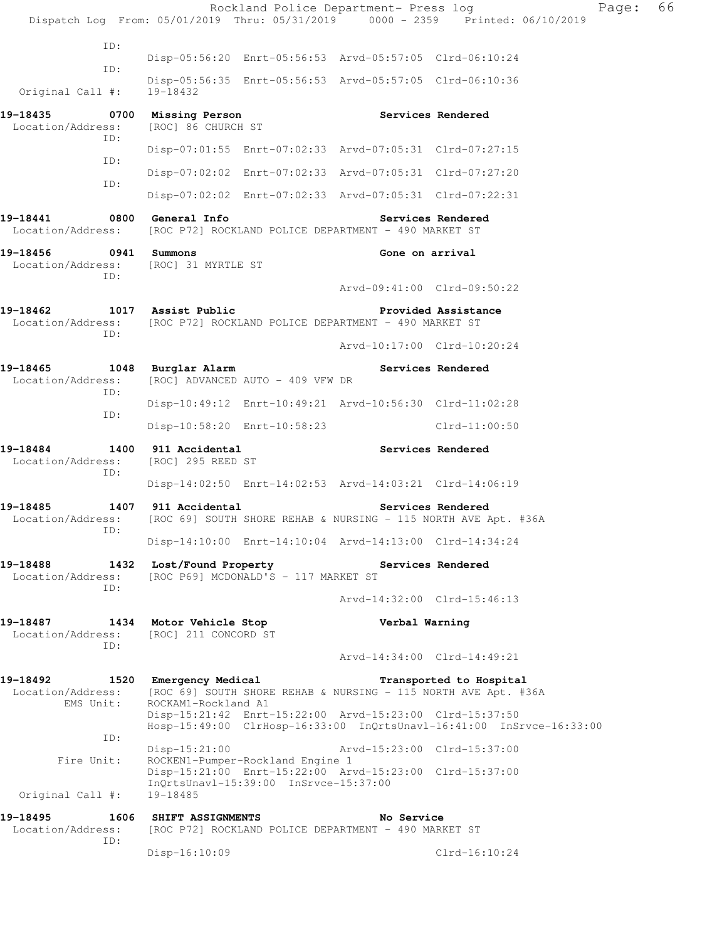| Dispatch Log From: 05/01/2019 Thru: 05/31/2019 0000 - 2359 Printed: 06/10/2019    |                                                                                        |                                                                           | Rockland Police Department- Press log                                                                                           |                             | Page: | 66 |
|-----------------------------------------------------------------------------------|----------------------------------------------------------------------------------------|---------------------------------------------------------------------------|---------------------------------------------------------------------------------------------------------------------------------|-----------------------------|-------|----|
| ID:                                                                               |                                                                                        |                                                                           |                                                                                                                                 |                             |       |    |
|                                                                                   |                                                                                        |                                                                           | Disp-05:56:20 Enrt-05:56:53 Arvd-05:57:05 Clrd-06:10:24                                                                         |                             |       |    |
| ID:<br>Original Call #:                                                           | 19-18432                                                                               |                                                                           | Disp-05:56:35 Enrt-05:56:53 Arvd-05:57:05 Clrd-06:10:36                                                                         |                             |       |    |
| 19-18435<br>Location/Address:                                                     | 0700 Missing Person<br>[ROC] 86 CHURCH ST                                              |                                                                           |                                                                                                                                 | Services Rendered           |       |    |
| ID:                                                                               |                                                                                        |                                                                           | Disp-07:01:55 Enrt-07:02:33 Arvd-07:05:31 Clrd-07:27:15                                                                         |                             |       |    |
| ID:                                                                               |                                                                                        |                                                                           | Disp-07:02:02 Enrt-07:02:33 Arvd-07:05:31 Clrd-07:27:20                                                                         |                             |       |    |
| ID:                                                                               |                                                                                        |                                                                           | Disp-07:02:02 Enrt-07:02:33 Arvd-07:05:31 Clrd-07:22:31                                                                         |                             |       |    |
| 19-18441<br>Location/Address:                                                     | 0800 General Info                                                                      |                                                                           | [ROC P72] ROCKLAND POLICE DEPARTMENT - 490 MARKET ST                                                                            | Services Rendered           |       |    |
| 19-18456<br>Location/Address:                                                     | 0941 Summons<br>[ROC] 31 MYRTLE ST                                                     |                                                                           | Gone on arrival                                                                                                                 |                             |       |    |
| ID:                                                                               |                                                                                        |                                                                           |                                                                                                                                 | Arvd-09:41:00 Clrd-09:50:22 |       |    |
| 19-18462<br>Location/Address:                                                     | 1017 Assist Public                                                                     |                                                                           | [ROC P72] ROCKLAND POLICE DEPARTMENT - 490 MARKET ST                                                                            | Provided Assistance         |       |    |
| ID:                                                                               |                                                                                        |                                                                           |                                                                                                                                 | Arvd-10:17:00 Clrd-10:20:24 |       |    |
| 19-18465<br>Location/Address:                                                     | 1048 Burglar Alarm                                                                     | [ROC] ADVANCED AUTO - 409 VFW DR                                          |                                                                                                                                 | Services Rendered           |       |    |
| ID:                                                                               |                                                                                        |                                                                           | Disp-10:49:12 Enrt-10:49:21 Arvd-10:56:30 Clrd-11:02:28                                                                         |                             |       |    |
| ID:                                                                               |                                                                                        | Disp-10:58:20 Enrt-10:58:23                                               |                                                                                                                                 | $Clrd-11:00:50$             |       |    |
| 19-18484<br>Location/Address:<br>ID:                                              | 1400 911 Accidental<br>[ROC] 295 REED ST                                               |                                                                           |                                                                                                                                 | Services Rendered           |       |    |
|                                                                                   |                                                                                        |                                                                           | Disp-14:02:50 Enrt-14:02:53 Arvd-14:03:21 Clrd-14:06:19                                                                         |                             |       |    |
| 19-18485<br>Location/Address:                                                     | 1407 911 Accidental<br>[ROC 69] SOUTH SHORE REHAB & NURSING - 115 NORTH AVE Apt. #36A  |                                                                           |                                                                                                                                 | Services Rendered           |       |    |
| ID:                                                                               |                                                                                        |                                                                           | Disp-14:10:00 Enrt-14:10:04 Arvd-14:13:00 Clrd-14:34:24                                                                         |                             |       |    |
| 19-18488<br>Location/Address:<br>ID:                                              | 1432 Lost/Found Property The Services Rendered<br>[ROC P69] MCDONALD'S - 117 MARKET ST |                                                                           |                                                                                                                                 |                             |       |    |
|                                                                                   |                                                                                        |                                                                           |                                                                                                                                 | Arvd-14:32:00 Clrd-15:46:13 |       |    |
| 19-18487 1434 Motor Vehicle Stop<br>Location/Address: [ROC] 211 CONCORD ST<br>ID: |                                                                                        |                                                                           | Verbal Warning                                                                                                                  |                             |       |    |
|                                                                                   |                                                                                        |                                                                           |                                                                                                                                 | Arvd-14:34:00 Clrd-14:49:21 |       |    |
| Location/Address:<br>EMS Unit:                                                    | [ROC 69] SOUTH SHORE REHAB & NURSING - 115 NORTH AVE Apt. #36A<br>ROCKAM1-Rockland A1  |                                                                           |                                                                                                                                 | Transported to Hospital     |       |    |
|                                                                                   |                                                                                        |                                                                           | Disp-15:21:42 Enrt-15:22:00 Arvd-15:23:00 Clrd-15:37:50<br>Hosp-15:49:00 ClrHosp-16:33:00 InQrtsUnavl-16:41:00 InSrvce-16:33:00 |                             |       |    |
| ID:                                                                               | $Disp-15:21:00$                                                                        |                                                                           | Arvd-15:23:00 Clrd-15:37:00                                                                                                     |                             |       |    |
| Fire Unit:                                                                        |                                                                                        | ROCKEN1-Pumper-Rockland Engine 1<br>InQrtsUnavl-15:39:00 InSrvce-15:37:00 | Disp-15:21:00 Enrt-15:22:00 Arvd-15:23:00 Clrd-15:37:00                                                                         |                             |       |    |
| Original Call #:                                                                  | 19-18485                                                                               |                                                                           |                                                                                                                                 |                             |       |    |
| 19-18495<br>Location/Address:<br>ID:                                              | 1606 SHIFT ASSIGNMENTS                                                                 |                                                                           | No Service<br>[ROC P72] ROCKLAND POLICE DEPARTMENT - 490 MARKET ST                                                              |                             |       |    |
|                                                                                   | $Disp-16:10:09$                                                                        |                                                                           |                                                                                                                                 | $Clrd-16:10:24$             |       |    |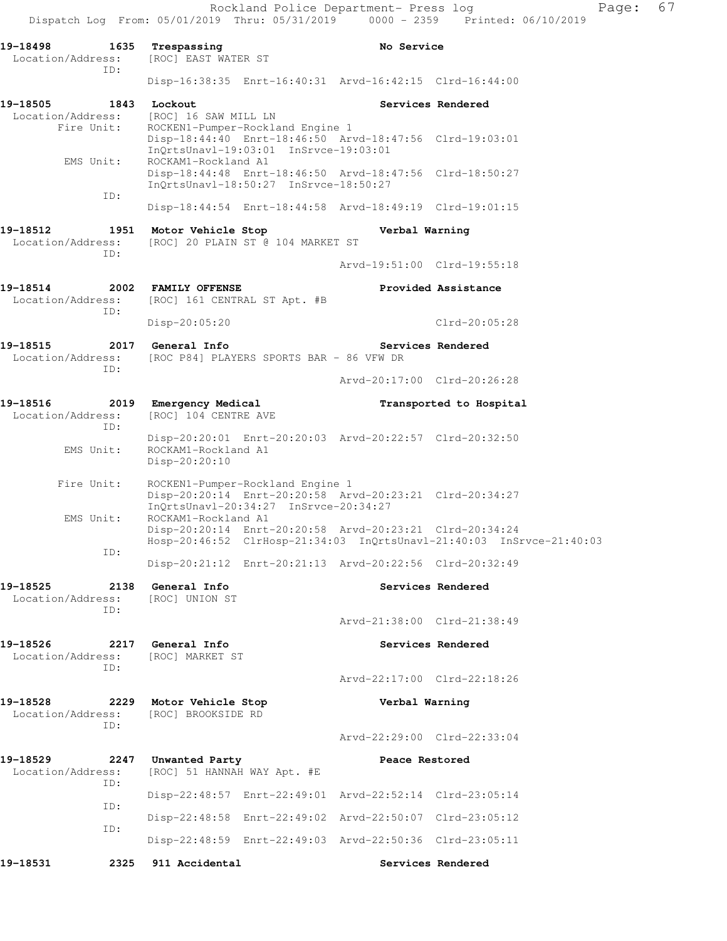Rockland Police Department- Press log Fage: 67 Dispatch Log From: 05/01/2019 Thru: 05/31/2019 0000 - 2359 Printed: 06/10/2019 **19-18498 1635 Trespassing No Service**  Location/Address: [ROC] EAST WATER ST ID: Disp-16:38:35 Enrt-16:40:31 Arvd-16:42:15 Clrd-16:44:00 19-18505 1843 Lockout **1843** Services Rendered **Services Rendered**  Location/Address: [ROC] 16 SAW MILL LN Fire Unit: ROCKEN1-Pumper-Rockland Engine 1 Disp-18:44:40 Enrt-18:46:50 Arvd-18:47:56 Clrd-19:03:01 InQrtsUnavl-19:03:01 InSrvce-19:03:01 EMS Unit: ROCKAM1-Rockland A1 Disp-18:44:48 Enrt-18:46:50 Arvd-18:47:56 Clrd-18:50:27 InQrtsUnavl-18:50:27 InSrvce-18:50:27 ID: Disp-18:44:54 Enrt-18:44:58 Arvd-18:49:19 Clrd-19:01:15 **19-18512 1951 Motor Vehicle Stop Verbal Warning**  Location/Address: [ROC] 20 PLAIN ST @ 104 MARKET ST ID: Arvd-19:51:00 Clrd-19:55:18 **19-18514 2002 FAMILY OFFENSE Provided Assistance**  Location/Address: [ROC] 161 CENTRAL ST Apt. #B ID: Disp-20:05:20 Clrd-20:05:28 19-18515 2017 General Info **1999 18 Services Rendered**  Location/Address: [ROC P84] PLAYERS SPORTS BAR - 86 VFW DR ID: Arvd-20:17:00 Clrd-20:26:28 **19-18516 2019 Emergency Medical Transported to Hospital**  Location/Address: [ROC] 104 CENTRE AVE ID: Disp-20:20:01 Enrt-20:20:03 Arvd-20:22:57 Clrd-20:32:50 EMS Unit: ROCKAM1-Rockland A1 Disp-20:20:10 Fire Unit: ROCKEN1-Pumper-Rockland Engine 1 Disp-20:20:14 Enrt-20:20:58 Arvd-20:23:21 Clrd-20:34:27 InQrtsUnavl-20:34:27 InSrvce-20:34:27 EMS Unit: ROCKAM1-Rockland A1 Disp-20:20:14 Enrt-20:20:58 Arvd-20:23:21 Clrd-20:34:24 Hosp-20:46:52 ClrHosp-21:34:03 InQrtsUnavl-21:40:03 InSrvce-21:40:03 ID: Disp-20:21:12 Enrt-20:21:13 Arvd-20:22:56 Clrd-20:32:49 **19-18525 2138 General Info Services Rendered**  Location/Address: [ROC] UNION ST ID: Arvd-21:38:00 Clrd-21:38:49 **19-18526 2217 General Info Services Rendered**  Location/Address: [ROC] MARKET ST ID: Arvd-22:17:00 Clrd-22:18:26 **19-18528 2229 Motor Vehicle Stop Verbal Warning**  Location/Address: [ROC] BROOKSIDE RD ID: Arvd-22:29:00 Clrd-22:33:04 **19-18529 2247 Unwanted Party Peace Restored**  Location/Address: [ROC] 51 HANNAH WAY Apt. #E ID: Disp-22:48:57 Enrt-22:49:01 Arvd-22:52:14 Clrd-23:05:14 ID: Disp-22:48:58 Enrt-22:49:02 Arvd-22:50:07 Clrd-23:05:12 ID: Disp-22:48:59 Enrt-22:49:03 Arvd-22:50:36 Clrd-23:05:11 **19-18531 2325 911 Accidental Services Rendered**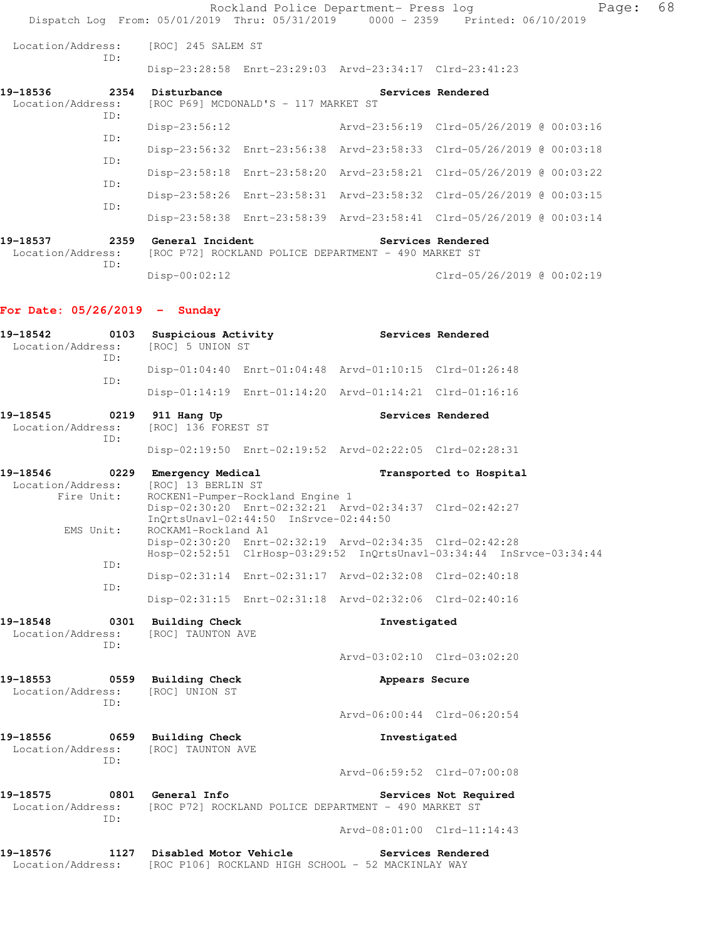|                                              |                                                                                                                         |                                      | Rockland Police Department- Press log                   | Page:<br>Dispatch Log From: 05/01/2019 Thru: 05/31/2019 0000 - 2359 Printed: 06/10/2019 | 68 |
|----------------------------------------------|-------------------------------------------------------------------------------------------------------------------------|--------------------------------------|---------------------------------------------------------|-----------------------------------------------------------------------------------------|----|
| Location/Address:                            | [ROC] 245 SALEM ST                                                                                                      |                                      |                                                         |                                                                                         |    |
| ID:                                          |                                                                                                                         |                                      | Disp-23:28:58 Enrt-23:29:03 Arvd-23:34:17 Clrd-23:41:23 |                                                                                         |    |
| 19-18536<br>Location/Address:<br>ID:         | 2354 Disturbance                                                                                                        | [ROC P69] MCDONALD'S - 117 MARKET ST |                                                         | Services Rendered                                                                       |    |
| ID:                                          | $Disp-23:56:12$                                                                                                         |                                      |                                                         | Arvd-23:56:19 Clrd-05/26/2019 @ 00:03:16                                                |    |
| ID:                                          |                                                                                                                         |                                      |                                                         | Disp-23:56:32 Enrt-23:56:38 Arvd-23:58:33 Clrd-05/26/2019 @ 00:03:18                    |    |
| ID:                                          |                                                                                                                         |                                      |                                                         | Disp-23:58:18 Enrt-23:58:20 Arvd-23:58:21 Clrd-05/26/2019 @ 00:03:22                    |    |
| ID:                                          |                                                                                                                         |                                      |                                                         | Disp-23:58:26 Enrt-23:58:31 Arvd-23:58:32 Clrd-05/26/2019 @ 00:03:15                    |    |
|                                              |                                                                                                                         |                                      |                                                         | Disp-23:58:38 Enrt-23:58:39 Arvd-23:58:41 Clrd-05/26/2019 @ 00:03:14                    |    |
| 19-18537<br>Location/Address:<br>ID:         | 2359 General Incident<br>Services Rendered<br>[ROC P72] ROCKLAND POLICE DEPARTMENT - 490 MARKET ST                      |                                      |                                                         |                                                                                         |    |
|                                              | Disp-00:02:12                                                                                                           |                                      |                                                         | Clrd-05/26/2019 @ 00:02:19                                                              |    |
| For Date: $05/26/2019$ - Sunday              |                                                                                                                         |                                      |                                                         |                                                                                         |    |
| 19-18542<br>Location/Address:                | 0103 Suspicious Activity<br>[ROC] 5 UNION ST                                                                            |                                      |                                                         | Services Rendered                                                                       |    |
| ID:<br>ID:                                   |                                                                                                                         |                                      | Disp-01:04:40 Enrt-01:04:48 Arvd-01:10:15 Clrd-01:26:48 |                                                                                         |    |
|                                              |                                                                                                                         |                                      |                                                         |                                                                                         |    |
| 19-18545<br>0219<br>Location/Address:<br>ID: | 911 Hang Up<br>[ROC] 136 FOREST ST                                                                                      |                                      |                                                         | Services Rendered                                                                       |    |
|                                              |                                                                                                                         |                                      | Disp-02:19:50 Enrt-02:19:52 Arvd-02:22:05 Clrd-02:28:31 |                                                                                         |    |
| 19-18546<br>Location/Address:<br>Fire Unit:  | 0229 Emergency Medical<br>[ROC] 13 BERLIN ST                                                                            | ROCKEN1-Pumper-Rockland Engine 1     |                                                         | Transported to Hospital                                                                 |    |
| EMS Unit:                                    | Disp-02:30:20 Enrt-02:32:21 Arvd-02:34:37 Clrd-02:42:27<br>InQrtsUnavl-02:44:50 InSrvce-02:44:50<br>ROCKAM1-Rockland A1 |                                      |                                                         |                                                                                         |    |
| ID:                                          |                                                                                                                         |                                      | Disp-02:30:20 Enrt-02:32:19 Arvd-02:34:35 Clrd-02:42:28 | Hosp-02:52:51 ClrHosp-03:29:52 InQrtsUnavl-03:34:44 InSrvce-03:34:44                    |    |
| ID:                                          |                                                                                                                         |                                      | Disp-02:31:14 Enrt-02:31:17 Arvd-02:32:08 Clrd-02:40:18 |                                                                                         |    |
|                                              |                                                                                                                         |                                      | Disp-02:31:15 Enrt-02:31:18 Arvd-02:32:06 Clrd-02:40:16 |                                                                                         |    |
| 19-18548<br>0301<br>Location/Address:        | <b>Building Check</b><br>[ROC] TAUNTON AVE                                                                              |                                      | Investigated                                            |                                                                                         |    |
| ID:                                          |                                                                                                                         |                                      |                                                         | Arvd-03:02:10 Clrd-03:02:20                                                             |    |
| 19–18553<br>Location/Address:                | 0559 Building Check<br>[ROC] UNION ST                                                                                   |                                      | Appears Secure                                          |                                                                                         |    |
| ID:                                          |                                                                                                                         |                                      |                                                         | Arvd-06:00:44 Clrd-06:20:54                                                             |    |
| 19–18556<br>Location/Address:                | 0659 Building Check<br>[ROC] TAUNTON AVE                                                                                |                                      | Investigated                                            |                                                                                         |    |
| ID:                                          |                                                                                                                         |                                      |                                                         | Arvd-06:59:52 Clrd-07:00:08                                                             |    |
| 19-18575<br>Location/Address:                | 0801 General Info                                                                                                       |                                      | [ROC P72] ROCKLAND POLICE DEPARTMENT - 490 MARKET ST    | Services Not Required                                                                   |    |
| ID:                                          |                                                                                                                         |                                      |                                                         | Arvd-08:01:00 Clrd-11:14:43                                                             |    |
| 19-18576<br>1127<br>Location/Address:        | Disabled Motor Vehicle                                                                                                  |                                      | [ROC P106] ROCKLAND HIGH SCHOOL - 52 MACKINLAY WAY      | Services Rendered                                                                       |    |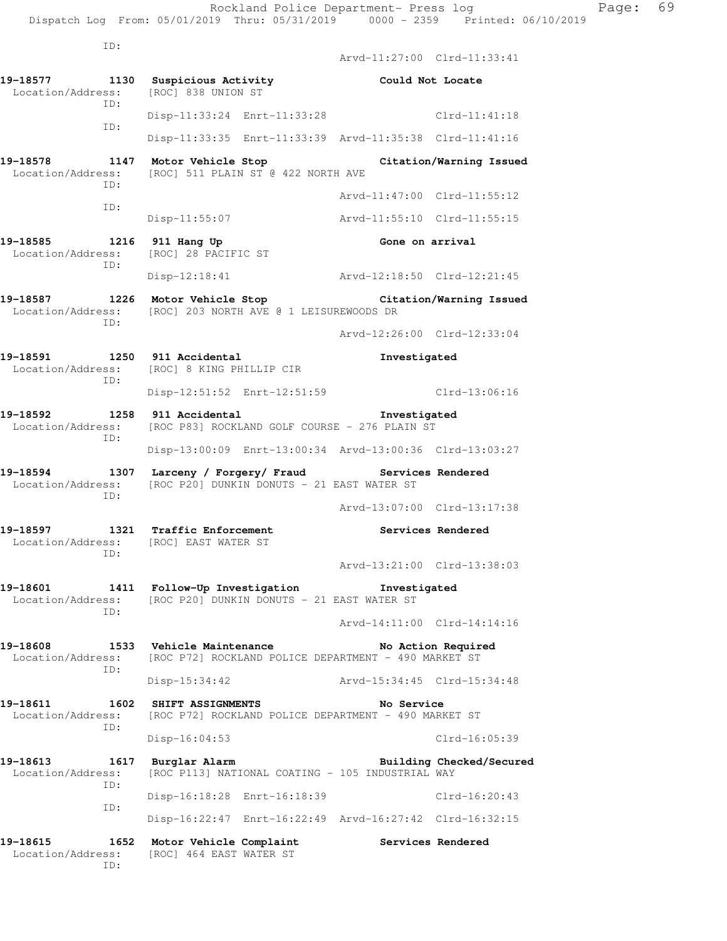ID:

 ID: Arvd-11:27:00 Clrd-11:33:41 **19-18577 1130 Suspicious Activity Could Not Locate**  Location/Address: [ROC] 838 UNION ST ID: Disp-11:33:24 Enrt-11:33:28 Clrd-11:41:18 ID: Disp-11:33:35 Enrt-11:33:39 Arvd-11:35:38 Clrd-11:41:16 **19-18578 1147 Motor Vehicle Stop Citation/Warning Issued**  Location/Address: [ROC] 511 PLAIN ST @ 422 NORTH AVE ID: Arvd-11:47:00 Clrd-11:55:12 ID: Disp-11:55:07 Arvd-11:55:10 Clrd-11:55:15 19-18585 1216 911 Hang Up **Gone on arrival**  Location/Address: [ROC] 28 PACIFIC ST ID: Disp-12:18:41 Arvd-12:18:50 Clrd-12:21:45 **19-18587 1226 Motor Vehicle Stop Citation/Warning Issued**  Location/Address: [ROC] 203 NORTH AVE @ 1 LEISUREWOODS DR ID: Arvd-12:26:00 Clrd-12:33:04 **19-18591 1250 911 Accidental Investigated**  Location/Address: [ROC] 8 KING PHILLIP CIR ID: Disp-12:51:52 Enrt-12:51:59 Clrd-13:06:16 **19-18592 1258 911 Accidental Investigated**  Location/Address: [ROC P83] ROCKLAND GOLF COURSE - 276 PLAIN ST ID: Disp-13:00:09 Enrt-13:00:34 Arvd-13:00:36 Clrd-13:03:27 **19-18594 1307 Larceny / Forgery/ Fraud Services Rendered**  Location/Address: [ROC P20] DUNKIN DONUTS - 21 EAST WATER ST ID: Arvd-13:07:00 Clrd-13:17:38 **19-18597 1321 Traffic Enforcement Services Rendered**  Location/Address: [ROC] EAST WATER ST ID: Arvd-13:21:00 Clrd-13:38:03 **19-18601 1411 Follow-Up Investigation Investigated**  Location/Address: [ROC P20] DUNKIN DONUTS - 21 EAST WATER ST ID: Arvd-14:11:00 Clrd-14:14:16 19-18608 1533 Vehicle Maintenance **No Action Required** Location/Address: [ROC P72] ROCKLAND POLICE DEPARTMENT - 490 MARKET ST ID: Disp-15:34:42 Arvd-15:34:45 Clrd-15:34:48 **19-18611 1602 SHIFT ASSIGNMENTS No Service**  Location/Address: [ROC P72] ROCKLAND POLICE DEPARTMENT - 490 MARKET ST ID: Disp-16:04:53 Clrd-16:05:39 **19-18613 1617 Burglar Alarm Building Checked/Secured**  Location/Address: [ROC P113] NATIONAL COATING - 105 INDUSTRIAL WAY ID: Disp-16:18:28 Enrt-16:18:39 Clrd-16:20:43 ID: Disp-16:22:47 Enrt-16:22:49 Arvd-16:27:42 Clrd-16:32:15 19-18615 1652 Motor Vehicle Complaint **Services Rendered** Location/Address: [ROC] 464 EAST WATER ST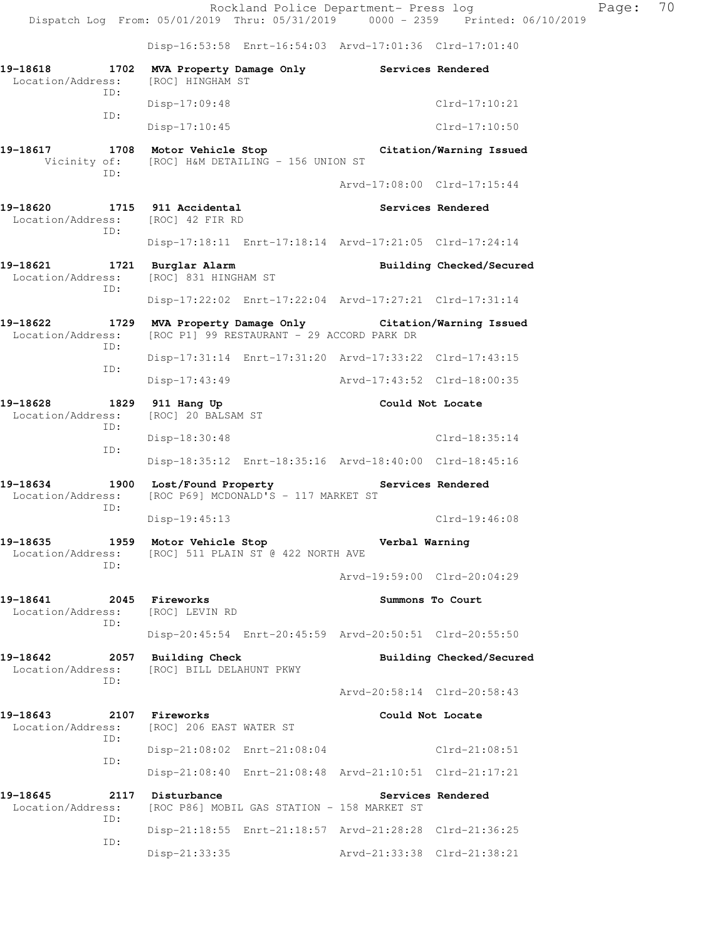Disp-16:53:58 Enrt-16:54:03 Arvd-17:01:36 Clrd-17:01:40

| 19-18618<br>1702<br>Location/Address:                | MVA Property Damage Only<br>[ROC] HINGHAM ST      |                                                                                                |                                                         | Services Rendered        |  |
|------------------------------------------------------|---------------------------------------------------|------------------------------------------------------------------------------------------------|---------------------------------------------------------|--------------------------|--|
| TD:                                                  | $Disp-17:09:48$                                   |                                                                                                |                                                         | $Clrd-17:10:21$          |  |
| ID:                                                  | $Disp-17:10:45$                                   |                                                                                                |                                                         | $Clrd-17:10:50$          |  |
| 19-18617<br>1708<br>Vicinity of:                     | Motor Vehicle Stop                                | [ROC] H&M DETAILING - 156 UNION ST                                                             |                                                         | Citation/Warning Issued  |  |
| TD:                                                  |                                                   |                                                                                                | Arvd-17:08:00 Clrd-17:15:44                             |                          |  |
| 19-18620<br>Location/Address: [ROC] 42 FIR RD<br>ID: | 1715 911 Accidental                               |                                                                                                |                                                         | Services Rendered        |  |
|                                                      |                                                   |                                                                                                | Disp-17:18:11 Enrt-17:18:14 Arvd-17:21:05 Clrd-17:24:14 |                          |  |
| 19-18621<br>Location/Address:                        | 1721 Burglar Alarm<br>[ROC] 831 HINGHAM ST        |                                                                                                |                                                         | Building Checked/Secured |  |
| TD:                                                  |                                                   |                                                                                                | Disp-17:22:02 Enrt-17:22:04 Arvd-17:27:21 Clrd-17:31:14 |                          |  |
| 19-18622<br>1729<br>Location/Address:                |                                                   | MVA Property Damage Only Citation/Warning Issued<br>[ROC P1] 99 RESTAURANT - 29 ACCORD PARK DR |                                                         |                          |  |
| ID:                                                  |                                                   |                                                                                                | Disp-17:31:14 Enrt-17:31:20 Arvd-17:33:22 Clrd-17:43:15 |                          |  |
| ID:                                                  | $Disp-17:43:49$                                   |                                                                                                | Arvd-17:43:52 Clrd-18:00:35                             |                          |  |
| 19-18628<br>1829<br>Location/Address:                | 911 Hang Up<br>[ROC] 20 BALSAM ST                 |                                                                                                | Could Not Locate                                        |                          |  |
| ID:                                                  | Disp-18:30:48                                     |                                                                                                |                                                         | $Clrd-18:35:14$          |  |
| ID:                                                  |                                                   |                                                                                                | Disp-18:35:12 Enrt-18:35:16 Arvd-18:40:00 Clrd-18:45:16 |                          |  |
| 19-18634<br>1900<br>Location/Address:                | Lost/Found Property                               | [ROC P69] MCDONALD'S - 117 MARKET ST                                                           | Services Rendered                                       |                          |  |
| ID:                                                  | $Disp-19:45:13$                                   |                                                                                                |                                                         | $Clrd-19:46:08$          |  |
| 19-18635<br>Location/Address:<br>ID:                 | 1959 Motor Vehicle Stop                           | [ROC] 511 PLAIN ST @ 422 NORTH AVE                                                             | Verbal Warning                                          |                          |  |
|                                                      |                                                   |                                                                                                | Arvd-19:59:00 Clrd-20:04:29                             |                          |  |
| 19-18641<br>2045<br>Location/Address:<br>ID:         | Fireworks<br>[ROC] LEVIN RD                       |                                                                                                | Summons To Court                                        |                          |  |
|                                                      |                                                   |                                                                                                | Disp-20:45:54 Enrt-20:45:59 Arvd-20:50:51 Clrd-20:55:50 |                          |  |
| 19-18642<br>2057<br>Location/Address:                | <b>Building Check</b><br>[ROC] BILL DELAHUNT PKWY |                                                                                                |                                                         | Building Checked/Secured |  |
| TD:                                                  |                                                   |                                                                                                | Arvd-20:58:14 Clrd-20:58:43                             |                          |  |
| 19-18643<br>2107                                     | <b>Fireworks</b>                                  |                                                                                                | Could Not Locate                                        |                          |  |
| Location/Address:<br>ID:                             | [ROC] 206 EAST WATER ST                           |                                                                                                |                                                         |                          |  |
| ID:                                                  |                                                   | Disp-21:08:02 Enrt-21:08:04                                                                    |                                                         | $Clrd-21:08:51$          |  |
|                                                      |                                                   |                                                                                                | Disp-21:08:40 Enrt-21:08:48 Arvd-21:10:51 Clrd-21:17:21 |                          |  |
| 19-18645<br>2117<br>Location/Address:<br>ID:         | Disturbance                                       | [ROC P86] MOBIL GAS STATION - 158 MARKET ST                                                    |                                                         | Services Rendered        |  |
| ID:                                                  |                                                   |                                                                                                | Disp-21:18:55 Enrt-21:18:57 Arvd-21:28:28 Clrd-21:36:25 |                          |  |
|                                                      | Disp-21:33:35                                     |                                                                                                | Arvd-21:33:38 Clrd-21:38:21                             |                          |  |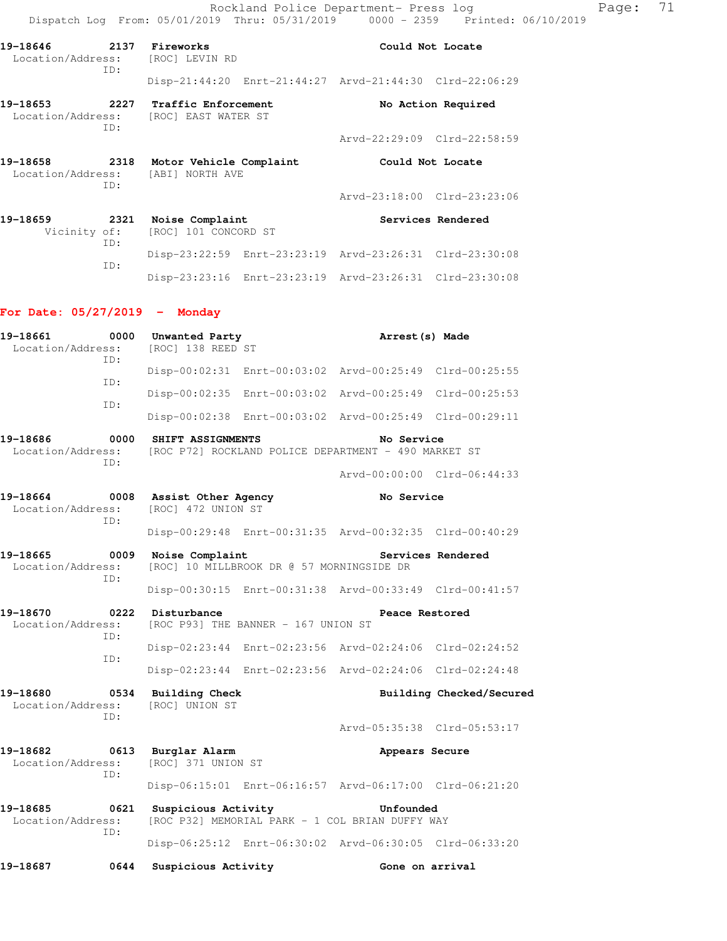Rockland Police Department- Press log Page: 71 Dispatch Log From: 05/01/2019 Thru: 05/31/2019 0000 - 2359 Printed: 06/10/2019

Disp-23:23:16 Enrt-23:23:19 Arvd-23:26:31 Clrd-23:30:08

| 2137 Fireworks<br>19-18646<br>Location/Address: [ROC] LEVIN RD |     |                                                                           | Could Not Locate                                        |  |
|----------------------------------------------------------------|-----|---------------------------------------------------------------------------|---------------------------------------------------------|--|
|                                                                | ID: |                                                                           | Disp-21:44:20 Enrt-21:44:27 Arvd-21:44:30 Clrd-22:06:29 |  |
| 19–18653<br>Location/Address: [ROC] EAST WATER ST<br>ID:       |     | 2227 Traffic Enforcement                                                  | No Action Required                                      |  |
|                                                                |     |                                                                           | Arvd-22:29:09 Clrd-22:58:59                             |  |
| 2318<br>19-18658<br>Location/Address: [ABI] NORTH AVE<br>ID:   |     | Motor Vehicle Complaint<br>Could Not Locate                               |                                                         |  |
|                                                                |     |                                                                           | Arvd-23:18:00 Clrd-23:23:06                             |  |
| 19-18659<br>2321<br>ID:                                        |     | Services Rendered<br>Noise Complaint<br>Vicinity of: [ROC] 101 CONCORD ST |                                                         |  |
|                                                                | ID: |                                                                           | Disp-23:22:59 Enrt-23:23:19 Arvd-23:26:31 Clrd-23:30:08 |  |

### **For Date: 05/27/2019 - Monday**

| 19-18661<br>Location/Address:                | 0000<br>ID: | Unwanted Party<br>[ROC] 138 REED ST                                               | Arrest (s) Made                                                    |  |  |
|----------------------------------------------|-------------|-----------------------------------------------------------------------------------|--------------------------------------------------------------------|--|--|
|                                              | ID:         |                                                                                   | Disp-00:02:31 Enrt-00:03:02 Arvd-00:25:49 Clrd-00:25:55            |  |  |
|                                              | TD:         |                                                                                   | Disp-00:02:35 Enrt-00:03:02 Arvd-00:25:49 Clrd-00:25:53            |  |  |
|                                              |             |                                                                                   | Disp-00:02:38 Enrt-00:03:02 Arvd-00:25:49 Clrd-00:29:11            |  |  |
| 19-18686<br>Location/Address:                | 0000<br>TD: | SHIFT ASSIGNMENTS                                                                 | No Service<br>[ROC P72] ROCKLAND POLICE DEPARTMENT - 490 MARKET ST |  |  |
|                                              |             |                                                                                   | Arvd-00:00:00 Clrd-06:44:33                                        |  |  |
| 19-18664<br>0008<br>Location/Address:<br>TD: |             | Assist Other Agency<br>[ROC] 472 UNION ST                                         | No Service                                                         |  |  |
|                                              |             |                                                                                   | Disp-00:29:48 Enrt-00:31:35 Arvd-00:32:35 Clrd-00:40:29            |  |  |
| 19-18665<br>Location/Address:                | 0009        | Noise Complaint<br>Services Rendered<br>[ROC] 10 MILLBROOK DR @ 57 MORNINGSIDE DR |                                                                    |  |  |
| TD:                                          |             |                                                                                   | Disp-00:30:15 Enrt-00:31:38 Arvd-00:33:49 Clrd-00:41:57            |  |  |
| 19-18670<br>0222<br>Location/Address:        |             | Disturbance<br>Peace Restored<br>[ROC P93] THE BANNER - 167 UNION ST              |                                                                    |  |  |
| TD:<br>ID:                                   |             |                                                                                   | Disp-02:23:44 Enrt-02:23:56 Arvd-02:24:06 Clrd-02:24:52            |  |  |
|                                              |             |                                                                                   | Disp-02:23:44 Enrt-02:23:56 Arvd-02:24:06 Clrd-02:24:48            |  |  |
| 19-18680<br>Location/Address:<br>TD:         |             | 0534 Building Check<br>[ROC] UNION ST                                             | Building Checked/Secured                                           |  |  |
|                                              |             |                                                                                   | Arvd-05:35:38 Clrd-05:53:17                                        |  |  |
| 19-18682<br>Location/Address:<br>TD:         |             | 0613 Burglar Alarm<br>[ROC] 371 UNION ST                                          | Appears Secure                                                     |  |  |
|                                              |             |                                                                                   | Disp-06:15:01 Enrt-06:16:57 Arvd-06:17:00 Clrd-06:21:20            |  |  |
| 19-18685<br>Location/Address:                | 0621<br>ID: | Suspicious Activity<br>[ROC P32] MEMORIAL PARK - 1 COL BRIAN DUFFY WAY            | Unfounded                                                          |  |  |
|                                              |             |                                                                                   | Disp-06:25:12 Enrt-06:30:02 Arvd-06:30:05 Clrd-06:33:20            |  |  |
| 19-18687                                     | 0644        | Suspicious Activity                                                               | Gone on arrival                                                    |  |  |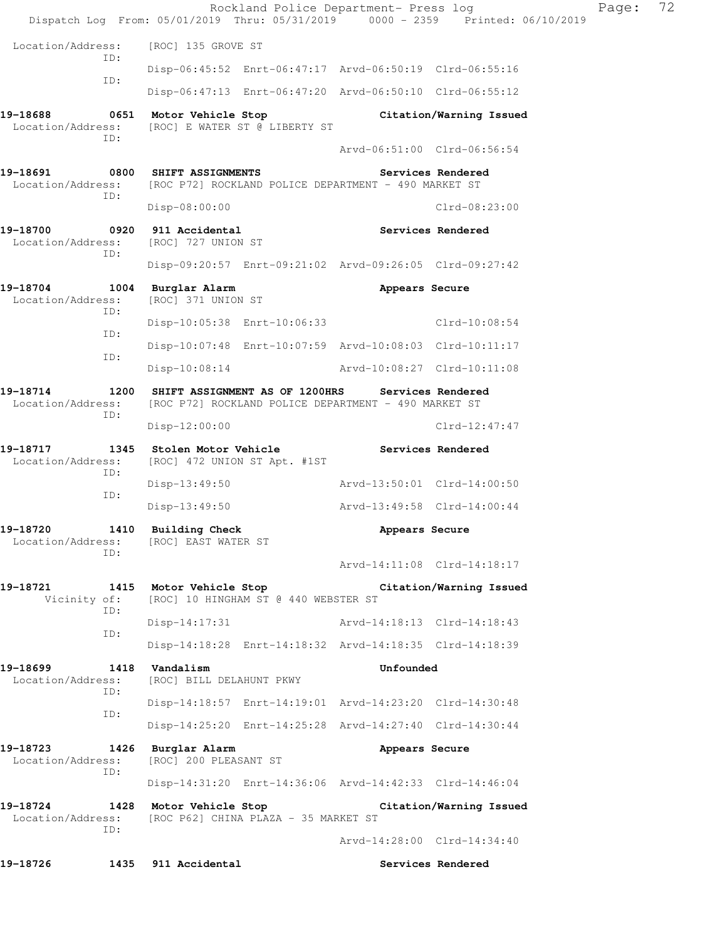|                                                   |                                                                                                                  | Rockland Police Department- Press log<br>Dispatch Log From: 05/01/2019 Thru: 05/31/2019 0000 - 2359 Printed: 06/10/2019 | 72<br>Page: |  |  |  |
|---------------------------------------------------|------------------------------------------------------------------------------------------------------------------|-------------------------------------------------------------------------------------------------------------------------|-------------|--|--|--|
| Location/Address:                                 | [ROC] 135 GROVE ST                                                                                               |                                                                                                                         |             |  |  |  |
| ID:<br>ID:                                        |                                                                                                                  | Disp-06:45:52 Enrt-06:47:17 Arvd-06:50:19 Clrd-06:55:16                                                                 |             |  |  |  |
|                                                   |                                                                                                                  | Disp-06:47:13 Enrt-06:47:20 Arvd-06:50:10 Clrd-06:55:12                                                                 |             |  |  |  |
| 19-18688<br>Location/Address:<br>ID:              | 0651 Motor Vehicle Stop<br>[ROC] E WATER ST @ LIBERTY ST                                                         | Citation/Warning Issued<br>Arvd-06:51:00 Clrd-06:56:54                                                                  |             |  |  |  |
| 19-18691<br>ID:                                   | 0800 SHIFT ASSIGNMENTS<br>Location/Address: [ROC P72] ROCKLAND POLICE DEPARTMENT - 490 MARKET ST                 | Services Rendered                                                                                                       |             |  |  |  |
|                                                   | $Disp-08:00:00$                                                                                                  | $Clrd-08:23:00$                                                                                                         |             |  |  |  |
| 19-18700 0920 911 Accidental<br>Location/Address: | [ROC] 727 UNION ST                                                                                               | Services Rendered                                                                                                       |             |  |  |  |
| ID:                                               |                                                                                                                  | Disp-09:20:57 Enrt-09:21:02 Arvd-09:26:05 Clrd-09:27:42                                                                 |             |  |  |  |
| 19-18704<br>Location/Address:                     | 1004 Burglar Alarm<br>[ROC] 371 UNION ST                                                                         | Appears Secure                                                                                                          |             |  |  |  |
| ID:<br>ID:                                        | Disp-10:05:38 Enrt-10:06:33                                                                                      | Clrd-10:08:54                                                                                                           |             |  |  |  |
|                                                   |                                                                                                                  | Disp-10:07:48 Enrt-10:07:59 Arvd-10:08:03 Clrd-10:11:17                                                                 |             |  |  |  |
| ID:                                               | Disp-10:08:14                                                                                                    | Arvd-10:08:27 Clrd-10:11:08                                                                                             |             |  |  |  |
| 19-18714<br>Location/Address:<br>ID:              | 1200 SHIFT ASSIGNMENT AS OF 1200HRS<br>Services Rendered<br>[ROC P72] ROCKLAND POLICE DEPARTMENT - 490 MARKET ST |                                                                                                                         |             |  |  |  |
|                                                   | $Disp-12:00:00$                                                                                                  | $Clrd-12:47:47$                                                                                                         |             |  |  |  |
| 19-18717<br>Location/Address:<br>ID:              | 1345 Stolen Motor Vehicle<br>[ROC] 472 UNION ST Apt. #1ST                                                        | Services Rendered                                                                                                       |             |  |  |  |
| ID:                                               | Disp-13:49:50                                                                                                    | Arvd-13:50:01 Clrd-14:00:50                                                                                             |             |  |  |  |
|                                                   | Disp-13:49:50                                                                                                    | Arvd-13:49:58 Clrd-14:00:44                                                                                             |             |  |  |  |
| 19-18720<br>1410<br>ID:                           | Building Check<br>Location/Address: [ROC] EAST WATER ST                                                          | Appears Secure                                                                                                          |             |  |  |  |
|                                                   |                                                                                                                  | Arvd-14:11:08 Clrd-14:18:17                                                                                             |             |  |  |  |
| 19-18721<br>Vicinity of:                          | [ROC] 10 HINGHAM ST @ 440 WEBSTER ST                                                                             | 1415 Motor Vehicle Stop The Citation/Warning Issued                                                                     |             |  |  |  |
| ID:                                               | $Disp-14:17:31$                                                                                                  | Arvd-14:18:13 Clrd-14:18:43                                                                                             |             |  |  |  |
| ID:                                               |                                                                                                                  | Disp-14:18:28 Enrt-14:18:32 Arvd-14:18:35 Clrd-14:18:39                                                                 |             |  |  |  |
| 19-18699<br>Location/Address:<br>ID:<br>ID:       | 1418 Vandalism<br>[ROC] BILL DELAHUNT PKWY                                                                       | Unfounded                                                                                                               |             |  |  |  |
|                                                   |                                                                                                                  | Disp-14:18:57 Enrt-14:19:01 Arvd-14:23:20 Clrd-14:30:48                                                                 |             |  |  |  |
|                                                   |                                                                                                                  | Disp-14:25:20 Enrt-14:25:28 Arvd-14:27:40 Clrd-14:30:44                                                                 |             |  |  |  |
| 19-18723<br>Location/Address:<br>ID:              | 1426 Burglar Alarm<br>[ROC] 200 PLEASANT ST                                                                      | Appears Secure                                                                                                          |             |  |  |  |
|                                                   |                                                                                                                  | Disp-14:31:20 Enrt-14:36:06 Arvd-14:42:33 Clrd-14:46:04                                                                 |             |  |  |  |
| 19-18724<br>Location/Address:<br>ID:              | [ROC P62] CHINA PLAZA - 35 MARKET ST                                                                             | 1428 Motor Vehicle Stop Citation/Warning Issued                                                                         |             |  |  |  |
|                                                   |                                                                                                                  | Arvd-14:28:00 Clrd-14:34:40                                                                                             |             |  |  |  |
| 19-18726                                          | 1435 911 Accidental                                                                                              | Services Rendered                                                                                                       |             |  |  |  |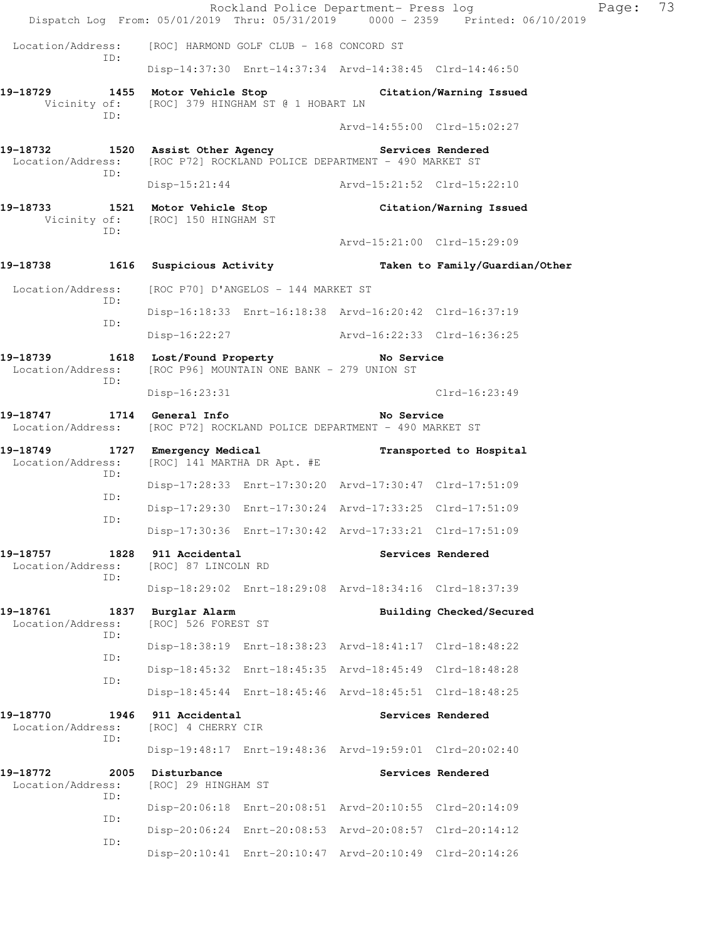|                                                 |                                                                                       | Rockland Police Department- Press log<br>Dispatch Log From: 05/01/2019 Thru: 05/31/2019 0000 - 2359 Printed: 06/10/2019 | Page: | 73 |
|-------------------------------------------------|---------------------------------------------------------------------------------------|-------------------------------------------------------------------------------------------------------------------------|-------|----|
| Location/Address:                               | [ROC] HARMOND GOLF CLUB - 168 CONCORD ST                                              |                                                                                                                         |       |    |
| ID:                                             |                                                                                       | Disp-14:37:30 Enrt-14:37:34 Arvd-14:38:45 Clrd-14:46:50                                                                 |       |    |
| 19-18729                                        | Vicinity of: [ROC] 379 HINGHAM ST @ 1 HOBART LN                                       | 1455 Motor Vehicle Stop                   Citation/Warning Issued                                                       |       |    |
| ID:                                             |                                                                                       | Arvd-14:55:00 Clrd-15:02:27                                                                                             |       |    |
| 19-18732<br>Location/Address:<br>ID:            | 1520 Assist Other Agency<br>[ROC P72] ROCKLAND POLICE DEPARTMENT - 490 MARKET ST      | Services Rendered                                                                                                       |       |    |
|                                                 |                                                                                       | Disp-15:21:44 Arvd-15:21:52 Clrd-15:22:10                                                                               |       |    |
| 19-18733<br>ID:                                 | 1521 Motor Vehicle Stop<br>Vicinity of: [ROC] 150 HINGHAM ST                          | Citation/Warning Issued                                                                                                 |       |    |
|                                                 |                                                                                       | Arvd-15:21:00 Clrd-15:29:09                                                                                             |       |    |
| 19-18738                                        | 1616 Suspicious Activity                                                              | Taken to Family/Guardian/Other                                                                                          |       |    |
| Location/Address:<br>ID:                        | [ROC P70] D'ANGELOS - 144 MARKET ST                                                   |                                                                                                                         |       |    |
| ID:                                             |                                                                                       | Disp-16:18:33 Enrt-16:18:38 Arvd-16:20:42 Clrd-16:37:19                                                                 |       |    |
|                                                 |                                                                                       | Disp-16:22:27 Arvd-16:22:33 Clrd-16:36:25                                                                               |       |    |
| 19-18739<br>Location/Address:<br>ID:            | 1618 Lost/Found Property The No Service<br>[ROC P96] MOUNTAIN ONE BANK - 279 UNION ST |                                                                                                                         |       |    |
|                                                 | $Disp-16:23:31$                                                                       | $Clrd-16:23:49$                                                                                                         |       |    |
| 19-18747 1714 General Info<br>Location/Address: | [ROC P72] ROCKLAND POLICE DEPARTMENT - 490 MARKET ST                                  | No Service                                                                                                              |       |    |
| 19-18749<br>Location/Address:<br>ID:            | 1727 Emergency Medical<br>[ROC] 141 MARTHA DR Apt. #E                                 | Transported to Hospital                                                                                                 |       |    |
| ID:                                             |                                                                                       | Disp-17:28:33 Enrt-17:30:20 Arvd-17:30:47 Clrd-17:51:09                                                                 |       |    |
| ID:                                             |                                                                                       | Disp-17:29:30 Enrt-17:30:24 Arvd-17:33:25 Clrd-17:51:09                                                                 |       |    |
|                                                 |                                                                                       | Disp-17:30:36 Enrt-17:30:42 Arvd-17:33:21 Clrd-17:51:09                                                                 |       |    |
| 19-18757<br>1828<br>Location/Address:<br>ID:    | 911 Accidental<br>[ROC] 87 LINCOLN RD                                                 | Services Rendered                                                                                                       |       |    |
|                                                 |                                                                                       | Disp-18:29:02 Enrt-18:29:08 Arvd-18:34:16 Clrd-18:37:39                                                                 |       |    |
| 19-18761<br>Location/Address:<br>ID:            | 1837 Burglar Alarm<br>[ROC] 526 FOREST ST                                             | Building Checked/Secured                                                                                                |       |    |
| ID:                                             |                                                                                       | Disp-18:38:19 Enrt-18:38:23 Arvd-18:41:17 Clrd-18:48:22                                                                 |       |    |
| ID:                                             |                                                                                       | Disp-18:45:32 Enrt-18:45:35 Arvd-18:45:49 Clrd-18:48:28                                                                 |       |    |
|                                                 |                                                                                       | Disp-18:45:44 Enrt-18:45:46 Arvd-18:45:51 Clrd-18:48:25                                                                 |       |    |
| 19-18770<br>Location/Address:<br>ID:            | 1946 911 Accidental<br>[ROC] 4 CHERRY CIR                                             | Services Rendered                                                                                                       |       |    |
|                                                 |                                                                                       | Disp-19:48:17 Enrt-19:48:36 Arvd-19:59:01 Clrd-20:02:40                                                                 |       |    |
| 19-18772<br>2005<br>Location/Address:<br>ID:    | Disturbance<br>[ROC] 29 HINGHAM ST                                                    | Services Rendered                                                                                                       |       |    |
| ID:                                             |                                                                                       | Disp-20:06:18 Enrt-20:08:51 Arvd-20:10:55 Clrd-20:14:09                                                                 |       |    |
| ID:                                             |                                                                                       | Disp-20:06:24 Enrt-20:08:53 Arvd-20:08:57 Clrd-20:14:12                                                                 |       |    |
|                                                 |                                                                                       | Disp-20:10:41 Enrt-20:10:47 Arvd-20:10:49 Clrd-20:14:26                                                                 |       |    |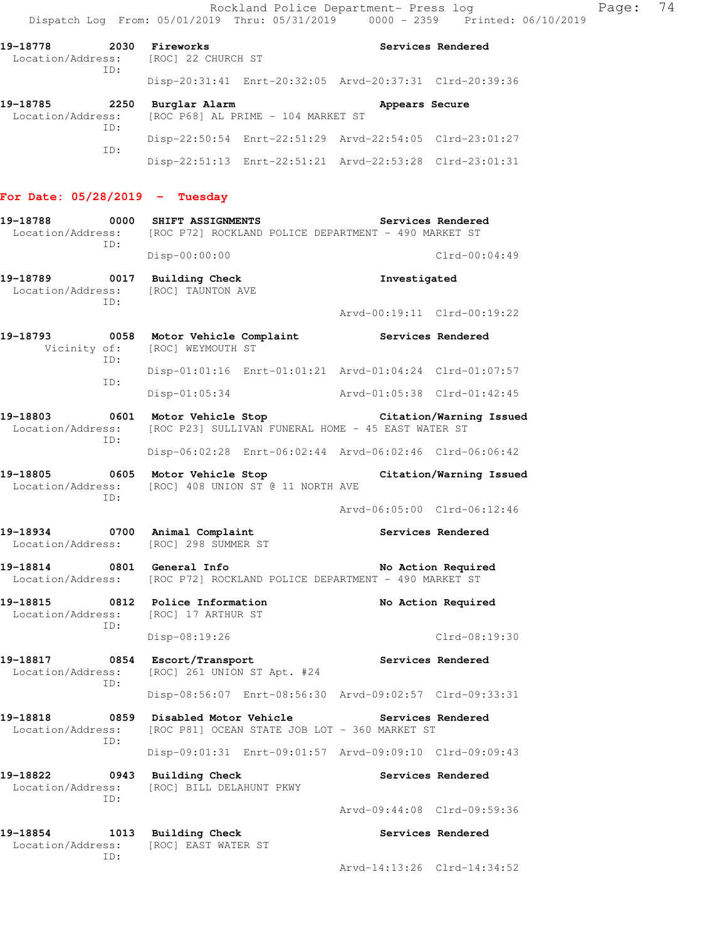Rockland Police Department- Press log Page: 74 Dispatch Log From: 05/01/2019 Thru: 05/31/2019 0000 - 2359 Printed: 06/10/2019

Disp-22:51:13 Enrt-22:51:21 Arvd-22:53:28 Clrd-23:01:31

| 19-18778<br>2030<br>Location/Address: [ROC] 22 CHURCH ST |      | Fireworks     |                                                      |                                                         | Services Rendered |
|----------------------------------------------------------|------|---------------|------------------------------------------------------|---------------------------------------------------------|-------------------|
|                                                          | ID:  |               |                                                      | Disp-20:31:41 Enrt-20:32:05 Arvd-20:37:31 Clrd-20:39:36 |                   |
| 19-18785                                                 | 2250 | Burglar Alarm |                                                      | Appears Secure                                          |                   |
|                                                          | TD:  |               | Location/Address: [ROC P68] AL PRIME - 104 MARKET ST |                                                         |                   |
|                                                          |      |               |                                                      | Disp-22:50:54 Enrt-22:51:29 Arvd-22:54:05 Clrd-23:01:27 |                   |

## **For Date: 05/28/2019 - Tuesday**

ID:

| 19-18788<br>0000<br>Location/Address:<br>ID:        | SHIFT ASSIGNMENTS<br>Services Rendered<br>[ROC P72] ROCKLAND POLICE DEPARTMENT - 490 MARKET ST |                                                                               |  |  |  |  |
|-----------------------------------------------------|------------------------------------------------------------------------------------------------|-------------------------------------------------------------------------------|--|--|--|--|
|                                                     | Disp-00:00:00                                                                                  | $Clrd-00:04:49$                                                               |  |  |  |  |
| 0017<br>19-18789<br>Location/Address:               | Building Check<br>[ROC] TAUNTON AVE                                                            | Investigated                                                                  |  |  |  |  |
| TD:                                                 |                                                                                                | Arvd-00:19:11 Clrd-00:19:22                                                   |  |  |  |  |
| 19-18793<br>0058<br>Vicinity of:<br>ID:             | Motor Vehicle Complaint<br>[ROC] WEYMOUTH ST                                                   | Services Rendered                                                             |  |  |  |  |
| ID:                                                 |                                                                                                | Disp-01:01:16 Enrt-01:01:21 Arvd-01:04:24 Clrd-01:07:57                       |  |  |  |  |
|                                                     | $Disp-01:05:34$                                                                                | Arvd-01:05:38 Clrd-01:42:45                                                   |  |  |  |  |
| 19-18803 0601<br>Location/Address:<br>ID:           | Motor Vehicle Stop                                                                             | Citation/Warning Issued<br>[ROC P23] SULLIVAN FUNERAL HOME - 45 EAST WATER ST |  |  |  |  |
|                                                     |                                                                                                | Disp-06:02:28 Enrt-06:02:44 Arvd-06:02:46 Clrd-06:06:42                       |  |  |  |  |
| 19-18805<br>0605<br>Location/Address:<br>ID:        | Motor Vehicle Stop<br>[ROC] 408 UNION ST @ 11 NORTH AVE                                        | Citation/Warning Issued                                                       |  |  |  |  |
|                                                     |                                                                                                | Arvd-06:05:00 Clrd-06:12:46                                                   |  |  |  |  |
| 19-18934 0700 Animal Complaint<br>Location/Address: | [ROC] 298 SUMMER ST                                                                            | Services Rendered                                                             |  |  |  |  |
| 19-18814<br>0801<br>Location/Address:               | General Info<br>[ROC P72] ROCKLAND POLICE DEPARTMENT - 490 MARKET ST                           | No Action Required                                                            |  |  |  |  |
| 19-18815<br>Location/Address:<br>ID:                | 0812 Police Information<br>[ROC] 17 ARTHUR ST                                                  | No Action Required                                                            |  |  |  |  |
|                                                     | Disp-08:19:26                                                                                  | Clrd-08:19:30                                                                 |  |  |  |  |
| 19-18817<br>0854<br>Location/Address:               | Escort/Transport<br>[ROC] 261 UNION ST Apt. #24                                                | Services Rendered                                                             |  |  |  |  |
| ID:                                                 |                                                                                                | Disp-08:56:07 Enrt-08:56:30 Arvd-09:02:57 Clrd-09:33:31                       |  |  |  |  |
| 19-18818<br>0859<br>Location/Address:               | Disabled Motor Vehicle<br>[ROC P81] OCEAN STATE JOB LOT - 360 MARKET ST                        | Services Rendered                                                             |  |  |  |  |
| ID:                                                 |                                                                                                | Disp-09:01:31 Enrt-09:01:57 Arvd-09:09:10 Clrd-09:09:43                       |  |  |  |  |
| 19-18822<br>0943<br>Location/Address:<br>ID:        | <b>Building Check</b><br>[ROC] BILL DELAHUNT PKWY                                              | Services Rendered                                                             |  |  |  |  |
|                                                     |                                                                                                | Arvd-09:44:08 Clrd-09:59:36                                                   |  |  |  |  |
| 19-18854<br>1013<br>Location/Address:               | <b>Building Check</b><br>[ROC] EAST WATER ST                                                   | Services Rendered                                                             |  |  |  |  |
| ID:                                                 |                                                                                                | Arvd-14:13:26 Clrd-14:34:52                                                   |  |  |  |  |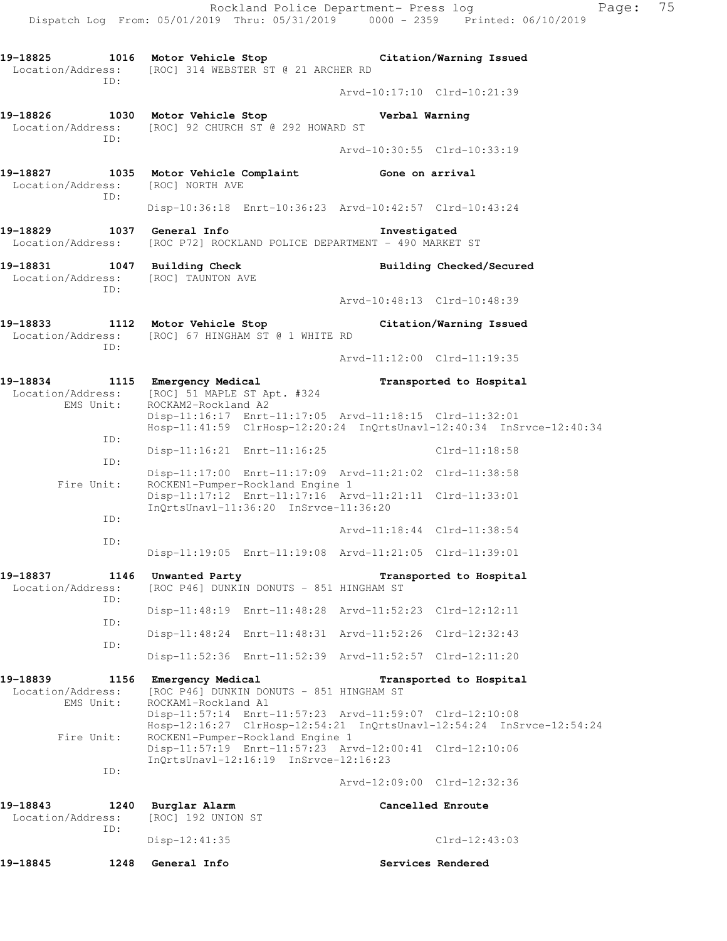Rockland Police Department- Press log Fage: 75 Dispatch Log From: 05/01/2019 Thru: 05/31/2019 0000 - 2359 Printed: 06/10/2019 **19-18825 1016 Motor Vehicle Stop Citation/Warning Issued**  Location/Address: [ROC] 314 WEBSTER ST @ 21 ARCHER RD ID: Arvd-10:17:10 Clrd-10:21:39 **19-18826 1030 Motor Vehicle Stop Verbal Warning**  Location/Address: [ROC] 92 CHURCH ST @ 292 HOWARD ST ID: Arvd-10:30:55 Clrd-10:33:19 **19-18827 1035 Motor Vehicle Complaint Gone on arrival**  Location/Address: [ROC] NORTH AVE ID: Disp-10:36:18 Enrt-10:36:23 Arvd-10:42:57 Clrd-10:43:24 **19-18829 1037 General Info Investigated**  Location/Address: [ROC P72] ROCKLAND POLICE DEPARTMENT - 490 MARKET ST **19-18831 1047 Building Check Building Checked/Secured**  Location/Address: [ROC] TAUNTON AVE ID: Arvd-10:48:13 Clrd-10:48:39 **19-18833 1112 Motor Vehicle Stop Citation/Warning Issued**  Location/Address: [ROC] 67 HINGHAM ST @ 1 WHITE RD ID: Arvd-11:12:00 Clrd-11:19:35 **19-18834 1115 Emergency Medical Transported to Hospital**  Location/Address: [ROC] 51 MAPLE ST Apt. #324 EMS Unit: ROCKAM2-Rockland A2 Disp-11:16:17 Enrt-11:17:05 Arvd-11:18:15 Clrd-11:32:01 Hosp-11:41:59 ClrHosp-12:20:24 InQrtsUnavl-12:40:34 InSrvce-12:40:34 ID: Disp-11:16:21 Enrt-11:16:25 Clrd-11:18:58 ID: Disp-11:17:00 Enrt-11:17:09 Arvd-11:21:02 Clrd-11:38:58 Fire Unit: ROCKEN1-Pumper-Rockland Engine 1 Disp-11:17:12 Enrt-11:17:16 Arvd-11:21:11 Clrd-11:33:01 InQrtsUnavl-11:36:20 InSrvce-11:36:20 ID: Arvd-11:18:44 Clrd-11:38:54 ID: Disp-11:19:05 Enrt-11:19:08 Arvd-11:21:05 Clrd-11:39:01 **19-18837 1146 Unwanted Party Transported to Hospital**  Location/Address: [ROC P46] DUNKIN DONUTS - 851 HINGHAM ST ID: Disp-11:48:19 Enrt-11:48:28 Arvd-11:52:23 Clrd-12:12:11 ID: Disp-11:48:24 Enrt-11:48:31 Arvd-11:52:26 Clrd-12:32:43 ID: Disp-11:52:36 Enrt-11:52:39 Arvd-11:52:57 Clrd-12:11:20 **19-18839 1156 Emergency Medical Transported to Hospital**  Location/Address: [ROC P46] DUNKIN DONUTS - 851 HINGHAM ST<br>FMS Unit: ROCKAM1-Rockland A1 ROCKAM1-Rockland A1 Disp-11:57:14 Enrt-11:57:23 Arvd-11:59:07 Clrd-12:10:08 Hosp-12:16:27 ClrHosp-12:54:21 InQrtsUnavl-12:54:24 InSrvce-12:54:24 Fire Unit: ROCKEN1-Pumper-Rockland Engine 1 Disp-11:57:19 Enrt-11:57:23 Arvd-12:00:41 Clrd-12:10:06 InQrtsUnavl-12:16:19 InSrvce-12:16:23 ID: Arvd-12:09:00 Clrd-12:32:36 **19-18843 1240 Burglar Alarm Cancelled Enroute**  Location/Address: [ROC] 192 UNION ST ID: Disp-12:41:35 Clrd-12:43:03 **19-18845 1248 General Info Services Rendered**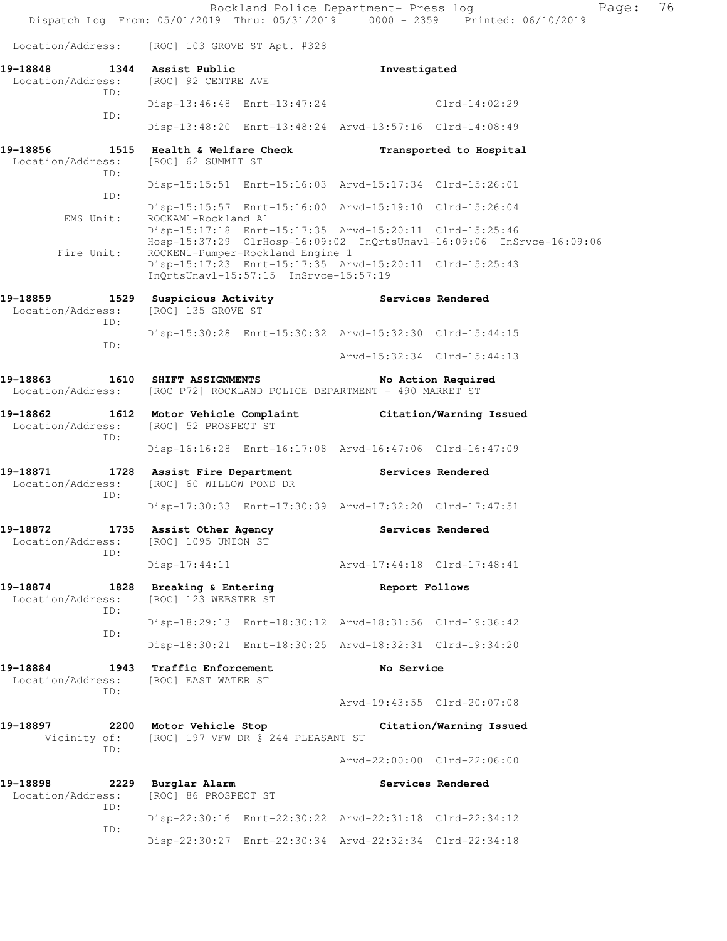Rockland Police Department- Press log Page: 76 Dispatch Log From: 05/01/2019 Thru: 05/31/2019 0000 - 2359 Printed: 06/10/2019 Location/Address: [ROC] 103 GROVE ST Apt. #328 **19-18848 1344 Assist Public Investigated**  Location/Address: [ROC] 92 CENTRE AVE ID: Disp-13:46:48 Enrt-13:47:24 Clrd-14:02:29 ID: Disp-13:48:20 Enrt-13:48:24 Arvd-13:57:16 Clrd-14:08:49 **19-18856 1515 Health & Welfare Check Transported to Hospital**  Location/Address: [ROC] 62 SUMMIT ST ID: Disp-15:15:51 Enrt-15:16:03 Arvd-15:17:34 Clrd-15:26:01 ID: Disp-15:15:57 Enrt-15:16:00 Arvd-15:19:10 Clrd-15:26:04 EMS Unit: ROCKAM1-Rockland A1 Disp-15:17:18 Enrt-15:17:35 Arvd-15:20:11 Clrd-15:25:46 Hosp-15:37:29 ClrHosp-16:09:02 InQrtsUnavl-16:09:06 InSrvce-16:09:06 Fire Unit: ROCKEN1-Pumper-Rockland Engine 1 Disp-15:17:23 Enrt-15:17:35 Arvd-15:20:11 Clrd-15:25:43 InQrtsUnavl-15:57:15 InSrvce-15:57:19 **19-18859 1529 Suspicious Activity Services Rendered**  Location/Address: [ROC] 135 GROVE ST ID: Disp-15:30:28 Enrt-15:30:32 Arvd-15:32:30 Clrd-15:44:15 ID: Arvd-15:32:34 Clrd-15:44:13 **19-18863 1610 SHIFT ASSIGNMENTS No Action Required**  Location/Address: [ROC P72] ROCKLAND POLICE DEPARTMENT - 490 MARKET ST **19-18862 1612 Motor Vehicle Complaint Citation/Warning Issued**  Location/Address: [ROC] 52 PROSPECT ST ID: Disp-16:16:28 Enrt-16:17:08 Arvd-16:47:06 Clrd-16:47:09 **19-18871 1728 Assist Fire Department Services Rendered**  Location/Address: [ROC] 60 WILLOW POND DR ID: Disp-17:30:33 Enrt-17:30:39 Arvd-17:32:20 Clrd-17:47:51 **19-18872 1735 Assist Other Agency Services Rendered**  Location/Address: [ROC] 1095 UNION ST ID: Disp-17:44:11 Arvd-17:44:18 Clrd-17:48:41 **19-18874 1828 Breaking & Entering Report Follows**  Location/Address: [ROC] 123 WEBSTER ST ID: Disp-18:29:13 Enrt-18:30:12 Arvd-18:31:56 Clrd-19:36:42 ID: Disp-18:30:21 Enrt-18:30:25 Arvd-18:32:31 Clrd-19:34:20 **19-18884 1943 Traffic Enforcement No Service**  Location/Address: [ROC] EAST WATER ST ID: Arvd-19:43:55 Clrd-20:07:08 **19-18897 2200 Motor Vehicle Stop Citation/Warning Issued**  Vicinity of: [ROC] 197 VFW DR @ 244 PLEASANT ST ID: Arvd-22:00:00 Clrd-22:06:00 19-18898 **2229** Burglar Alarm **Services Rendered**  Location/Address: [ROC] 86 PROSPECT ST ID: Disp-22:30:16 Enrt-22:30:22 Arvd-22:31:18 Clrd-22:34:12 ID: Disp-22:30:27 Enrt-22:30:34 Arvd-22:32:34 Clrd-22:34:18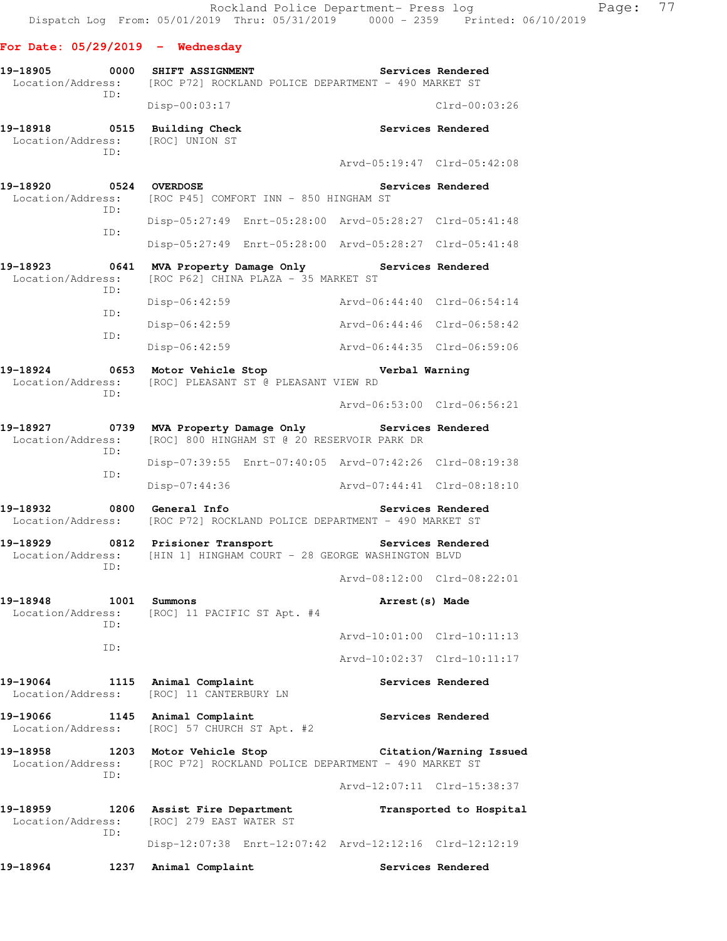## **For Date: 05/29/2019 - Wednesday**

| 19-18905<br>Location/Address: | 0000        | SHIFT ASSIGNMENT                                          |                                             | [ROC P72] ROCKLAND POLICE DEPARTMENT - 490 MARKET ST                   | Services Rendered       |
|-------------------------------|-------------|-----------------------------------------------------------|---------------------------------------------|------------------------------------------------------------------------|-------------------------|
|                               | ID:         | Disp-00:03:17                                             |                                             |                                                                        | $C1rd - 00:03:26$       |
| 19-18918<br>Location/Address: | 0515<br>TD: | <b>Building Check</b><br>[ROC] UNION ST                   |                                             |                                                                        | Services Rendered       |
|                               |             |                                                           |                                             | Arvd-05:19:47 Clrd-05:42:08                                            |                         |
| 19-18920<br>Location/Address: | 0524<br>ID: | <b>OVERDOSE</b><br>[ROC P45] COMFORT INN - 850 HINGHAM ST |                                             |                                                                        | Services Rendered       |
|                               | ID:         |                                                           |                                             | Disp-05:27:49 Enrt-05:28:00 Arvd-05:28:27 Clrd-05:41:48                |                         |
|                               |             |                                                           |                                             | Disp-05:27:49 Enrt-05:28:00 Arvd-05:28:27 Clrd-05:41:48                |                         |
| 19-18923<br>Location/Address: | 0641        |                                                           | [ROC P62] CHINA PLAZA - 35 MARKET ST        | MVA Property Damage Only Services Rendered                             |                         |
|                               | ID:         | Disp-06:42:59                                             |                                             | Aryd-06:44:40 Clrd-06:54:14                                            |                         |
|                               | ID:         | Disp-06:42:59                                             |                                             | Arvd-06:44:46 Clrd-06:58:42                                            |                         |
|                               | ID:         | Disp-06:42:59                                             |                                             | Arvd-06:44:35 Clrd-06:59:06                                            |                         |
| 19-18924<br>Location/Address: | 0653<br>ID: | Motor Vehicle Stop                                        | [ROC] PLEASANT ST @ PLEASANT VIEW RD        | Verbal Warning                                                         |                         |
|                               |             |                                                           |                                             | Arvd-06:53:00 Clrd-06:56:21                                            |                         |
| 19-18927<br>Location/Address: | 0739<br>ID: |                                                           | [ROC] 800 HINGHAM ST @ 20 RESERVOIR PARK DR | MVA Property Damage Only Services Rendered                             |                         |
|                               | ID:         |                                                           |                                             | Disp-07:39:55 Enrt-07:40:05 Arvd-07:42:26 Clrd-08:19:38                |                         |
|                               |             | Disp-07:44:36                                             |                                             | Arvd-07:44:41 Clrd-08:18:10                                            |                         |
| 19-18932<br>Location/Address: | 0800        | General Info                                              |                                             | [ROC P72] ROCKLAND POLICE DEPARTMENT - 490 MARKET ST                   | Services Rendered       |
| 19-18929<br>Location/Address: | 0812<br>ID: | Prisioner Transport                                       |                                             | Services Rendered<br>[HIN 1] HINGHAM COURT - 28 GEORGE WASHINGTON BLVD |                         |
|                               |             |                                                           |                                             | Aryd-08:12:00 Clrd-08:22:01                                            |                         |
| 19-18948<br>Location/Address: | 1001<br>ID: | Summons<br>[ROC] 11 PACIFIC ST Apt. #4                    |                                             | Arrest (s) Made                                                        |                         |
|                               | ID:         |                                                           |                                             | Arvd-10:01:00 Clrd-10:11:13                                            |                         |
|                               |             |                                                           |                                             | Arvd-10:02:37 Clrd-10:11:17                                            |                         |
| 19-19064<br>Location/Address: | 1115        | Animal Complaint<br>[ROC] 11 CANTERBURY LN                |                                             |                                                                        | Services Rendered       |
| 19-19066<br>Location/Address: | 1145        | Animal Complaint<br>[ROC] 57 CHURCH ST Apt. #2            |                                             |                                                                        | Services Rendered       |
| 19–18958<br>Location/Address: | 1203<br>ID: | Motor Vehicle Stop                                        |                                             | [ROC P72] ROCKLAND POLICE DEPARTMENT - 490 MARKET ST                   | Citation/Warning Issued |
|                               |             |                                                           |                                             | Arvd-12:07:11 Clrd-15:38:37                                            |                         |
| 19-18959<br>Location/Address: | 1206<br>ID: | Assist Fire Department<br>[ROC] 279 EAST WATER ST         |                                             |                                                                        | Transported to Hospital |
|                               |             |                                                           |                                             | Disp-12:07:38 Enrt-12:07:42 Arvd-12:12:16 Clrd-12:12:19                |                         |
| 19-18964                      | 1237        | Animal Complaint                                          |                                             |                                                                        | Services Rendered       |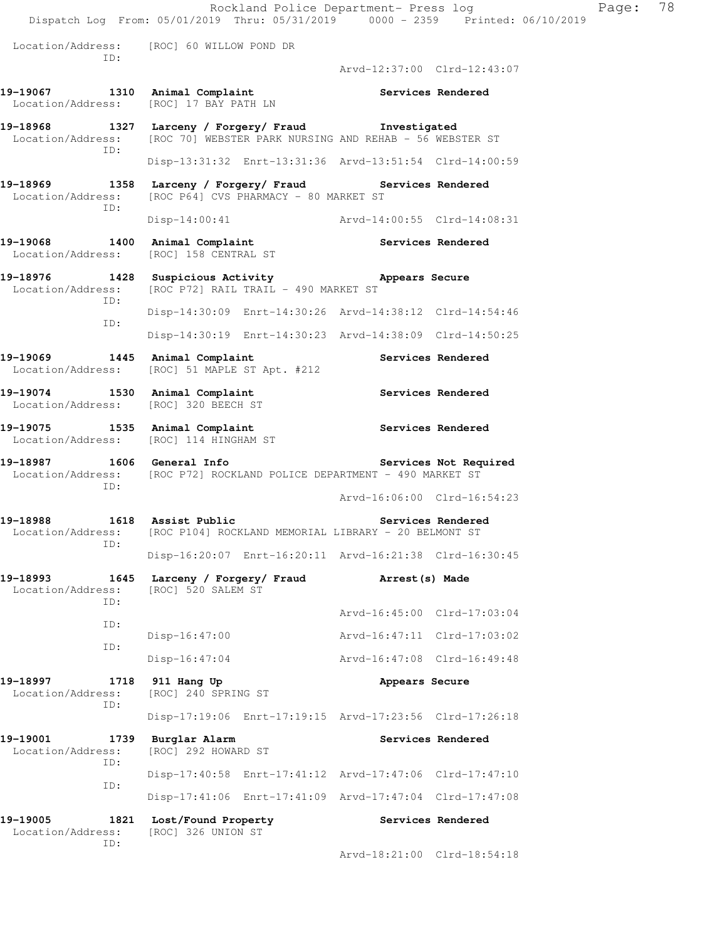|                                              | Dispatch Log From: 05/01/2019 Thru: 05/31/2019   0000 - 2359   Printed: 06/10/2019                                               |                             | Rockland Police Department- Press log | Page: | 78 |
|----------------------------------------------|----------------------------------------------------------------------------------------------------------------------------------|-----------------------------|---------------------------------------|-------|----|
|                                              | Location/Address: [ROC] 60 WILLOW POND DR                                                                                        |                             |                                       |       |    |
| ID:                                          |                                                                                                                                  | Arvd-12:37:00 Clrd-12:43:07 |                                       |       |    |
|                                              | 19-19067 1310 Animal Complaint<br>Location/Address: [ROC] 17 BAY PATH LN                                                         | Services Rendered           |                                       |       |    |
|                                              | 19-18968 1327 Larceny / Forgery/ Fraud Investigated<br>Location/Address: [ROC 70] WEBSTER PARK NURSING AND REHAB - 56 WEBSTER ST |                             |                                       |       |    |
| ID:                                          | Disp-13:31:32 Enrt-13:31:36 Arvd-13:51:54 Clrd-14:00:59                                                                          |                             |                                       |       |    |
| ID:                                          | 19-18969 1358 Larceny / Forgery / Fraud Services Rendered<br>Location/Address: [ROC P64] CVS PHARMACY - 80 MARKET ST             |                             |                                       |       |    |
|                                              | Disp-14:00:41 Arvd-14:00:55 Clrd-14:08:31                                                                                        |                             |                                       |       |    |
|                                              | 19-19068 1400 Animal Complaint<br>Location/Address: [ROC] 158 CENTRAL ST                                                         | Services Rendered           |                                       |       |    |
| Location/Address:<br>ID:                     | 19-18976 1428 Suspicious Activity<br>[ROC P72] RAIL TRAIL - 490 MARKET ST                                                        | Appears Secure              |                                       |       |    |
| ID:                                          | Disp-14:30:09 Enrt-14:30:26 Arvd-14:38:12 Clrd-14:54:46                                                                          |                             |                                       |       |    |
|                                              | Disp-14:30:19 Enrt-14:30:23 Arvd-14:38:09 Clrd-14:50:25                                                                          |                             |                                       |       |    |
|                                              | 19-19069 1445 Animal Complaint<br>Location/Address: [ROC] 51 MAPLE ST Apt. #212                                                  |                             | Services Rendered                     |       |    |
| 19-19074 1530 Animal Complaint               | Location/Address: [ROC] 320 BEECH ST                                                                                             |                             | Services Rendered                     |       |    |
|                                              | 19-19075 1535 Animal Complaint<br>Location/Address: [ROC] 114 HINGHAM ST                                                         | <b>Services Rendered</b>    |                                       |       |    |
| 19-18987 1606 General Info                   | Location/Address: [ROC P72] ROCKLAND POLICE DEPARTMENT - 490 MARKET ST                                                           |                             | Services Not Required                 |       |    |
| ID:                                          |                                                                                                                                  | Arvd-16:06:00 Clrd-16:54:23 |                                       |       |    |
| 19-18988                                     | 1618 Assist Public<br>Location/Address: [ROC P104] ROCKLAND MEMORIAL LIBRARY - 20 BELMONT ST                                     |                             | Services Rendered                     |       |    |
| ID:                                          | Disp-16:20:07 Enrt-16:20:11 Arvd-16:21:38 Clrd-16:30:45                                                                          |                             |                                       |       |    |
| 19-18993<br>1645<br>Location/Address:<br>ID: | Larceny / Forgery/ Fraud<br>[ROC] 520 SALEM ST                                                                                   | Arrest (s) Made             |                                       |       |    |
| ID:                                          |                                                                                                                                  | Arvd-16:45:00 Clrd-17:03:04 |                                       |       |    |
| ID:                                          | $Disp-16:47:00$                                                                                                                  | Arvd-16:47:11 Clrd-17:03:02 |                                       |       |    |
|                                              | $Disp-16:47:04$                                                                                                                  | Arvd-16:47:08 Clrd-16:49:48 |                                       |       |    |
| 19-18997<br>1718<br>Location/Address:<br>ID: | 911 Hang Up<br>[ROC] 240 SPRING ST                                                                                               | Appears Secure              |                                       |       |    |
|                                              | Disp-17:19:06 Enrt-17:19:15 Arvd-17:23:56 Clrd-17:26:18                                                                          |                             |                                       |       |    |
| 19-19001<br>Location/Address:                | 1739 Burglar Alarm<br>[ROC] 292 HOWARD ST                                                                                        |                             | Services Rendered                     |       |    |
| TD:<br>ID:                                   | Disp-17:40:58 Enrt-17:41:12 Arvd-17:47:06 Clrd-17:47:10                                                                          |                             |                                       |       |    |
|                                              | Disp-17:41:06 Enrt-17:41:09 Arvd-17:47:04 Clrd-17:47:08                                                                          |                             |                                       |       |    |
| 19-19005<br>1821<br>Location/Address:        | Lost/Found Property<br>[ROC] 326 UNION ST                                                                                        |                             | Services Rendered                     |       |    |
| ID:                                          |                                                                                                                                  | Arvd-18:21:00 Clrd-18:54:18 |                                       |       |    |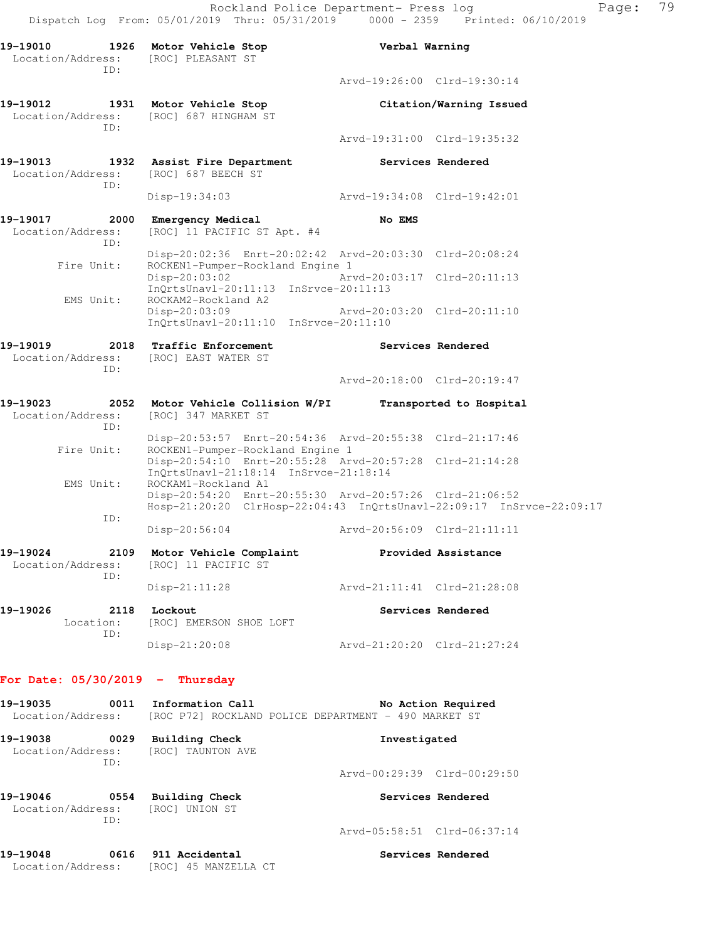Rockland Police Department- Press log entitled Page: 79 Dispatch Log From: 05/01/2019 Thru: 05/31/2019 0000 - 2359 Printed: 06/10/2019

| 19-19010<br>Location/Address: [ROC] PLEASANT ST | 1926 Motor Vehicle Stop                                                         | Verbal Warning                                                                                                     |
|-------------------------------------------------|---------------------------------------------------------------------------------|--------------------------------------------------------------------------------------------------------------------|
| ID:                                             |                                                                                 | Arvd-19:26:00 Clrd-19:30:14                                                                                        |
| 19-19012<br>1931<br>Location/Address:           | Motor Vehicle Stop<br>[ROC] 687 HINGHAM ST                                      | Citation/Warning Issued                                                                                            |
| TD:                                             |                                                                                 | Arvd-19:31:00 Clrd-19:35:32                                                                                        |
| 19-19013<br>1932<br>Location/Address:<br>ID:    | Assist Fire Department<br>[ROC] 687 BEECH ST                                    | Services Rendered                                                                                                  |
|                                                 | Disp-19:34:03                                                                   | Arvd-19:34:08 Clrd-19:42:01                                                                                        |
| 19-19017<br>2000<br>Location/Address:<br>TD:    | Emergency Medical<br>[ROC] 11 PACIFIC ST Apt. #4                                | No EMS                                                                                                             |
| Fire Unit:                                      | ROCKEN1-Pumper-Rockland Engine 1                                                | Disp-20:02:36 Enrt-20:02:42 Arvd-20:03:30 Clrd-20:08:24                                                            |
| EMS Unit:                                       | $Disp-20:03:02$<br>InQrtsUnavl-20:11:13 InSrvce-20:11:13<br>ROCKAM2-Rockland A2 | Arvd-20:03:17 Clrd-20:11:13                                                                                        |
|                                                 | Disp-20:03:09<br>InQrtsUnavl-20:11:10 InSrvce-20:11:10                          | Arvd-20:03:20 Clrd-20:11:10                                                                                        |
| 19-19019<br>Location/Address:<br>ID:            | 2018 Traffic Enforcement<br>[ROC] EAST WATER ST                                 | Services Rendered                                                                                                  |
|                                                 |                                                                                 | Arvd-20:18:00 Clrd-20:19:47                                                                                        |
| 19-19023<br>2052<br>Location/Address:<br>TD:    | Motor Vehicle Collision W/PI<br>[ROC] 347 MARKET ST                             | Transported to Hospital                                                                                            |
| Fire Unit:                                      | ROCKEN1-Pumper-Rockland Engine 1                                                | Disp-20:53:57 Enrt-20:54:36 Arvd-20:55:38 Clrd-21:17:46<br>Disp-20:54:10 Enrt-20:55:28 Arvd-20:57:28 Clrd-21:14:28 |
| EMS Unit:                                       | $InOrtsUnav1-21:18:14$ $InStvee-21:18:14$<br>ROCKAM1-Rockland A1                | Disp-20:54:20 Enrt-20:55:30 Arvd-20:57:26 Clrd-21:06:52                                                            |
| ID:                                             |                                                                                 | Hosp-21:20:20 ClrHosp-22:04:43 InQrtsUnavl-22:09:17 InSrvce-22:09:17                                               |
|                                                 | Disp-20:56:04                                                                   | Arvd-20:56:09 Clrd-21:11:11                                                                                        |
| 19-19024<br>2109<br>Location/Address:<br>ID:    | Motor Vehicle Complaint<br>[ROC] 11 PACIFIC ST                                  | Provided Assistance                                                                                                |
|                                                 | Disp-21:11:28                                                                   | Arvd-21:11:41 Clrd-21:28:08                                                                                        |
| 19-19026<br>2118<br>Location:<br>ID:            | Lockout<br>[ROC] EMERSON SHOE LOFT                                              | Services Rendered                                                                                                  |
|                                                 | Disp-21:20:08                                                                   | Arvd-21:20:20 Clrd-21:27:24                                                                                        |
| For Date: $05/30/2019$ -                        | Thursday                                                                        |                                                                                                                    |
| 19-19035<br>0011<br>Location/Address:           | Information Call                                                                | No Action Required<br>[ROC P72] ROCKLAND POLICE DEPARTMENT - 490 MARKET ST                                         |
| 19-19038<br>0029<br>Location/Address:<br>TD:    | <b>Building Check</b><br>[ROC] TAUNTON AVE                                      | Investigated                                                                                                       |
|                                                 |                                                                                 | Arvd-00:29:39 Clrd-00:29:50                                                                                        |
| 19-19046<br>0554<br>Location/Address:<br>ID:    | <b>Building Check</b><br>[ROC] UNION ST                                         | Services Rendered                                                                                                  |
|                                                 |                                                                                 | Arvd-05:58:51 Clrd-06:37:14                                                                                        |

**19-19048 0616 911 Accidental Services Rendered**  Location/Address: [ROC] 45 MANZELLA CT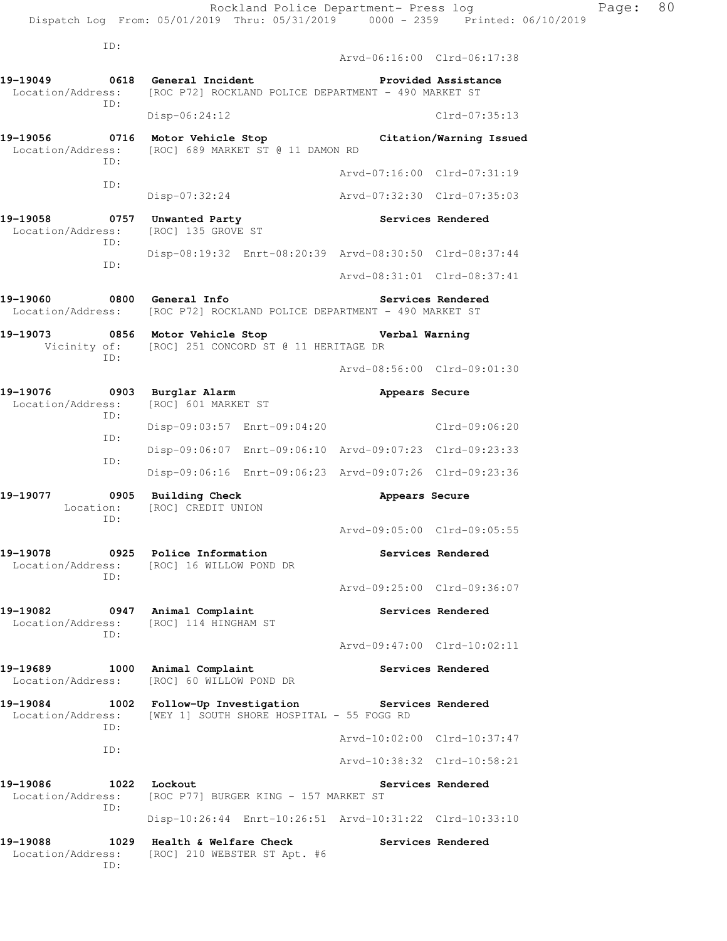ID: Arvd-06:16:00 Clrd-06:17:38 **19-19049 0618 General Incident Provided Assistance**  Location/Address: [ROC P72] ROCKLAND POLICE DEPARTMENT - 490 MARKET ST ID: Disp-06:24:12 Clrd-07:35:13 **19-19056 0716 Motor Vehicle Stop Citation/Warning Issued**  Location/Address: [ROC] 689 MARKET ST @ 11 DAMON RD ID: Arvd-07:16:00 Clrd-07:31:19 ID: Disp-07:32:24 Arvd-07:32:30 Clrd-07:35:03 **19-19058 0757 Unwanted Party Services Rendered**  Location/Address: [ROC] 135 GROVE ST ID: Disp-08:19:32 Enrt-08:20:39 Arvd-08:30:50 Clrd-08:37:44 ID: Arvd-08:31:01 Clrd-08:37:41 **19-19060 0800 General Info Services Rendered**  Location/Address: [ROC P72] ROCKLAND POLICE DEPARTMENT - 490 MARKET ST **19-19073 0856 Motor Vehicle Stop Verbal Warning**  Vicinity of: [ROC] 251 CONCORD ST @ 11 HERITAGE DR ID: Arvd-08:56:00 Clrd-09:01:30 **19-19076 0903 Burglar Alarm Appears Secure**  Location/Address: [ROC] 601 MARKET ST ID: Disp-09:03:57 Enrt-09:04:20 Clrd-09:06:20 ID: Disp-09:06:07 Enrt-09:06:10 Arvd-09:07:23 Clrd-09:23:33 ID: Disp-09:06:16 Enrt-09:06:23 Arvd-09:07:26 Clrd-09:23:36 19-19077 **1908** 0905 Building Check **Appears Secure**  Location: [ROC] CREDIT UNION ID: Arvd-09:05:00 Clrd-09:05:55 **19-19078 0925 Police Information Services Rendered**  Location/Address: [ROC] 16 WILLOW POND DR ID: Arvd-09:25:00 Clrd-09:36:07 **19-19082 0947 Animal Complaint Services Rendered**  Location/Address: [ROC] 114 HINGHAM ST ID: Arvd-09:47:00 Clrd-10:02:11 **19-19689 1000 Animal Complaint Services Rendered**  Location/Address: [ROC] 60 WILLOW POND DR **19-19084 1002 Follow-Up Investigation Services Rendered**  Location/Address: [WEY 1] SOUTH SHORE HOSPITAL - 55 FOGG RD ID: Arvd-10:02:00 Clrd-10:37:47 ID: Arvd-10:38:32 Clrd-10:58:21 19-19086 1022 Lockout **19-1908** Services Rendered Location/Address: [ROC P77] BURGER KING - 157 MARKET ST ID: Disp-10:26:44 Enrt-10:26:51 Arvd-10:31:22 Clrd-10:33:10

19-19088 1029 Health & Welfare Check **Services Rendered**  Location/Address: [ROC] 210 WEBSTER ST Apt. #6 ID: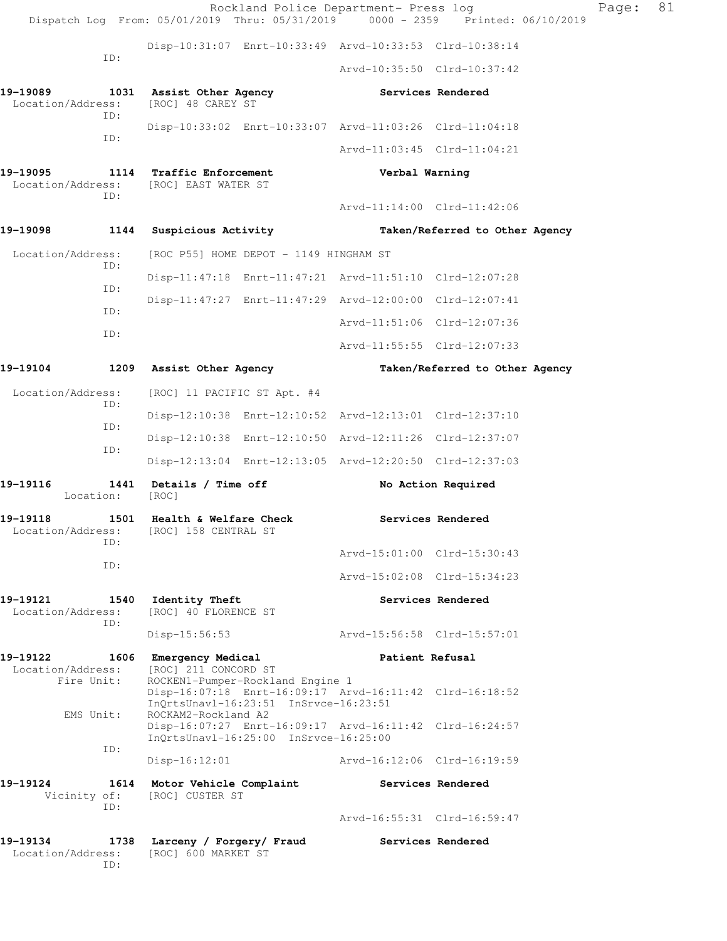|                               |                     |                                                                       |                                        | Rockland Police Department- Press log<br>Dispatch Log From: 05/01/2019 Thru: 05/31/2019 0000 - 2359 Printed: 06/10/2019 |                                | Page: | 81 |
|-------------------------------|---------------------|-----------------------------------------------------------------------|----------------------------------------|-------------------------------------------------------------------------------------------------------------------------|--------------------------------|-------|----|
|                               |                     |                                                                       |                                        | Disp-10:31:07 Enrt-10:33:49 Arvd-10:33:53 Clrd-10:38:14                                                                 |                                |       |    |
|                               | ID:                 |                                                                       |                                        | Arvd-10:35:50 Clrd-10:37:42                                                                                             |                                |       |    |
| 19-19089<br>Location/Address: | ID:                 | 1031 Assist Other Agency<br>[ROC] 48 CAREY ST                         |                                        |                                                                                                                         | Services Rendered              |       |    |
|                               | ID:                 |                                                                       |                                        | Disp-10:33:02 Enrt-10:33:07 Arvd-11:03:26 Clrd-11:04:18                                                                 |                                |       |    |
|                               |                     |                                                                       |                                        | Arvd-11:03:45 Clrd-11:04:21                                                                                             |                                |       |    |
| 19-19095                      | ID:                 | 1114 Traffic Enforcement<br>Location/Address: [ROC] EAST WATER ST     |                                        | Verbal Warning                                                                                                          |                                |       |    |
|                               |                     |                                                                       |                                        | Arvd-11:14:00 Clrd-11:42:06                                                                                             |                                |       |    |
| 19-19098                      | 1144                | Suspicious Activity                                                   |                                        |                                                                                                                         | Taken/Referred to Other Agency |       |    |
| Location/Address:             | ID:                 |                                                                       | [ROC P55] HOME DEPOT - 1149 HINGHAM ST |                                                                                                                         |                                |       |    |
|                               | ID:                 |                                                                       |                                        | Disp-11:47:18 Enrt-11:47:21 Arvd-11:51:10 Clrd-12:07:28                                                                 |                                |       |    |
|                               | ID:                 |                                                                       |                                        | Disp-11:47:27 Enrt-11:47:29 Arvd-12:00:00 Clrd-12:07:41                                                                 |                                |       |    |
|                               | ID:                 |                                                                       |                                        | Arvd-11:51:06 Clrd-12:07:36                                                                                             |                                |       |    |
|                               |                     |                                                                       |                                        | Arvd-11:55:55 Clrd-12:07:33                                                                                             |                                |       |    |
| 19-19104                      |                     | 1209 Assist Other Agency                                              |                                        |                                                                                                                         | Taken/Referred to Other Agency |       |    |
| Location/Address:             |                     | [ROC] 11 PACIFIC ST Apt. #4                                           |                                        |                                                                                                                         |                                |       |    |
|                               | ID:                 |                                                                       |                                        | Disp-12:10:38 Enrt-12:10:52 Arvd-12:13:01 Clrd-12:37:10                                                                 |                                |       |    |
|                               | ID:                 |                                                                       |                                        | Disp-12:10:38 Enrt-12:10:50 Arvd-12:11:26 Clrd-12:37:07                                                                 |                                |       |    |
|                               | ID:                 |                                                                       |                                        | Disp-12:13:04 Enrt-12:13:05 Arvd-12:20:50 Clrd-12:37:03                                                                 |                                |       |    |
| 19-19116                      | Location:           | 1441 Details / Time off<br>[ROC]                                      |                                        |                                                                                                                         | No Action Required             |       |    |
| 19-19118                      | ID:                 | 1501 Health & Welfare Check<br>Location/Address: [ROC] 158 CENTRAL ST |                                        |                                                                                                                         | Services Rendered              |       |    |
|                               | ID:                 |                                                                       |                                        | Arvd-15:01:00 Clrd-15:30:43                                                                                             |                                |       |    |
|                               |                     |                                                                       |                                        | Arvd-15:02:08 Clrd-15:34:23                                                                                             |                                |       |    |
| 19-19121<br>Location/Address: | ID:                 | 1540 Identity Theft<br>[ROC] 40 FLORENCE ST                           |                                        |                                                                                                                         | Services Rendered              |       |    |
|                               |                     | $Disp-15:56:53$                                                       |                                        | Arvd-15:56:58 Clrd-15:57:01                                                                                             |                                |       |    |
| 19-19122<br>Location/Address: | Fire Unit:          | 1606 Emergency Medical<br>[ROC] 211 CONCORD ST                        | ROCKEN1-Pumper-Rockland Engine 1       | Patient Refusal<br>Disp-16:07:18 Enrt-16:09:17 Arvd-16:11:42 Clrd-16:18:52                                              |                                |       |    |
|                               | EMS Unit:           | ROCKAM2-Rockland A2                                                   | InQrtsUnavl-16:23:51 InSrvce-16:23:51  | Disp-16:07:27 Enrt-16:09:17 Arvd-16:11:42 Clrd-16:24:57                                                                 |                                |       |    |
|                               | ID:                 | $Disp-16:12:01$                                                       | InQrtsUnavl-16:25:00 InSrvce-16:25:00  | Arvd-16:12:06 Clrd-16:19:59                                                                                             |                                |       |    |
| 19-19124                      | Vicinity of:<br>ID: | 1614 Motor Vehicle Complaint<br>[ROC] CUSTER ST                       |                                        |                                                                                                                         | Services Rendered              |       |    |
|                               |                     |                                                                       |                                        | Arvd-16:55:31 Clrd-16:59:47                                                                                             |                                |       |    |
| 19-19134<br>Location/Address: | ID:                 | 1738 Larceny / Forgery/ Fraud<br>[ROC] 600 MARKET ST                  |                                        |                                                                                                                         | Services Rendered              |       |    |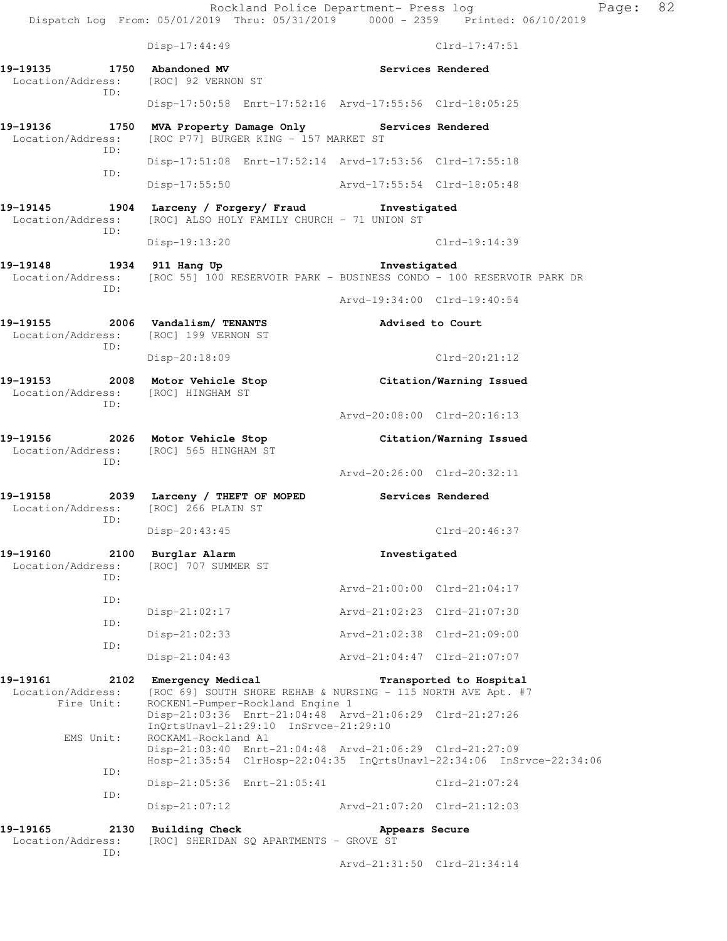Rockland Police Department- Press log Page: 82 Dispatch Log From: 05/01/2019 Thru: 05/31/2019 0000 - 2359 Printed: 06/10/2019 Disp-17:44:49 Clrd-17:47:51 **19-19135 1750 Abandoned MV Services Rendered**  Location/Address: [ROC] 92 VERNON ST ID: Disp-17:50:58 Enrt-17:52:16 Arvd-17:55:56 Clrd-18:05:25 **19-19136 1750 MVA Property Damage Only Services Rendered**  Location/Address: [ROC P77] BURGER KING - 157 MARKET ST ID: Disp-17:51:08 Enrt-17:52:14 Arvd-17:53:56 Clrd-17:55:18 ID: Disp-17:55:50 Arvd-17:55:54 Clrd-18:05:48 **19-19145 1904 Larceny / Forgery/ Fraud Investigated**  Location/Address: [ROC] ALSO HOLY FAMILY CHURCH - 71 UNION ST ID: Disp-19:13:20 Clrd-19:14:39 **19-19148 1934 911 Hang Up Investigated**  Location/Address: [ROC 55] 100 RESERVOIR PARK - BUSINESS CONDO - 100 RESERVOIR PARK DR ID: Arvd-19:34:00 Clrd-19:40:54 **19-19155 2006 Vandalism/ TENANTS Advised to Court**  Location/Address: [ROC] 199 VERNON ST ID: Disp-20:18:09 Clrd-20:21:12 **19-19153 2008 Motor Vehicle Stop Citation/Warning Issued**  Location/Address: [ROC] HINGHAM ST ID: Arvd-20:08:00 Clrd-20:16:13 **19-19156 2026 Motor Vehicle Stop Citation/Warning Issued**  Location/Address: [ROC] 565 HINGHAM ST ID: Arvd-20:26:00 Clrd-20:32:11 **19-19158** 2039 Larceny / THEFT OF MOPED Services Rendered Location/Address: [ROC] 266 PLAIN ST [ROC] 266 PLAIN ST ID: Disp-20:43:45 Clrd-20:46:37 19-19160 2100 Burglar Alarm **Investigated** Location/Address: [ROC] 707 SUMMER ST [ROC] 707 SUMMER ST ID: Arvd-21:00:00 Clrd-21:04:17 ID: Disp-21:02:17 Arvd-21:02:23 Clrd-21:07:30 ID: Disp-21:02:33 Arvd-21:02:38 Clrd-21:09:00 ID: Disp-21:04:43 Arvd-21:04:47 Clrd-21:07:07 **19-19161 2102 Emergency Medical Transported to Hospital**  Location/Address: [ROC 69] SOUTH SHORE REHAB & NURSING - 115 NORTH AVE Apt. #7 Fire Unit: ROCKEN1-Pumper-Rockland Engine 1 Disp-21:03:36 Enrt-21:04:48 Arvd-21:06:29 Clrd-21:27:26 InQrtsUnavl-21:29:10 InSrvce-21:29:10 EMS Unit: ROCKAM1-Rockland A1 Disp-21:03:40 Enrt-21:04:48 Arvd-21:06:29 Clrd-21:27:09 Hosp-21:35:54 ClrHosp-22:04:35 InQrtsUnavl-22:34:06 InSrvce-22:34:06 ID: Disp-21:05:36 Enrt-21:05:41 Clrd-21:07:24 ID: Disp-21:07:12 Arvd-21:07:20 Clrd-21:12:03 19-19165 2130 Building Check **Appears Secure** Location/Address: [ROC] SHERIDAN SQ APARTMENTS - GROVE ST ID: Arvd-21:31:50 Clrd-21:34:14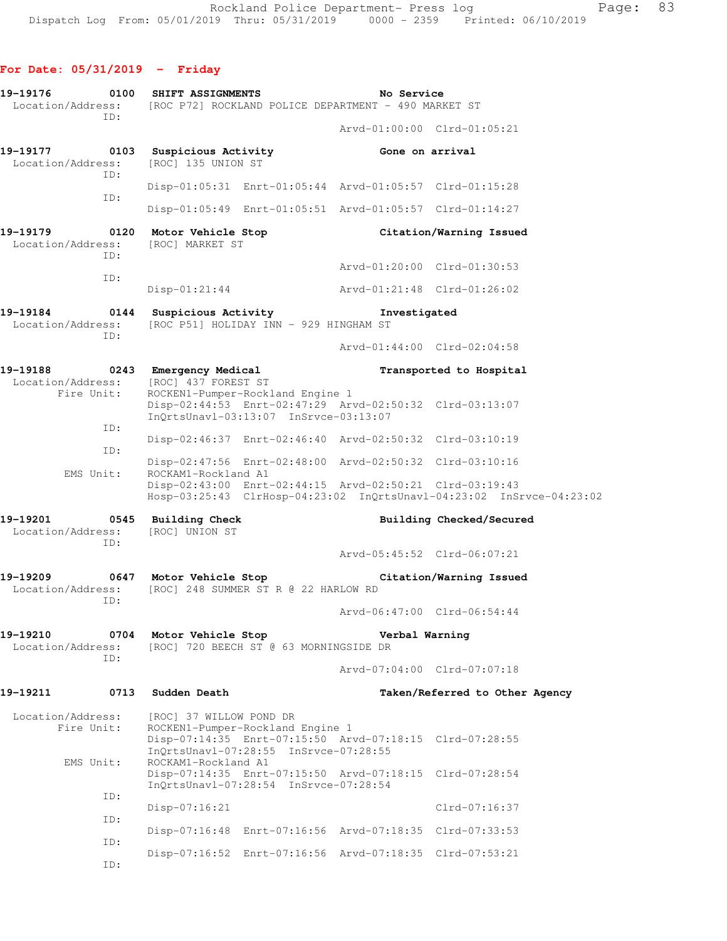## **For Date: 05/31/2019 - Friday**

| 0100                                                    |                 | No Service                                                                                                                                                                                                                                                       |                                                                                                                                                                                                                                                                                                                                                                                                                                                                                                                                                                                                                                                                                                                                                                                                                                                                                                                                                                                                                                                                                                                                                                                                                                                                                       |
|---------------------------------------------------------|-----------------|------------------------------------------------------------------------------------------------------------------------------------------------------------------------------------------------------------------------------------------------------------------|---------------------------------------------------------------------------------------------------------------------------------------------------------------------------------------------------------------------------------------------------------------------------------------------------------------------------------------------------------------------------------------------------------------------------------------------------------------------------------------------------------------------------------------------------------------------------------------------------------------------------------------------------------------------------------------------------------------------------------------------------------------------------------------------------------------------------------------------------------------------------------------------------------------------------------------------------------------------------------------------------------------------------------------------------------------------------------------------------------------------------------------------------------------------------------------------------------------------------------------------------------------------------------------|
|                                                         |                 |                                                                                                                                                                                                                                                                  | Arvd-01:00:00 Clrd-01:05:21                                                                                                                                                                                                                                                                                                                                                                                                                                                                                                                                                                                                                                                                                                                                                                                                                                                                                                                                                                                                                                                                                                                                                                                                                                                           |
|                                                         |                 |                                                                                                                                                                                                                                                                  |                                                                                                                                                                                                                                                                                                                                                                                                                                                                                                                                                                                                                                                                                                                                                                                                                                                                                                                                                                                                                                                                                                                                                                                                                                                                                       |
|                                                         |                 |                                                                                                                                                                                                                                                                  |                                                                                                                                                                                                                                                                                                                                                                                                                                                                                                                                                                                                                                                                                                                                                                                                                                                                                                                                                                                                                                                                                                                                                                                                                                                                                       |
|                                                         |                 |                                                                                                                                                                                                                                                                  |                                                                                                                                                                                                                                                                                                                                                                                                                                                                                                                                                                                                                                                                                                                                                                                                                                                                                                                                                                                                                                                                                                                                                                                                                                                                                       |
| [ROC] MARKET ST                                         |                 |                                                                                                                                                                                                                                                                  | Citation/Warning Issued                                                                                                                                                                                                                                                                                                                                                                                                                                                                                                                                                                                                                                                                                                                                                                                                                                                                                                                                                                                                                                                                                                                                                                                                                                                               |
|                                                         |                 |                                                                                                                                                                                                                                                                  | Arvd-01:20:00 Clrd-01:30:53                                                                                                                                                                                                                                                                                                                                                                                                                                                                                                                                                                                                                                                                                                                                                                                                                                                                                                                                                                                                                                                                                                                                                                                                                                                           |
| $Disp-01:21:44$                                         |                 |                                                                                                                                                                                                                                                                  |                                                                                                                                                                                                                                                                                                                                                                                                                                                                                                                                                                                                                                                                                                                                                                                                                                                                                                                                                                                                                                                                                                                                                                                                                                                                                       |
|                                                         |                 |                                                                                                                                                                                                                                                                  |                                                                                                                                                                                                                                                                                                                                                                                                                                                                                                                                                                                                                                                                                                                                                                                                                                                                                                                                                                                                                                                                                                                                                                                                                                                                                       |
|                                                         |                 |                                                                                                                                                                                                                                                                  | Arvd-01:44:00 Clrd-02:04:58                                                                                                                                                                                                                                                                                                                                                                                                                                                                                                                                                                                                                                                                                                                                                                                                                                                                                                                                                                                                                                                                                                                                                                                                                                                           |
|                                                         |                 |                                                                                                                                                                                                                                                                  | Transported to Hospital                                                                                                                                                                                                                                                                                                                                                                                                                                                                                                                                                                                                                                                                                                                                                                                                                                                                                                                                                                                                                                                                                                                                                                                                                                                               |
|                                                         |                 |                                                                                                                                                                                                                                                                  |                                                                                                                                                                                                                                                                                                                                                                                                                                                                                                                                                                                                                                                                                                                                                                                                                                                                                                                                                                                                                                                                                                                                                                                                                                                                                       |
|                                                         |                 |                                                                                                                                                                                                                                                                  |                                                                                                                                                                                                                                                                                                                                                                                                                                                                                                                                                                                                                                                                                                                                                                                                                                                                                                                                                                                                                                                                                                                                                                                                                                                                                       |
|                                                         |                 |                                                                                                                                                                                                                                                                  |                                                                                                                                                                                                                                                                                                                                                                                                                                                                                                                                                                                                                                                                                                                                                                                                                                                                                                                                                                                                                                                                                                                                                                                                                                                                                       |
|                                                         |                 |                                                                                                                                                                                                                                                                  |                                                                                                                                                                                                                                                                                                                                                                                                                                                                                                                                                                                                                                                                                                                                                                                                                                                                                                                                                                                                                                                                                                                                                                                                                                                                                       |
| 0545 Building Check<br>Location/Address: [ROC] UNION ST |                 |                                                                                                                                                                                                                                                                  | Building Checked/Secured                                                                                                                                                                                                                                                                                                                                                                                                                                                                                                                                                                                                                                                                                                                                                                                                                                                                                                                                                                                                                                                                                                                                                                                                                                                              |
|                                                         |                 |                                                                                                                                                                                                                                                                  | Arvd-05:45:52 Clrd-06:07:21                                                                                                                                                                                                                                                                                                                                                                                                                                                                                                                                                                                                                                                                                                                                                                                                                                                                                                                                                                                                                                                                                                                                                                                                                                                           |
|                                                         |                 |                                                                                                                                                                                                                                                                  | Citation/Warning Issued                                                                                                                                                                                                                                                                                                                                                                                                                                                                                                                                                                                                                                                                                                                                                                                                                                                                                                                                                                                                                                                                                                                                                                                                                                                               |
|                                                         |                 |                                                                                                                                                                                                                                                                  | Arvd-06:47:00 Clrd-06:54:44                                                                                                                                                                                                                                                                                                                                                                                                                                                                                                                                                                                                                                                                                                                                                                                                                                                                                                                                                                                                                                                                                                                                                                                                                                                           |
| 0704                                                    |                 | Verbal Warning                                                                                                                                                                                                                                                   |                                                                                                                                                                                                                                                                                                                                                                                                                                                                                                                                                                                                                                                                                                                                                                                                                                                                                                                                                                                                                                                                                                                                                                                                                                                                                       |
|                                                         |                 |                                                                                                                                                                                                                                                                  | Aryd-07:04:00 Clrd-07:07:18                                                                                                                                                                                                                                                                                                                                                                                                                                                                                                                                                                                                                                                                                                                                                                                                                                                                                                                                                                                                                                                                                                                                                                                                                                                           |
| 0713<br>Sudden Death                                    |                 |                                                                                                                                                                                                                                                                  | Taken/Referred to Other Agency                                                                                                                                                                                                                                                                                                                                                                                                                                                                                                                                                                                                                                                                                                                                                                                                                                                                                                                                                                                                                                                                                                                                                                                                                                                        |
|                                                         |                 |                                                                                                                                                                                                                                                                  |                                                                                                                                                                                                                                                                                                                                                                                                                                                                                                                                                                                                                                                                                                                                                                                                                                                                                                                                                                                                                                                                                                                                                                                                                                                                                       |
|                                                         |                 |                                                                                                                                                                                                                                                                  |                                                                                                                                                                                                                                                                                                                                                                                                                                                                                                                                                                                                                                                                                                                                                                                                                                                                                                                                                                                                                                                                                                                                                                                                                                                                                       |
|                                                         |                 |                                                                                                                                                                                                                                                                  |                                                                                                                                                                                                                                                                                                                                                                                                                                                                                                                                                                                                                                                                                                                                                                                                                                                                                                                                                                                                                                                                                                                                                                                                                                                                                       |
|                                                         |                 |                                                                                                                                                                                                                                                                  | Clrd-07:16:37                                                                                                                                                                                                                                                                                                                                                                                                                                                                                                                                                                                                                                                                                                                                                                                                                                                                                                                                                                                                                                                                                                                                                                                                                                                                         |
|                                                         |                 |                                                                                                                                                                                                                                                                  |                                                                                                                                                                                                                                                                                                                                                                                                                                                                                                                                                                                                                                                                                                                                                                                                                                                                                                                                                                                                                                                                                                                                                                                                                                                                                       |
|                                                         |                 |                                                                                                                                                                                                                                                                  |                                                                                                                                                                                                                                                                                                                                                                                                                                                                                                                                                                                                                                                                                                                                                                                                                                                                                                                                                                                                                                                                                                                                                                                                                                                                                       |
|                                                         | $Disp-07:16:21$ | SHIFT ASSIGNMENTS<br>19-19177 0103 Suspicious Activity<br>[ROC] 135 UNION ST<br>0120 Motor Vehicle Stop<br>19-19188 0243 Emergency Medical<br>[ROC] 437 FOREST ST<br>ROCKAM1-Rockland A1<br>Motor Vehicle Stop<br>[ROC] 37 WILLOW POND DR<br>ROCKAM1-Rockland A1 | Location/Address: [ROC P72] ROCKLAND POLICE DEPARTMENT - 490 MARKET ST<br>Gone on arrival<br>Disp-01:05:31 Enrt-01:05:44 Arvd-01:05:57 Clrd-01:15:28<br>Disp-01:05:49 Enrt-01:05:51 Arvd-01:05:57 Clrd-01:14:27<br>Arvd-01:21:48 Clrd-01:26:02<br>0144 Suspicious Activity <b>Example 12 Server 11 State</b> 1 and 1980<br>Location/Address: [ROC P51] HOLIDAY INN - 929 HINGHAM ST<br>ROCKEN1-Pumper-Rockland Engine 1<br>Disp-02:44:53 Enrt-02:47:29 Arvd-02:50:32 Clrd-03:13:07<br>InQrtsUnavl-03:13:07 InSrvce-03:13:07<br>Disp-02:46:37 Enrt-02:46:40 Arvd-02:50:32 Clrd-03:10:19<br>Disp-02:47:56 Enrt-02:48:00 Arvd-02:50:32 Clrd-03:10:16<br>Disp-02:43:00 Enrt-02:44:15 Arvd-02:50:21 Clrd-03:19:43<br>Hosp-03:25:43 ClrHosp-04:23:02 InQrtsUnavl-04:23:02 InSrvce-04:23:02<br>0647 Motor Vehicle Stop<br>Location/Address: [ROC] 248 SUMMER ST R @ 22 HARLOW RD<br>[ROC] 720 BEECH ST @ 63 MORNINGSIDE DR<br>ROCKEN1-Pumper-Rockland Engine 1<br>Disp-07:14:35 Enrt-07:15:50 Arvd-07:18:15 Clrd-07:28:55<br>InOrtsUnavl-07:28:55 InSrvce-07:28:55<br>Disp-07:14:35 Enrt-07:15:50 Arvd-07:18:15 Clrd-07:28:54<br>InQrtsUnavl-07:28:54 InSrvce-07:28:54<br>Disp-07:16:48 Enrt-07:16:56 Arvd-07:18:35 Clrd-07:33:53<br>Disp-07:16:52 Enrt-07:16:56 Arvd-07:18:35 Clrd-07:53:21 |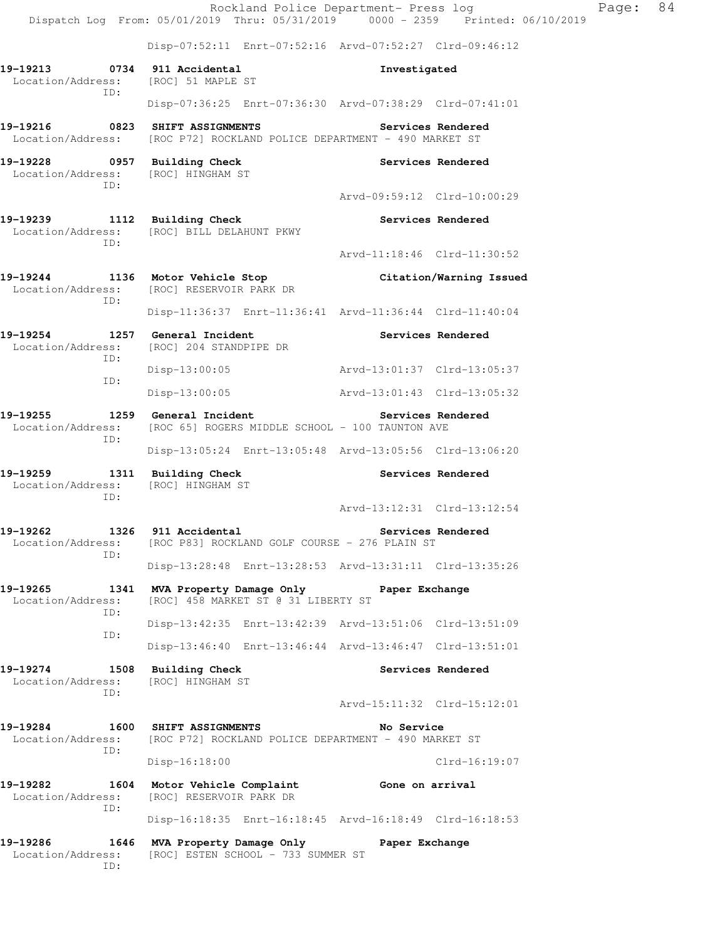|                                                                    | Rockland Police Department- Press log<br>Dispatch Log From: 05/01/2019 Thru: 05/31/2019 0000 - 2359 Printed: 06/10/2019 |                             |                         | Page: | 84 |  |  |
|--------------------------------------------------------------------|-------------------------------------------------------------------------------------------------------------------------|-----------------------------|-------------------------|-------|----|--|--|
|                                                                    | Disp-07:52:11 Enrt-07:52:16 Arvd-07:52:27 Clrd-09:46:12                                                                 |                             |                         |       |    |  |  |
| 19-19213<br>Location/Address:<br>TD:                               | 0734 911 Accidental<br>[ROC] 51 MAPLE ST                                                                                | Investigated                |                         |       |    |  |  |
|                                                                    | Disp-07:36:25 Enrt-07:36:30 Arvd-07:38:29 Clrd-07:41:01                                                                 |                             |                         |       |    |  |  |
| 19-19216  0823 SHIFT ASSIGNMENTS                                   | Location/Address: [ROC P72] ROCKLAND POLICE DEPARTMENT - 490 MARKET ST                                                  |                             | Services Rendered       |       |    |  |  |
| 19-19228 0957 Building Check<br>Location/Address: [ROC] HINGHAM ST |                                                                                                                         |                             | Services Rendered       |       |    |  |  |
| ID:                                                                |                                                                                                                         | Arvd-09:59:12 Clrd-10:00:29 |                         |       |    |  |  |
| ID:                                                                | 19-19239 1112 Building Check<br>Location/Address: [ROC] BILL DELAHUNT PKWY                                              |                             | Services Rendered       |       |    |  |  |
|                                                                    |                                                                                                                         | Arvd-11:18:46 Clrd-11:30:52 |                         |       |    |  |  |
| Location/Address:<br>ID:                                           | 19-19244 1136 Motor Vehicle Stop<br>[ROC] RESERVOIR PARK DR                                                             |                             | Citation/Warning Issued |       |    |  |  |
|                                                                    | Disp-11:36:37 Enrt-11:36:41 Arvd-11:36:44 Clrd-11:40:04                                                                 |                             |                         |       |    |  |  |
| 19-19254<br>Location/Address:<br>ID:                               | 1257 General Incident<br>[ROC] 204 STANDPIPE DR                                                                         | Services Rendered           |                         |       |    |  |  |
| ID:                                                                | $Disp-13:00:05$                                                                                                         | Arvd-13:01:37 Clrd-13:05:37 |                         |       |    |  |  |
|                                                                    | $Disp-13:00:05$                                                                                                         |                             |                         |       |    |  |  |
| ID:                                                                | 19-19255 1259 General Incident<br>Location/Address: [ROC 65] ROGERS MIDDLE SCHOOL - 100 TAUNTON AVE                     | Services Rendered           |                         |       |    |  |  |
|                                                                    | Disp-13:05:24 Enrt-13:05:48 Arvd-13:05:56 Clrd-13:06:20                                                                 |                             |                         |       |    |  |  |
| 19-19259 1311 Building Check<br>Location/Address:<br>ID:           | [ROC] HINGHAM ST                                                                                                        |                             | Services Rendered       |       |    |  |  |
|                                                                    |                                                                                                                         | Arvd-13:12:31 Clrd-13:12:54 |                         |       |    |  |  |
| 1326<br>19-19262<br>Location/Address:<br>ID:                       | 911 Accidental<br>[ROC P83] ROCKLAND GOLF COURSE - 276 PLAIN ST                                                         |                             | Services Rendered       |       |    |  |  |
|                                                                    | Disp-13:28:48 Enrt-13:28:53 Arvd-13:31:11 Clrd-13:35:26                                                                 |                             |                         |       |    |  |  |
| 19-19265<br>1341<br>Location/Address:<br>ID:                       | MVA Property Damage Only<br>[ROC] 458 MARKET ST @ 31 LIBERTY ST                                                         | Paper Exchange              |                         |       |    |  |  |
| ID:                                                                | Disp-13:42:35 Enrt-13:42:39 Arvd-13:51:06 Clrd-13:51:09                                                                 |                             |                         |       |    |  |  |
|                                                                    | Disp-13:46:40 Enrt-13:46:44 Arvd-13:46:47 Clrd-13:51:01                                                                 |                             |                         |       |    |  |  |
| 19-19274<br>Location/Address:<br>ID:                               | 1508 Building Check<br>[ROC] HINGHAM ST                                                                                 |                             | Services Rendered       |       |    |  |  |
|                                                                    |                                                                                                                         | Arvd-15:11:32 Clrd-15:12:01 |                         |       |    |  |  |
| 19-19284<br>Location/Address:<br>ID:                               | 1600 SHIFT ASSIGNMENTS<br>No Service<br>[ROC P72] ROCKLAND POLICE DEPARTMENT - 490 MARKET ST                            |                             |                         |       |    |  |  |
|                                                                    | $Disp-16:18:00$                                                                                                         |                             | $Clrd-16:19:07$         |       |    |  |  |
| 19-19282<br>1604<br>Location/Address:<br>ID:                       | Motor Vehicle Complaint<br>[ROC] RESERVOIR PARK DR                                                                      | Gone on arrival             |                         |       |    |  |  |
|                                                                    | Disp-16:18:35 Enrt-16:18:45 Arvd-16:18:49 Clrd-16:18:53                                                                 |                             |                         |       |    |  |  |
| 19-19286<br>1646<br>Location/Address:<br>ID:                       | MVA Property Damage Only<br>[ROC] ESTEN SCHOOL - 733 SUMMER ST                                                          | Paper Exchange              |                         |       |    |  |  |